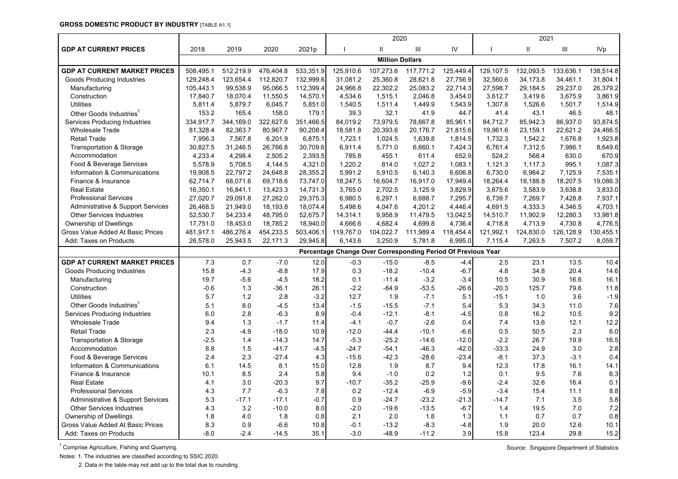#### **GROSS DOMESTIC PRODUCT BY INDUSTRY** [TABLE A1.1]

| <b>GDP AT CURRENT PRICES</b><br>IV<br>$\mathbf{II}$<br>Ш<br>2018<br>2019<br>2020<br>2021p<br>Ш<br>Ш<br><b>IVp</b><br><b>Million Dollars</b><br>512,219.9<br>533,351.9<br>125,910.6<br>117,771.2<br><b>GDP AT CURRENT MARKET PRICES</b><br>508,495.1<br>476,404.8<br>107,273.6<br>125,449.4<br>129,107.5<br>132,093.5<br>133,636.1<br>138,514.8<br>123,654.4<br>112,820.7<br>132,999.6<br>31,081.2<br>25,360.8<br>28,621.8<br>27,756.9<br>32,560.6<br>34,173.8<br>34,461.1<br>129,248.4<br>31,804.1<br><b>Goods Producing Industries</b><br>99,538.9<br>95,066.5<br>112,399.4<br>24,966.8<br>22,302.2<br>25,083.2<br>22,714.3<br>29,184.5<br>29,237.0<br>26,379.2<br>105,443.1<br>27,598.7<br>Manufacturing<br>18,070.4<br>11,550.5<br>2,046.8<br>3.675.9<br>3,861.9<br>Construction<br>17,840.7<br>14,570.1<br>4,534.6<br>1,515.1<br>3,454.0<br>3,612.7<br>3,419.6<br>1,501.7<br><b>Utilities</b><br>5,811.4<br>5,879.7<br>6,045.7<br>5,851.0<br>1,540.5<br>1,511.4<br>1,449.9<br>1,543.9<br>1,307.8<br>1,526.6<br>1,514.9<br>179.1<br>32.1<br>153.2<br>165.4<br>158.0<br>39.3<br>41.9<br>44.7<br>41.4<br>43.1<br>46.5<br>48.1<br>Other Goods Industries<br>344,169.0<br>322,627.6<br>84,019.2<br>73,979.5<br>78,667.8<br>85,942.3<br>86,937.0<br>Services Producing Industries<br>334,917.7<br>351,466.5<br>85,961.1<br>84,712.7<br>93,874.5<br>20,393.6<br><b>Wholesale Trade</b><br>81,328.4<br>82,363.7<br>80,967.7<br>90,208.4<br>18,581.8<br>20,176.7<br>21,815.6<br>19,961.6<br>23,159.1<br>22,621.2<br>24,466.5<br>7,956.3<br>7,567.8<br>6,201.9<br>1,723.1<br>1,024.5<br>1,639.8<br>1,732.3<br>1,676.8<br><b>Retail Trade</b><br>6,875.1<br>1,814.5<br>1,542.2<br>1,923.8<br><b>Transportation &amp; Storage</b><br>30,827.5<br>31,246.5<br>26,766.8<br>30,709.6<br>6,911.4<br>5,771.0<br>6,660.1<br>7,424.3<br>6,761.4<br>7,312.5<br>7,986.1<br>8,649.6<br>Accommodation<br>4,233.4<br>4,298.4<br>2,505.2<br>2,393.5<br>785.8<br>455.1<br>611.4<br>652.9<br>524.2<br>568.4<br>630.0<br>670.9<br>Food & Beverage Services<br>5,578.9<br>5,708.5<br>4,144.5<br>4,321.0<br>1,220.2<br>814.0<br>1,027.2<br>1,083.1<br>1,121.3<br>1,117.3<br>995.1<br>1,087.3<br>Information & Communications<br>19,908.5<br>22,797.2<br>28,355.2<br>5,991.2<br>5,910.5<br>6,140.3<br>6,606.8<br>6,730.0<br>6,964.2<br>7,125.9<br>7,535.1<br>24,648.8<br>Finance & Insurance<br>62,714.7<br>68,071.6<br>69,718.6<br>73,747.0<br>18,247.5<br>16,604.7<br>16,917.0<br>17,949.4<br>18,264.4<br>18,188.8<br>18,207.5<br>19,086.3<br><b>Real Estate</b><br>16,350.1<br>16,841.1<br>13,423.3<br>14,731.3<br>3,765.0<br>2,702.5<br>3,125.9<br>3,829.9<br>3,675.6<br>3,583.9<br>3,638.8<br>3,833.0<br>27,020.7<br>29,091.8<br><b>Professional Services</b><br>27,262.0<br>29,375.3<br>6,980.5<br>6,297.1<br>6,688.7<br>7,295.7<br>6,739.7<br>7,269.7<br>7,428.8<br>7,937.1<br>Administrative & Support Services<br>26,468.5<br>21,949.0<br>18,193.8<br>18,074.4<br>5,498.6<br>4,047.6<br>4,201.2<br>4,446.4<br>4,691.5<br>4,333.3<br>4,346.5<br>4,703.1<br>9,958.9<br>11,902.9<br>12,280.3<br><b>Other Services Industries</b><br>52,530.7<br>54,233.4<br>48,795.0<br>52,675.7<br>14,314.1<br>11,479.5<br>13,042.5<br>14,510.7<br>13,981.8<br>18,453.0<br>18,785.2<br>4,682.4<br>4,699.8<br>4,736.4<br>4,713.9<br>4,730.8<br>Ownership of Dwellings<br>17,751.0<br>18,940.0<br>4,666.6<br>4,718.8<br>4,776.5<br>486,276.4<br>454,233.5<br>503,406.1<br>119,767.0<br>104,022.7<br>111,989.4<br>121,992.1<br>124,830.0<br>126,128.9<br>130,455.1<br>Gross Value Added At Basic Prices<br>481,917.1<br>118,454.4<br>3,250.9<br>26,578.0<br>25,943.5<br>22,171.3<br>29,945.8<br>6,143.6<br>5,781.8<br>6,995.0<br>7,115.4<br>7,263.5<br>7,507.2<br>8,059.7<br>Add: Taxes on Products<br>Percentage Change Over Corresponding Period Of Previous Year<br><b>GDP AT CURRENT MARKET PRICES</b><br>7.3<br>0.7<br>$-7.0$<br>12.0<br>$-0.3$<br>$-15.0$<br>$-8.5$<br>$-4.4$<br>13.5<br>2.5<br>23.1<br>10.4<br>$-8.8$<br>15.8<br>$-4.3$<br>17.9<br>0.3<br>$-18.2$<br>$-10.4$<br>$-6.7$<br>4.8<br>34.8<br>20.4<br>14.6<br>Goods Producing Industries<br>$-3.2$<br>19.7<br>$-5.6$<br>$-4.5$<br>18.2<br>0.1<br>$-11.4$<br>$-3.4$<br>10.5<br>30.9<br>16.6<br>16.1<br>Manufacturing<br>1.3<br>$-2.2$<br>$-53.5$<br>$-20.3$<br>$-0.6$<br>$-36.1$<br>79.6 |
|--------------------------------------------------------------------------------------------------------------------------------------------------------------------------------------------------------------------------------------------------------------------------------------------------------------------------------------------------------------------------------------------------------------------------------------------------------------------------------------------------------------------------------------------------------------------------------------------------------------------------------------------------------------------------------------------------------------------------------------------------------------------------------------------------------------------------------------------------------------------------------------------------------------------------------------------------------------------------------------------------------------------------------------------------------------------------------------------------------------------------------------------------------------------------------------------------------------------------------------------------------------------------------------------------------------------------------------------------------------------------------------------------------------------------------------------------------------------------------------------------------------------------------------------------------------------------------------------------------------------------------------------------------------------------------------------------------------------------------------------------------------------------------------------------------------------------------------------------------------------------------------------------------------------------------------------------------------------------------------------------------------------------------------------------------------------------------------------------------------------------------------------------------------------------------------------------------------------------------------------------------------------------------------------------------------------------------------------------------------------------------------------------------------------------------------------------------------------------------------------------------------------------------------------------------------------------------------------------------------------------------------------------------------------------------------------------------------------------------------------------------------------------------------------------------------------------------------------------------------------------------------------------------------------------------------------------------------------------------------------------------------------------------------------------------------------------------------------------------------------------------------------------------------------------------------------------------------------------------------------------------------------------------------------------------------------------------------------------------------------------------------------------------------------------------------------------------------------------------------------------------------------------------------------------------------------------------------------------------------------------------------------------------------------------------------------------------------------------------------------------------------------------------------------------------------------------------------------------------------------------------------------------------------------------------------------------------------------------------------------------------------------------------------------------------------------------------------------------------------------------------------------------------------------------------------------------------------------------------------------------------------------------------------------------------------------|
|                                                                                                                                                                                                                                                                                                                                                                                                                                                                                                                                                                                                                                                                                                                                                                                                                                                                                                                                                                                                                                                                                                                                                                                                                                                                                                                                                                                                                                                                                                                                                                                                                                                                                                                                                                                                                                                                                                                                                                                                                                                                                                                                                                                                                                                                                                                                                                                                                                                                                                                                                                                                                                                                                                                                                                                                                                                                                                                                                                                                                                                                                                                                                                                                                                                                                                                                                                                                                                                                                                                                                                                                                                                                                                                                                                                                                                                                                                                                                                                                                                                                                                                                                                                                                                                                                                                    |
|                                                                                                                                                                                                                                                                                                                                                                                                                                                                                                                                                                                                                                                                                                                                                                                                                                                                                                                                                                                                                                                                                                                                                                                                                                                                                                                                                                                                                                                                                                                                                                                                                                                                                                                                                                                                                                                                                                                                                                                                                                                                                                                                                                                                                                                                                                                                                                                                                                                                                                                                                                                                                                                                                                                                                                                                                                                                                                                                                                                                                                                                                                                                                                                                                                                                                                                                                                                                                                                                                                                                                                                                                                                                                                                                                                                                                                                                                                                                                                                                                                                                                                                                                                                                                                                                                                                    |
|                                                                                                                                                                                                                                                                                                                                                                                                                                                                                                                                                                                                                                                                                                                                                                                                                                                                                                                                                                                                                                                                                                                                                                                                                                                                                                                                                                                                                                                                                                                                                                                                                                                                                                                                                                                                                                                                                                                                                                                                                                                                                                                                                                                                                                                                                                                                                                                                                                                                                                                                                                                                                                                                                                                                                                                                                                                                                                                                                                                                                                                                                                                                                                                                                                                                                                                                                                                                                                                                                                                                                                                                                                                                                                                                                                                                                                                                                                                                                                                                                                                                                                                                                                                                                                                                                                                    |
|                                                                                                                                                                                                                                                                                                                                                                                                                                                                                                                                                                                                                                                                                                                                                                                                                                                                                                                                                                                                                                                                                                                                                                                                                                                                                                                                                                                                                                                                                                                                                                                                                                                                                                                                                                                                                                                                                                                                                                                                                                                                                                                                                                                                                                                                                                                                                                                                                                                                                                                                                                                                                                                                                                                                                                                                                                                                                                                                                                                                                                                                                                                                                                                                                                                                                                                                                                                                                                                                                                                                                                                                                                                                                                                                                                                                                                                                                                                                                                                                                                                                                                                                                                                                                                                                                                                    |
|                                                                                                                                                                                                                                                                                                                                                                                                                                                                                                                                                                                                                                                                                                                                                                                                                                                                                                                                                                                                                                                                                                                                                                                                                                                                                                                                                                                                                                                                                                                                                                                                                                                                                                                                                                                                                                                                                                                                                                                                                                                                                                                                                                                                                                                                                                                                                                                                                                                                                                                                                                                                                                                                                                                                                                                                                                                                                                                                                                                                                                                                                                                                                                                                                                                                                                                                                                                                                                                                                                                                                                                                                                                                                                                                                                                                                                                                                                                                                                                                                                                                                                                                                                                                                                                                                                                    |
|                                                                                                                                                                                                                                                                                                                                                                                                                                                                                                                                                                                                                                                                                                                                                                                                                                                                                                                                                                                                                                                                                                                                                                                                                                                                                                                                                                                                                                                                                                                                                                                                                                                                                                                                                                                                                                                                                                                                                                                                                                                                                                                                                                                                                                                                                                                                                                                                                                                                                                                                                                                                                                                                                                                                                                                                                                                                                                                                                                                                                                                                                                                                                                                                                                                                                                                                                                                                                                                                                                                                                                                                                                                                                                                                                                                                                                                                                                                                                                                                                                                                                                                                                                                                                                                                                                                    |
|                                                                                                                                                                                                                                                                                                                                                                                                                                                                                                                                                                                                                                                                                                                                                                                                                                                                                                                                                                                                                                                                                                                                                                                                                                                                                                                                                                                                                                                                                                                                                                                                                                                                                                                                                                                                                                                                                                                                                                                                                                                                                                                                                                                                                                                                                                                                                                                                                                                                                                                                                                                                                                                                                                                                                                                                                                                                                                                                                                                                                                                                                                                                                                                                                                                                                                                                                                                                                                                                                                                                                                                                                                                                                                                                                                                                                                                                                                                                                                                                                                                                                                                                                                                                                                                                                                                    |
|                                                                                                                                                                                                                                                                                                                                                                                                                                                                                                                                                                                                                                                                                                                                                                                                                                                                                                                                                                                                                                                                                                                                                                                                                                                                                                                                                                                                                                                                                                                                                                                                                                                                                                                                                                                                                                                                                                                                                                                                                                                                                                                                                                                                                                                                                                                                                                                                                                                                                                                                                                                                                                                                                                                                                                                                                                                                                                                                                                                                                                                                                                                                                                                                                                                                                                                                                                                                                                                                                                                                                                                                                                                                                                                                                                                                                                                                                                                                                                                                                                                                                                                                                                                                                                                                                                                    |
|                                                                                                                                                                                                                                                                                                                                                                                                                                                                                                                                                                                                                                                                                                                                                                                                                                                                                                                                                                                                                                                                                                                                                                                                                                                                                                                                                                                                                                                                                                                                                                                                                                                                                                                                                                                                                                                                                                                                                                                                                                                                                                                                                                                                                                                                                                                                                                                                                                                                                                                                                                                                                                                                                                                                                                                                                                                                                                                                                                                                                                                                                                                                                                                                                                                                                                                                                                                                                                                                                                                                                                                                                                                                                                                                                                                                                                                                                                                                                                                                                                                                                                                                                                                                                                                                                                                    |
|                                                                                                                                                                                                                                                                                                                                                                                                                                                                                                                                                                                                                                                                                                                                                                                                                                                                                                                                                                                                                                                                                                                                                                                                                                                                                                                                                                                                                                                                                                                                                                                                                                                                                                                                                                                                                                                                                                                                                                                                                                                                                                                                                                                                                                                                                                                                                                                                                                                                                                                                                                                                                                                                                                                                                                                                                                                                                                                                                                                                                                                                                                                                                                                                                                                                                                                                                                                                                                                                                                                                                                                                                                                                                                                                                                                                                                                                                                                                                                                                                                                                                                                                                                                                                                                                                                                    |
|                                                                                                                                                                                                                                                                                                                                                                                                                                                                                                                                                                                                                                                                                                                                                                                                                                                                                                                                                                                                                                                                                                                                                                                                                                                                                                                                                                                                                                                                                                                                                                                                                                                                                                                                                                                                                                                                                                                                                                                                                                                                                                                                                                                                                                                                                                                                                                                                                                                                                                                                                                                                                                                                                                                                                                                                                                                                                                                                                                                                                                                                                                                                                                                                                                                                                                                                                                                                                                                                                                                                                                                                                                                                                                                                                                                                                                                                                                                                                                                                                                                                                                                                                                                                                                                                                                                    |
|                                                                                                                                                                                                                                                                                                                                                                                                                                                                                                                                                                                                                                                                                                                                                                                                                                                                                                                                                                                                                                                                                                                                                                                                                                                                                                                                                                                                                                                                                                                                                                                                                                                                                                                                                                                                                                                                                                                                                                                                                                                                                                                                                                                                                                                                                                                                                                                                                                                                                                                                                                                                                                                                                                                                                                                                                                                                                                                                                                                                                                                                                                                                                                                                                                                                                                                                                                                                                                                                                                                                                                                                                                                                                                                                                                                                                                                                                                                                                                                                                                                                                                                                                                                                                                                                                                                    |
|                                                                                                                                                                                                                                                                                                                                                                                                                                                                                                                                                                                                                                                                                                                                                                                                                                                                                                                                                                                                                                                                                                                                                                                                                                                                                                                                                                                                                                                                                                                                                                                                                                                                                                                                                                                                                                                                                                                                                                                                                                                                                                                                                                                                                                                                                                                                                                                                                                                                                                                                                                                                                                                                                                                                                                                                                                                                                                                                                                                                                                                                                                                                                                                                                                                                                                                                                                                                                                                                                                                                                                                                                                                                                                                                                                                                                                                                                                                                                                                                                                                                                                                                                                                                                                                                                                                    |
|                                                                                                                                                                                                                                                                                                                                                                                                                                                                                                                                                                                                                                                                                                                                                                                                                                                                                                                                                                                                                                                                                                                                                                                                                                                                                                                                                                                                                                                                                                                                                                                                                                                                                                                                                                                                                                                                                                                                                                                                                                                                                                                                                                                                                                                                                                                                                                                                                                                                                                                                                                                                                                                                                                                                                                                                                                                                                                                                                                                                                                                                                                                                                                                                                                                                                                                                                                                                                                                                                                                                                                                                                                                                                                                                                                                                                                                                                                                                                                                                                                                                                                                                                                                                                                                                                                                    |
|                                                                                                                                                                                                                                                                                                                                                                                                                                                                                                                                                                                                                                                                                                                                                                                                                                                                                                                                                                                                                                                                                                                                                                                                                                                                                                                                                                                                                                                                                                                                                                                                                                                                                                                                                                                                                                                                                                                                                                                                                                                                                                                                                                                                                                                                                                                                                                                                                                                                                                                                                                                                                                                                                                                                                                                                                                                                                                                                                                                                                                                                                                                                                                                                                                                                                                                                                                                                                                                                                                                                                                                                                                                                                                                                                                                                                                                                                                                                                                                                                                                                                                                                                                                                                                                                                                                    |
|                                                                                                                                                                                                                                                                                                                                                                                                                                                                                                                                                                                                                                                                                                                                                                                                                                                                                                                                                                                                                                                                                                                                                                                                                                                                                                                                                                                                                                                                                                                                                                                                                                                                                                                                                                                                                                                                                                                                                                                                                                                                                                                                                                                                                                                                                                                                                                                                                                                                                                                                                                                                                                                                                                                                                                                                                                                                                                                                                                                                                                                                                                                                                                                                                                                                                                                                                                                                                                                                                                                                                                                                                                                                                                                                                                                                                                                                                                                                                                                                                                                                                                                                                                                                                                                                                                                    |
|                                                                                                                                                                                                                                                                                                                                                                                                                                                                                                                                                                                                                                                                                                                                                                                                                                                                                                                                                                                                                                                                                                                                                                                                                                                                                                                                                                                                                                                                                                                                                                                                                                                                                                                                                                                                                                                                                                                                                                                                                                                                                                                                                                                                                                                                                                                                                                                                                                                                                                                                                                                                                                                                                                                                                                                                                                                                                                                                                                                                                                                                                                                                                                                                                                                                                                                                                                                                                                                                                                                                                                                                                                                                                                                                                                                                                                                                                                                                                                                                                                                                                                                                                                                                                                                                                                                    |
|                                                                                                                                                                                                                                                                                                                                                                                                                                                                                                                                                                                                                                                                                                                                                                                                                                                                                                                                                                                                                                                                                                                                                                                                                                                                                                                                                                                                                                                                                                                                                                                                                                                                                                                                                                                                                                                                                                                                                                                                                                                                                                                                                                                                                                                                                                                                                                                                                                                                                                                                                                                                                                                                                                                                                                                                                                                                                                                                                                                                                                                                                                                                                                                                                                                                                                                                                                                                                                                                                                                                                                                                                                                                                                                                                                                                                                                                                                                                                                                                                                                                                                                                                                                                                                                                                                                    |
|                                                                                                                                                                                                                                                                                                                                                                                                                                                                                                                                                                                                                                                                                                                                                                                                                                                                                                                                                                                                                                                                                                                                                                                                                                                                                                                                                                                                                                                                                                                                                                                                                                                                                                                                                                                                                                                                                                                                                                                                                                                                                                                                                                                                                                                                                                                                                                                                                                                                                                                                                                                                                                                                                                                                                                                                                                                                                                                                                                                                                                                                                                                                                                                                                                                                                                                                                                                                                                                                                                                                                                                                                                                                                                                                                                                                                                                                                                                                                                                                                                                                                                                                                                                                                                                                                                                    |
|                                                                                                                                                                                                                                                                                                                                                                                                                                                                                                                                                                                                                                                                                                                                                                                                                                                                                                                                                                                                                                                                                                                                                                                                                                                                                                                                                                                                                                                                                                                                                                                                                                                                                                                                                                                                                                                                                                                                                                                                                                                                                                                                                                                                                                                                                                                                                                                                                                                                                                                                                                                                                                                                                                                                                                                                                                                                                                                                                                                                                                                                                                                                                                                                                                                                                                                                                                                                                                                                                                                                                                                                                                                                                                                                                                                                                                                                                                                                                                                                                                                                                                                                                                                                                                                                                                                    |
|                                                                                                                                                                                                                                                                                                                                                                                                                                                                                                                                                                                                                                                                                                                                                                                                                                                                                                                                                                                                                                                                                                                                                                                                                                                                                                                                                                                                                                                                                                                                                                                                                                                                                                                                                                                                                                                                                                                                                                                                                                                                                                                                                                                                                                                                                                                                                                                                                                                                                                                                                                                                                                                                                                                                                                                                                                                                                                                                                                                                                                                                                                                                                                                                                                                                                                                                                                                                                                                                                                                                                                                                                                                                                                                                                                                                                                                                                                                                                                                                                                                                                                                                                                                                                                                                                                                    |
|                                                                                                                                                                                                                                                                                                                                                                                                                                                                                                                                                                                                                                                                                                                                                                                                                                                                                                                                                                                                                                                                                                                                                                                                                                                                                                                                                                                                                                                                                                                                                                                                                                                                                                                                                                                                                                                                                                                                                                                                                                                                                                                                                                                                                                                                                                                                                                                                                                                                                                                                                                                                                                                                                                                                                                                                                                                                                                                                                                                                                                                                                                                                                                                                                                                                                                                                                                                                                                                                                                                                                                                                                                                                                                                                                                                                                                                                                                                                                                                                                                                                                                                                                                                                                                                                                                                    |
|                                                                                                                                                                                                                                                                                                                                                                                                                                                                                                                                                                                                                                                                                                                                                                                                                                                                                                                                                                                                                                                                                                                                                                                                                                                                                                                                                                                                                                                                                                                                                                                                                                                                                                                                                                                                                                                                                                                                                                                                                                                                                                                                                                                                                                                                                                                                                                                                                                                                                                                                                                                                                                                                                                                                                                                                                                                                                                                                                                                                                                                                                                                                                                                                                                                                                                                                                                                                                                                                                                                                                                                                                                                                                                                                                                                                                                                                                                                                                                                                                                                                                                                                                                                                                                                                                                                    |
|                                                                                                                                                                                                                                                                                                                                                                                                                                                                                                                                                                                                                                                                                                                                                                                                                                                                                                                                                                                                                                                                                                                                                                                                                                                                                                                                                                                                                                                                                                                                                                                                                                                                                                                                                                                                                                                                                                                                                                                                                                                                                                                                                                                                                                                                                                                                                                                                                                                                                                                                                                                                                                                                                                                                                                                                                                                                                                                                                                                                                                                                                                                                                                                                                                                                                                                                                                                                                                                                                                                                                                                                                                                                                                                                                                                                                                                                                                                                                                                                                                                                                                                                                                                                                                                                                                                    |
|                                                                                                                                                                                                                                                                                                                                                                                                                                                                                                                                                                                                                                                                                                                                                                                                                                                                                                                                                                                                                                                                                                                                                                                                                                                                                                                                                                                                                                                                                                                                                                                                                                                                                                                                                                                                                                                                                                                                                                                                                                                                                                                                                                                                                                                                                                                                                                                                                                                                                                                                                                                                                                                                                                                                                                                                                                                                                                                                                                                                                                                                                                                                                                                                                                                                                                                                                                                                                                                                                                                                                                                                                                                                                                                                                                                                                                                                                                                                                                                                                                                                                                                                                                                                                                                                                                                    |
|                                                                                                                                                                                                                                                                                                                                                                                                                                                                                                                                                                                                                                                                                                                                                                                                                                                                                                                                                                                                                                                                                                                                                                                                                                                                                                                                                                                                                                                                                                                                                                                                                                                                                                                                                                                                                                                                                                                                                                                                                                                                                                                                                                                                                                                                                                                                                                                                                                                                                                                                                                                                                                                                                                                                                                                                                                                                                                                                                                                                                                                                                                                                                                                                                                                                                                                                                                                                                                                                                                                                                                                                                                                                                                                                                                                                                                                                                                                                                                                                                                                                                                                                                                                                                                                                                                                    |
|                                                                                                                                                                                                                                                                                                                                                                                                                                                                                                                                                                                                                                                                                                                                                                                                                                                                                                                                                                                                                                                                                                                                                                                                                                                                                                                                                                                                                                                                                                                                                                                                                                                                                                                                                                                                                                                                                                                                                                                                                                                                                                                                                                                                                                                                                                                                                                                                                                                                                                                                                                                                                                                                                                                                                                                                                                                                                                                                                                                                                                                                                                                                                                                                                                                                                                                                                                                                                                                                                                                                                                                                                                                                                                                                                                                                                                                                                                                                                                                                                                                                                                                                                                                                                                                                                                                    |
| 26.1<br>-64.9<br>$-26.6$<br>125.7<br>11.8<br>Construction                                                                                                                                                                                                                                                                                                                                                                                                                                                                                                                                                                                                                                                                                                                                                                                                                                                                                                                                                                                                                                                                                                                                                                                                                                                                                                                                                                                                                                                                                                                                                                                                                                                                                                                                                                                                                                                                                                                                                                                                                                                                                                                                                                                                                                                                                                                                                                                                                                                                                                                                                                                                                                                                                                                                                                                                                                                                                                                                                                                                                                                                                                                                                                                                                                                                                                                                                                                                                                                                                                                                                                                                                                                                                                                                                                                                                                                                                                                                                                                                                                                                                                                                                                                                                                                          |
| 5.7<br>1.2<br>2.8<br>$-3.2$<br>12.7<br>1.9<br>$-7.1$<br>5.1<br>$-15.1$<br>1.0<br>3.6<br>$-1.9$<br><b>Utilities</b>                                                                                                                                                                                                                                                                                                                                                                                                                                                                                                                                                                                                                                                                                                                                                                                                                                                                                                                                                                                                                                                                                                                                                                                                                                                                                                                                                                                                                                                                                                                                                                                                                                                                                                                                                                                                                                                                                                                                                                                                                                                                                                                                                                                                                                                                                                                                                                                                                                                                                                                                                                                                                                                                                                                                                                                                                                                                                                                                                                                                                                                                                                                                                                                                                                                                                                                                                                                                                                                                                                                                                                                                                                                                                                                                                                                                                                                                                                                                                                                                                                                                                                                                                                                                 |
| Other Goods Industries <sup>1</sup><br>$-7.1$<br>5.3<br>34.3<br>5.1<br>8.0<br>$-4.5$<br>13.4<br>$-1.5$<br>$-15.5$<br>5.4<br>11.0<br>7.6                                                                                                                                                                                                                                                                                                                                                                                                                                                                                                                                                                                                                                                                                                                                                                                                                                                                                                                                                                                                                                                                                                                                                                                                                                                                                                                                                                                                                                                                                                                                                                                                                                                                                                                                                                                                                                                                                                                                                                                                                                                                                                                                                                                                                                                                                                                                                                                                                                                                                                                                                                                                                                                                                                                                                                                                                                                                                                                                                                                                                                                                                                                                                                                                                                                                                                                                                                                                                                                                                                                                                                                                                                                                                                                                                                                                                                                                                                                                                                                                                                                                                                                                                                            |
| $-8.1$<br>9.2<br>6.0<br>2.8<br>$-6.3$<br>8.9<br>$-0.4$<br>$-12.1$<br>0.8<br>16.2<br>10.5<br><b>Services Producing Industries</b><br>-4.5                                                                                                                                                                                                                                                                                                                                                                                                                                                                                                                                                                                                                                                                                                                                                                                                                                                                                                                                                                                                                                                                                                                                                                                                                                                                                                                                                                                                                                                                                                                                                                                                                                                                                                                                                                                                                                                                                                                                                                                                                                                                                                                                                                                                                                                                                                                                                                                                                                                                                                                                                                                                                                                                                                                                                                                                                                                                                                                                                                                                                                                                                                                                                                                                                                                                                                                                                                                                                                                                                                                                                                                                                                                                                                                                                                                                                                                                                                                                                                                                                                                                                                                                                                           |
| $12.2$<br><b>Wholesale Trade</b><br>9.4<br>1.3<br>$-1.7$<br>$-4.1$<br>$-0.7$<br>$-2.6$<br>0.4<br>7.4<br>13.6<br>12.1<br>11.4                                                                                                                                                                                                                                                                                                                                                                                                                                                                                                                                                                                                                                                                                                                                                                                                                                                                                                                                                                                                                                                                                                                                                                                                                                                                                                                                                                                                                                                                                                                                                                                                                                                                                                                                                                                                                                                                                                                                                                                                                                                                                                                                                                                                                                                                                                                                                                                                                                                                                                                                                                                                                                                                                                                                                                                                                                                                                                                                                                                                                                                                                                                                                                                                                                                                                                                                                                                                                                                                                                                                                                                                                                                                                                                                                                                                                                                                                                                                                                                                                                                                                                                                                                                       |
| 2.3<br>$-4.9$<br>$-10.1$<br>0.5<br>50.5<br>2.3<br>6.0<br><b>Retail Trade</b><br>$-18.0$<br>10.9<br>$-12.0$<br>-44.4<br>$-6.6$                                                                                                                                                                                                                                                                                                                                                                                                                                                                                                                                                                                                                                                                                                                                                                                                                                                                                                                                                                                                                                                                                                                                                                                                                                                                                                                                                                                                                                                                                                                                                                                                                                                                                                                                                                                                                                                                                                                                                                                                                                                                                                                                                                                                                                                                                                                                                                                                                                                                                                                                                                                                                                                                                                                                                                                                                                                                                                                                                                                                                                                                                                                                                                                                                                                                                                                                                                                                                                                                                                                                                                                                                                                                                                                                                                                                                                                                                                                                                                                                                                                                                                                                                                                      |
| $-2.5$<br>$-14.3$<br>14.7<br>$-5.3$<br>$-25.2$<br>$-14.6$<br>$-2.2$<br>19.9<br>1.4<br>$-12.0$<br>26.7<br>16.5<br><b>Transportation &amp; Storage</b>                                                                                                                                                                                                                                                                                                                                                                                                                                                                                                                                                                                                                                                                                                                                                                                                                                                                                                                                                                                                                                                                                                                                                                                                                                                                                                                                                                                                                                                                                                                                                                                                                                                                                                                                                                                                                                                                                                                                                                                                                                                                                                                                                                                                                                                                                                                                                                                                                                                                                                                                                                                                                                                                                                                                                                                                                                                                                                                                                                                                                                                                                                                                                                                                                                                                                                                                                                                                                                                                                                                                                                                                                                                                                                                                                                                                                                                                                                                                                                                                                                                                                                                                                               |
| 8.8<br>1.5<br>$-41.7$<br>$-46.3$<br>$-33.3$<br>3.0<br>2.8<br>Accommodation<br>$-4.5$<br>$-24.7$<br>$-54.1$<br>$-42.0$<br>24.9                                                                                                                                                                                                                                                                                                                                                                                                                                                                                                                                                                                                                                                                                                                                                                                                                                                                                                                                                                                                                                                                                                                                                                                                                                                                                                                                                                                                                                                                                                                                                                                                                                                                                                                                                                                                                                                                                                                                                                                                                                                                                                                                                                                                                                                                                                                                                                                                                                                                                                                                                                                                                                                                                                                                                                                                                                                                                                                                                                                                                                                                                                                                                                                                                                                                                                                                                                                                                                                                                                                                                                                                                                                                                                                                                                                                                                                                                                                                                                                                                                                                                                                                                                                      |
| 2.4<br>2.3<br>$-27.4$<br>4.3<br>$-15.6$<br>$-42.3$<br>$-28.6$<br>$-23.4$<br>$-8.1$<br>37.3<br>$-3.1$<br>0.4<br>Food & Beverage Services                                                                                                                                                                                                                                                                                                                                                                                                                                                                                                                                                                                                                                                                                                                                                                                                                                                                                                                                                                                                                                                                                                                                                                                                                                                                                                                                                                                                                                                                                                                                                                                                                                                                                                                                                                                                                                                                                                                                                                                                                                                                                                                                                                                                                                                                                                                                                                                                                                                                                                                                                                                                                                                                                                                                                                                                                                                                                                                                                                                                                                                                                                                                                                                                                                                                                                                                                                                                                                                                                                                                                                                                                                                                                                                                                                                                                                                                                                                                                                                                                                                                                                                                                                            |
| 8.7<br>Information & Communications<br>6.1<br>14.5<br>8.1<br>15.0<br>12.8<br>1.9<br>9.4<br>12.3<br>17.8<br>16.1<br>14.1                                                                                                                                                                                                                                                                                                                                                                                                                                                                                                                                                                                                                                                                                                                                                                                                                                                                                                                                                                                                                                                                                                                                                                                                                                                                                                                                                                                                                                                                                                                                                                                                                                                                                                                                                                                                                                                                                                                                                                                                                                                                                                                                                                                                                                                                                                                                                                                                                                                                                                                                                                                                                                                                                                                                                                                                                                                                                                                                                                                                                                                                                                                                                                                                                                                                                                                                                                                                                                                                                                                                                                                                                                                                                                                                                                                                                                                                                                                                                                                                                                                                                                                                                                                            |
| Finance & Insurance<br>10.1<br>8.5<br>2.4<br>9.4<br>$-1.0$<br>0.2<br>1.2<br>0.1<br>9.5<br>7.6<br>6.3<br>5.8                                                                                                                                                                                                                                                                                                                                                                                                                                                                                                                                                                                                                                                                                                                                                                                                                                                                                                                                                                                                                                                                                                                                                                                                                                                                                                                                                                                                                                                                                                                                                                                                                                                                                                                                                                                                                                                                                                                                                                                                                                                                                                                                                                                                                                                                                                                                                                                                                                                                                                                                                                                                                                                                                                                                                                                                                                                                                                                                                                                                                                                                                                                                                                                                                                                                                                                                                                                                                                                                                                                                                                                                                                                                                                                                                                                                                                                                                                                                                                                                                                                                                                                                                                                                        |
| $-25.9$<br>$-2.4$<br><b>Real Estate</b><br>4.1<br>3.0<br>$-20.3$<br>9.7<br>$-10.7$<br>$-35.2$<br>$-9.6$<br>32.6<br>16.4<br>0.1                                                                                                                                                                                                                                                                                                                                                                                                                                                                                                                                                                                                                                                                                                                                                                                                                                                                                                                                                                                                                                                                                                                                                                                                                                                                                                                                                                                                                                                                                                                                                                                                                                                                                                                                                                                                                                                                                                                                                                                                                                                                                                                                                                                                                                                                                                                                                                                                                                                                                                                                                                                                                                                                                                                                                                                                                                                                                                                                                                                                                                                                                                                                                                                                                                                                                                                                                                                                                                                                                                                                                                                                                                                                                                                                                                                                                                                                                                                                                                                                                                                                                                                                                                                     |
| 4.3<br>7.7<br>$-12.4$<br>$-6.9$<br>$-3.4$<br><b>Professional Services</b><br>$-6.3$<br>7.8<br>0.2<br>$-5.9$<br>15.4<br>11.1<br>8.8                                                                                                                                                                                                                                                                                                                                                                                                                                                                                                                                                                                                                                                                                                                                                                                                                                                                                                                                                                                                                                                                                                                                                                                                                                                                                                                                                                                                                                                                                                                                                                                                                                                                                                                                                                                                                                                                                                                                                                                                                                                                                                                                                                                                                                                                                                                                                                                                                                                                                                                                                                                                                                                                                                                                                                                                                                                                                                                                                                                                                                                                                                                                                                                                                                                                                                                                                                                                                                                                                                                                                                                                                                                                                                                                                                                                                                                                                                                                                                                                                                                                                                                                                                                 |
| 5.3<br>$-17.1$<br>$-0.7$<br>$-23.2$<br>$-21.3$<br>$-14.7$<br>3.5<br>$-17.1$<br>0.9<br>$-24.7$<br>7.1<br>5.8<br>Administrative & Support Services                                                                                                                                                                                                                                                                                                                                                                                                                                                                                                                                                                                                                                                                                                                                                                                                                                                                                                                                                                                                                                                                                                                                                                                                                                                                                                                                                                                                                                                                                                                                                                                                                                                                                                                                                                                                                                                                                                                                                                                                                                                                                                                                                                                                                                                                                                                                                                                                                                                                                                                                                                                                                                                                                                                                                                                                                                                                                                                                                                                                                                                                                                                                                                                                                                                                                                                                                                                                                                                                                                                                                                                                                                                                                                                                                                                                                                                                                                                                                                                                                                                                                                                                                                   |
| 3.2<br>$-13.5$<br>4.3<br>$-10.0$<br>8.0<br>$-2.0$<br>$-19.6$<br>$-6.7$<br>1.4<br>19.5<br>7.0<br>7.2<br><b>Other Services Industries</b>                                                                                                                                                                                                                                                                                                                                                                                                                                                                                                                                                                                                                                                                                                                                                                                                                                                                                                                                                                                                                                                                                                                                                                                                                                                                                                                                                                                                                                                                                                                                                                                                                                                                                                                                                                                                                                                                                                                                                                                                                                                                                                                                                                                                                                                                                                                                                                                                                                                                                                                                                                                                                                                                                                                                                                                                                                                                                                                                                                                                                                                                                                                                                                                                                                                                                                                                                                                                                                                                                                                                                                                                                                                                                                                                                                                                                                                                                                                                                                                                                                                                                                                                                                            |
| 1.8<br>4.0<br>1.8<br>0.8<br>2.1<br>2.0<br>1.8<br>1.3<br>1.1<br>0.7<br>0.7<br>0.8<br><b>Ownership of Dwellings</b>                                                                                                                                                                                                                                                                                                                                                                                                                                                                                                                                                                                                                                                                                                                                                                                                                                                                                                                                                                                                                                                                                                                                                                                                                                                                                                                                                                                                                                                                                                                                                                                                                                                                                                                                                                                                                                                                                                                                                                                                                                                                                                                                                                                                                                                                                                                                                                                                                                                                                                                                                                                                                                                                                                                                                                                                                                                                                                                                                                                                                                                                                                                                                                                                                                                                                                                                                                                                                                                                                                                                                                                                                                                                                                                                                                                                                                                                                                                                                                                                                                                                                                                                                                                                  |
| 8.3<br>0.9<br>$-6.6$<br>10.8<br>$-0.1$<br>$-13.2$<br>$-8.3$<br>1.9<br>20.0<br>12.6<br>Gross Value Added At Basic Prices<br>-4.8<br>10.1                                                                                                                                                                                                                                                                                                                                                                                                                                                                                                                                                                                                                                                                                                                                                                                                                                                                                                                                                                                                                                                                                                                                                                                                                                                                                                                                                                                                                                                                                                                                                                                                                                                                                                                                                                                                                                                                                                                                                                                                                                                                                                                                                                                                                                                                                                                                                                                                                                                                                                                                                                                                                                                                                                                                                                                                                                                                                                                                                                                                                                                                                                                                                                                                                                                                                                                                                                                                                                                                                                                                                                                                                                                                                                                                                                                                                                                                                                                                                                                                                                                                                                                                                                            |
| $-8.0$<br>$-2.4$<br>$-14.5$<br>35.1<br>$-3.0$<br>-48.9<br>$-11.2$<br>3.9<br>15.8<br>123.4<br>29.8<br>15.2<br>Add: Taxes on Products                                                                                                                                                                                                                                                                                                                                                                                                                                                                                                                                                                                                                                                                                                                                                                                                                                                                                                                                                                                                                                                                                                                                                                                                                                                                                                                                                                                                                                                                                                                                                                                                                                                                                                                                                                                                                                                                                                                                                                                                                                                                                                                                                                                                                                                                                                                                                                                                                                                                                                                                                                                                                                                                                                                                                                                                                                                                                                                                                                                                                                                                                                                                                                                                                                                                                                                                                                                                                                                                                                                                                                                                                                                                                                                                                                                                                                                                                                                                                                                                                                                                                                                                                                                |

<sup>1</sup> Comprise Agriculture, Fishing and Quarrying. Source: Singapore Department of Statistics

Notes: 1. The industries are classified according to SSIC 2020.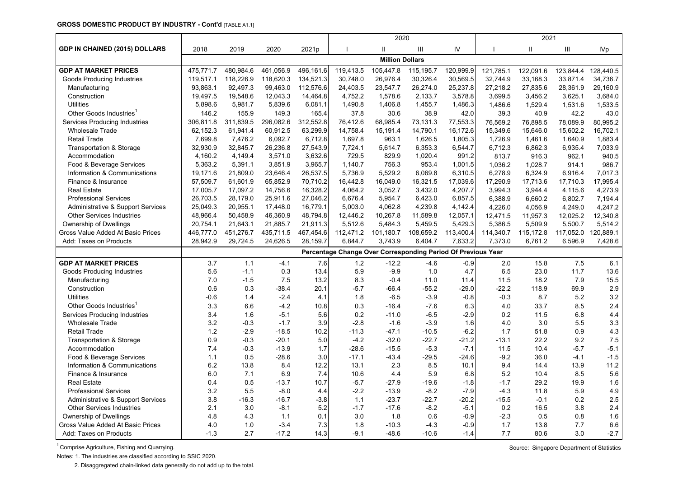#### **GROSS DOMESTIC PRODUCT BY INDUSTRY - Cont'd** [TABLE A1.1]

|                                      |           |           |           |           |                                                              | 2020                   |           |           |           | 2021      |           |                 |
|--------------------------------------|-----------|-----------|-----------|-----------|--------------------------------------------------------------|------------------------|-----------|-----------|-----------|-----------|-----------|-----------------|
| <b>GDP IN CHAINED (2015) DOLLARS</b> | 2018      | 2019      | 2020      | 2021p     |                                                              | $\mathbf{H}$           | Ш         | IV        |           | Ш         | III       | IV <sub>p</sub> |
|                                      |           |           |           |           |                                                              | <b>Million Dollars</b> |           |           |           |           |           |                 |
| <b>GDP AT MARKET PRICES</b>          | 475,771.7 | 480,984.6 | 461.056.9 | 496,161.6 | 119,413.5                                                    | 105,447.8              | 115,195.7 | 120,999.9 | 121,785.1 | 122,091.6 | 123,844.4 | 128.440.5       |
| <b>Goods Producing Industries</b>    | 119,517.1 | 118,226.9 | 118,620.3 | 134,521.3 | 30.748.0                                                     | 26,976.4               | 30,326.4  | 30,569.5  | 32,744.9  | 33,168.3  | 33,871.4  | 34,736.7        |
| Manufacturing                        | 93,863.1  | 92,497.3  | 99,463.0  | 112,576.6 | 24,403.5                                                     | 23,547.7               | 26,274.0  | 25,237.8  | 27,218.2  | 27,835.6  | 28,361.9  | 29,160.9        |
| Construction                         | 19,497.5  | 19,548.6  | 12,043.3  | 14,464.8  | 4,752.2                                                      | 1,578.6                | 2,133.7   | 3,578.8   | 3,699.5   | 3,456.2   | 3,625.1   | 3,684.0         |
| <b>Utilities</b>                     | 5,898.6   | 5,981.7   | 5,839.6   | 6,081.1   | 1,490.8                                                      | 1,406.8                | 1,455.7   | 1,486.3   | 1,486.6   | 1,529.4   | 1,531.6   | 1,533.5         |
| Other Goods Industries               | 146.2     | 155.9     | 149.3     | 165.4     | 37.8                                                         | 30.6                   | 38.9      | 42.0      | 39.3      | 40.9      | 42.2      | 43.0            |
| Services Producing Industries        | 306,811.8 | 311,839.5 | 296,082.6 | 312,552.8 | 76,412.6                                                     | 68,985.4               | 73,131.3  | 77,553.3  | 76,569.2  | 76,898.5  | 78,089.9  | 80,995.2        |
| <b>Wholesale Trade</b>               | 62,152.3  | 61,941.4  | 60,912.5  | 63,299.9  | 14,758.4                                                     | 15,191.4               | 14,790.1  | 16,172.6  | 15,349.6  | 15,646.0  | 15,602.2  | 16,702.1        |
| <b>Retail Trade</b>                  | 7,699.8   | 7,476.2   | 6,092.7   | 6,712.8   | 1,697.8                                                      | 963.1                  | 1,626.5   | 1,805.3   | 1,726.9   | 1,461.6   | 1,640.9   | 1,883.4         |
| Transportation & Storage             | 32,930.9  | 32,845.7  | 26,236.8  | 27,543.9  | 7,724.1                                                      | 5,614.7                | 6,353.3   | 6,544.7   | 6,712.3   | 6,862.3   | 6,935.4   | 7,033.9         |
| Accommodation                        | 4,160.2   | 4,149.4   | 3,571.0   | 3,632.6   | 729.5                                                        | 829.9                  | 1,020.4   | 991.2     | 813.7     | 916.3     | 962.1     | 940.5           |
| Food & Beverage Services             | 5,363.2   | 5,391.1   | 3,851.9   | 3,965.7   | 1,140.7                                                      | 756.3                  | 953.4     | 1,001.5   | 1,036.2   | 1,028.7   | 914.1     | 986.7           |
| Information & Communications         | 19,171.6  | 21,809.0  | 23,646.4  | 26,537.5  | 5,736.9                                                      | 5,529.2                | 6,069.8   | 6,310.5   | 6,278.9   | 6,324.9   | 6,916.4   | 7,017.3         |
| Finance & Insurance                  | 57,509.7  | 61,601.9  | 65,852.9  | 70,710.2  | 16,442.8                                                     | 16,049.0               | 16,321.5  | 17,039.6  | 17,290.9  | 17,713.6  | 17,710.3  | 17,995.4        |
| <b>Real Estate</b>                   | 17,005.7  | 17,097.2  | 14,756.6  | 16,328.2  | 4,064.2                                                      | 3,052.7                | 3,432.0   | 4,207.7   | 3,994.3   | 3,944.4   | 4,115.6   | 4,273.9         |
| <b>Professional Services</b>         | 26,703.5  | 28,179.0  | 25,911.6  | 27,046.2  | 6,676.4                                                      | 5,954.7                | 6,423.0   | 6,857.5   | 6,388.9   | 6,660.2   | 6,802.7   | 7,194.4         |
| Administrative & Support Services    | 25,049.3  | 20,955.1  | 17,448.0  | 16,779.1  | 5,003.0                                                      | 4,062.8                | 4,239.8   | 4,142.4   | 4,226.0   | 4,056.9   | 4,249.0   | 4,247.2         |
| <b>Other Services Industries</b>     | 48,966.4  | 50,458.9  | 46,360.9  | 48,794.8  | 12,446.2                                                     | 10,267.8               | 11,589.8  | 12,057.1  | 12,471.5  | 11,957.3  | 12,025.2  | 12,340.8        |
| Ownership of Dwellings               | 20,754.1  | 21,643.1  | 21,885.7  | 21,911.3  | 5,512.6                                                      | 5,484.3                | 5,459.5   | 5,429.3   | 5,386.5   | 5,509.9   | 5,500.7   | 5,514.2         |
| Gross Value Added At Basic Prices    | 446,777.0 | 451,276.7 | 435,711.5 | 467,454.6 | 112,471.2                                                    | 101,180.7              | 108,659.2 | 113,400.4 | 114,340.7 | 115,172.8 | 117,052.0 | 120,889.1       |
| Add: Taxes on Products               | 28,942.9  | 29,724.5  | 24,626.5  | 28,159.7  | 6,844.7                                                      | 3,743.9                | 6,404.7   | 7,633.2   | 7,373.0   | 6,761.2   | 6,596.9   | 7,428.6         |
|                                      |           |           |           |           | Percentage Change Over Corresponding Period Of Previous Year |                        |           |           |           |           |           |                 |
| <b>GDP AT MARKET PRICES</b>          | 3.7       | 1.1       | $-4.1$    | 7.6       | 1.2                                                          | $-12.2$                | $-4.6$    | $-0.9$    | 2.0       | 15.8      | 7.5       | 6.1             |
| <b>Goods Producing Industries</b>    | 5.6       | $-1.1$    | 0.3       | 13.4      | 5.9                                                          | $-9.9$                 | 1.0       | 4.7       | 6.5       | 23.0      | 11.7      | 13.6            |
| Manufacturing                        | 7.0       | $-1.5$    | 7.5       | 13.2      | 8.3                                                          | $-0.4$                 | 11.0      | 11.4      | 11.5      | 18.2      | 7.9       | 15.5            |
| Construction                         | 0.6       | 0.3       | $-38.4$   | 20.1      | $-5.7$                                                       | $-66.4$                | $-55.2$   | $-29.0$   | $-22.2$   | 118.9     | 69.9      | 2.9             |
| <b>Utilities</b>                     | $-0.6$    | 1.4       | $-2.4$    | 4.1       | 1.8                                                          | $-6.5$                 | $-3.9$    | $-0.8$    | $-0.3$    | 8.7       | 5.2       | 3.2             |
| Other Goods Industries <sup>1</sup>  | 3.3       | 6.6       | $-4.2$    | 10.8      | 0.3                                                          | $-16.4$                | $-7.6$    | 6.3       | 4.0       | 33.7      | 8.5       | 2.4             |
| Services Producing Industries        | 3.4       | 1.6       | $-5.1$    | 5.6       | 0.2                                                          | $-11.0$                | $-6.5$    | $-2.9$    | 0.2       | 11.5      | 6.8       | 4.4             |
| <b>Wholesale Trade</b>               | 3.2       | $-0.3$    | $-1.7$    | 3.9       | $-2.8$                                                       | $-1.6$                 | $-3.9$    | 1.6       | 4.0       | 3.0       | 5.5       | 3.3             |
| <b>Retail Trade</b>                  | 1.2       | $-2.9$    | $-18.5$   | 10.2      | $-11.3$                                                      | $-47.1$                | $-10.5$   | $-6.2$    | 1.7       | 51.8      | 0.9       | 4.3             |
| <b>Transportation &amp; Storage</b>  | 0.9       | $-0.3$    | $-20.1$   | 5.0       | $-4.2$                                                       | $-32.0$                | $-22.7$   | $-21.2$   | $-13.1$   | 22.2      | 9.2       | 7.5             |
| Accommodation                        | 7.4       | $-0.3$    | $-13.9$   | 1.7       | $-28.6$                                                      | $-15.5$                | $-5.3$    | $-7.1$    | 11.5      | 10.4      | $-5.7$    | $-5.1$          |
| Food & Beverage Services             | 1.1       | 0.5       | $-28.6$   | 3.0       | $-17.1$                                                      | $-43.4$                | $-29.5$   | $-24.6$   | $-9.2$    | 36.0      | $-4.1$    | $-1.5$          |
| Information & Communications         | 6.2       | 13.8      | 8.4       | 12.2      | 13.1                                                         | 2.3                    | 8.5       | 10.1      | 9.4       | 14.4      | 13.9      | 11.2            |
| Finance & Insurance                  | 6.0       | 7.1       | 6.9       | 7.4       | 10.6                                                         | 4.4                    | 5.9       | 6.8       | 5.2       | 10.4      | 8.5       | 5.6             |
| <b>Real Estate</b>                   | 0.4       | 0.5       | $-13.7$   | 10.7      | $-5.7$                                                       | $-27.9$                | $-19.6$   | $-1.8$    | $-1.7$    | 29.2      | 19.9      | 1.6             |
| <b>Professional Services</b>         | 3.2       | 5.5       | $-8.0$    | 4.4       | $-2.2$                                                       | $-13.9$                | $-8.2$    | $-7.9$    | $-4.3$    | 11.8      | 5.9       | 4.9             |
| Administrative & Support Services    | 3.8       | $-16.3$   | $-16.7$   | $-3.8$    | 1.1                                                          | $-23.7$                | $-22.7$   | $-20.2$   | $-15.5$   | $-0.1$    | 0.2       | 2.5             |
| <b>Other Services Industries</b>     | 2.1       | 3.0       | $-8.1$    | 5.2       | $-1.7$                                                       | $-17.6$                | $-8.2$    | $-5.1$    | 0.2       | 16.5      | 3.8       | 2.4             |
| Ownership of Dwellings               | 4.8       | 4.3       | 1.1       | 0.1       | 3.0                                                          | 1.8                    | 0.6       | $-0.9$    | $-2.3$    | 0.5       | 0.8       | 1.6             |
| Gross Value Added At Basic Prices    | 4.0       | 1.0       | $-3.4$    | 7.3       | 1.8                                                          | $-10.3$                | $-4.3$    | $-0.9$    | 1.7       | 13.8      | 7.7       | 6.6             |
| Add: Taxes on Products               | $-1.3$    | 2.7       | $-17.2$   | 14.3      | $-9.1$                                                       | $-48.6$                | $-10.6$   | $-1.4$    | 7.7       | 80.6      | 3.0       | $-2.7$          |

<sup>1</sup> Comprise Agriculture, Fishing and Quarrying. Source: Singapore Department of Statistics

Notes: 1. The industries are classified according to SSIC 2020.

2. Disaggregated chain-linked data generally do not add up to the total.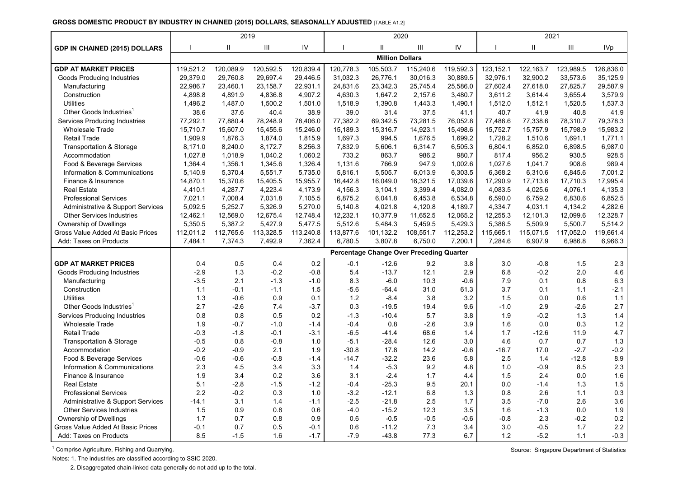#### **GROSS DOMESTIC PRODUCT BY INDUSTRY IN CHAINED (2015) DOLLARS, SEASONALLY ADJUSTED** [TABLE A1.2]

|                                      |              | 2019         |           |           |           | 2020                   |                                          |           |           | 2021         |           |                 |
|--------------------------------------|--------------|--------------|-----------|-----------|-----------|------------------------|------------------------------------------|-----------|-----------|--------------|-----------|-----------------|
| <b>GDP IN CHAINED (2015) DOLLARS</b> | $\mathbf{I}$ | $\mathbf{H}$ | III       | IV        |           | $\mathbf{H}$           | Ш                                        | IV        |           | $\mathbf{H}$ | Ш         | IV <sub>p</sub> |
|                                      |              |              |           |           |           | <b>Million Dollars</b> |                                          |           |           |              |           |                 |
| <b>GDP AT MARKET PRICES</b>          | 119,521.2    | 120,089.9    | 120,592.5 | 120,839.4 | 120,778.3 | 105,503.7              | 115,240.6                                | 119,592.3 | 123,152.1 | 122, 163.7   | 123,989.5 | 126,836.0       |
| Goods Producing Industries           | 29.379.0     | 29.760.8     | 29,697.4  | 29.446.5  | 31,032.3  | 26,776.1               | 30.016.3                                 | 30,889.5  | 32.976.1  | 32,900.2     | 33,573.6  | 35.125.9        |
| Manufacturing                        | 22,986.7     | 23,460.1     | 23,158.7  | 22,931.1  | 24,831.6  | 23,342.3               | 25,745.4                                 | 25,586.0  | 27,602.4  | 27,618.0     | 27,825.7  | 29,587.9        |
| Construction                         | 4,898.8      | 4,891.9      | 4,836.8   | 4,907.2   | 4,630.3   | 1,647.2                | 2,157.6                                  | 3,480.7   | 3,611.2   | 3,614.4      | 3.655.4   | 3,579.9         |
| <b>Utilities</b>                     | 1,496.2      | 1,487.0      | 1,500.2   | 1,501.0   | 1,518.9   | 1,390.8                | 1,443.3                                  | 1,490.1   | 1,512.0   | 1,512.1      | 1,520.5   | 1,537.3         |
| Other Goods Industries <sup>1</sup>  | 38.6         | 37.6         | 40.4      | 38.9      | 39.0      | 31.4                   | 37.5                                     | 41.1      | 40.7      | 41.9         | 40.8      | 41.9            |
| Services Producing Industries        | 77,292.1     | 77,880.4     | 78,248.9  | 78,406.0  | 77,382.2  | 69,342.5               | 73,281.5                                 | 76,052.8  | 77,486.6  | 77,338.6     | 78,310.7  | 79,378.3        |
| <b>Wholesale Trade</b>               | 15,710.7     | 15,607.0     | 15,455.6  | 15,246.0  | 15,189.3  | 15,316.7               | 14,923.1                                 | 15,498.6  | 15,752.7  | 15,757.9     | 15,798.9  | 15,983.2        |
| <b>Retail Trade</b>                  | 1,909.9      | 1,876.3      | 1,874.0   | 1,815.9   | 1,697.3   | 994.5                  | 1,676.5                                  | 1,699.2   | 1,728.2   | 1,510.6      | 1,691.1   | 1,771.1         |
| <b>Transportation &amp; Storage</b>  | 8,171.0      | 8,240.0      | 8,172.7   | 8,256.3   | 7,832.9   | 5,606.1                | 6,314.7                                  | 6,505.3   | 6,804.1   | 6,852.0      | 6,898.5   | 6,987.0         |
| Accommodation                        | 1,027.8      | 1,018.9      | 1,040.2   | 1,060.2   | 733.2     | 863.7                  | 986.2                                    | 980.7     | 817.4     | 956.2        | 930.5     | 928.5           |
| Food & Beverage Services             | 1,364.4      | 1,356.1      | 1,345.6   | 1,326.4   | 1,131.6   | 766.9                  | 947.9                                    | 1,002.6   | 1,027.6   | 1,041.7      | 908.6     | 989.4           |
| Information & Communications         | 5,140.9      | 5,370.4      | 5,551.7   | 5,735.0   | 5,816.1   | 5,505.7                | 6,013.9                                  | 6,303.5   | 6,368.2   | 6,310.6      | 6,845.6   | 7,001.2         |
| Finance & Insurance                  | 14,870.1     | 15,370.6     | 15,405.5  | 15,955.7  | 16,442.8  | 16,049.0               | 16,321.5                                 | 17,039.6  | 17,290.9  | 17,713.6     | 17,710.3  | 17,995.4        |
| <b>Real Estate</b>                   | 4,410.1      | 4,287.7      | 4,223.4   | 4,173.9   | 4,156.3   | 3,104.1                | 3,399.4                                  | 4,082.0   | 4,083.5   | 4,025.6      | 4,076.1   | 4,135.3         |
| <b>Professional Services</b>         | 7,021.1      | 7,008.4      | 7,031.8   | 7,105.5   | 6,875.2   | 6,041.8                | 6,453.8                                  | 6,534.8   | 6,590.0   | 6,759.2      | 6,830.6   | 6,852.5         |
| Administrative & Support Services    | 5,092.5      | 5,252.7      | 5,326.9   | 5,270.0   | 5,140.8   | 4,021.8                | 4,120.8                                  | 4,189.7   | 4,334.7   | 4,031.1      | 4,134.2   | 4,282.6         |
| <b>Other Services Industries</b>     | 12,462.1     | 12,569.0     | 12,675.4  | 12,748.4  | 12,232.1  | 10,377.9               | 11,652.5                                 | 12,065.2  | 12,255.3  | 12,101.3     | 12,099.6  | 12,328.7        |
| Ownership of Dwellings               | 5,350.5      | 5,387.2      | 5,427.9   | 5,477.5   | 5,512.6   | 5,484.3                | 5,459.5                                  | 5,429.3   | 5,386.5   | 5,509.9      | 5,500.7   | 5,514.2         |
| Gross Value Added At Basic Prices    | 112,011.2    | 112,765.6    | 113,328.5 | 113,240.8 | 113,877.6 | 101,132.2              | 108,551.7                                | 112,253.2 | 115.665.1 | 115,071.5    | 117,052.0 | 119,661.4       |
| Add: Taxes on Products               | 7,484.1      | 7,374.3      | 7,492.9   | 7,362.4   | 6,780.5   | 3,807.8                | 6,750.0                                  | 7,200.1   | 7,284.6   | 6,907.9      | 6,986.8   | 6,966.3         |
|                                      |              |              |           |           |           |                        | Percentage Change Over Preceding Quarter |           |           |              |           |                 |
| <b>GDP AT MARKET PRICES</b>          | 0.4          | 0.5          | 0.4       | 0.2       | $-0.1$    | $-12.6$                | 9.2                                      | 3.8       | 3.0       | $-0.8$       | 1.5       | 2.3             |
| Goods Producing Industries           | $-2.9$       | 1.3          | $-0.2$    | $-0.8$    | 5.4       | $-13.7$                | 12.1                                     | 2.9       | 6.8       | $-0.2$       | 2.0       | 4.6             |
| Manufacturing                        | $-3.5$       | 2.1          | $-1.3$    | $-1.0$    | 8.3       | $-6.0$                 | 10.3                                     | $-0.6$    | 7.9       | 0.1          | 0.8       | 6.3             |
| Construction                         | 1.1          | $-0.1$       | $-1.1$    | 1.5       | $-5.6$    | $-64.4$                | 31.0                                     | 61.3      | 3.7       | 0.1          | 1.1       | $-2.1$          |
| <b>Utilities</b>                     | 1.3          | $-0.6$       | 0.9       | 0.1       | 1.2       | $-8.4$                 | 3.8                                      | 3.2       | 1.5       | 0.0          | 0.6       | 1.1             |
| Other Goods Industries <sup>1</sup>  | 2.7          | $-2.6$       | 7.4       | $-3.7$    | 0.3       | $-19.5$                | 19.4                                     | 9.6       | $-1.0$    | 2.9          | $-2.6$    | 2.7             |
| Services Producing Industries        | 0.8          | 0.8          | 0.5       | 0.2       | $-1.3$    | $-10.4$                | 5.7                                      | 3.8       | 1.9       | $-0.2$       | 1.3       | 1.4             |
| <b>Wholesale Trade</b>               | 1.9          | $-0.7$       | $-1.0$    | -1.4      | $-0.4$    | 0.8                    | $-2.6$                                   | 3.9       | 1.6       | 0.0          | 0.3       | $1.2$           |
| <b>Retail Trade</b>                  | $-0.3$       | $-1.8$       | $-0.1$    | $-3.1$    | $-6.5$    | $-41.4$                | 68.6                                     | 1.4       | 1.7       | $-12.6$      | 11.9      | 4.7             |
| Transportation & Storage             | $-0.5$       | 0.8          | $-0.8$    | 1.0       | $-5.1$    | $-28.4$                | 12.6                                     | 3.0       | 4.6       | 0.7          | 0.7       | 1.3             |
| Accommodation                        | $-0.2$       | $-0.9$       | 2.1       | 1.9       | $-30.8$   | 17.8                   | 14.2                                     | $-0.6$    | $-16.7$   | 17.0         | $-2.7$    | $-0.2$          |
| Food & Beverage Services             | $-0.6$       | $-0.6$       | $-0.8$    | $-1.4$    | $-14.7$   | $-32.2$                | 23.6                                     | 5.8       | 2.5       | 1.4          | $-12.8$   | $\bf 8.9$       |
| Information & Communications         | 2.3          | 4.5          | 3.4       | 3.3       | 1.4       | $-5.3$                 | 9.2                                      | 4.8       | 1.0       | $-0.9$       | 8.5       | 2.3             |
| Finance & Insurance                  | 1.9          | 3.4          | 0.2       | 3.6       | 3.1       | $-2.4$                 | 1.7                                      | 4.4       | 1.5       | 2.4          | 0.0       | 1.6             |
| <b>Real Estate</b>                   | 5.1          | $-2.8$       | $-1.5$    | $-1.2$    | $-0.4$    | $-25.3$                | 9.5                                      | 20.1      | 0.0       | $-1.4$       | 1.3       | 1.5             |
| <b>Professional Services</b>         | 2.2          | $-0.2$       | 0.3       | 1.0       | $-3.2$    | $-12.1$                | 6.8                                      | 1.3       | 0.8       | 2.6          | 1.1       | 0.3             |
| Administrative & Support Services    | $-14.1$      | 3.1          | 1.4       | $-1.1$    | $-2.5$    | $-21.8$                | 2.5                                      | 1.7       | 3.5       | $-7.0$       | 2.6       | 3.6             |
| <b>Other Services Industries</b>     | 1.5          | 0.9          | 0.8       | 0.6       | $-4.0$    | $-15.2$                | 12.3                                     | 3.5       | 1.6       | $-1.3$       | 0.0       | 1.9             |
| Ownership of Dwellings               | 1.7          | 0.7          | 0.8       | 0.9       | 0.6       | $-0.5$                 | $-0.5$                                   | $-0.6$    | $-0.8$    | 2.3          | $-0.2$    | $0.2\,$         |
| Gross Value Added At Basic Prices    | $-0.1$       | 0.7          | 0.5       | -0.1      | 0.6       | $-11.2$                | 7.3                                      | 3.4       | 3.0       | $-0.5$       | 1.7       | 2.2             |
| Add: Taxes on Products               | 8.5          | $-1.5$       | 1.6       | $-1.7$    | $-7.9$    | $-43.8$                | 77.3                                     | 6.7       | 1.2       | $-5.2$       | 1.1       | $-0.3$          |

1 Comprise Agriculture, Fishing and Quarrying. Source: Singapore Department of Statistics

Notes: 1. The industries are classified according to SSIC 2020.

2. Disaggregated chain-linked data generally do not add up to the total.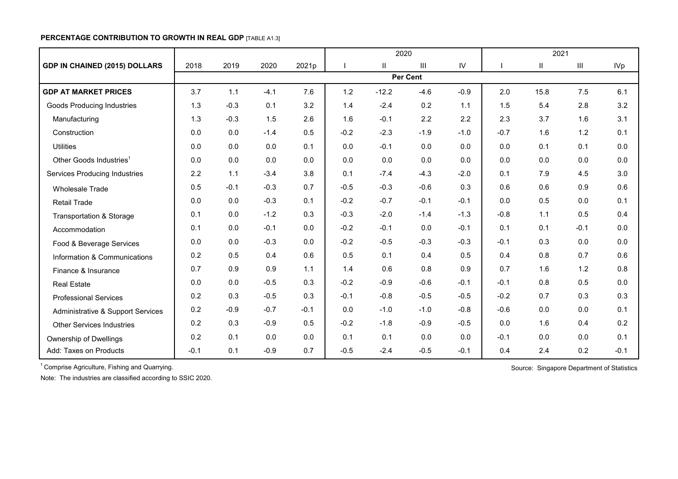## **PERCENTAGE CONTRIBUTION TO GROWTH IN REAL GDP** [TABLE A1.3]

|                                      |        |        |        |        |        | 2020          |                |        |        | 2021                       |                    |            |
|--------------------------------------|--------|--------|--------|--------|--------|---------------|----------------|--------|--------|----------------------------|--------------------|------------|
| <b>GDP IN CHAINED (2015) DOLLARS</b> | 2018   | 2019   | 2020   | 2021p  |        | $\mathbf{II}$ | $\mathbf{III}$ | IV     |        | $\ensuremath{\mathsf{II}}$ | $\mathop{\rm III}$ | <b>IVp</b> |
|                                      |        |        |        |        |        |               | Per Cent       |        |        |                            |                    |            |
| <b>GDP AT MARKET PRICES</b>          | 3.7    | 1.1    | $-4.1$ | 7.6    | 1.2    | $-12.2$       | $-4.6$         | $-0.9$ | 2.0    | 15.8                       | 7.5                | 6.1        |
| <b>Goods Producing Industries</b>    | 1.3    | $-0.3$ | 0.1    | 3.2    | 1.4    | $-2.4$        | 0.2            | 1.1    | 1.5    | 5.4                        | 2.8                | 3.2        |
| Manufacturing                        | 1.3    | $-0.3$ | 1.5    | 2.6    | 1.6    | $-0.1$        | 2.2            | 2.2    | 2.3    | 3.7                        | 1.6                | 3.1        |
| Construction                         | 0.0    | 0.0    | $-1.4$ | 0.5    | $-0.2$ | $-2.3$        | $-1.9$         | $-1.0$ | $-0.7$ | 1.6                        | 1.2                | 0.1        |
| <b>Utilities</b>                     | 0.0    | 0.0    | 0.0    | 0.1    | 0.0    | $-0.1$        | 0.0            | 0.0    | 0.0    | 0.1                        | 0.1                | 0.0        |
| Other Goods Industries <sup>1</sup>  | 0.0    | 0.0    | 0.0    | 0.0    | 0.0    | 0.0           | 0.0            | 0.0    | 0.0    | 0.0                        | 0.0                | 0.0        |
| <b>Services Producing Industries</b> | 2.2    | 1.1    | $-3.4$ | 3.8    | 0.1    | $-7.4$        | $-4.3$         | $-2.0$ | 0.1    | 7.9                        | 4.5                | 3.0        |
| Wholesale Trade                      | 0.5    | $-0.1$ | $-0.3$ | 0.7    | $-0.5$ | $-0.3$        | $-0.6$         | 0.3    | 0.6    | 0.6                        | 0.9                | 0.6        |
| <b>Retail Trade</b>                  | 0.0    | 0.0    | $-0.3$ | 0.1    | $-0.2$ | $-0.7$        | $-0.1$         | $-0.1$ | 0.0    | 0.5                        | 0.0                | 0.1        |
| Transportation & Storage             | 0.1    | 0.0    | $-1.2$ | 0.3    | $-0.3$ | $-2.0$        | $-1.4$         | $-1.3$ | $-0.8$ | 1.1                        | 0.5                | 0.4        |
| Accommodation                        | 0.1    | 0.0    | $-0.1$ | 0.0    | $-0.2$ | $-0.1$        | 0.0            | $-0.1$ | 0.1    | 0.1                        | $-0.1$             | 0.0        |
| Food & Beverage Services             | 0.0    | 0.0    | $-0.3$ | 0.0    | $-0.2$ | $-0.5$        | $-0.3$         | $-0.3$ | $-0.1$ | 0.3                        | 0.0                | 0.0        |
| Information & Communications         | 0.2    | 0.5    | 0.4    | 0.6    | 0.5    | 0.1           | 0.4            | 0.5    | 0.4    | 0.8                        | 0.7                | 0.6        |
| Finance & Insurance                  | 0.7    | 0.9    | 0.9    | 1.1    | 1.4    | 0.6           | 0.8            | 0.9    | 0.7    | 1.6                        | 1.2                | 0.8        |
| <b>Real Estate</b>                   | 0.0    | 0.0    | $-0.5$ | 0.3    | $-0.2$ | $-0.9$        | $-0.6$         | $-0.1$ | $-0.1$ | 0.8                        | 0.5                | 0.0        |
| <b>Professional Services</b>         | 0.2    | 0.3    | $-0.5$ | 0.3    | $-0.1$ | $-0.8$        | $-0.5$         | $-0.5$ | $-0.2$ | 0.7                        | 0.3                | 0.3        |
| Administrative & Support Services    | 0.2    | $-0.9$ | $-0.7$ | $-0.1$ | 0.0    | $-1.0$        | $-1.0$         | $-0.8$ | $-0.6$ | 0.0                        | 0.0                | 0.1        |
| <b>Other Services Industries</b>     | 0.2    | 0.3    | $-0.9$ | 0.5    | $-0.2$ | $-1.8$        | $-0.9$         | $-0.5$ | 0.0    | 1.6                        | 0.4                | 0.2        |
| Ownership of Dwellings               | 0.2    | 0.1    | 0.0    | 0.0    | 0.1    | 0.1           | 0.0            | 0.0    | $-0.1$ | 0.0                        | 0.0                | 0.1        |
| Add: Taxes on Products               | $-0.1$ | 0.1    | $-0.9$ | 0.7    | $-0.5$ | $-2.4$        | $-0.5$         | $-0.1$ | 0.4    | 2.4                        | 0.2                | $-0.1$     |

<sup>1</sup> Comprise Agriculture, Fishing and Quarrying. Source: Singapore Department of Statistics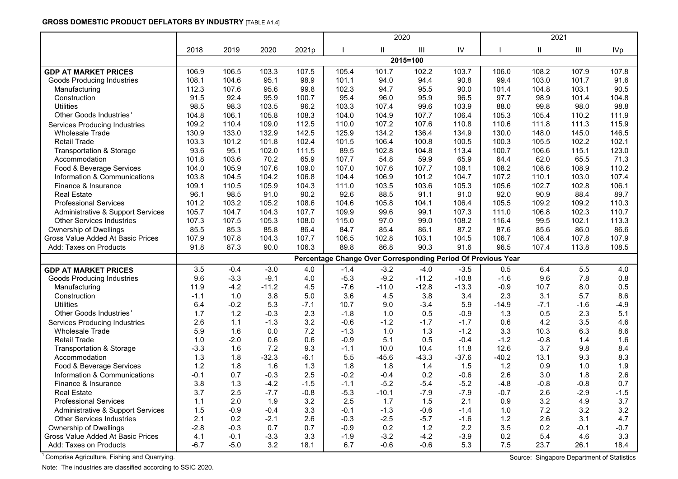## **GROSS DOMESTIC PRODUCT DEFLATORS BY INDUSTRY** [TABLE A1.4]

|                                              |        |        |         |        |        | 2020         |          |         |                                                              | 2021   |                |                 |
|----------------------------------------------|--------|--------|---------|--------|--------|--------------|----------|---------|--------------------------------------------------------------|--------|----------------|-----------------|
|                                              | 2018   | 2019   | 2020    | 2021p  |        | $\mathbf{I}$ | III      | IV      |                                                              | Ш      | $\mathsf{III}$ | IV <sub>p</sub> |
|                                              |        |        |         |        |        |              | 2015=100 |         |                                                              |        |                |                 |
| <b>GDP AT MARKET PRICES</b>                  | 106.9  | 106.5  | 103.3   | 107.5  | 105.4  | 101.7        | 102.2    | 103.7   | 106.0                                                        | 108.2  | 107.9          | 107.8           |
| <b>Goods Producing Industries</b>            | 108.1  | 104.6  | 95.1    | 98.9   | 101.1  | 94.0         | 94.4     | 90.8    | 99.4                                                         | 103.0  | 101.7          | 91.6            |
| Manufacturing                                | 112.3  | 107.6  | 95.6    | 99.8   | 102.3  | 94.7         | 95.5     | 90.0    | 101.4                                                        | 104.8  | 103.1          | 90.5            |
| Construction                                 | 91.5   | 92.4   | 95.9    | 100.7  | 95.4   | 96.0         | 95.9     | 96.5    | 97.7                                                         | 98.9   | 101.4          | 104.8           |
| <b>Utilities</b>                             | 98.5   | 98.3   | 103.5   | 96.2   | 103.3  | 107.4        | 99.6     | 103.9   | 88.0                                                         | 99.8   | 98.0           | 98.8            |
| Other Goods Industries                       | 104.8  | 106.1  | 105.8   | 108.3  | 104.0  | 104.9        | 107.7    | 106.4   | 105.3                                                        | 105.4  | 110.2          | 111.9           |
| Services Producing Industries                | 109.2  | 110.4  | 109.0   | 112.5  | 110.0  | 107.2        | 107.6    | 110.8   | 110.6                                                        | 111.8  | 111.3          | 115.9           |
| <b>Wholesale Trade</b>                       | 130.9  | 133.0  | 132.9   | 142.5  | 125.9  | 134.2        | 136.4    | 134.9   | 130.0                                                        | 148.0  | 145.0          | 146.5           |
| <b>Retail Trade</b>                          | 103.3  | 101.2  | 101.8   | 102.4  | 101.5  | 106.4        | 100.8    | 100.5   | 100.3                                                        | 105.5  | 102.2          | 102.1           |
| <b>Transportation &amp; Storage</b>          | 93.6   | 95.1   | 102.0   | 111.5  | 89.5   | 102.8        | 104.8    | 113.4   | 100.7                                                        | 106.6  | 115.1          | 123.0           |
| Accommodation                                | 101.8  | 103.6  | 70.2    | 65.9   | 107.7  | 54.8         | 59.9     | 65.9    | 64.4                                                         | 62.0   | 65.5           | 71.3            |
| Food & Beverage Services                     | 104.0  | 105.9  | 107.6   | 109.0  | 107.0  | 107.6        | 107.7    | 108.1   | 108.2                                                        | 108.6  | 108.9          | 110.2           |
| Information & Communications                 | 103.8  | 104.5  | 104.2   | 106.8  | 104.4  | 106.9        | 101.2    | 104.7   | 107.2                                                        | 110.1  | 103.0          | 107.4           |
| Finance & Insurance                          | 109.1  | 110.5  | 105.9   | 104.3  | 111.0  | 103.5        | 103.6    | 105.3   | 105.6                                                        | 102.7  | 102.8          | 106.1           |
| <b>Real Estate</b>                           | 96.1   | 98.5   | 91.0    | 90.2   | 92.6   | 88.5         | 91.1     | 91.0    | 92.0                                                         | 90.9   | 88.4           | 89.7            |
| <b>Professional Services</b>                 | 101.2  | 103.2  | 105.2   | 108.6  | 104.6  | 105.8        | 104.1    | 106.4   | 105.5                                                        | 109.2  | 109.2          | 110.3           |
| <b>Administrative &amp; Support Services</b> | 105.7  | 104.7  | 104.3   | 107.7  | 109.9  | 99.6         | 99.1     | 107.3   | 111.0                                                        | 106.8  | 102.3          | 110.7           |
| <b>Other Services Industries</b>             | 107.3  | 107.5  | 105.3   | 108.0  | 115.0  | 97.0         | 99.0     | 108.2   | 116.4                                                        | 99.5   | 102.1          | 113.3           |
| Ownership of Dwellings                       | 85.5   | 85.3   | 85.8    | 86.4   | 84.7   | 85.4         | 86.1     | 87.2    | 87.6                                                         | 85.6   | 86.0           | 86.6            |
| Gross Value Added At Basic Prices            | 107.9  | 107.8  | 104.3   | 107.7  | 106.5  | 102.8        | 103.1    | 104.5   | 106.7                                                        | 108.4  | 107.8          | 107.9           |
| Add: Taxes on Products                       | 91.8   | 87.3   | 90.0    | 106.3  | 89.8   | 86.8         | 90.3     | 91.6    | 96.5                                                         | 107.4  | 113.8          | 108.5           |
|                                              |        |        |         |        |        |              |          |         | Percentage Change Over Corresponding Period Of Previous Year |        |                |                 |
| <b>GDP AT MARKET PRICES</b>                  | 3.5    | $-0.4$ | $-3.0$  | 4.0    | $-1.4$ | $-3.2$       | $-4.0$   | $-3.5$  | 0.5                                                          | 6.4    | 5.5            | 4.0             |
| Goods Producing Industries                   | 9.6    | $-3.3$ | $-9.1$  | 4.0    | $-5.3$ | $-9.2$       | $-11.2$  | $-10.8$ | $-1.6$                                                       | 9.6    | 7.8            | 0.8             |
| Manufacturing                                | 11.9   | $-4.2$ | $-11.2$ | 4.5    | $-7.6$ | $-11.0$      | $-12.8$  | $-13.3$ | $-0.9$                                                       | 10.7   | 8.0            | 0.5             |
| Construction                                 | $-1.1$ | 1.0    | 3.8     | 5.0    | 3.6    | 4.5          | 3.8      | 3.4     | 2.3                                                          | 3.1    | 5.7            | 8.6             |
| <b>Utilities</b>                             | 6.4    | $-0.2$ | 5.3     | $-7.1$ | 10.7   | 9.0          | $-3.4$   | 5.9     | $-14.9$                                                      | $-7.1$ | $-1.6$         | $-4.9$          |
| Other Goods Industries                       | 1.7    | 1.2    | $-0.3$  | 2.3    | $-1.8$ | 1.0          | 0.5      | $-0.9$  | 1.3                                                          | 0.5    | 2.3            | 5.1             |
| <b>Services Producing Industries</b>         | 2.6    | 1.1    | $-1.3$  | 3.2    | $-0.6$ | $-1.2$       | $-1.7$   | $-1.7$  | 0.6                                                          | 4.2    | 3.5            | 4.6             |
| <b>Wholesale Trade</b>                       | 5.9    | 1.6    | 0.0     | 7.2    | $-1.3$ | 1.0          | 1.3      | $-1.2$  | 3.3                                                          | 10.3   | 6.3            | 8.6             |
| <b>Retail Trade</b>                          | 1.0    | $-2.0$ | 0.6     | 0.6    | $-0.9$ | 5.1          | 0.5      | $-0.4$  | $-1.2$                                                       | $-0.8$ | 1.4            | 1.6             |
| <b>Transportation &amp; Storage</b>          | $-3.3$ | 1.6    | 7.2     | 9.3    | $-1.1$ | 10.0         | 10.4     | 11.8    | 12.6                                                         | 3.7    | 9.8            | 8.4             |
| Accommodation                                | 1.3    | 1.8    | $-32.3$ | $-6.1$ | 5.5    | $-45.6$      | $-43.3$  | $-37.6$ | $-40.2$                                                      | 13.1   | 9.3            | 8.3             |
| Food & Beverage Services                     | 1.2    | 1.8    | 1.6     | 1.3    | 1.8    | 1.8          | 1.4      | 1.5     | 1.2                                                          | 0.9    | 1.0            | 1.9             |
| Information & Communications                 | $-0.1$ | 0.7    | $-0.3$  | 2.5    | $-0.2$ | $-0.4$       | 0.2      | $-0.6$  | 2.6                                                          | 3.0    | 1.8            | 2.6             |
| Finance & Insurance                          | 3.8    | 1.3    | $-4.2$  | $-1.5$ | $-1.1$ | $-5.2$       | $-5.4$   | $-5.2$  | $-4.8$                                                       | $-0.8$ | $-0.8$         | 0.7             |
| <b>Real Estate</b>                           | 3.7    | 2.5    | $-7.7$  | $-0.8$ | $-5.3$ | $-10.1$      | $-7.9$   | $-7.9$  | $-0.7$                                                       | 2.6    | $-2.9$         | $-1.5$          |
| <b>Professional Services</b>                 | 1.1    | 2.0    | 1.9     | 3.2    | 2.5    | 1.7          | 1.5      | 2.1     | 0.9                                                          | 3.2    | 4.9            | 3.7             |
| <b>Administrative &amp; Support Services</b> | 1.5    | $-0.9$ | $-0.4$  | 3.3    | $-0.1$ | $-1.3$       | $-0.6$   | $-1.4$  | 1.0                                                          | 7.2    | 3.2            | 3.2             |
| <b>Other Services Industries</b>             | 2.1    | 0.2    | $-2.1$  | 2.6    | $-0.3$ | $-2.5$       | $-5.7$   | $-1.6$  | 1.2                                                          | 2.6    | 3.1            | 4.7             |
| Ownership of Dwellings                       | $-2.8$ | $-0.3$ | 0.7     | 0.7    | $-0.9$ | 0.2          | 1.2      | 2.2     | 3.5                                                          | 0.2    | $-0.1$         | $-0.7$          |
| Gross Value Added At Basic Prices            | 4.1    | $-0.1$ | -3.3    | 3.3    | $-1.9$ | $-3.2$       | -4.2     | $-3.9$  | 0.2                                                          | 5.4    | 4.6            | 3.3             |
| Add: Taxes on Products                       | $-6.7$ | $-5.0$ | 3.2     | 18.1   | 6.7    | $-0.6$       | $-0.6$   | 5.3     | 7.5                                                          | 23.7   | 26.1           | 18.4            |

<sup>1</sup> Comprise Agriculture, Fishing and Quarrying. Source: Singapore Department of Statistics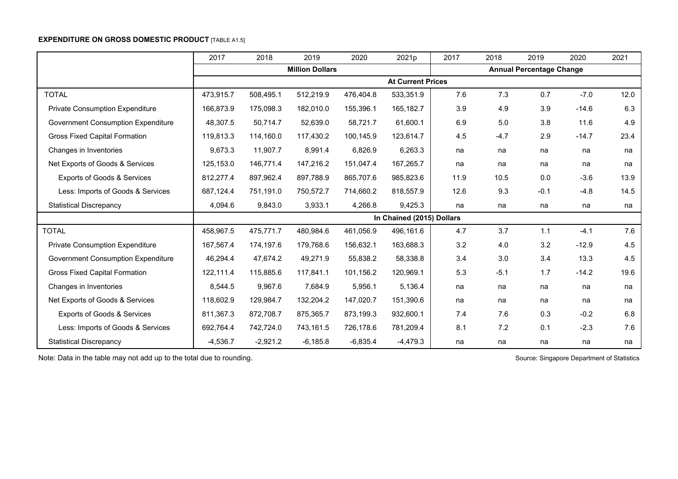## **EXPENDITURE ON GROSS DOMESTIC PRODUCT [TABLE A1.5]**

|                                           | 2017       | 2018       | 2019                   | 2020       | 2021p                     | 2017 | 2018   | 2019                            | 2020    | 2021 |
|-------------------------------------------|------------|------------|------------------------|------------|---------------------------|------|--------|---------------------------------|---------|------|
|                                           |            |            | <b>Million Dollars</b> |            |                           |      |        | <b>Annual Percentage Change</b> |         |      |
|                                           |            |            |                        |            | <b>At Current Prices</b>  |      |        |                                 |         |      |
| <b>TOTAL</b>                              | 473,915.7  | 508,495.1  | 512,219.9              | 476,404.8  | 533,351.9                 | 7.6  | 7.3    | 0.7                             | $-7.0$  | 12.0 |
| <b>Private Consumption Expenditure</b>    | 166,873.9  | 175,098.3  | 182,010.0              | 155,396.1  | 165,182.7                 | 3.9  | 4.9    | 3.9                             | $-14.6$ | 6.3  |
| <b>Government Consumption Expenditure</b> | 48,307.5   | 50,714.7   | 52,639.0               | 58,721.7   | 61,600.1                  | 6.9  | 5.0    | 3.8                             | 11.6    | 4.9  |
| <b>Gross Fixed Capital Formation</b>      | 119,813.3  | 114,160.0  | 117,430.2              | 100,145.9  | 123,614.7                 | 4.5  | $-4.7$ | 2.9                             | $-14.7$ | 23.4 |
| Changes in Inventories                    | 9,673.3    | 11,907.7   | 8,991.4                | 6,826.9    | 6,263.3                   | na   | na     | na                              | na      | na   |
| Net Exports of Goods & Services           | 125.153.0  | 146,771.4  | 147,216.2              | 151,047.4  | 167,265.7                 | na   | na     | na                              | na      | na   |
| <b>Exports of Goods &amp; Services</b>    | 812,277.4  | 897,962.4  | 897,788.9              | 865,707.6  | 985,823.6                 | 11.9 | 10.5   | 0.0                             | $-3.6$  | 13.9 |
| Less: Imports of Goods & Services         | 687,124.4  | 751,191.0  | 750,572.7              | 714,660.2  | 818,557.9                 | 12.6 | 9.3    | $-0.1$                          | $-4.8$  | 14.5 |
| <b>Statistical Discrepancy</b>            | 4,094.6    | 9,843.0    | 3,933.1                | 4,266.8    | 9,425.3                   | na   | na     | na                              | na      | na   |
|                                           |            |            |                        |            | In Chained (2015) Dollars |      |        |                                 |         |      |
| <b>TOTAL</b>                              | 458,967.5  | 475,771.7  | 480,984.6              | 461,056.9  | 496,161.6                 | 4.7  | 3.7    | 1.1                             | $-4.1$  | 7.6  |
| <b>Private Consumption Expenditure</b>    | 167.567.4  | 174.197.6  | 179.768.6              | 156,632.1  | 163,688.3                 | 3.2  | 4.0    | 3.2                             | $-12.9$ | 4.5  |
| Government Consumption Expenditure        | 46,294.4   | 47,674.2   | 49,271.9               | 55,838.2   | 58,338.8                  | 3.4  | 3.0    | 3.4                             | 13.3    | 4.5  |
| <b>Gross Fixed Capital Formation</b>      | 122,111.4  | 115,885.6  | 117,841.1              | 101,156.2  | 120,969.1                 | 5.3  | $-5.1$ | 1.7                             | $-14.2$ | 19.6 |
| Changes in Inventories                    | 8,544.5    | 9,967.6    | 7,684.9                | 5,956.1    | 5,136.4                   | na   | na     | na                              | na      | na   |
| Net Exports of Goods & Services           | 118,602.9  | 129,984.7  | 132,204.2              | 147,020.7  | 151,390.6                 | na   | na     | na                              | na      | na   |
| Exports of Goods & Services               | 811,367.3  | 872,708.7  | 875,365.7              | 873,199.3  | 932,600.1                 | 7.4  | 7.6    | 0.3                             | $-0.2$  | 6.8  |
| Less: Imports of Goods & Services         | 692,764.4  | 742,724.0  | 743,161.5              | 726,178.6  | 781,209.4                 | 8.1  | 7.2    | 0.1                             | $-2.3$  | 7.6  |
| <b>Statistical Discrepancy</b>            | $-4,536.7$ | $-2,921.2$ | $-6,185.8$             | $-6,835.4$ | $-4,479.3$                | na   | na     | na                              | na      | na   |

Note: Data in the table may not add up to the total due to rounding. Note is a set of Source: Singapore Department of Statistics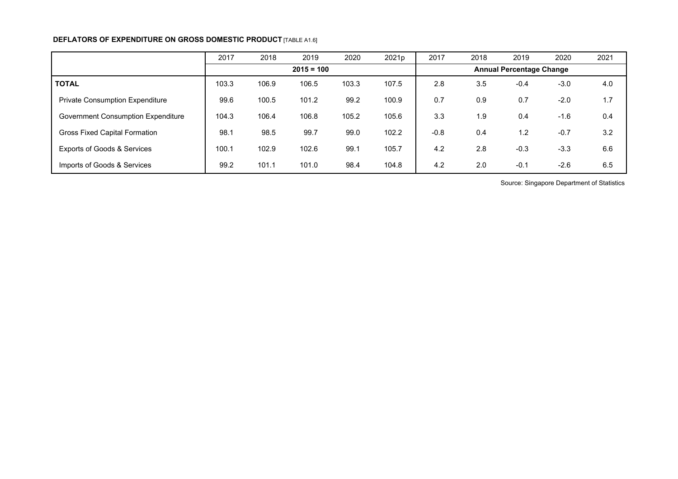## **DEFLATORS OF EXPENDITURE ON GROSS DOMESTIC PRODUCT [TABLE A1.6]**

|                                           | 2017  | 2018  | 2019         | 2020  | 2021p | 2017   | 2018 | 2019                            | 2020   | 2021 |
|-------------------------------------------|-------|-------|--------------|-------|-------|--------|------|---------------------------------|--------|------|
|                                           |       |       | $2015 = 100$ |       |       |        |      | <b>Annual Percentage Change</b> |        |      |
| <b>TOTAL</b>                              | 103.3 | 106.9 | 106.5        | 103.3 | 107.5 | 2.8    | 3.5  | $-0.4$                          | $-3.0$ | 4.0  |
| <b>Private Consumption Expenditure</b>    | 99.6  | 100.5 | 101.2        | 99.2  | 100.9 | 0.7    | 0.9  | 0.7                             | $-2.0$ | 1.7  |
| <b>Government Consumption Expenditure</b> | 104.3 | 106.4 | 106.8        | 105.2 | 105.6 | 3.3    | 1.9  | 0.4                             | $-1.6$ | 0.4  |
| <b>Gross Fixed Capital Formation</b>      | 98.   | 98.5  | 99.7         | 99.0  | 102.2 | $-0.8$ | 0.4  | 1.2                             | $-0.7$ | 3.2  |
| <b>Exports of Goods &amp; Services</b>    | 100.1 | 102.9 | 102.6        | 99.1  | 105.7 | 4.2    | 2.8  | $-0.3$                          | $-3.3$ | 6.6  |
| Imports of Goods & Services               | 99.2  | 101.1 | 101.0        | 98.4  | 104.8 | 4.2    | 2.0  | $-0.1$                          | $-2.6$ | 6.5  |

Source: Singapore Department of Statistics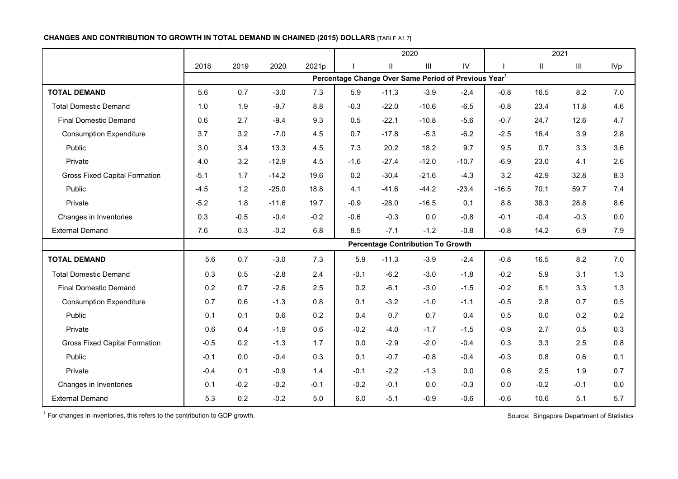## **CHANGES AND CONTRIBUTION TO GROWTH IN TOTAL DEMAND IN CHAINED (2015) DOLLARS** [TABLE A1.7]

|                                      |        |        |         |        |                                                                  |                            | 2020                                     |               |         |               | 2021               |            |
|--------------------------------------|--------|--------|---------|--------|------------------------------------------------------------------|----------------------------|------------------------------------------|---------------|---------|---------------|--------------------|------------|
|                                      | 2018   | 2019   | 2020    | 2021p  |                                                                  | $\ensuremath{\mathsf{II}}$ | $\mathop{\rm III}$                       | $\mathsf{IV}$ |         | $\mathbf{II}$ | $\mathop{\rm III}$ | <b>IVp</b> |
|                                      |        |        |         |        | Percentage Change Over Same Period of Previous Year <sup>1</sup> |                            |                                          |               |         |               |                    |            |
| <b>TOTAL DEMAND</b>                  | 5.6    | 0.7    | $-3.0$  | 7.3    | 5.9                                                              | $-11.3$                    | $-3.9$                                   | $-2.4$        | $-0.8$  | 16.5          | 8.2                | 7.0        |
| <b>Total Domestic Demand</b>         | 1.0    | 1.9    | $-9.7$  | 8.8    | $-0.3$                                                           | $-22.0$                    | $-10.6$                                  | $-6.5$        | $-0.8$  | 23.4          | 11.8               | 4.6        |
| <b>Final Domestic Demand</b>         | 0.6    | 2.7    | $-9.4$  | 9.3    | 0.5                                                              | $-22.1$                    | $-10.8$                                  | $-5.6$        | $-0.7$  | 24.7          | 12.6               | 4.7        |
| <b>Consumption Expenditure</b>       | 3.7    | 3.2    | $-7.0$  | 4.5    | 0.7                                                              | $-17.8$                    | $-5.3$                                   | $-6.2$        | $-2.5$  | 16.4          | 3.9                | 2.8        |
| Public                               | 3.0    | 3.4    | 13.3    | 4.5    | 7.3                                                              | 20.2                       | 18.2                                     | 9.7           | 9.5     | 0.7           | 3.3                | 3.6        |
| Private                              | 4.0    | 3.2    | $-12.9$ | 4.5    | $-1.6$                                                           | $-27.4$                    | $-12.0$                                  | $-10.7$       | $-6.9$  | 23.0          | 4.1                | 2.6        |
| <b>Gross Fixed Capital Formation</b> | $-5.1$ | 1.7    | $-14.2$ | 19.6   | 0.2                                                              | $-30.4$                    | $-21.6$                                  | $-4.3$        | 3.2     | 42.9          | 32.8               | 8.3        |
| Public                               | $-4.5$ | 1.2    | $-25.0$ | 18.8   | 4.1                                                              | $-41.6$                    | $-44.2$                                  | $-23.4$       | $-16.5$ | 70.1          | 59.7               | 7.4        |
| Private                              | $-5.2$ | 1.8    | $-11.6$ | 19.7   | $-0.9$                                                           | $-28.0$                    | $-16.5$                                  | 0.1           | 8.8     | 38.3          | 28.8               | 8.6        |
| Changes in Inventories               | 0.3    | $-0.5$ | $-0.4$  | $-0.2$ | $-0.6$                                                           | $-0.3$                     | 0.0                                      | $-0.8$        | $-0.1$  | $-0.4$        | $-0.3$             | 0.0        |
| <b>External Demand</b>               | 7.6    | 0.3    | $-0.2$  | 6.8    | 8.5                                                              | $-7.1$                     | $-1.2$                                   | $-0.8$        | $-0.8$  | 14.2          | 6.9                | 7.9        |
|                                      |        |        |         |        |                                                                  |                            | <b>Percentage Contribution To Growth</b> |               |         |               |                    |            |
| <b>TOTAL DEMAND</b>                  | 5.6    | 0.7    | $-3.0$  | 7.3    | 5.9                                                              | $-11.3$                    | $-3.9$                                   | $-2.4$        | $-0.8$  | 16.5          | 8.2                | 7.0        |
| <b>Total Domestic Demand</b>         | 0.3    | 0.5    | $-2.8$  | 2.4    | $-0.1$                                                           | $-6.2$                     | $-3.0$                                   | $-1.8$        | $-0.2$  | 5.9           | 3.1                | 1.3        |
| <b>Final Domestic Demand</b>         | 0.2    | 0.7    | $-2.6$  | 2.5    | 0.2                                                              | $-6.1$                     | $-3.0$                                   | $-1.5$        | $-0.2$  | 6.1           | 3.3                | 1.3        |
| <b>Consumption Expenditure</b>       | 0.7    | 0.6    | $-1.3$  | 0.8    | 0.1                                                              | $-3.2$                     | $-1.0$                                   | $-1.1$        | $-0.5$  | 2.8           | 0.7                | 0.5        |
| Public                               | 0.1    | 0.1    | 0.6     | 0.2    | 0.4                                                              | 0.7                        | 0.7                                      | 0.4           | 0.5     | 0.0           | 0.2                | 0.2        |
| Private                              | 0.6    | 0.4    | $-1.9$  | 0.6    | $-0.2$                                                           | $-4.0$                     | $-1.7$                                   | $-1.5$        | $-0.9$  | 2.7           | 0.5                | 0.3        |
| <b>Gross Fixed Capital Formation</b> | $-0.5$ | 0.2    | $-1.3$  | 1.7    | 0.0                                                              | $-2.9$                     | $-2.0$                                   | $-0.4$        | 0.3     | 3.3           | 2.5                | 0.8        |
| Public                               | $-0.1$ | 0.0    | $-0.4$  | 0.3    | 0.1                                                              | $-0.7$                     | $-0.8$                                   | $-0.4$        | $-0.3$  | 0.8           | 0.6                | 0.1        |
| Private                              | $-0.4$ | 0.1    | $-0.9$  | 1.4    | $-0.1$                                                           | $-2.2$                     | $-1.3$                                   | 0.0           | 0.6     | 2.5           | 1.9                | 0.7        |
| Changes in Inventories               | 0.1    | $-0.2$ | $-0.2$  | $-0.1$ | $-0.2$                                                           | $-0.1$                     | 0.0                                      | $-0.3$        | 0.0     | $-0.2$        | $-0.1$             | 0.0        |
| <b>External Demand</b>               | 5.3    | 0.2    | $-0.2$  | 5.0    | 6.0                                                              | $-5.1$                     | $-0.9$                                   | $-0.6$        | $-0.6$  | 10.6          | 5.1                | 5.7        |

 $1$  For changes in inventories, this refers to the contribution to GDP growth. Source: Singapore Department of Statistics Source: Singapore Department of Statistics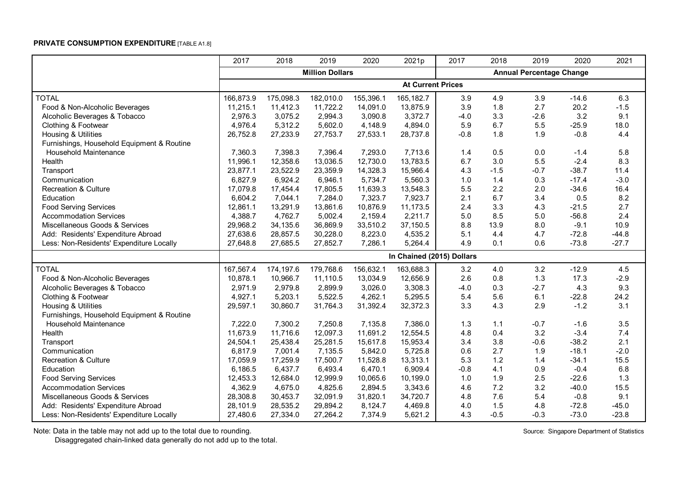## **PRIVATE CONSUMPTION EXPENDITURE** [TABLE A1.8]

|                                            | 2017      | 2018      | 2019                   | 2020      | 2021p                     | 2017   | 2018   | 2019                            | 2020    | 2021    |
|--------------------------------------------|-----------|-----------|------------------------|-----------|---------------------------|--------|--------|---------------------------------|---------|---------|
|                                            |           |           | <b>Million Dollars</b> |           |                           |        |        | <b>Annual Percentage Change</b> |         |         |
|                                            |           |           |                        |           | <b>At Current Prices</b>  |        |        |                                 |         |         |
| <b>TOTAL</b>                               | 166,873.9 | 175,098.3 | 182,010.0              | 155,396.1 | 165,182.7                 | 3.9    | 4.9    | 3.9                             | $-14.6$ | 6.3     |
| Food & Non-Alcoholic Beverages             | 11,215.1  | 11,412.3  | 11,722.2               | 14,091.0  | 13,875.9                  | 3.9    | 1.8    | 2.7                             | 20.2    | $-1.5$  |
| Alcoholic Beverages & Tobacco              | 2,976.3   | 3,075.2   | 2,994.3                | 3,090.8   | 3,372.7                   | $-4.0$ | 3.3    | $-2.6$                          | 3.2     | 9.1     |
| Clothing & Footwear                        | 4,976.4   | 5,312.2   | 5,602.0                | 4,148.9   | 4,894.0                   | 5.9    | 6.7    | 5.5                             | $-25.9$ | 18.0    |
| Housing & Utilities                        | 26,752.8  | 27,233.9  | 27,753.7               | 27,533.1  | 28,737.8                  | $-0.8$ | 1.8    | 1.9                             | $-0.8$  | 4.4     |
| Furnishings, Household Equipment & Routine |           |           |                        |           |                           |        |        |                                 |         |         |
| <b>Household Maintenance</b>               | 7,360.3   | 7,398.3   | 7,396.4                | 7,293.0   | 7,713.6                   | 1.4    | 0.5    | $0.0\,$                         | $-1.4$  | 5.8     |
| Health                                     | 11,996.1  | 12,358.6  | 13,036.5               | 12,730.0  | 13,783.5                  | 6.7    | 3.0    | 5.5                             | $-2.4$  | 8.3     |
| Transport                                  | 23,877.1  | 23,522.9  | 23,359.9               | 14,328.3  | 15,966.4                  | 4.3    | $-1.5$ | $-0.7$                          | $-38.7$ | 11.4    |
| Communication                              | 6,827.9   | 6,924.2   | 6,946.1                | 5,734.7   | 5,560.3                   | 1.0    | 1.4    | 0.3                             | $-17.4$ | $-3.0$  |
| <b>Recreation &amp; Culture</b>            | 17,079.8  | 17,454.4  | 17,805.5               | 11,639.3  | 13,548.3                  | 5.5    | 2.2    | 2.0                             | $-34.6$ | 16.4    |
| Education                                  | 6,604.2   | 7,044.1   | 7,284.0                | 7,323.7   | 7,923.7                   | 2.1    | 6.7    | 3.4                             | 0.5     | 8.2     |
| <b>Food Serving Services</b>               | 12,861.1  | 13,291.9  | 13,861.6               | 10,876.9  | 11,173.5                  | 2.4    | 3.3    | 4.3                             | $-21.5$ | 2.7     |
| <b>Accommodation Services</b>              | 4,388.7   | 4,762.7   | 5,002.4                | 2,159.4   | 2,211.7                   | $5.0$  | 8.5    | 5.0                             | $-56.8$ | 2.4     |
| Miscellaneous Goods & Services             | 29,968.2  | 34,135.6  | 36,869.9               | 33,510.2  | 37,150.5                  | 8.8    | 13.9   | 8.0                             | $-9.1$  | 10.9    |
| Add: Residents' Expenditure Abroad         | 27,638.6  | 28,857.5  | 30,228.0               | 8,223.0   | 4,535.2                   | 5.1    | 4.4    | 4.7                             | $-72.8$ | $-44.8$ |
| Less: Non-Residents' Expenditure Locally   | 27,648.8  | 27,685.5  | 27,852.7               | 7,286.1   | 5,264.4                   | 4.9    | 0.1    | 0.6                             | $-73.8$ | $-27.7$ |
|                                            |           |           |                        |           | In Chained (2015) Dollars |        |        |                                 |         |         |
| <b>TOTAL</b>                               | 167,567.4 | 174,197.6 | 179,768.6              | 156,632.1 | 163,688.3                 | 3.2    | 4.0    | 3.2                             | $-12.9$ | 4.5     |
| Food & Non-Alcoholic Beverages             | 10,878.1  | 10,966.7  | 11,110.5               | 13,034.9  | 12,656.9                  | 2.6    | 0.8    | 1.3                             | 17.3    | $-2.9$  |
| Alcoholic Beverages & Tobacco              | 2,971.9   | 2,979.8   | 2,899.9                | 3,026.0   | 3,308.3                   | $-4.0$ | 0.3    | $-2.7$                          | 4.3     | 9.3     |
| Clothing & Footwear                        | 4,927.1   | 5,203.1   | 5,522.5                | 4,262.1   | 5,295.5                   | 5.4    | 5.6    | 6.1                             | $-22.8$ | 24.2    |
| Housing & Utilities                        | 29,597.1  | 30,860.7  | 31,764.3               | 31,392.4  | 32,372.3                  | 3.3    | 4.3    | 2.9                             | $-1.2$  | 3.1     |
| Furnishings, Household Equipment & Routine |           |           |                        |           |                           |        |        |                                 |         |         |
| Household Maintenance                      | 7,222.0   | 7,300.2   | 7,250.8                | 7,135.8   | 7,386.0                   | 1.3    | 1.1    | $-0.7$                          | $-1.6$  | 3.5     |
| Health                                     | 11,673.9  | 11,716.6  | 12,097.3               | 11,691.2  | 12,554.5                  | 4.8    | 0.4    | 3.2                             | $-3.4$  | 7.4     |
| Transport                                  | 24,504.1  | 25,438.4  | 25,281.5               | 15,617.8  | 15,953.4                  | 3.4    | 3.8    | $-0.6$                          | $-38.2$ | 2.1     |
| Communication                              | 6,817.9   | 7,001.4   | 7,135.5                | 5,842.0   | 5,725.8                   | 0.6    | 2.7    | 1.9                             | $-18.1$ | $-2.0$  |
| <b>Recreation &amp; Culture</b>            | 17,059.9  | 17,259.9  | 17,500.7               | 11,528.8  | 13,313.1                  | 5.3    | 1.2    | 1.4                             | $-34.1$ | 15.5    |
| Education                                  | 6,186.5   | 6,437.7   | 6,493.4                | 6,470.1   | 6,909.4                   | $-0.8$ | 4.1    | 0.9                             | $-0.4$  | 6.8     |
| <b>Food Serving Services</b>               | 12,453.3  | 12,684.0  | 12,999.9               | 10,065.6  | 10,199.0                  | 1.0    | 1.9    | 2.5                             | $-22.6$ | 1.3     |
| <b>Accommodation Services</b>              | 4,362.9   | 4,675.0   | 4,825.6                | 2,894.5   | 3,343.6                   | 4.6    | 7.2    | 3.2                             | $-40.0$ | 15.5    |
| Miscellaneous Goods & Services             | 28,308.8  | 30,453.7  | 32,091.9               | 31,820.1  | 34,720.7                  | 4.8    | 7.6    | 5.4                             | $-0.8$  | 9.1     |
| Add: Residents' Expenditure Abroad         | 28,101.9  | 28,535.2  | 29,894.2               | 8,124.7   | 4,469.8                   | 4.0    | 1.5    | 4.8                             | $-72.8$ | $-45.0$ |
| Less: Non-Residents' Expenditure Locally   | 27,480.6  | 27,334.0  | 27,264.2               | 7,374.9   | 5,621.2                   | 4.3    | $-0.5$ | $-0.3$                          | $-73.0$ | $-23.8$ |

Note: Data in the table may not add up to the total due to rounding. Source: Singapore Department of Statistics

Disaggregated chain-linked data generally do not add up to the total.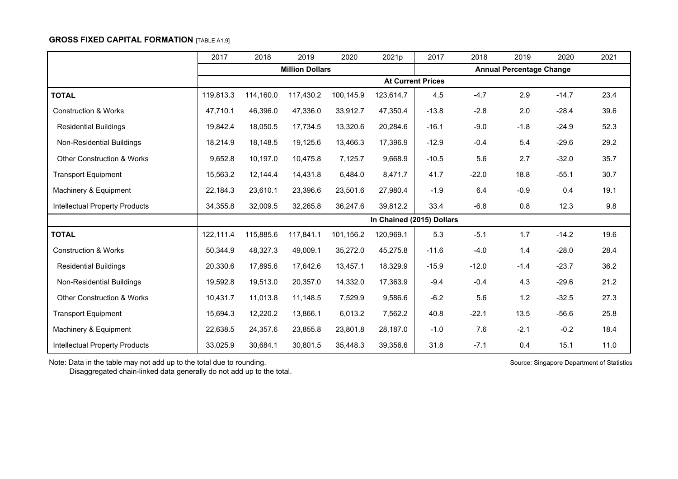### **GROSS FIXED CAPITAL FORMATION** [TABLE A1.9]

|                                       | 2017      | 2018      | 2019                   | 2020      | 2021p                     | 2017                     | 2018    | 2019                            | 2020    | 2021 |
|---------------------------------------|-----------|-----------|------------------------|-----------|---------------------------|--------------------------|---------|---------------------------------|---------|------|
|                                       |           |           | <b>Million Dollars</b> |           |                           |                          |         | <b>Annual Percentage Change</b> |         |      |
|                                       |           |           |                        |           |                           | <b>At Current Prices</b> |         |                                 |         |      |
| <b>TOTAL</b>                          | 119,813.3 | 114,160.0 | 117,430.2              | 100,145.9 | 123,614.7                 | 4.5                      | $-4.7$  | 2.9                             | $-14.7$ | 23.4 |
| <b>Construction &amp; Works</b>       | 47,710.1  | 46,396.0  | 47,336.0               | 33,912.7  | 47,350.4                  | $-13.8$                  | $-2.8$  | 2.0                             | $-28.4$ | 39.6 |
| <b>Residential Buildings</b>          | 19,842.4  | 18,050.5  | 17,734.5               | 13,320.6  | 20,284.6                  | $-16.1$                  | $-9.0$  | $-1.8$                          | $-24.9$ | 52.3 |
| Non-Residential Buildings             | 18,214.9  | 18,148.5  | 19,125.6               | 13,466.3  | 17,396.9                  | $-12.9$                  | $-0.4$  | 5.4                             | $-29.6$ | 29.2 |
| <b>Other Construction &amp; Works</b> | 9,652.8   | 10,197.0  | 10,475.8               | 7,125.7   | 9,668.9                   | $-10.5$                  | 5.6     | 2.7                             | $-32.0$ | 35.7 |
| <b>Transport Equipment</b>            | 15,563.2  | 12,144.4  | 14,431.8               | 6,484.0   | 8,471.7                   | 41.7                     | $-22.0$ | 18.8                            | $-55.1$ | 30.7 |
| Machinery & Equipment                 | 22,184.3  | 23,610.1  | 23,396.6               | 23,501.6  | 27,980.4                  | $-1.9$                   | 6.4     | $-0.9$                          | 0.4     | 19.1 |
| <b>Intellectual Property Products</b> | 34,355.8  | 32,009.5  | 32,265.8               | 36,247.6  | 39,812.2                  | 33.4                     | $-6.8$  | 0.8                             | 12.3    | 9.8  |
|                                       |           |           |                        |           | In Chained (2015) Dollars |                          |         |                                 |         |      |
| <b>TOTAL</b>                          | 122,111.4 | 115,885.6 | 117,841.1              | 101,156.2 | 120,969.1                 | 5.3                      | $-5.1$  | 1.7                             | $-14.2$ | 19.6 |
| <b>Construction &amp; Works</b>       | 50,344.9  | 48,327.3  | 49,009.1               | 35,272.0  | 45,275.8                  | $-11.6$                  | $-4.0$  | 1.4                             | $-28.0$ | 28.4 |
| <b>Residential Buildings</b>          | 20,330.6  | 17,895.6  | 17,642.6               | 13,457.1  | 18,329.9                  | $-15.9$                  | $-12.0$ | $-1.4$                          | $-23.7$ | 36.2 |
| Non-Residential Buildings             | 19,592.8  | 19,513.0  | 20,357.0               | 14,332.0  | 17,363.9                  | $-9.4$                   | $-0.4$  | 4.3                             | $-29.6$ | 21.2 |
| <b>Other Construction &amp; Works</b> | 10,431.7  | 11,013.8  | 11,148.5               | 7,529.9   | 9,586.6                   | $-6.2$                   | 5.6     | 1.2                             | $-32.5$ | 27.3 |
| <b>Transport Equipment</b>            | 15,694.3  | 12,220.2  | 13,866.1               | 6,013.2   | 7,562.2                   | 40.8                     | $-22.1$ | 13.5                            | $-56.6$ | 25.8 |
| Machinery & Equipment                 | 22,638.5  | 24,357.6  | 23,855.8               | 23,801.8  | 28,187.0                  | $-1.0$                   | 7.6     | $-2.1$                          | $-0.2$  | 18.4 |
| <b>Intellectual Property Products</b> | 33,025.9  | 30,684.1  | 30,801.5               | 35,448.3  | 39,356.6                  | 31.8                     | $-7.1$  | 0.4                             | 15.1    | 11.0 |

Note: Data in the table may not add up to the total due to rounding. Note: Source: Singapore Department of Statistics

Disaggregated chain-linked data generally do not add up to the total.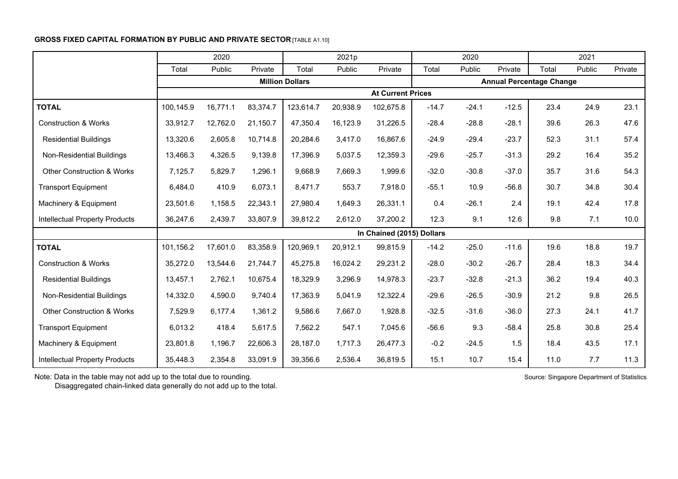## **GROSS FIXED CAPITAL FORMATION BY PUBLIC AND PRIVATE SECTOR [TABLE A1.10]**

|                                       |           | 2020     |          |                        | 2021p    |                           |         | 2020    |                                 |       | 2021   |         |
|---------------------------------------|-----------|----------|----------|------------------------|----------|---------------------------|---------|---------|---------------------------------|-------|--------|---------|
|                                       | Total     | Public   | Private  | Total                  | Public   | Private                   | Total   | Public  | Private                         | Total | Public | Private |
|                                       |           |          |          | <b>Million Dollars</b> |          |                           |         |         | <b>Annual Percentage Change</b> |       |        |         |
|                                       |           |          |          |                        |          | <b>At Current Prices</b>  |         |         |                                 |       |        |         |
| <b>TOTAL</b>                          | 100,145.9 | 16,771.1 | 83,374.7 | 123,614.7              | 20,938.9 | 102,675.8                 | $-14.7$ | $-24.1$ | $-12.5$                         | 23.4  | 24.9   | 23.1    |
| <b>Construction &amp; Works</b>       | 33,912.7  | 12,762.0 | 21,150.7 | 47,350.4               | 16,123.9 | 31,226.5                  | $-28.4$ | $-28.8$ | $-28.1$                         | 39.6  | 26.3   | 47.6    |
| <b>Residential Buildings</b>          | 13,320.6  | 2,605.8  | 10,714.8 | 20,284.6               | 3,417.0  | 16,867.6                  | $-24.9$ | $-29.4$ | $-23.7$                         | 52.3  | 31.1   | 57.4    |
| Non-Residential Buildings             | 13,466.3  | 4,326.5  | 9,139.8  | 17,396.9               | 5,037.5  | 12,359.3                  | $-29.6$ | $-25.7$ | $-31.3$                         | 29.2  | 16.4   | 35.2    |
| <b>Other Construction &amp; Works</b> | 7,125.7   | 5,829.7  | 1,296.1  | 9,668.9                | 7,669.3  | 1,999.6                   | $-32.0$ | $-30.8$ | $-37.0$                         | 35.7  | 31.6   | 54.3    |
| <b>Transport Equipment</b>            | 6,484.0   | 410.9    | 6,073.1  | 8,471.7                | 553.7    | 7,918.0                   | $-55.1$ | 10.9    | $-56.8$                         | 30.7  | 34.8   | 30.4    |
| Machinery & Equipment                 | 23,501.6  | 1,158.5  | 22,343.1 | 27,980.4               | 1,649.3  | 26,331.1                  | 0.4     | $-26.1$ | 2.4                             | 19.1  | 42.4   | 17.8    |
| Intellectual Property Products        | 36,247.6  | 2,439.7  | 33,807.9 | 39,812.2               | 2,612.0  | 37,200.2                  | 12.3    | 9.1     | 12.6                            | 9.8   | 7.1    | 10.0    |
|                                       |           |          |          |                        |          | In Chained (2015) Dollars |         |         |                                 |       |        |         |
| <b>TOTAL</b>                          | 101,156.2 | 17,601.0 | 83,358.9 | 120,969.1              | 20,912.1 | 99,815.9                  | $-14.2$ | $-25.0$ | $-11.6$                         | 19.6  | 18.8   | 19.7    |
| <b>Construction &amp; Works</b>       | 35,272.0  | 13,544.6 | 21,744.7 | 45,275.8               | 16,024.2 | 29,231.2                  | $-28.0$ | $-30.2$ | $-26.7$                         | 28.4  | 18.3   | 34.4    |
| <b>Residential Buildings</b>          | 13,457.1  | 2,762.1  | 10,675.4 | 18,329.9               | 3,296.9  | 14,978.3                  | $-23.7$ | $-32.8$ | $-21.3$                         | 36.2  | 19.4   | 40.3    |
| Non-Residential Buildings             | 14,332.0  | 4,590.0  | 9,740.4  | 17,363.9               | 5,041.9  | 12,322.4                  | $-29.6$ | $-26.5$ | $-30.9$                         | 21.2  | 9.8    | 26.5    |
| <b>Other Construction &amp; Works</b> | 7,529.9   | 6,177.4  | 1,361.2  | 9,586.6                | 7,667.0  | 1,928.8                   | $-32.5$ | $-31.6$ | $-36.0$                         | 27.3  | 24.1   | 41.7    |
| <b>Transport Equipment</b>            | 6,013.2   | 418.4    | 5,617.5  | 7,562.2                | 547.1    | 7,045.6                   | $-56.6$ | 9.3     | $-58.4$                         | 25.8  | 30.8   | 25.4    |
| Machinery & Equipment                 | 23,801.8  | 1,196.7  | 22,606.3 | 28,187.0               | 1,717.3  | 26,477.3                  | $-0.2$  | $-24.5$ | 1.5                             | 18.4  | 43.5   | 17.1    |
| <b>Intellectual Property Products</b> | 35,448.3  | 2,354.8  | 33,091.9 | 39,356.6               | 2,536.4  | 36,819.5                  | 15.1    | 10.7    | 15.4                            | 11.0  | 7.7    | 11.3    |

Note: Data in the table may not add up to the total due to rounding. Source: Singapore Department of Statistics

Disaggregated chain-linked data generally do not add up to the total.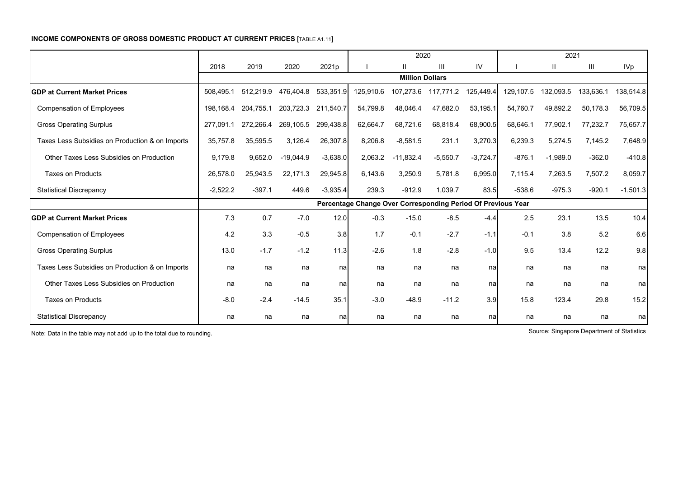#### **INCOME COMPONENTS OF GROSS DOMESTIC PRODUCT AT CURRENT PRICES** [TABLE A1.11]

|                                                 |            |           |             |            |                                                              | 2020                   |            |            |           | 2021       |           |            |
|-------------------------------------------------|------------|-----------|-------------|------------|--------------------------------------------------------------|------------------------|------------|------------|-----------|------------|-----------|------------|
|                                                 | 2018       | 2019      | 2020        | 2021p      |                                                              | $\mathbf{I}$           | Ш          | IV         |           | Ш          | Ш         | <b>IVp</b> |
|                                                 |            |           |             |            |                                                              | <b>Million Dollars</b> |            |            |           |            |           |            |
| <b>IGDP at Current Market Prices</b>            | 508,495.1  | 512,219.9 | 476,404.8   | 533,351.9  | 125,910.6                                                    | 107,273.6              | 117,771.2  | 125,449.4  | 129,107.5 | 132,093.5  | 133,636.1 | 138,514.8  |
| <b>Compensation of Employees</b>                | 198,168.4  | 204,755.1 | 203,723.3   | 211,540.7  | 54,799.8                                                     | 48,046.4               | 47,682.0   | 53,195.1   | 54,760.7  | 49,892.2   | 50,178.3  | 56,709.5   |
| <b>Gross Operating Surplus</b>                  | 277,091.1  | 272,266.4 | 269,105.5   | 299,438.8  | 62,664.7                                                     | 68,721.6               | 68,818.4   | 68,900.5   | 68,646.1  | 77,902.1   | 77,232.7  | 75,657.7   |
| Taxes Less Subsidies on Production & on Imports | 35,757.8   | 35,595.5  | 3,126.4     | 26,307.8   | 8,206.8                                                      | $-8,581.5$             | 231.1      | 3,270.3    | 6,239.3   | 5,274.5    | 7,145.2   | 7,648.9    |
| Other Taxes Less Subsidies on Production        | 9,179.8    | 9,652.0   | $-19,044.9$ | $-3.638.0$ | 2,063.2                                                      | $-11,832.4$            | $-5,550.7$ | $-3,724.7$ | $-876.1$  | $-1,989.0$ | $-362.0$  | $-410.8$   |
| <b>Taxes on Products</b>                        | 26,578.0   | 25,943.5  | 22,171.3    | 29,945.8   | 6,143.6                                                      | 3,250.9                | 5,781.8    | 6,995.0    | 7,115.4   | 7,263.5    | 7,507.2   | 8,059.7    |
| <b>Statistical Discrepancy</b>                  | $-2,522.2$ | $-397.1$  | 449.6       | $-3,935.4$ | 239.3                                                        | $-912.9$               | 1,039.7    | 83.5       | $-538.6$  | $-975.3$   | $-920.1$  | $-1,501.3$ |
|                                                 |            |           |             |            | Percentage Change Over Corresponding Period Of Previous Year |                        |            |            |           |            |           |            |
| <b>IGDP at Current Market Prices</b>            | 7.3        | 0.7       | $-7.0$      | 12.0       | $-0.3$                                                       | $-15.0$                | $-8.5$     | $-4.4$     | 2.5       | 23.1       | 13.5      | 10.4       |
| <b>Compensation of Employees</b>                | 4.2        | 3.3       | $-0.5$      | 3.8        | 1.7                                                          | $-0.1$                 | $-2.7$     | $-1.1$     | $-0.1$    | 3.8        | 5.2       | 6.6        |
| <b>Gross Operating Surplus</b>                  | 13.0       | $-1.7$    | $-1.2$      | 11.3       | $-2.6$                                                       | 1.8                    | $-2.8$     | $-1.0$     | 9.5       | 13.4       | 12.2      | 9.8        |
| Taxes Less Subsidies on Production & on Imports | na         | na        | na          | nal        | na                                                           | na                     | na         | nal        | na        | na         | na        | na         |
| Other Taxes Less Subsidies on Production        | na         | na        | na          | na         | na                                                           | na                     | na         | nal        | na        | na         | na        | nal        |
| <b>Taxes on Products</b>                        | $-8.0$     | $-2.4$    | $-14.5$     | 35.1       | $-3.0$                                                       | $-48.9$                | $-11.2$    | 3.9        | 15.8      | 123.4      | 29.8      | 15.2       |
| <b>Statistical Discrepancy</b>                  | na         | na        | na          | nal        | na                                                           | na                     | na         | nal        | na        | na         | na        | nal        |

Note: Data in the table may not add up to the total due to rounding. Source: Singapore Department of Statistics Source: Singapore Department of Statistics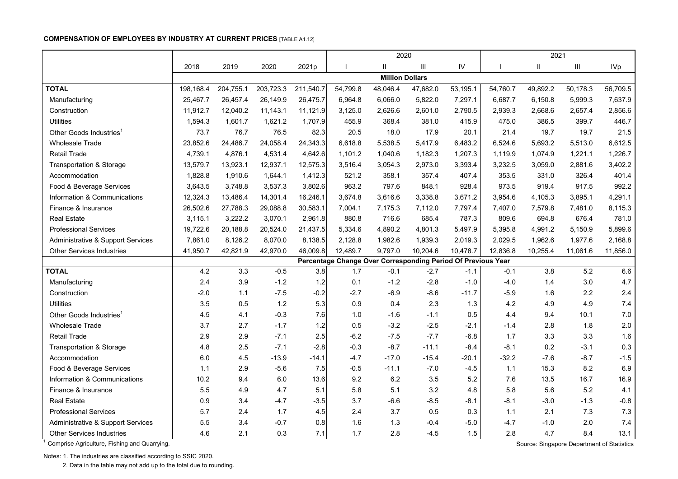#### **COMPENSATION OF EMPLOYEES BY INDUSTRY AT CURRENT PRICES** [TABLE A1.12]

|                                              |           |           |           |           |          | 2020                   |                                                              |          |          | 2021                                       |          |                 |
|----------------------------------------------|-----------|-----------|-----------|-----------|----------|------------------------|--------------------------------------------------------------|----------|----------|--------------------------------------------|----------|-----------------|
|                                              | 2018      | 2019      | 2020      | 2021p     |          | Ш                      | Ш                                                            | IV       |          | $\mathbf{I}$                               | Ш        | IV <sub>p</sub> |
|                                              |           |           |           |           |          | <b>Million Dollars</b> |                                                              |          |          |                                            |          |                 |
| <b>TOTAL</b>                                 | 198,168.4 | 204,755.1 | 203,723.3 | 211,540.7 | 54,799.8 | 48,046.4               | 47,682.0                                                     | 53,195.1 | 54,760.7 | 49,892.2                                   | 50,178.3 | 56,709.5        |
| Manufacturing                                | 25,467.7  | 26,457.4  | 26,149.9  | 26,475.7  | 6,964.8  | 6,066.0                | 5,822.0                                                      | 7,297.1  | 6,687.7  | 6,150.8                                    | 5,999.3  | 7,637.9         |
| Construction                                 | 11,912.7  | 12,040.2  | 11,143.1  | 11,121.9  | 3,125.0  | 2,626.6                | 2,601.0                                                      | 2,790.5  | 2,939.3  | 2,668.6                                    | 2,657.4  | 2,856.6         |
| <b>Utilities</b>                             | 1,594.3   | 1,601.7   | 1,621.2   | 1,707.9   | 455.9    | 368.4                  | 381.0                                                        | 415.9    | 475.0    | 386.5                                      | 399.7    | 446.7           |
| Other Goods Industries <sup>1</sup>          | 73.7      | 76.7      | 76.5      | 82.3      | 20.5     | 18.0                   | 17.9                                                         | 20.1     | 21.4     | 19.7                                       | 19.7     | 21.5            |
| <b>Wholesale Trade</b>                       | 23,852.6  | 24,486.7  | 24,058.4  | 24,343.3  | 6,618.8  | 5,538.5                | 5,417.9                                                      | 6,483.2  | 6,524.6  | 5,693.2                                    | 5,513.0  | 6,612.5         |
| <b>Retail Trade</b>                          | 4,739.1   | 4,876.1   | 4,531.4   | 4,642.6   | 1,101.2  | 1,040.6                | 1,182.3                                                      | 1,207.3  | 1,119.9  | 1,074.9                                    | 1,221.1  | 1,226.7         |
| <b>Transportation &amp; Storage</b>          | 13,579.7  | 13,923.1  | 12,937.1  | 12,575.3  | 3,516.4  | 3,054.3                | 2,973.0                                                      | 3,393.4  | 3,232.5  | 3,059.0                                    | 2,881.6  | 3,402.2         |
| Accommodation                                | 1,828.8   | 1,910.6   | 1,644.1   | 1,412.3   | 521.2    | 358.1                  | 357.4                                                        | 407.4    | 353.5    | 331.0                                      | 326.4    | 401.4           |
| Food & Beverage Services                     | 3,643.5   | 3,748.8   | 3,537.3   | 3,802.6   | 963.2    | 797.6                  | 848.1                                                        | 928.4    | 973.5    | 919.4                                      | 917.5    | 992.2           |
| Information & Communications                 | 12,324.3  | 13,486.4  | 14,301.4  | 16,246.1  | 3,674.8  | 3,616.6                | 3,338.8                                                      | 3,671.2  | 3,954.6  | 4,105.3                                    | 3,895.1  | 4,291.1         |
| Finance & Insurance                          | 26,502.6  | 27,788.3  | 29,088.8  | 30,583.1  | 7,004.1  | 7,175.3                | 7,112.0                                                      | 7,797.4  | 7,407.0  | 7,579.8                                    | 7,481.0  | 8,115.3         |
| <b>Real Estate</b>                           | 3,115.1   | 3,222.2   | 3,070.1   | 2,961.8   | 880.8    | 716.6                  | 685.4                                                        | 787.3    | 809.6    | 694.8                                      | 676.4    | 781.0           |
| <b>Professional Services</b>                 | 19,722.6  | 20,188.8  | 20,524.0  | 21,437.5  | 5,334.6  | 4,890.2                | 4,801.3                                                      | 5,497.9  | 5,395.8  | 4,991.2                                    | 5,150.9  | 5,899.6         |
| Administrative & Support Services            | 7,861.0   | 8,126.2   | 8,070.0   | 8,138.5   | 2,128.8  | 1,982.6                | 1,939.3                                                      | 2,019.3  | 2,029.5  | 1,962.6                                    | 1,977.6  | 2,168.8         |
| <b>Other Services Industries</b>             | 41,950.7  | 42,821.9  | 42,970.0  | 46,009.8  | 12,489.7 | 9,797.0                | 10,204.6                                                     | 10,478.7 | 12,836.8 | 10,255.4                                   | 11,061.6 | 11,856.0        |
|                                              |           |           |           |           |          |                        | Percentage Change Over Corresponding Period Of Previous Year |          |          |                                            |          |                 |
| <b>TOTAL</b>                                 | 4.2       | 3.3       | $-0.5$    | 3.8       | 1.7      | $-0.1$                 | $-2.7$                                                       | $-1.1$   | $-0.1$   | 3.8                                        | 5.2      | 6.6             |
| Manufacturing                                | 2.4       | 3.9       | $-1.2$    | 1.2       | 0.1      | $-1.2$                 | $-2.8$                                                       | $-1.0$   | $-4.0$   | 1.4                                        | 3.0      | 4.7             |
| Construction                                 | $-2.0$    | $1.1$     | $-7.5$    | $-0.2$    | $-2.7$   | $-6.9$                 | $-8.6$                                                       | $-11.7$  | $-5.9$   | 1.6                                        | 2.2      | 2.4             |
| <b>Utilities</b>                             | 3.5       | 0.5       | $1.2$     | 5.3       | 0.9      | 0.4                    | 2.3                                                          | 1.3      | 4.2      | 4.9                                        | 4.9      | 7.4             |
| Other Goods Industries <sup>1</sup>          | 4.5       | 4.1       | $-0.3$    | 7.6       | 1.0      | $-1.6$                 | $-1.1$                                                       | 0.5      | 4.4      | 9.4                                        | 10.1     | 7.0             |
| Wholesale Trade                              | 3.7       | 2.7       | $-1.7$    | 1.2       | 0.5      | $-3.2$                 | $-2.5$                                                       | $-2.1$   | $-1.4$   | 2.8                                        | 1.8      | 2.0             |
| <b>Retail Trade</b>                          | 2.9       | 2.9       | $-7.1$    | 2.5       | $-6.2$   | $-7.5$                 | $-7.7$                                                       | $-6.8$   | 1.7      | 3.3                                        | 3.3      | 1.6             |
| <b>Transportation &amp; Storage</b>          | 4.8       | 2.5       | $-7.1$    | $-2.8$    | $-0.3$   | $-8.7$                 | $-11.1$                                                      | $-8.4$   | $-8.1$   | 0.2                                        | $-3.1$   | 0.3             |
| Accommodation                                | 6.0       | 4.5       | $-13.9$   | $-14.1$   | $-4.7$   | $-17.0$                | $-15.4$                                                      | $-20.1$  | $-32.2$  | $-7.6$                                     | $-8.7$   | $-1.5$          |
| Food & Beverage Services                     | 1.1       | 2.9       | $-5.6$    | 7.5       | $-0.5$   | $-11.1$                | $-7.0$                                                       | $-4.5$   | $1.1$    | 15.3                                       | 8.2      | 6.9             |
| Information & Communications                 | 10.2      | 9.4       | 6.0       | 13.6      | 9.2      | 6.2                    | 3.5                                                          | 5.2      | 7.6      | 13.5                                       | 16.7     | 16.9            |
| Finance & Insurance                          | 5.5       | 4.9       | 4.7       | 5.1       | 5.8      | 5.1                    | 3.2                                                          | 4.8      | 5.8      | 5.6                                        | 5.2      | 4.1             |
| <b>Real Estate</b>                           | 0.9       | 3.4       | $-4.7$    | $-3.5$    | 3.7      | $-6.6$                 | $-8.5$                                                       | $-8.1$   | $-8.1$   | $-3.0$                                     | $-1.3$   | $-0.8$          |
| <b>Professional Services</b>                 | 5.7       | 2.4       | 1.7       | 4.5       | 2.4      | 3.7                    | 0.5                                                          | 0.3      | 1.1      | 2.1                                        | 7.3      | 7.3             |
| Administrative & Support Services            | 5.5       | 3.4       | $-0.7$    | 0.8       | 1.6      | 1.3                    | $-0.4$                                                       | $-5.0$   | $-4.7$   | $-1.0$                                     | 2.0      | 7.4             |
| <b>Other Services Industries</b>             | 4.6       | 2.1       | 0.3       | 7.1       | 1.7      | 2.8                    | $-4.5$                                                       | 1.5      | 2.8      | 4.7                                        | 8.4      | 13.1            |
| Comprise Agriculture, Fishing and Quarrying. |           |           |           |           |          |                        |                                                              |          |          | Source: Singapore Department of Statistics |          |                 |

Notes: 1. The industries are classified according to SSIC 2020.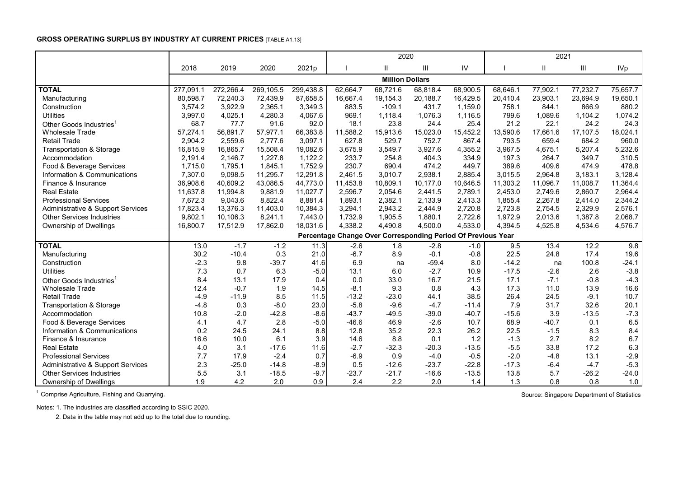#### **GROSS OPERATING SURPLUS BY INDUSTRY AT CURRENT PRICES** [TABLE A1.13]

|                                     |           |           |           |           |                                                              |                        |          | 2021     |          |          |          |            |
|-------------------------------------|-----------|-----------|-----------|-----------|--------------------------------------------------------------|------------------------|----------|----------|----------|----------|----------|------------|
|                                     | 2018      | 2019      | 2020      | 2021p     |                                                              | $\mathbf{H}$           | Ш        | IV       |          | Ш        | III      | <b>IVp</b> |
|                                     |           |           |           |           |                                                              | <b>Million Dollars</b> |          |          |          |          |          |            |
| <b>TOTAL</b>                        | 277,091.1 | 272,266.4 | 269,105.5 | 299,438.8 | 62,664.7                                                     | 68,721.6               | 68,818.4 | 68,900.5 | 68,646.1 | 77,902.1 | 77,232.7 | 75,657.7   |
| Manufacturing                       | 80,598.7  | 72,240.3  | 72,439.9  | 87,658.5  | 16,667.4                                                     | 19,154.3               | 20,188.7 | 16,429.5 | 20,410.4 | 23,903.1 | 23,694.9 | 19,650.1   |
| Construction                        | 3,574.2   | 3,922.9   | 2,365.1   | 3,349.3   | 883.5                                                        | $-109.1$               | 431.7    | 1.159.0  | 758.1    | 844.1    | 866.9    | 880.2      |
| <b>Utilities</b>                    | 3,997.0   | 4,025.1   | 4,280.3   | 4,067.6   | 969.1                                                        | 1,118.4                | 1,076.3  | 1,116.5  | 799.6    | 1,089.6  | 1,104.2  | 1,074.2    |
| Other Goods Industries              | 68.7      | 77.7      | 91.6      | 92.0      | 18.1                                                         | 23.8                   | 24.4     | 25.4     | 21.2     | 22.1     | 24.2     | 24.3       |
| <b>Wholesale Trade</b>              | 57,274.1  | 56,891.7  | 57,977.1  | 66,383.8  | 11,588.2                                                     | 15,913.6               | 15,023.0 | 15,452.2 | 13,590.6 | 17,661.6 | 17,107.5 | 18,024.1   |
| <b>Retail Trade</b>                 | 2,904.2   | 2,559.6   | 2,777.6   | 3,097.1   | 627.8                                                        | 529.7                  | 752.7    | 867.4    | 793.5    | 659.4    | 684.2    | 960.0      |
| <b>Transportation &amp; Storage</b> | 16,815.9  | 16,865.7  | 15,508.4  | 19,082.6  | 3,675.9                                                      | 3,549.7                | 3,927.6  | 4,355.2  | 3,967.5  | 4,675.1  | 5,207.4  | 5,232.6    |
| Accommodation                       | 2,191.4   | 2,146.7   | 1,227.8   | 1,122.2   | 233.7                                                        | 254.8                  | 404.3    | 334.9    | 197.3    | 264.7    | 349.7    | 310.5      |
| Food & Beverage Services            | 1,715.0   | 1,795.1   | 1,845.1   | 1,752.9   | 230.7                                                        | 690.4                  | 474.2    | 449.7    | 389.6    | 409.6    | 474.9    | 478.8      |
| Information & Communications        | 7,307.0   | 9,098.5   | 11,295.7  | 12,291.8  | 2,461.5                                                      | 3,010.7                | 2,938.1  | 2,885.4  | 3,015.5  | 2,964.8  | 3,183.1  | 3,128.4    |
| Finance & Insurance                 | 36,908.6  | 40,609.2  | 43,086.5  | 44,773.0  | 11,453.8                                                     | 10,809.1               | 10,177.0 | 10,646.5 | 11,303.2 | 11,096.7 | 11,008.7 | 11,364.4   |
| <b>Real Estate</b>                  | 11,637.8  | 11,994.8  | 9,881.9   | 11,027.7  | 2,596.7                                                      | 2,054.6                | 2,441.5  | 2,789.1  | 2,453.0  | 2,749.6  | 2,860.7  | 2,964.4    |
| <b>Professional Services</b>        | 7,672.3   | 9,043.6   | 8,822.4   | 8.881.4   | 1,893.1                                                      | 2,382.1                | 2,133.9  | 2,413.3  | 1,855.4  | 2,267.8  | 2,414.0  | 2,344.2    |
| Administrative & Support Services   | 17,823.4  | 13,376.3  | 11,403.0  | 10,384.3  | 3,294.1                                                      | 2,943.2                | 2,444.9  | 2,720.8  | 2,723.8  | 2,754.5  | 2,329.9  | 2,576.1    |
| <b>Other Services Industries</b>    | 9,802.1   | 10.106.3  | 8,241.1   | 7,443.0   | 1,732.9                                                      | 1,905.5                | 1,880.1  | 2,722.6  | 1,972.9  | 2,013.6  | 1,387.8  | 2,068.7    |
| Ownership of Dwellings              | 16,800.7  | 17,512.9  | 17,862.0  | 18,031.6  | 4,338.2                                                      | 4,490.8                | 4,500.0  | 4,533.0  | 4,394.5  | 4,525.8  | 4,534.6  | 4,576.7    |
|                                     |           |           |           |           | Percentage Change Over Corresponding Period Of Previous Year |                        |          |          |          |          |          |            |
| <b>TOTAL</b>                        | 13.0      | $-1.7$    | $-1.2$    | 11.3      | $-2.6$                                                       | 1.8                    | $-2.8$   | $-1.0$   | 9.5      | 13.4     | 12.2     | 9.8        |
| Manufacturing                       | 30.2      | $-10.4$   | 0.3       | 21.0      | $-6.7$                                                       | 8.9                    | $-0.1$   | $-0.8$   | 22.5     | 24.8     | 17.4     | 19.6       |
| Construction                        | $-2.3$    | 9.8       | $-39.7$   | 41.6      | 6.9                                                          | na                     | $-59.4$  | 8.0      | $-14.2$  | na       | 100.8    | $-24.1$    |
| <b>Utilities</b>                    | 7.3       | 0.7       | 6.3       | $-5.0$    | 13.1                                                         | 6.0                    | $-2.7$   | 10.9     | $-17.5$  | $-2.6$   | 2.6      | $-3.8$     |
| Other Goods Industries <sup>1</sup> | 8.4       | 13.1      | 17.9      | 0.4       | 0.0                                                          | 33.0                   | 16.7     | 21.5     | 17.1     | $-7.1$   | $-0.8$   | $-4.3$     |
| <b>Wholesale Trade</b>              | 12.4      | $-0.7$    | 1.9       | 14.5      | $-8.1$                                                       | 9.3                    | 0.8      | 4.3      | 17.3     | 11.0     | 13.9     | 16.6       |
| <b>Retail Trade</b>                 | $-4.9$    | $-11.9$   | 8.5       | 11.5      | $-13.2$                                                      | $-23.0$                | 44.1     | 38.5     | 26.4     | 24.5     | $-9.1$   | 10.7       |
| Transportation & Storage            | $-4.8$    | 0.3       | $-8.0$    | 23.0      | $-5.8$                                                       | $-9.6$                 | $-4.7$   | $-11.4$  | 7.9      | 31.7     | 32.6     | 20.1       |
| Accommodation                       | 10.8      | $-2.0$    | $-42.8$   | $-8.6$    | $-43.7$                                                      | $-49.5$                | $-39.0$  | $-40.7$  | $-15.6$  | 3.9      | $-13.5$  | $-7.3$     |
| Food & Beverage Services            | 4.1       | 4.7       | 2.8       | $-5.0$    | $-46.6$                                                      | 46.9                   | $-2.6$   | 10.7     | 68.9     | $-40.7$  | 0.1      | 6.5        |
| Information & Communications        | 0.2       | 24.5      | 24.1      | 8.8       | 12.8                                                         | 35.2                   | 22.3     | 26.2     | 22.5     | $-1.5$   | 8.3      | 8.4        |
| Finance & Insurance                 | 16.6      | 10.0      | 6.1       | 3.9       | 14.6                                                         | 8.8                    | 0.1      | 1.2      | $-1.3$   | 2.7      | 8.2      | 6.7        |
| <b>Real Estate</b>                  | 4.0       | 3.1       | $-17.6$   | 11.6      | $-2.7$                                                       | $-32.3$                | $-20.3$  | $-13.5$  | $-5.5$   | 33.8     | 17.2     | 6.3        |
| <b>Professional Services</b>        | 7.7       | 17.9      | $-2.4$    | 0.7       | $-6.9$                                                       | 0.9                    | $-4.0$   | $-0.5$   | $-2.0$   | $-4.8$   | 13.1     | $-2.9$     |
| Administrative & Support Services   | 2.3       | $-25.0$   | $-14.8$   | $-8.9$    | 0.5                                                          | $-12.6$                | $-23.7$  | $-22.8$  | $-17.3$  | $-6.4$   | $-4.7$   | $-5.3$     |
| <b>Other Services Industries</b>    | 5.5       | 3.1       | $-18.5$   | $-9.7$    | $-23.7$                                                      | $-21.7$                | $-16.6$  | $-13.5$  | 13.8     | 5.7      | $-26.2$  | $-24.0$    |
| Ownership of Dwellings              | 1.9       | 4.2       | 2.0       | 0.9       | 2.4                                                          | 2.2                    | 2.0      | 1.4      | 1.3      | 0.8      | 0.8      | 1.0        |

<sup>1</sup> Comprise Agriculture, Fishing and Quarrying. Source: Singapore Department of Statistics

Notes: 1. The industries are classified according to SSIC 2020.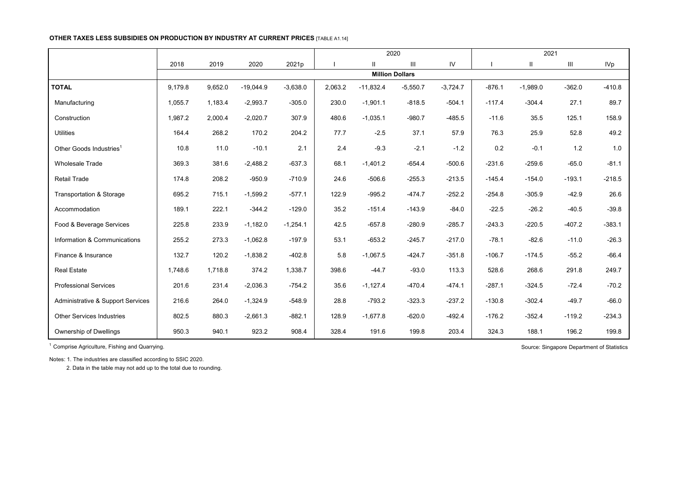#### **OTHER TAXES LESS SUBSIDIES ON PRODUCTION BY INDUSTRY AT CURRENT PRICES** [TABLE A1.14]

|                                     |         |         |             |            | 2020<br>III<br>2021p<br>$\mathbf{II}$ |             |                        |            |          | 2021         |          |                 |
|-------------------------------------|---------|---------|-------------|------------|---------------------------------------|-------------|------------------------|------------|----------|--------------|----------|-----------------|
|                                     | 2018    | 2019    | 2020        |            |                                       |             |                        | IV         |          | $\mathbf{I}$ | Ш        | IV <sub>p</sub> |
|                                     |         |         |             |            |                                       |             | <b>Million Dollars</b> |            |          |              |          |                 |
| <b>TOTAL</b>                        | 9,179.8 | 9,652.0 | $-19,044.9$ | $-3,638.0$ | 2,063.2                               | $-11,832.4$ | $-5,550.7$             | $-3,724.7$ | $-876.1$ | $-1,989.0$   | $-362.0$ | $-410.8$        |
| Manufacturing                       | 1,055.7 | 1,183.4 | $-2,993.7$  | $-305.0$   | 230.0                                 | $-1,901.1$  | $-818.5$               | $-504.1$   | $-117.4$ | $-304.4$     | 27.1     | 89.7            |
| Construction                        | 1,987.2 | 2,000.4 | $-2,020.7$  | 307.9      | 480.6                                 | $-1,035.1$  | $-980.7$               | $-485.5$   | $-11.6$  | 35.5         | 125.1    | 158.9           |
| <b>Utilities</b>                    | 164.4   | 268.2   | 170.2       | 204.2      | 77.7                                  | $-2.5$      | 37.1                   | 57.9       | 76.3     | 25.9         | 52.8     | 49.2            |
| Other Goods Industries <sup>1</sup> | 10.8    | 11.0    | $-10.1$     | 2.1        | 2.4                                   | $-9.3$      | $-2.1$                 | $-1.2$     | 0.2      | $-0.1$       | 1.2      | 1.0             |
| <b>Wholesale Trade</b>              | 369.3   | 381.6   | $-2,488.2$  | $-637.3$   | 68.1                                  | $-1,401.2$  | $-654.4$               | $-500.6$   | $-231.6$ | $-259.6$     | $-65.0$  | $-81.1$         |
| Retail Trade                        | 174.8   | 208.2   | $-950.9$    | $-710.9$   | 24.6                                  | $-506.6$    | $-255.3$               | $-213.5$   | $-145.4$ | $-154.0$     | $-193.1$ | $-218.5$        |
| <b>Transportation &amp; Storage</b> | 695.2   | 715.1   | $-1,599.2$  | $-577.1$   | 122.9                                 | $-995.2$    | $-474.7$               | $-252.2$   | $-254.8$ | $-305.9$     | $-42.9$  | 26.6            |
| Accommodation                       | 189.1   | 222.1   | $-344.2$    | $-129.0$   | 35.2                                  | $-151.4$    | $-143.9$               | $-84.0$    | $-22.5$  | $-26.2$      | $-40.5$  | $-39.8$         |
| Food & Beverage Services            | 225.8   | 233.9   | $-1,182.0$  | $-1,254.1$ | 42.5                                  | $-657.8$    | $-280.9$               | $-285.7$   | $-243.3$ | $-220.5$     | $-407.2$ | $-383.1$        |
| Information & Communications        | 255.2   | 273.3   | $-1,062.8$  | $-197.9$   | 53.1                                  | $-653.2$    | $-245.7$               | $-217.0$   | $-78.1$  | $-82.6$      | $-11.0$  | $-26.3$         |
| Finance & Insurance                 | 132.7   | 120.2   | $-1,838.2$  | $-402.8$   | 5.8                                   | $-1,067.5$  | $-424.7$               | $-351.8$   | $-106.7$ | $-174.5$     | $-55.2$  | $-66.4$         |
| <b>Real Estate</b>                  | 1,748.6 | 1,718.8 | 374.2       | 1,338.7    | 398.6                                 | $-44.7$     | $-93.0$                | 113.3      | 528.6    | 268.6        | 291.8    | 249.7           |
| <b>Professional Services</b>        | 201.6   | 231.4   | $-2,036.3$  | $-754.2$   | 35.6                                  | $-1,127.4$  | $-470.4$               | $-474.1$   | $-287.1$ | $-324.5$     | $-72.4$  | $-70.2$         |
| Administrative & Support Services   | 216.6   | 264.0   | $-1,324.9$  | $-548.9$   | 28.8                                  | $-793.2$    | $-323.3$               | $-237.2$   | $-130.8$ | $-302.4$     | $-49.7$  | $-66.0$         |
| <b>Other Services Industries</b>    | 802.5   | 880.3   | $-2,661.3$  | $-882.1$   | 128.9                                 | $-1,677.8$  | $-620.0$               | $-492.4$   | $-176.2$ | $-352.4$     | $-119.2$ | $-234.3$        |
| Ownership of Dwellings              | 950.3   | 940.1   | 923.2       | 908.4      | 328.4                                 | 191.6       | 199.8                  | 203.4      | 324.3    | 188.1        | 196.2    | 199.8           |

<sup>1</sup> Comprise Agriculture, Fishing and Quarrying. Source: Singapore Department of Statistics Source: Singapore Department of Statistics

Notes: 1. The industries are classified according to SSIC 2020.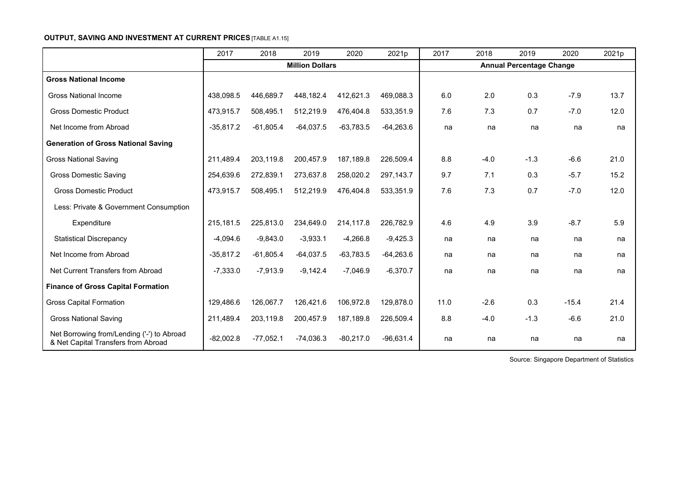## **OUTPUT, SAVING AND INVESTMENT AT CURRENT PRICES [TABLE A1.15]**

|                                                                                   | 2017        | 2018        | 2019                   | 2020        | 2021p       | 2017 | 2018   | 2019                            | 2020    | 2021p |
|-----------------------------------------------------------------------------------|-------------|-------------|------------------------|-------------|-------------|------|--------|---------------------------------|---------|-------|
|                                                                                   |             |             | <b>Million Dollars</b> |             |             |      |        | <b>Annual Percentage Change</b> |         |       |
| <b>Gross National Income</b>                                                      |             |             |                        |             |             |      |        |                                 |         |       |
| <b>Gross National Income</b>                                                      | 438,098.5   | 446,689.7   | 448,182.4              | 412,621.3   | 469,088.3   | 6.0  | 2.0    | 0.3                             | $-7.9$  | 13.7  |
| <b>Gross Domestic Product</b>                                                     | 473,915.7   | 508,495.1   | 512,219.9              | 476,404.8   | 533,351.9   | 7.6  | 7.3    | 0.7                             | $-7.0$  | 12.0  |
| Net Income from Abroad                                                            | $-35,817.2$ | $-61,805.4$ | $-64,037.5$            | $-63,783.5$ | $-64,263.6$ | na   | na     | na                              | na      | na    |
| <b>Generation of Gross National Saving</b>                                        |             |             |                        |             |             |      |        |                                 |         |       |
| <b>Gross National Saving</b>                                                      | 211.489.4   | 203,119.8   | 200,457.9              | 187,189.8   | 226,509.4   | 8.8  | $-4.0$ | $-1.3$                          | $-6.6$  | 21.0  |
| <b>Gross Domestic Saving</b>                                                      | 254,639.6   | 272,839.1   | 273,637.8              | 258,020.2   | 297,143.7   | 9.7  | 7.1    | 0.3                             | $-5.7$  | 15.2  |
| <b>Gross Domestic Product</b>                                                     | 473,915.7   | 508,495.1   | 512,219.9              | 476,404.8   | 533,351.9   | 7.6  | 7.3    | 0.7                             | $-7.0$  | 12.0  |
| Less: Private & Government Consumption                                            |             |             |                        |             |             |      |        |                                 |         |       |
| Expenditure                                                                       | 215,181.5   | 225,813.0   | 234,649.0              | 214,117.8   | 226,782.9   | 4.6  | 4.9    | 3.9                             | $-8.7$  | 5.9   |
| <b>Statistical Discrepancy</b>                                                    | $-4,094.6$  | $-9,843.0$  | $-3,933.1$             | $-4,266.8$  | $-9,425.3$  | na   | na     | na                              | na      | na    |
| Net Income from Abroad                                                            | $-35,817.2$ | $-61,805.4$ | $-64,037.5$            | $-63,783.5$ | $-64,263.6$ | na   | na     | na                              | na      | na    |
| Net Current Transfers from Abroad                                                 | $-7,333.0$  | $-7,913.9$  | $-9,142.4$             | $-7,046.9$  | $-6,370.7$  | na   | na     | na                              | na      | na    |
| <b>Finance of Gross Capital Formation</b>                                         |             |             |                        |             |             |      |        |                                 |         |       |
| <b>Gross Capital Formation</b>                                                    | 129,486.6   | 126,067.7   | 126,421.6              | 106,972.8   | 129,878.0   | 11.0 | $-2.6$ | 0.3                             | $-15.4$ | 21.4  |
| <b>Gross National Saving</b>                                                      | 211,489.4   | 203,119.8   | 200,457.9              | 187,189.8   | 226,509.4   | 8.8  | $-4.0$ | $-1.3$                          | $-6.6$  | 21.0  |
| Net Borrowing from/Lending ('-') to Abroad<br>& Net Capital Transfers from Abroad | $-82,002.8$ | $-77,052.1$ | $-74.036.3$            | $-80,217.0$ | $-96,631.4$ | na   | na     | na                              | na      | na    |

Source: Singapore Department of Statistics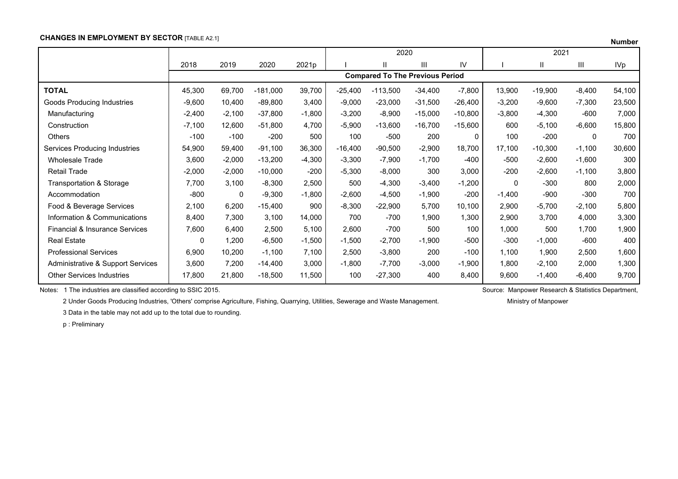### **CHANGES IN EMPLOYMENT BY SECTOR [TABLE A2.1]**

| Numbe |  |
|-------|--|
|-------|--|

|                                           |          |          |            |          |           | 2020                                   |           |             |          | 2021      |          |            |
|-------------------------------------------|----------|----------|------------|----------|-----------|----------------------------------------|-----------|-------------|----------|-----------|----------|------------|
|                                           | 2018     | 2019     | 2020       | 2021p    |           | Ш                                      | Ш         | IV          |          | Ш         | Ш        | <b>IVp</b> |
|                                           |          |          |            |          |           | <b>Compared To The Previous Period</b> |           |             |          |           |          |            |
| <b>TOTAL</b>                              | 45,300   | 69,700   | $-181,000$ | 39,700   | $-25,400$ | $-113,500$                             | $-34,400$ | $-7,800$    | 13,900   | $-19,900$ | $-8,400$ | 54,100     |
| Goods Producing Industries                | $-9,600$ | 10,400   | $-89,800$  | 3,400    | $-9,000$  | $-23,000$                              | $-31,500$ | $-26,400$   | $-3,200$ | $-9,600$  | $-7,300$ | 23,500     |
| Manufacturing                             | $-2,400$ | $-2,100$ | $-37,800$  | $-1,800$ | $-3,200$  | $-8,900$                               | $-15,000$ | $-10,800$   | $-3,800$ | $-4,300$  | $-600$   | 7,000      |
| Construction                              | $-7,100$ | 12,600   | $-51,800$  | 4,700    | $-5,900$  | $-13,600$                              | $-16,700$ | $-15,600$   | 600      | $-5,100$  | $-6,600$ | 15,800     |
| <b>Others</b>                             | $-100$   | $-100$   | $-200$     | 500      | 100       | $-500$                                 | 200       | $\mathbf 0$ | 100      | $-200$    | 0        | 700        |
| Services Producing Industries             | 54,900   | 59,400   | $-91,100$  | 36,300   | $-16,400$ | $-90,500$                              | $-2,900$  | 18,700      | 17,100   | $-10,300$ | $-1,100$ | 30,600     |
| <b>Wholesale Trade</b>                    | 3,600    | $-2,000$ | $-13,200$  | $-4,300$ | $-3,300$  | $-7,900$                               | $-1,700$  | $-400$      | $-500$   | $-2,600$  | $-1,600$ | 300        |
| <b>Retail Trade</b>                       | $-2,000$ | $-2,000$ | $-10,000$  | $-200$   | $-5,300$  | $-8,000$                               | 300       | 3,000       | $-200$   | $-2,600$  | $-1,100$ | 3,800      |
| Transportation & Storage                  | 7,700    | 3,100    | $-8,300$   | 2,500    | 500       | $-4,300$                               | $-3,400$  | $-1,200$    | $\Omega$ | $-300$    | 800      | 2,000      |
| Accommodation                             | $-800$   | 0        | $-9,300$   | $-1,800$ | $-2,600$  | $-4,500$                               | $-1,900$  | $-200$      | $-1,400$ | $-900$    | $-300$   | 700        |
| Food & Beverage Services                  | 2,100    | 6,200    | $-15,400$  | 900      | $-8,300$  | $-22,900$                              | 5,700     | 10,100      | 2,900    | $-5,700$  | $-2,100$ | 5,800      |
| Information & Communications              | 8,400    | 7,300    | 3,100      | 14,000   | 700       | $-700$                                 | 1,900     | 1,300       | 2,900    | 3,700     | 4,000    | 3,300      |
| <b>Financial &amp; Insurance Services</b> | 7,600    | 6,400    | 2,500      | 5,100    | 2,600     | $-700$                                 | 500       | 100         | 1,000    | 500       | 1,700    | 1,900      |
| <b>Real Estate</b>                        | 0        | 1,200    | $-6,500$   | $-1,500$ | $-1,500$  | $-2,700$                               | $-1,900$  | -500        | $-300$   | $-1,000$  | $-600$   | 400        |
| <b>Professional Services</b>              | 6,900    | 10,200   | $-1,100$   | 7,100    | 2,500     | $-3,800$                               | 200       | $-100$      | 1,100    | 1,900     | 2,500    | 1,600      |
| Administrative & Support Services         | 3,600    | 7,200    | $-14,400$  | 3,000    | $-1,800$  | $-7,700$                               | $-3,000$  | $-1,900$    | 1,800    | $-2,100$  | 2,000    | 1,300      |
| <b>Other Services Industries</b>          | 17,800   | 21,800   | $-18,500$  | 11,500   | 100       | $-27,300$                              | 400       | 8,400       | 9,600    | $-1,400$  | $-6,400$ | 9,700      |

Notes: 1 The industries are classified according to SSIC 2015. Source: Manpower Research & Statistics Department,

2 Under Goods Producing Industries, 'Others' comprise Agriculture, Fishing, Quarrying, Utilities, Sewerage and Waste Management. Ministry of Manpower

3 Data in the table may not add up to the total due to rounding.

p : Preliminary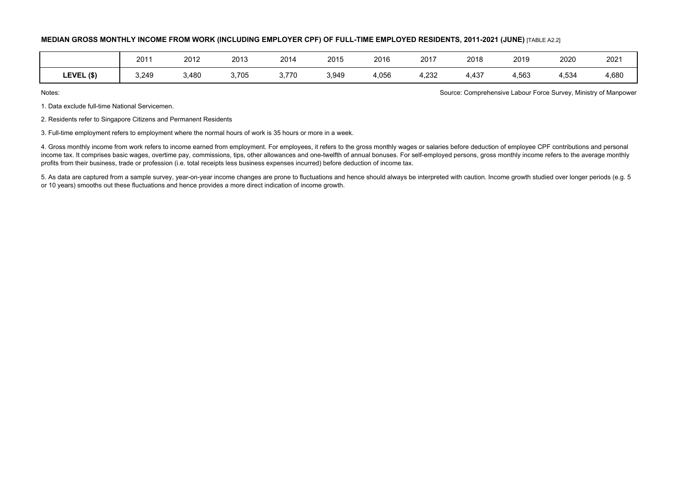#### **MEDIAN GROSS MONTHLY INCOME FROM WORK (INCLUDING EMPLOYER CPF) OF FULL-TIME EMPLOYED RESIDENTS, 2011-2021 (JUNE)** [TABLE A2.2]

|            | 201   | 2012  | 2013  | 2014  | 2015  | 2016  | 2017  | 2018  | 2019  | 2020  | 2021  |
|------------|-------|-------|-------|-------|-------|-------|-------|-------|-------|-------|-------|
|            |       |       |       |       |       |       |       |       |       |       |       |
| LEVEL (\$) | 3,249 | 3,480 | 3,705 | 3,770 | 3,949 | 4,056 | 4,232 | 4,437 | 4,563 | 4,534 | 4,680 |

Notes: Source: Comprehensive Labour Force Survey, Ministry of Manpower

1. Data exclude full-time National Servicemen.

2. Residents refer to Singapore Citizens and Permanent Residents

3. Full-time employment refers to employment where the normal hours of work is 35 hours or more in a week.

4. Gross monthly income from work refers to income earned from employment. For employees, it refers to the gross monthly wages or salaries before deduction of employee CPF contributions and personal income tax. It comprises basic wages, overtime pay, commissions, tips, other allowances and one-twelfth of annual bonuses. For self-employed persons, gross monthly income refers to the average monthly profits from their business, trade or profession (i.e. total receipts less business expenses incurred) before deduction of income tax.

5. As data are captured from a sample survey, year-on-year income changes are prone to fluctuations and hence should always be interpreted with caution. Income growth studied over longer periods (e.g. 5 or 10 years) smooths out these fluctuations and hence provides a more direct indication of income growth.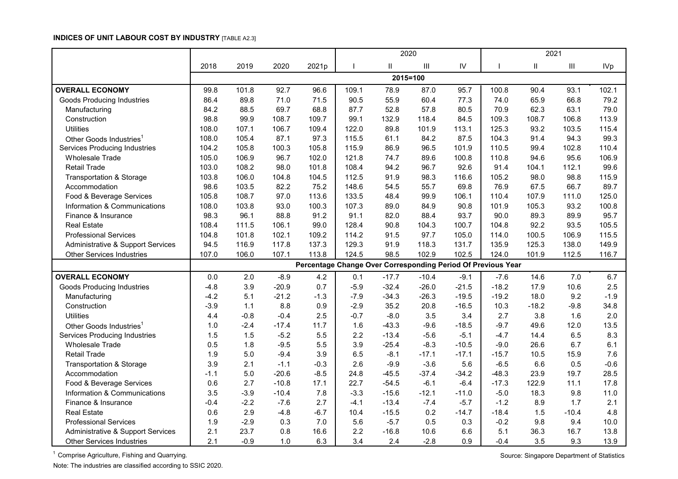## **INDICES OF UNIT LABOUR COST BY INDUSTRY** [TABLE A2.3]

|                                      |        |        |         |                                                              | 2020   |          |                    |         |         | 2021          |                                    |            |
|--------------------------------------|--------|--------|---------|--------------------------------------------------------------|--------|----------|--------------------|---------|---------|---------------|------------------------------------|------------|
|                                      | 2018   | 2019   | 2020    | 2021p                                                        |        | Ш        | $\mathop{\rm III}$ | IV      |         | $\mathbf{II}$ | $\ensuremath{\mathsf{III}}\xspace$ | <b>IVp</b> |
|                                      |        |        |         |                                                              |        | 2015=100 |                    |         |         |               |                                    |            |
| <b>OVERALL ECONOMY</b>               | 99.8   | 101.8  | 92.7    | 96.6                                                         | 109.1  | 78.9     | 87.0               | 95.7    | 100.8   | 90.4          | 93.1                               | 102.1      |
| <b>Goods Producing Industries</b>    | 86.4   | 89.8   | 71.0    | 71.5                                                         | 90.5   | 55.9     | 60.4               | 77.3    | 74.0    | 65.9          | 66.8                               | 79.2       |
| Manufacturing                        | 84.2   | 88.5   | 69.7    | 68.8                                                         | 87.7   | 52.8     | 57.8               | 80.5    | 70.9    | 62.3          | 63.1                               | 79.0       |
| Construction                         | 98.8   | 99.9   | 108.7   | 109.7                                                        | 99.1   | 132.9    | 118.4              | 84.5    | 109.3   | 108.7         | 106.8                              | 113.9      |
| <b>Utilities</b>                     | 108.0  | 107.1  | 106.7   | 109.4                                                        | 122.0  | 89.8     | 101.9              | 113.1   | 125.3   | 93.2          | 103.5                              | 115.4      |
| Other Goods Industries <sup>1</sup>  | 108.0  | 105.4  | 87.1    | 97.3                                                         | 115.5  | 61.1     | 84.2               | 87.5    | 104.3   | 91.4          | 94.3                               | 99.3       |
| <b>Services Producing Industries</b> | 104.2  | 105.8  | 100.3   | 105.8                                                        | 115.9  | 86.9     | 96.5               | 101.9   | 110.5   | 99.4          | 102.8                              | 110.4      |
| <b>Wholesale Trade</b>               | 105.0  | 106.9  | 96.7    | 102.0                                                        | 121.8  | 74.7     | 89.6               | 100.8   | 110.8   | 94.6          | 95.6                               | 106.9      |
| <b>Retail Trade</b>                  | 103.0  | 108.2  | 98.0    | 101.8                                                        | 108.4  | 94.2     | 96.7               | 92.6    | 91.4    | 104.1         | 112.1                              | 99.6       |
| Transportation & Storage             | 103.8  | 106.0  | 104.8   | 104.5                                                        | 112.5  | 91.9     | 98.3               | 116.6   | 105.2   | 98.0          | 98.8                               | 115.9      |
| Accommodation                        | 98.6   | 103.5  | 82.2    | 75.2                                                         | 148.6  | 54.5     | 55.7               | 69.8    | 76.9    | 67.5          | 66.7                               | 89.7       |
| Food & Beverage Services             | 105.8  | 108.7  | 97.0    | 113.6                                                        | 133.5  | 48.4     | 99.9               | 106.1   | 110.4   | 107.9         | 111.0                              | 125.0      |
| Information & Communications         | 108.0  | 103.8  | 93.0    | 100.3                                                        | 107.3  | 89.0     | 84.9               | 90.8    | 101.9   | 105.3         | 93.2                               | 100.8      |
| Finance & Insurance                  | 98.3   | 96.1   | 88.8    | 91.2                                                         | 91.1   | 82.0     | 88.4               | 93.7    | 90.0    | 89.3          | 89.9                               | 95.7       |
| <b>Real Estate</b>                   | 108.4  | 111.5  | 106.1   | 99.0                                                         | 128.4  | 90.8     | 104.3              | 100.7   | 104.8   | 92.2          | 93.5                               | 105.5      |
| <b>Professional Services</b>         | 104.8  | 101.8  | 102.1   | 109.2                                                        | 114.2  | 91.5     | 97.7               | 105.0   | 114.0   | 100.5         | 106.9                              | 115.5      |
| Administrative & Support Services    | 94.5   | 116.9  | 117.8   | 137.3                                                        | 129.3  | 91.9     | 118.3              | 131.7   | 135.9   | 125.3         | 138.0                              | 149.9      |
| <b>Other Services Industries</b>     | 107.0  | 106.0  | 107.1   | 113.8                                                        | 124.5  | 98.5     | 102.9              | 102.5   | 124.0   | 101.9         | 112.5                              | 116.7      |
|                                      |        |        |         | Percentage Change Over Corresponding Period Of Previous Year |        |          |                    |         |         |               |                                    |            |
| <b>OVERALL ECONOMY</b>               | 0.0    | 2.0    | $-8.9$  | 4.2                                                          | 0.1    | $-17.7$  | $-10.4$            | $-9.1$  | $-7.6$  | 14.6          | 7.0                                | 6.7        |
| <b>Goods Producing Industries</b>    | $-4.8$ | 3.9    | $-20.9$ | 0.7                                                          | $-5.9$ | $-32.4$  | $-26.0$            | $-21.5$ | $-18.2$ | 17.9          | 10.6                               | 2.5        |
| Manufacturing                        | $-4.2$ | 5.1    | $-21.2$ | $-1.3$                                                       | $-7.9$ | $-34.3$  | $-26.3$            | $-19.5$ | $-19.2$ | 18.0          | 9.2                                | $-1.9$     |
| Construction                         | $-3.9$ | 1.1    | 8.8     | 0.9                                                          | $-2.9$ | 35.2     | 20.8               | $-16.5$ | 10.3    | $-18.2$       | $-9.8$                             | 34.8       |
| <b>Utilities</b>                     | 4.4    | $-0.8$ | $-0.4$  | 2.5                                                          | $-0.7$ | $-8.0$   | 3.5                | 3.4     | 2.7     | 3.8           | 1.6                                | 2.0        |
| Other Goods Industries <sup>1</sup>  | 1.0    | $-2.4$ | $-17.4$ | 11.7                                                         | 1.6    | $-43.3$  | $-9.6$             | $-18.5$ | $-9.7$  | 49.6          | 12.0                               | 13.5       |
| <b>Services Producing Industries</b> | 1.5    | 1.5    | $-5.2$  | 5.5                                                          | 2.2    | $-13.4$  | $-5.6$             | $-5.1$  | $-4.7$  | 14.4          | 6.5                                | 8.3        |
| <b>Wholesale Trade</b>               | 0.5    | 1.8    | $-9.5$  | 5.5                                                          | 3.9    | $-25.4$  | $-8.3$             | $-10.5$ | $-9.0$  | 26.6          | 6.7                                | 6.1        |
| <b>Retail Trade</b>                  | 1.9    | 5.0    | $-9.4$  | 3.9                                                          | 6.5    | $-8.1$   | $-17.1$            | $-17.1$ | $-15.7$ | 10.5          | 15.9                               | 7.6        |
| <b>Transportation &amp; Storage</b>  | 3.9    | 2.1    | $-1.1$  | $-0.3$                                                       | 2.6    | $-9.9$   | $-3.6$             | 5.6     | $-6.5$  | 6.6           | 0.5                                | $-0.6$     |
| Accommodation                        | $-1.1$ | 5.0    | $-20.6$ | $-8.5$                                                       | 24.8   | $-45.5$  | $-37.4$            | $-34.2$ | $-48.3$ | 23.9          | 19.7                               | 28.5       |
| Food & Beverage Services             | 0.6    | 2.7    | $-10.8$ | 17.1                                                         | 22.7   | $-54.5$  | $-6.1$             | $-6.4$  | $-17.3$ | 122.9         | 11.1                               | 17.8       |
| Information & Communications         | 3.5    | $-3.9$ | $-10.4$ | 7.8                                                          | $-3.3$ | $-15.6$  | $-12.1$            | $-11.0$ | $-5.0$  | 18.3          | 9.8                                | 11.0       |
| Finance & Insurance                  | $-0.4$ | $-2.2$ | $-7.6$  | 2.7                                                          | $-4.1$ | $-13.4$  | $-7.4$             | $-5.7$  | $-1.2$  | 8.9           | 1.7                                | 2.1        |
| <b>Real Estate</b>                   | 0.6    | 2.9    | $-4.8$  | $-6.7$                                                       | 10.4   | $-15.5$  | 0.2                | $-14.7$ | $-18.4$ | 1.5           | $-10.4$                            | 4.8        |
| <b>Professional Services</b>         | 1.9    | $-2.9$ | 0.3     | 7.0                                                          | 5.6    | $-5.7$   | 0.5                | 0.3     | $-0.2$  | 9.8           | 9.4                                | 10.0       |
| Administrative & Support Services    | 2.1    | 23.7   | 0.8     | 16.6                                                         | 2.2    | $-16.8$  | 10.6               | 6.6     | 5.1     | 36.3          | 16.7                               | 13.8       |
| <b>Other Services Industries</b>     | 2.1    | $-0.9$ | 1.0     | 6.3                                                          | 3.4    | 2.4      | $-2.8$             | 0.9     | $-0.4$  | 3.5           | 9.3                                | 13.9       |

<sup>1</sup> Comprise Agriculture, Fishing and Quarrying. Source: Singapore Department of Statistics Comprise Agriculture, Fishing and Quarrying. Note: The industries are classified according to SSIC 2020.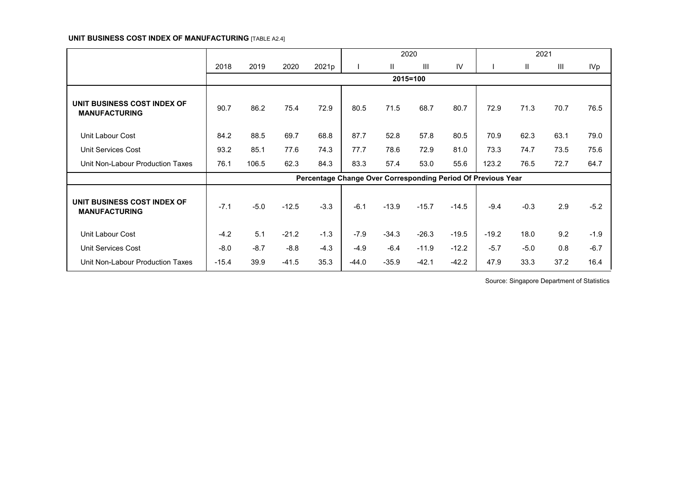## **UNIT BUSINESS COST INDEX OF MANUFACTURING** [TABLE A2.4]

|                                                     |         |        |         |                                                              |         |              | 2020     |         |         | 2021         |      |        |
|-----------------------------------------------------|---------|--------|---------|--------------------------------------------------------------|---------|--------------|----------|---------|---------|--------------|------|--------|
|                                                     | 2018    | 2019   | 2020    | 2021p                                                        |         | $\mathbf{H}$ | III      | IV      |         | $\mathbf{H}$ | III  | IVp    |
|                                                     |         |        |         |                                                              |         |              | 2015=100 |         |         |              |      |        |
| UNIT BUSINESS COST INDEX OF<br><b>MANUFACTURING</b> | 90.7    | 86.2   | 75.4    | 72.9                                                         | 80.5    | 71.5         | 68.7     | 80.7    | 72.9    | 71.3         | 70.7 | 76.5   |
| Unit Labour Cost                                    | 84.2    | 88.5   | 69.7    | 68.8                                                         | 87.7    | 52.8         | 57.8     | 80.5    | 70.9    | 62.3         | 63.1 | 79.0   |
| <b>Unit Services Cost</b>                           | 93.2    | 85.1   | 77.6    | 74.3                                                         | 77.7    | 78.6         | 72.9     | 81.0    | 73.3    | 74.7         | 73.5 | 75.6   |
| Unit Non-Labour Production Taxes                    | 76.1    | 106.5  | 62.3    | 84.3                                                         | 83.3    | 57.4         | 53.0     | 55.6    | 123.2   | 76.5         | 72.7 | 64.7   |
|                                                     |         |        |         | Percentage Change Over Corresponding Period Of Previous Year |         |              |          |         |         |              |      |        |
| UNIT BUSINESS COST INDEX OF<br><b>MANUFACTURING</b> | $-7.1$  | $-5.0$ | $-12.5$ | $-3.3$                                                       | $-6.1$  | $-13.9$      | $-15.7$  | $-14.5$ | $-9.4$  | $-0.3$       | 2.9  | $-5.2$ |
| <b>Unit Labour Cost</b>                             | $-4.2$  | 5.1    | $-21.2$ | $-1.3$                                                       | $-7.9$  | $-34.3$      | $-26.3$  | $-19.5$ | $-19.2$ | 18.0         | 9.2  | $-1.9$ |
| Unit Services Cost                                  | $-8.0$  | $-8.7$ | $-8.8$  | $-4.3$                                                       | $-4.9$  | $-6.4$       | $-11.9$  | $-12.2$ | $-5.7$  | $-5.0$       | 0.8  | $-6.7$ |
| Unit Non-Labour Production Taxes                    | $-15.4$ | 39.9   | $-41.5$ | 35.3                                                         | $-44.0$ | $-35.9$      | $-42.1$  | $-42.2$ | 47.9    | 33.3         | 37.2 | 16.4   |

Source: Singapore Department of Statistics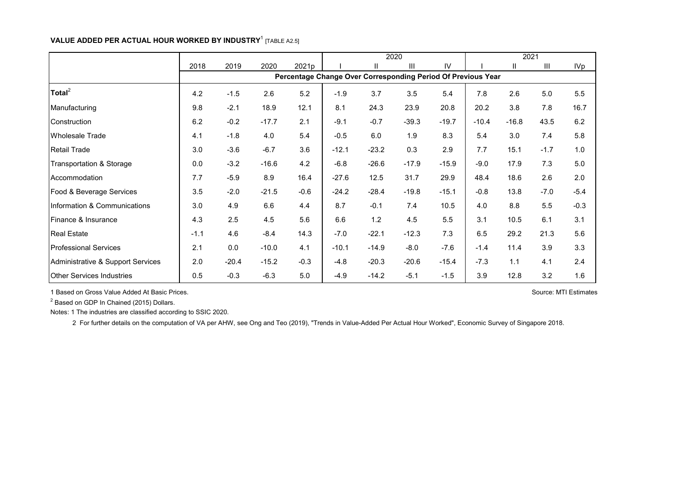# **VALUE ADDED PER ACTUAL HOUR WORKED BY INDUSTRY**<sup>1</sup> [TABLE A2.5]

|                                   |        |         |         |        |                                                              | 2020         |         | 2021    |         |         |        |        |
|-----------------------------------|--------|---------|---------|--------|--------------------------------------------------------------|--------------|---------|---------|---------|---------|--------|--------|
|                                   | 2018   | 2019    | 2020    | 2021p  |                                                              | $\mathbf{I}$ | III     | IV      |         | Ш       | III    | IVp    |
|                                   |        |         |         |        | Percentage Change Over Corresponding Period Of Previous Year |              |         |         |         |         |        |        |
| $\text{Total}^2$                  | 4.2    | $-1.5$  | 2.6     | 5.2    | $-1.9$                                                       | 3.7          | 3.5     | 5.4     | 7.8     | 2.6     | 5.0    | 5.5    |
| Manufacturing                     | 9.8    | $-2.1$  | 18.9    | 12.1   | 8.1                                                          | 24.3         | 23.9    | 20.8    | 20.2    | 3.8     | 7.8    | 16.7   |
| Construction                      | 6.2    | $-0.2$  | $-17.7$ | 2.1    | $-9.1$                                                       | $-0.7$       | $-39.3$ | $-19.7$ | $-10.4$ | $-16.8$ | 43.5   | 6.2    |
| <b>Wholesale Trade</b>            | 4.1    | $-1.8$  | 4.0     | 5.4    | $-0.5$                                                       | 6.0          | 1.9     | 8.3     | 5.4     | 3.0     | 7.4    | 5.8    |
| <b>Retail Trade</b>               | 3.0    | $-3.6$  | $-6.7$  | 3.6    | $-12.1$                                                      | $-23.2$      | 0.3     | 2.9     | 7.7     | 15.1    | $-1.7$ | 1.0    |
| Transportation & Storage          | 0.0    | $-3.2$  | $-16.6$ | 4.2    | $-6.8$                                                       | $-26.6$      | $-17.9$ | $-15.9$ | $-9.0$  | 17.9    | 7.3    | 5.0    |
| Accommodation                     | 7.7    | $-5.9$  | 8.9     | 16.4   | $-27.6$                                                      | 12.5         | 31.7    | 29.9    | 48.4    | 18.6    | 2.6    | 2.0    |
| Food & Beverage Services          | 3.5    | $-2.0$  | $-21.5$ | $-0.6$ | $-24.2$                                                      | $-28.4$      | $-19.8$ | $-15.1$ | $-0.8$  | 13.8    | $-7.0$ | $-5.4$ |
| Information & Communications      | 3.0    | 4.9     | 6.6     | 4.4    | 8.7                                                          | $-0.1$       | 7.4     | 10.5    | 4.0     | 8.8     | 5.5    | $-0.3$ |
| Finance & Insurance               | 4.3    | 2.5     | 4.5     | 5.6    | 6.6                                                          | 1.2          | 4.5     | 5.5     | 3.1     | 10.5    | 6.1    | 3.1    |
| <b>Real Estate</b>                | $-1.1$ | 4.6     | $-8.4$  | 14.3   | $-7.0$                                                       | $-22.1$      | $-12.3$ | 7.3     | 6.5     | 29.2    | 21.3   | 5.6    |
| <b>Professional Services</b>      | 2.1    | 0.0     | $-10.0$ | 4.1    | $-10.1$                                                      | $-14.9$      | $-8.0$  | $-7.6$  | $-1.4$  | 11.4    | 3.9    | 3.3    |
| Administrative & Support Services | 2.0    | $-20.4$ | $-15.2$ | $-0.3$ | $-4.8$                                                       | $-20.3$      | $-20.6$ | $-15.4$ | $-7.3$  | 1.1     | 4.1    | 2.4    |
| <b>Other Services Industries</b>  | 0.5    | $-0.3$  | $-6.3$  | 5.0    | $-4.9$                                                       | $-14.2$      | $-5.1$  | $-1.5$  | 3.9     | 12.8    | 3.2    | 1.6    |

1 Based on Gross Value Added At Basic Prices.

<sup>2</sup> Based on GDP In Chained (2015) Dollars.

Notes: 1 The industries are classified according to SSIC 2020.

2 For further details on the computation of VA per AHW, see Ong and Teo (2019), "Trends in Value-Added Per Actual Hour Worked", Economic Survey of Singapore 2018.

Source: MTI Estimates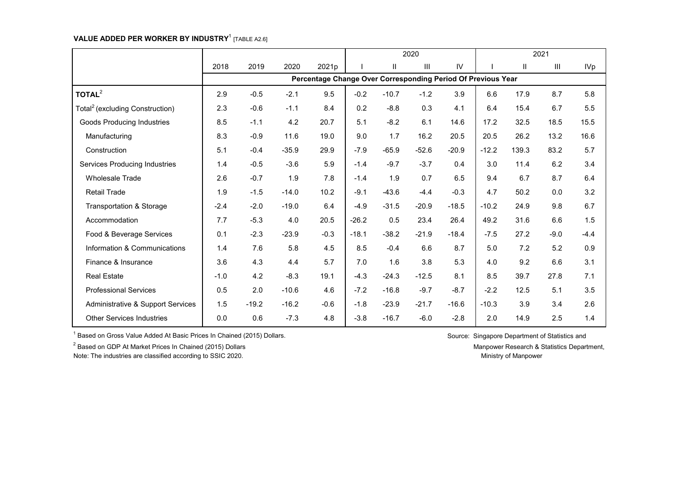# **VALUE ADDED PER WORKER BY INDUSTRY**<sup>1</sup> [TABLE A2.6]

|                                             |        |         |         |                                                              |         |         | 2020    |         |         |              | 2021           |            |
|---------------------------------------------|--------|---------|---------|--------------------------------------------------------------|---------|---------|---------|---------|---------|--------------|----------------|------------|
|                                             | 2018   | 2019    | 2020    | 2021p                                                        |         | Ш       | III     | IV      |         | $\mathbf{H}$ | $\mathbf{III}$ | <b>IVp</b> |
|                                             |        |         |         | Percentage Change Over Corresponding Period Of Previous Year |         |         |         |         |         |              |                |            |
| TOTAL <sup>2</sup>                          | 2.9    | $-0.5$  | $-2.1$  | 9.5                                                          | $-0.2$  | $-10.7$ | $-1.2$  | 3.9     | 6.6     | 17.9         | 8.7            | 5.8        |
| Total <sup>2</sup> (excluding Construction) | 2.3    | $-0.6$  | $-1.1$  | 8.4                                                          | 0.2     | $-8.8$  | 0.3     | 4.1     | 6.4     | 15.4         | 6.7            | 5.5        |
| <b>Goods Producing Industries</b>           | 8.5    | $-1.1$  | 4.2     | 20.7                                                         | 5.1     | $-8.2$  | 6.1     | 14.6    | 17.2    | 32.5         | 18.5           | 15.5       |
| Manufacturing                               | 8.3    | $-0.9$  | 11.6    | 19.0                                                         | 9.0     | 1.7     | 16.2    | 20.5    | 20.5    | 26.2         | 13.2           | 16.6       |
| Construction                                | 5.1    | $-0.4$  | $-35.9$ | 29.9                                                         | $-7.9$  | $-65.9$ | $-52.6$ | $-20.9$ | $-12.2$ | 139.3        | 83.2           | 5.7        |
| Services Producing Industries               | 1.4    | $-0.5$  | $-3.6$  | 5.9                                                          | $-1.4$  | $-9.7$  | $-3.7$  | 0.4     | 3.0     | 11.4         | 6.2            | 3.4        |
| Wholesale Trade                             | 2.6    | $-0.7$  | 1.9     | 7.8                                                          | $-1.4$  | 1.9     | 0.7     | 6.5     | 9.4     | 6.7          | 8.7            | 6.4        |
| <b>Retail Trade</b>                         | 1.9    | $-1.5$  | $-14.0$ | 10.2                                                         | $-9.1$  | $-43.6$ | $-4.4$  | $-0.3$  | 4.7     | 50.2         | 0.0            | 3.2        |
| <b>Transportation &amp; Storage</b>         | $-2.4$ | $-2.0$  | $-19.0$ | 6.4                                                          | $-4.9$  | $-31.5$ | $-20.9$ | $-18.5$ | $-10.2$ | 24.9         | 9.8            | 6.7        |
| Accommodation                               | 7.7    | $-5.3$  | 4.0     | 20.5                                                         | $-26.2$ | 0.5     | 23.4    | 26.4    | 49.2    | 31.6         | 6.6            | 1.5        |
| Food & Beverage Services                    | 0.1    | $-2.3$  | $-23.9$ | $-0.3$                                                       | $-18.1$ | $-38.2$ | $-21.9$ | $-18.4$ | $-7.5$  | 27.2         | $-9.0$         | $-4.4$     |
| Information & Communications                | 1.4    | 7.6     | 5.8     | 4.5                                                          | 8.5     | $-0.4$  | 6.6     | 8.7     | 5.0     | 7.2          | 5.2            | 0.9        |
| Finance & Insurance                         | 3.6    | 4.3     | 4.4     | 5.7                                                          | 7.0     | 1.6     | 3.8     | 5.3     | 4.0     | 9.2          | 6.6            | 3.1        |
| <b>Real Estate</b>                          | $-1.0$ | 4.2     | $-8.3$  | 19.1                                                         | $-4.3$  | $-24.3$ | $-12.5$ | 8.1     | 8.5     | 39.7         | 27.8           | 7.1        |
| <b>Professional Services</b>                | 0.5    | 2.0     | $-10.6$ | 4.6                                                          | $-7.2$  | $-16.8$ | $-9.7$  | $-8.7$  | $-2.2$  | 12.5         | 5.1            | 3.5        |
| Administrative & Support Services           | 1.5    | $-19.2$ | $-16.2$ | $-0.6$                                                       | $-1.8$  | $-23.9$ | $-21.7$ | $-16.6$ | $-10.3$ | 3.9          | 3.4            | 2.6        |
| <b>Other Services Industries</b>            | 0.0    | 0.6     | $-7.3$  | 4.8                                                          | $-3.8$  | $-16.7$ | $-6.0$  | $-2.8$  | 2.0     | 14.9         | 2.5            | 1.4        |

 $1$  Based on Gross Value Added At Basic Prices In Chained (2015) Dollars. Source: Singapore Department of Statistics and

<sup>2</sup> Based on GDP At Market Prices In Chained (2015) Dollars Manpower Research & Statistics Department,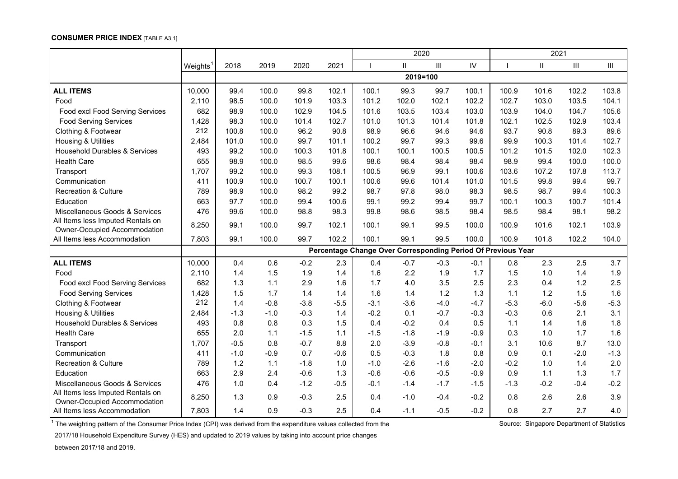#### **CONSUMER PRICE INDEX** [TABLE A3.1]

|                                          |                      |        |        |        |        | 2020   |              |        |        | 2021                                                         |               |        |                |
|------------------------------------------|----------------------|--------|--------|--------|--------|--------|--------------|--------|--------|--------------------------------------------------------------|---------------|--------|----------------|
|                                          | Weights <sup>1</sup> | 2018   | 2019   | 2020   | 2021   |        | $\mathbf{H}$ | III    | IV     |                                                              | $\mathbf{II}$ | III    | $\mathbf{III}$ |
|                                          |                      |        |        |        |        |        | 2019=100     |        |        |                                                              |               |        |                |
| <b>ALL ITEMS</b>                         | 10,000               | 99.4   | 100.0  | 99.8   | 102.1  | 100.1  | 99.3         | 99.7   | 100.1  | 100.9                                                        | 101.6         | 102.2  | 103.8          |
| Food                                     | 2,110                | 98.5   | 100.0  | 101.9  | 103.3  | 101.2  | 102.0        | 102.1  | 102.2  | 102.7                                                        | 103.0         | 103.5  | 104.1          |
| Food excl Food Serving Services          | 682                  | 98.9   | 100.0  | 102.9  | 104.5  | 101.6  | 103.5        | 103.4  | 103.0  | 103.9                                                        | 104.0         | 104.7  | 105.6          |
| <b>Food Serving Services</b>             | 1,428                | 98.3   | 100.0  | 101.4  | 102.7  | 101.0  | 101.3        | 101.4  | 101.8  | 102.1                                                        | 102.5         | 102.9  | 103.4          |
| Clothing & Footwear                      | 212                  | 100.8  | 100.0  | 96.2   | 90.8   | 98.9   | 96.6         | 94.6   | 94.6   | 93.7                                                         | 90.8          | 89.3   | 89.6           |
| <b>Housing &amp; Utilities</b>           | 2,484                | 101.0  | 100.0  | 99.7   | 101.1  | 100.2  | 99.7         | 99.3   | 99.6   | 99.9                                                         | 100.3         | 101.4  | 102.7          |
| <b>Household Durables &amp; Services</b> | 493                  | 99.2   | 100.0  | 100.3  | 101.8  | 100.1  | 100.1        | 100.5  | 100.5  | 101.2                                                        | 101.5         | 102.0  | 102.3          |
| <b>Health Care</b>                       | 655                  | 98.9   | 100.0  | 98.5   | 99.6   | 98.6   | 98.4         | 98.4   | 98.4   | 98.9                                                         | 99.4          | 100.0  | 100.0          |
| Transport                                | 1,707                | 99.2   | 100.0  | 99.3   | 108.1  | 100.5  | 96.9         | 99.1   | 100.6  | 103.6                                                        | 107.2         | 107.8  | 113.7          |
| Communication                            | 411                  | 100.9  | 100.0  | 100.7  | 100.1  | 100.6  | 99.6         | 101.4  | 101.0  | 101.5                                                        | 99.8          | 99.4   | 99.7           |
| <b>Recreation &amp; Culture</b>          | 789                  | 98.9   | 100.0  | 98.2   | 99.2   | 98.7   | 97.8         | 98.0   | 98.3   | 98.5                                                         | 98.7          | 99.4   | 100.3          |
| Education                                | 663                  | 97.7   | 100.0  | 99.4   | 100.6  | 99.1   | 99.2         | 99.4   | 99.7   | 100.1                                                        | 100.3         | 100.7  | 101.4          |
| Miscellaneous Goods & Services           | 476                  | 99.6   | 100.0  | 98.8   | 98.3   | 99.8   | 98.6         | 98.5   | 98.4   | 98.5                                                         | 98.4          | 98.1   | 98.2           |
| All Items less Imputed Rentals on        | 8,250                | 99.1   | 100.0  | 99.7   | 102.1  | 100.1  | 99.1         | 99.5   | 100.0  | 100.9                                                        | 101.6         | 102.1  | 103.9          |
| Owner-Occupied Accommodation             |                      |        |        |        |        |        |              |        |        |                                                              |               |        |                |
| All Items less Accommodation             | 7,803                | 99.1   | 100.0  | 99.7   | 102.2  | 100.1  | 99.1         | 99.5   | 100.0  | 100.9                                                        | 101.8         | 102.2  | 104.0          |
|                                          |                      |        |        |        |        |        |              |        |        | Percentage Change Over Corresponding Period Of Previous Year |               |        |                |
| <b>ALL ITEMS</b>                         | 10,000               | 0.4    | 0.6    | $-0.2$ | 2.3    | 0.4    | $-0.7$       | $-0.3$ | $-0.1$ | 0.8                                                          | 2.3           | 2.5    | 3.7            |
| Food                                     | 2,110                | 1.4    | 1.5    | 1.9    | 1.4    | 1.6    | 2.2          | 1.9    | 1.7    | 1.5                                                          | 1.0           | 1.4    | 1.9            |
| Food excl Food Serving Services          | 682                  | 1.3    | 1.1    | 2.9    | 1.6    | 1.7    | 4.0          | 3.5    | 2.5    | 2.3                                                          | 0.4           | 1.2    | 2.5            |
| <b>Food Serving Services</b>             | 1,428                | 1.5    | 1.7    | 1.4    | 1.4    | 1.6    | 1.4          | 1.2    | 1.3    | 1.1                                                          | 1.2           | 1.5    | 1.6            |
| Clothing & Footwear                      | 212                  | 1.4    | $-0.8$ | $-3.8$ | $-5.5$ | $-3.1$ | $-3.6$       | $-4.0$ | $-4.7$ | $-5.3$                                                       | $-6.0$        | $-5.6$ | $-5.3$         |
| Housing & Utilities                      | 2,484                | $-1.3$ | $-1.0$ | $-0.3$ | 1.4    | $-0.2$ | 0.1          | $-0.7$ | $-0.3$ | $-0.3$                                                       | 0.6           | 2.1    | 3.1            |
| Household Durables & Services            | 493                  | 0.8    | 0.8    | 0.3    | 1.5    | 0.4    | $-0.2$       | 0.4    | 0.5    | 1.1                                                          | 1.4           | 1.6    | 1.8            |
| <b>Health Care</b>                       | 655                  | 2.0    | 1.1    | $-1.5$ | 1.1    | $-1.5$ | $-1.8$       | $-1.9$ | $-0.9$ | 0.3                                                          | 1.0           | 1.7    | 1.6            |
| Transport                                | 1,707                | $-0.5$ | 0.8    | $-0.7$ | 8.8    | 2.0    | $-3.9$       | $-0.8$ | $-0.1$ | 3.1                                                          | 10.6          | 8.7    | 13.0           |
| Communication                            | 411                  | $-1.0$ | $-0.9$ | 0.7    | $-0.6$ | 0.5    | $-0.3$       | 1.8    | 0.8    | 0.9                                                          | 0.1           | $-2.0$ | $-1.3$         |
| <b>Recreation &amp; Culture</b>          | 789                  | 1.2    | 1.1    | $-1.8$ | 1.0    | $-1.0$ | $-2.6$       | $-1.6$ | $-2.0$ | $-0.2$                                                       | 1.0           | 1.4    | 2.0            |
| Education                                | 663                  | 2.9    | 2.4    | $-0.6$ | 1.3    | $-0.6$ | $-0.6$       | $-0.5$ | $-0.9$ | 0.9                                                          | 1.1           | 1.3    | 1.7            |
| Miscellaneous Goods & Services           | 476                  | 1.0    | 0.4    | $-1.2$ | $-0.5$ | $-0.1$ | $-1.4$       | $-1.7$ | $-1.5$ | $-1.3$                                                       | $-0.2$        | $-0.4$ | $-0.2$         |
| All Items less Imputed Rentals on        | 8,250                | 1.3    | 0.9    | $-0.3$ | 2.5    | 0.4    | $-1.0$       | $-0.4$ | $-0.2$ | 0.8                                                          | 2.6           | 2.6    | 3.9            |
| Owner-Occupied Accommodation             |                      |        |        |        |        |        |              |        |        |                                                              |               |        |                |
| All Items less Accommodation             | 7,803                | 1.4    | 0.9    | $-0.3$ | 2.5    | 0.4    | $-1.1$       | $-0.5$ | $-0.2$ | 0.8                                                          | 2.7           | 2.7    | 4.0            |

 $\frac{1}{1}$  The weighting pattern of the Consumer Price Index (CPI) was derived from the expenditure values collected from the  $\sim$  Source: Singapore Department of Statistics

2017/18 Household Expenditure Survey (HES) and updated to 2019 values by taking into account price changes

between 2017/18 and 2019.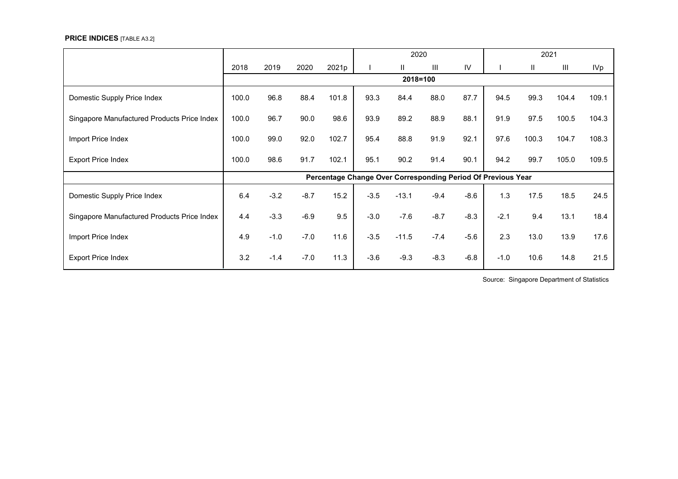#### **PRICE INDICES** [TABLE A3.2]

|                                             |       |        |        |       |        | 2020                                                         |        |        |        | 2021  |                |                 |
|---------------------------------------------|-------|--------|--------|-------|--------|--------------------------------------------------------------|--------|--------|--------|-------|----------------|-----------------|
|                                             | 2018  | 2019   | 2020   | 2021p |        | $\mathbf{H}$                                                 | III    | IV     |        | Ш     | $\mathbf{III}$ | IV <sub>p</sub> |
|                                             |       |        |        |       |        | 2018=100                                                     |        |        |        |       |                |                 |
| Domestic Supply Price Index                 | 100.0 | 96.8   | 88.4   | 101.8 | 93.3   | 84.4                                                         | 88.0   | 87.7   | 94.5   | 99.3  | 104.4          | 109.1           |
| Singapore Manufactured Products Price Index | 100.0 | 96.7   | 90.0   | 98.6  | 93.9   | 89.2                                                         | 88.9   | 88.1   | 91.9   | 97.5  | 100.5          | 104.3           |
| Import Price Index                          | 100.0 | 99.0   | 92.0   | 102.7 | 95.4   | 88.8                                                         | 91.9   | 92.1   | 97.6   | 100.3 | 104.7          | 108.3           |
| <b>Export Price Index</b>                   | 100.0 | 98.6   | 91.7   | 102.1 | 95.1   | 90.2                                                         | 91.4   | 90.1   | 94.2   | 99.7  | 105.0          | 109.5           |
|                                             |       |        |        |       |        | Percentage Change Over Corresponding Period Of Previous Year |        |        |        |       |                |                 |
| Domestic Supply Price Index                 | 6.4   | $-3.2$ | $-8.7$ | 15.2  | $-3.5$ | $-13.1$                                                      | $-9.4$ | $-8.6$ | 1.3    | 17.5  | 18.5           | 24.5            |
| Singapore Manufactured Products Price Index | 4.4   | $-3.3$ | $-6.9$ | 9.5   | $-3.0$ | $-7.6$                                                       | $-8.7$ | $-8.3$ | $-2.1$ | 9.4   | 13.1           | 18.4            |
| Import Price Index                          | 4.9   | $-1.0$ | $-7.0$ | 11.6  | $-3.5$ | $-11.5$                                                      | $-7.4$ | $-5.6$ | 2.3    | 13.0  | 13.9           | 17.6            |
| <b>Export Price Index</b>                   | 3.2   | $-1.4$ | $-7.0$ | 11.3  | $-3.6$ | $-9.3$                                                       | $-8.3$ | $-6.8$ | $-1.0$ | 10.6  | 14.8           | 21.5            |

Source: Singapore Department of Statistics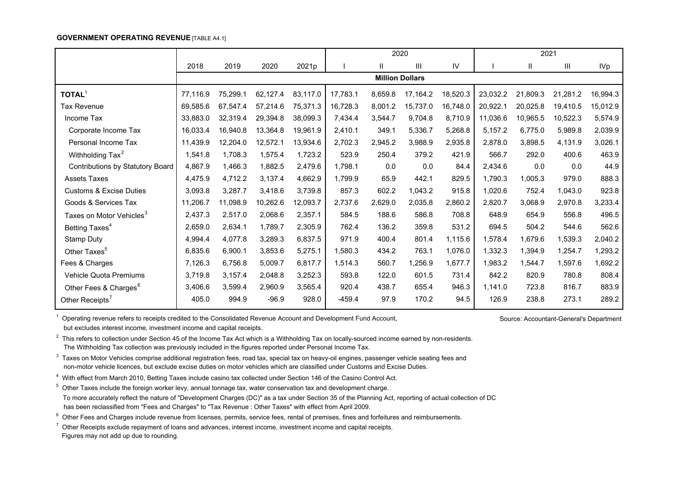#### **GOVERNMENT OPERATING REVENUE [TABLE A4.1]**

|                                      |          |          |          |          |          | 2020                   |          |          |          | 2021     |          |            |
|--------------------------------------|----------|----------|----------|----------|----------|------------------------|----------|----------|----------|----------|----------|------------|
|                                      | 2018     | 2019     | 2020     | 2021p    |          | Ш                      | Ш        | IV       |          | Ш        | Ш        | <b>IVp</b> |
|                                      |          |          |          |          |          | <b>Million Dollars</b> |          |          |          |          |          |            |
| <b>TOTAL<sup>1</sup></b>             | 77,116.9 | 75,299.1 | 62,127.4 | 83,117.0 | 17,783.1 | 8,659.8                | 17,164.2 | 18,520.3 | 23,032.2 | 21,809.3 | 21,281.2 | 16,994.3   |
| Tax Revenue                          | 69,585.6 | 67,547.4 | 57,214.6 | 75,371.3 | 16,728.3 | 8,001.2                | 15,737.0 | 16,748.0 | 20,922.1 | 20,025.8 | 19,410.5 | 15,012.9   |
| Income Tax                           | 33,883.0 | 32,319.4 | 29,394.8 | 38,099.3 | 7,434.4  | 3,544.7                | 9,704.8  | 8,710.9  | 11,036.6 | 10,965.5 | 10,522.3 | 5,574.9    |
| Corporate Income Tax                 | 16,033.4 | 16,940.8 | 13,364.8 | 19,961.9 | 2,410.1  | 349.1                  | 5.336.7  | 5,268.8  | 5,157.2  | 6,775.0  | 5,989.8  | 2,039.9    |
| Personal Income Tax                  | 11,439.9 | 12,204.0 | 12,572.1 | 13,934.6 | 2,702.3  | 2,945.2                | 3,988.9  | 2,935.8  | 2,878.0  | 3,898.5  | 4,131.9  | 3,026.1    |
| Withholding Tax <sup>2</sup>         | 1,541.8  | 1,708.3  | 1,575.4  | 1,723.2  | 523.9    | 250.4                  | 379.2    | 421.9    | 566.7    | 292.0    | 400.6    | 463.9      |
| Contributions by Statutory Board     | 4,867.9  | 1,466.3  | 1,882.5  | 2,479.6  | 1,798.1  | 0.0                    | 0.0      | 84.4     | 2,434.6  | 0.0      | 0.0      | 44.9       |
| <b>Assets Taxes</b>                  | 4,475.9  | 4,712.2  | 3,137.4  | 4,662.9  | 1.799.9  | 65.9                   | 442.1    | 829.5    | 1.790.3  | 1,005.3  | 979.0    | 888.3      |
| <b>Customs &amp; Excise Duties</b>   | 3,093.8  | 3,287.7  | 3,418.6  | 3,739.8  | 857.3    | 602.2                  | 1,043.2  | 915.8    | 1,020.6  | 752.4    | 1,043.0  | 923.8      |
| Goods & Services Tax                 | 11,206.7 | 11,098.9 | 10,262.6 | 12,093.7 | 2,737.6  | 2,629.0                | 2,035.8  | 2,860.2  | 2,820.7  | 3,068.9  | 2,970.8  | 3,233.4    |
| Taxes on Motor Vehicles <sup>3</sup> | 2,437.3  | 2,517.0  | 2,068.6  | 2,357.1  | 584.5    | 188.6                  | 586.8    | 708.8    | 648.9    | 654.9    | 556.8    | 496.5      |
| Betting Taxes <sup>4</sup>           | 2,659.0  | 2,634.1  | 1,789.7  | 2,305.9  | 762.4    | 136.2                  | 359.8    | 531.2    | 694.5    | 504.2    | 544.6    | 562.6      |
| <b>Stamp Duty</b>                    | 4,994.4  | 4,077.8  | 3,289.3  | 6,837.5  | 971.9    | 400.4                  | 801.4    | 1,115.6  | 1,578.4  | 1,679.6  | 1,539.3  | 2,040.2    |
| Other Taxes <sup>5</sup>             | 6,835.6  | 6,900.1  | 3,853.6  | 5,275.1  | 1,580.3  | 434.2                  | 763.1    | 1,076.0  | 1,332.3  | 1,394.9  | 1,254.7  | 1,293.2    |
| Fees & Charges                       | 7,126.3  | 6,756.8  | 5,009.7  | 6,817.7  | 1,514.3  | 560.7                  | 1,256.9  | 1,677.7  | 1,983.2  | 1,544.7  | 1,597.6  | 1,692.2    |
| Vehicle Quota Premiums               | 3,719.8  | 3,157.4  | 2,048.8  | 3,252.3  | 593.8    | 122.0                  | 601.5    | 731.4    | 842.2    | 820.9    | 780.8    | 808.4      |
| Other Fees & Charges <sup>6</sup>    | 3,406.6  | 3,599.4  | 2,960.9  | 3,565.4  | 920.4    | 438.7                  | 655.4    | 946.3    | 1,141.0  | 723.8    | 816.7    | 883.9      |
| Other Receipts <sup>7</sup>          | 405.0    | 994.9    | $-96.9$  | 928.0    | $-459.4$ | 97.9                   | 170.2    | 94.5     | 126.9    | 238.8    | 273.1    | 289.2      |

Operating revenue refers to receipts credited to the Consolidated Revenue Account and Development Fund Account, Source: Accountant-General's Department but excludes interest income, investment income and capital receipts.

 $2$  This refers to collection under Section 45 of the Income Tax Act which is a Withholding Tax on locally-sourced income earned by non-residents. The Withholding Tax collection was previously included in the figures reported under Personal Income Tax.

 $3$  Taxes on Motor Vehicles comprise additional registration fees, road tax, special tax on heavy-oil engines, passenger vehicle seating fees and non-motor vehicle licences, but exclude excise duties on motor vehicles which are classified under Customs and Excise Duties.

4 With effect from March 2010, Betting Taxes include casino tax collected under Section 146 of the Casino Control Act.

 $5$  Other Taxes include the foreign worker levy, annual tonnage tax, water conservation tax and development charge.

 To more accurately reflect the nature of "Development Charges (DC)" as a tax under Section 35 of the Planning Act, reporting of actual collection of DC has been reclassified from "Fees and Charges" to "Tax Revenue : Other Taxes" with effect from April 2009.

<sup>6</sup> Other Fees and Charges include revenue from licenses, permits, service fees, rental of premises, fines and forfeitures and reimbursements.

 $7$  Other Receipts exclude repayment of loans and advances, interest income, investment income and capital receipts. Figures may not add up due to rounding.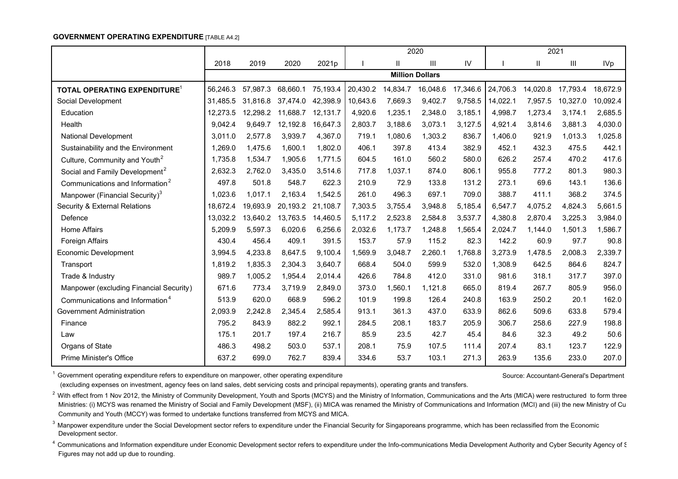#### **GOVERNMENT OPERATING EXPENDITURE** [TABLE A4.2]

|                                             |          |          |          |          |          |              | 2020                   |          |          |              | 2021     |            |
|---------------------------------------------|----------|----------|----------|----------|----------|--------------|------------------------|----------|----------|--------------|----------|------------|
|                                             | 2018     | 2019     | 2020     | 2021p    |          | $\mathbf{H}$ | III                    | IV       |          | $\mathbf{I}$ | Ш        | <b>IVp</b> |
|                                             |          |          |          |          |          |              | <b>Million Dollars</b> |          |          |              |          |            |
| TOTAL OPERATING EXPENDITURE <sup>1</sup>    | 56,246.3 | 57,987.3 | 68,660.1 | 75,193.4 | 20,430.2 | 14,834.7     | 16,048.6               | 17,346.6 | 24,706.3 | 14,020.8     | 17,793.4 | 18,672.9   |
| Social Development                          | 31.485.5 | 31,816.8 | 37,474.0 | 42,398.9 | 10,643.6 | 7,669.3      | 9,402.7                | 9,758.5  | 14,022.1 | 7,957.5      | 10,327.0 | 10,092.4   |
| Education                                   | 12.273.5 | 12,298.2 | 11,688.7 | 12,131.7 | 4,920.6  | 1,235.1      | 2,348.0                | 3,185.1  | 4,998.7  | 1,273.4      | 3,174.1  | 2,685.5    |
| Health                                      | 9,042.4  | 9,649.7  | 12,192.8 | 16,647.3 | 2,803.7  | 3,188.6      | 3,073.1                | 3,127.5  | 4,921.4  | 3,814.6      | 3,881.3  | 4,030.0    |
| <b>National Development</b>                 | 3,011.0  | 2,577.8  | 3,939.7  | 4,367.0  | 719.1    | 1,080.6      | 1,303.2                | 836.7    | 1,406.0  | 921.9        | 1,013.3  | 1,025.8    |
| Sustainability and the Environment          | 1,269.0  | 1,475.6  | 1,600.1  | 1,802.0  | 406.1    | 397.8        | 413.4                  | 382.9    | 452.1    | 432.3        | 475.5    | 442.1      |
| Culture, Community and Youth <sup>2</sup>   | 1,735.8  | 1,534.7  | 1,905.6  | 1.771.5  | 604.5    | 161.0        | 560.2                  | 580.0    | 626.2    | 257.4        | 470.2    | 417.6      |
| Social and Family Development <sup>2</sup>  | 2,632.3  | 2,762.0  | 3,435.0  | 3,514.6  | 717.8    | 1,037.1      | 874.0                  | 806.1    | 955.8    | 777.2        | 801.3    | 980.3      |
| Communications and Information <sup>2</sup> | 497.8    | 501.8    | 548.7    | 622.3    | 210.9    | 72.9         | 133.8                  | 131.2    | 273.1    | 69.6         | 143.1    | 136.6      |
| Manpower (Financial Security) <sup>3</sup>  | 1,023.6  | 1,017.1  | 2,163.4  | 1,542.5  | 261.0    | 496.3        | 697.1                  | 709.0    | 388.7    | 411.1        | 368.2    | 374.5      |
| <b>Security &amp; External Relations</b>    | 18,672.4 | 19,693.9 | 20,193.2 | 21,108.7 | 7,303.5  | 3,755.4      | 3,948.8                | 5,185.4  | 6,547.7  | 4,075.2      | 4,824.3  | 5,661.5    |
| Defence                                     | 13,032.2 | 13,640.2 | 13,763.5 | 14,460.5 | 5,117.2  | 2,523.8      | 2,584.8                | 3,537.7  | 4,380.8  | 2,870.4      | 3,225.3  | 3,984.0    |
| <b>Home Affairs</b>                         | 5.209.9  | 5,597.3  | 6,020.6  | 6,256.6  | 2,032.6  | 1,173.7      | 1,248.8                | 1,565.4  | 2,024.7  | 1,144.0      | 1,501.3  | 1,586.7    |
| Foreign Affairs                             | 430.4    | 456.4    | 409.1    | 391.5    | 153.7    | 57.9         | 115.2                  | 82.3     | 142.2    | 60.9         | 97.7     | 90.8       |
| <b>Economic Development</b>                 | 3.994.5  | 4,233.8  | 8.647.5  | 9,100.4  | 1,569.9  | 3,048.7      | 2,260.1                | 1,768.8  | 3,273.9  | 1,478.5      | 2,008.3  | 2,339.7    |
| Transport                                   | 1,819.2  | 1,835.3  | 2,304.3  | 3.640.7  | 668.4    | 504.0        | 599.9                  | 532.0    | 1,308.9  | 642.5        | 864.6    | 824.7      |
| Trade & Industry                            | 989.7    | 1,005.2  | 1,954.4  | 2.014.4  | 426.6    | 784.8        | 412.0                  | 331.0    | 981.6    | 318.1        | 317.7    | 397.0      |
| Manpower (excluding Financial Security)     | 671.6    | 773.4    | 3,719.9  | 2,849.0  | 373.0    | 1,560.1      | 1,121.8                | 665.0    | 819.4    | 267.7        | 805.9    | 956.0      |
| Communications and Information <sup>4</sup> | 513.9    | 620.0    | 668.9    | 596.2    | 101.9    | 199.8        | 126.4                  | 240.8    | 163.9    | 250.2        | 20.1     | 162.0      |
| Government Administration                   | 2,093.9  | 2,242.8  | 2,345.4  | 2,585.4  | 913.1    | 361.3        | 437.0                  | 633.9    | 862.6    | 509.6        | 633.8    | 579.4      |
| Finance                                     | 795.2    | 843.9    | 882.2    | 992.1    | 284.5    | 208.1        | 183.7                  | 205.9    | 306.7    | 258.6        | 227.9    | 198.8      |
| Law                                         | 175.1    | 201.7    | 197.4    | 216.7    | 85.9     | 23.5         | 42.7                   | 45.4     | 84.6     | 32.3         | 49.2     | 50.6       |
| Organs of State                             | 486.3    | 498.2    | 503.0    | 537.1    | 208.1    | 75.9         | 107.5                  | 111.4    | 207.4    | 83.1         | 123.7    | 122.9      |
| <b>Prime Minister's Office</b>              | 637.2    | 699.0    | 762.7    | 839.4    | 334.6    | 53.7         | 103.1                  | 271.3    | 263.9    | 135.6        | 233.0    | 207.0      |

<sup>1</sup> Government operating expenditure refers to expenditure on manpower, other operating expenditure Source: Accountant-General's Department

(excluding expenses on investment, agency fees on land sales, debt servicing costs and principal repayments), operating grants and transfers.

<sup>2</sup> With effect from 1 Nov 2012, the Ministry of Community Development, Youth and Sports (MCYS) and the Ministry of Information, Communications and the Arts (MICA) were restructured to form three Ministries: (i) MCYS was renamed the Ministry of Social and Family Development (MSF), (ii) MICA was renamed the Ministry of Communications and Information (MCI) and (iii) the new Ministry of Cu Community and Youth (MCCY) was formed to undertake functions transferred from MCYS and MICA.

<sup>3</sup> Manpower expenditure under the Social Development sector refers to expenditure under the Financial Security for Singaporeans programme, which has been reclassified from the Economic Development sector.

<sup>4</sup> Communications and Information expenditure under Economic Development sector refers to expenditure under the Info-communications Media Development Authority and Cyber Security Agency of S Figures may not add up due to rounding.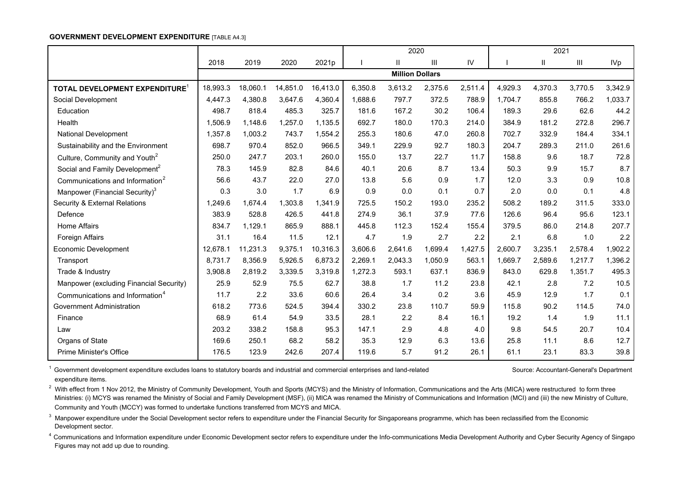#### **GOVERNMENT DEVELOPMENT EXPENDITURE** [TABLE A4.3]

|                                             |             |          |          |          |         | 2020                   |         |         |         | 2021        |         |            |
|---------------------------------------------|-------------|----------|----------|----------|---------|------------------------|---------|---------|---------|-------------|---------|------------|
|                                             | 2018        | 2019     | 2020     | 2021p    |         | $\mathbf{H}$           | Ш       | IV      |         | $\mathbf l$ | Ш       | <b>IVp</b> |
|                                             |             |          |          |          |         | <b>Million Dollars</b> |         |         |         |             |         |            |
| TOTAL DEVELOPMENT EXPENDITURE <sup>1</sup>  | 18,993.3    | 18,060.1 | 14,851.0 | 16,413.0 | 6,350.8 | 3,613.2                | 2,375.6 | 2,511.4 | 4,929.3 | 4,370.3     | 3,770.5 | 3,342.9    |
| Social Development                          | 4,447.3     | 4,380.8  | 3,647.6  | 4.360.4  | 1,688.6 | 797.7                  | 372.5   | 788.9   | 1.704.7 | 855.8       | 766.2   | 1,033.7    |
| Education                                   | 498.7       | 818.4    | 485.3    | 325.7    | 181.6   | 167.2                  | 30.2    | 106.4   | 189.3   | 29.6        | 62.6    | 44.2       |
| Health                                      | .506.9<br>1 | 1.148.6  | 1,257.0  | 1.135.5  | 692.7   | 180.0                  | 170.3   | 214.0   | 384.9   | 181.2       | 272.8   | 296.7      |
| <b>National Development</b>                 | 1,357.8     | 1,003.2  | 743.7    | 1,554.2  | 255.3   | 180.6                  | 47.0    | 260.8   | 702.7   | 332.9       | 184.4   | 334.1      |
| Sustainability and the Environment          | 698.7       | 970.4    | 852.0    | 966.5    | 349.1   | 229.9                  | 92.7    | 180.3   | 204.7   | 289.3       | 211.0   | 261.6      |
| Culture, Community and Youth <sup>2</sup>   | 250.0       | 247.7    | 203.1    | 260.0    | 155.0   | 13.7                   | 22.7    | 11.7    | 158.8   | 9.6         | 18.7    | 72.8       |
| Social and Family Development <sup>2</sup>  | 78.3        | 145.9    | 82.8     | 84.6     | 40.1    | 20.6                   | 8.7     | 13.4    | 50.3    | 9.9         | 15.7    | 8.7        |
| Communications and Information <sup>2</sup> | 56.6        | 43.7     | 22.0     | 27.0     | 13.8    | 5.6                    | 0.9     | 1.7     | 12.0    | 3.3         | 0.9     | 10.8       |
| Manpower (Financial Security) <sup>3</sup>  | 0.3         | 3.0      | 1.7      | 6.9      | 0.9     | 0.0                    | 0.1     | 0.7     | 2.0     | 0.0         | 0.1     | 4.8        |
| Security & External Relations               | 1,249.6     | 1,674.4  | 1,303.8  | 1,341.9  | 725.5   | 150.2                  | 193.0   | 235.2   | 508.2   | 189.2       | 311.5   | 333.0      |
| Defence                                     | 383.9       | 528.8    | 426.5    | 441.8    | 274.9   | 36.1                   | 37.9    | 77.6    | 126.6   | 96.4        | 95.6    | 123.1      |
| <b>Home Affairs</b>                         | 834.7       | 1,129.1  | 865.9    | 888.1    | 445.8   | 112.3                  | 152.4   | 155.4   | 379.5   | 86.0        | 214.8   | 207.7      |
| <b>Foreign Affairs</b>                      | 31.1        | 16.4     | 11.5     | 12.1     | 4.7     | 1.9                    | 2.7     | 2.2     | 2.1     | 6.8         | 1.0     | 2.2        |
| Economic Development                        | 12,678.1    | 11,231.3 | 9,375.1  | 10,316.3 | 3,606.6 | 2,641.6                | 1,699.4 | 1,427.5 | 2,600.7 | 3,235.1     | 2,578.4 | 1,902.2    |
| Transport                                   | 8,731.7     | 8,356.9  | 5,926.5  | 6,873.2  | 2,269.1 | 2,043.3                | 1,050.9 | 563.1   | 1,669.7 | 2,589.6     | 1,217.7 | 1,396.2    |
| Trade & Industry                            | 3,908.8     | 2,819.2  | 3,339.5  | 3,319.8  | 1,272.3 | 593.1                  | 637.1   | 836.9   | 843.0   | 629.8       | 1,351.7 | 495.3      |
| Manpower (excluding Financial Security)     | 25.9        | 52.9     | 75.5     | 62.7     | 38.8    | 1.7                    | 11.2    | 23.8    | 42.1    | 2.8         | 7.2     | 10.5       |
| Communications and Information <sup>4</sup> | 11.7        | 2.2      | 33.6     | 60.6     | 26.4    | 3.4                    | 0.2     | 3.6     | 45.9    | 12.9        | 1.7     | 0.1        |
| Government Administration                   | 618.2       | 773.6    | 524.5    | 394.4    | 330.2   | 23.8                   | 110.7   | 59.9    | 115.8   | 90.2        | 114.5   | 74.0       |
| Finance                                     | 68.9        | 61.4     | 54.9     | 33.5     | 28.1    | 2.2                    | 8.4     | 16.1    | 19.2    | 1.4         | 1.9     | 11.1       |
| Law                                         | 203.2       | 338.2    | 158.8    | 95.3     | 147.1   | 2.9                    | 4.8     | 4.0     | 9.8     | 54.5        | 20.7    | 10.4       |
| Organs of State                             | 169.6       | 250.1    | 68.2     | 58.2     | 35.3    | 12.9                   | 6.3     | 13.6    | 25.8    | 11.1        | 8.6     | 12.7       |
| <b>Prime Minister's Office</b>              | 176.5       | 123.9    | 242.6    | 207.4    | 119.6   | 5.7                    | 91.2    | 26.1    | 61.1    | 23.1        | 83.3    | 39.8       |

<sup>1</sup> Government development expenditure excludes loans to statutory boards and industrial and commercial enterprises and land-related Source: Accountant-General's Department expenditure items.

<sup>2</sup> With effect from 1 Nov 2012, the Ministry of Community Development, Youth and Sports (MCYS) and the Ministry of Information, Communications and the Arts (MICA) were restructured to form three Ministries: (i) MCYS was renamed the Ministry of Social and Family Development (MSF), (ii) MICA was renamed the Ministry of Communications and Information (MCI) and (iii) the new Ministry of Culture, Community and Youth (MCCY) was formed to undertake functions transferred from MCYS and MICA.

<sup>3</sup> Manpower expenditure under the Social Development sector refers to expenditure under the Financial Security for Singaporeans programme, which has been reclassified from the Economic Development sector.

<sup>4</sup> Communications and Information expenditure under Economic Development sector refers to expenditure under the Info-communications Media Development Authority and Cyber Security Agency of Singapo Figures may not add up due to rounding.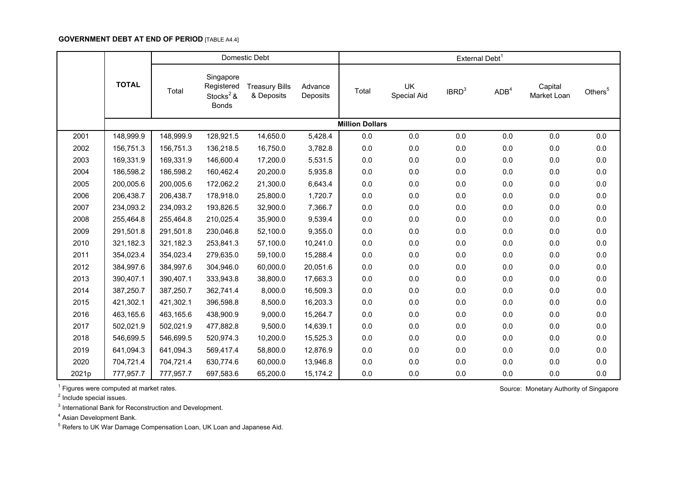# **GOVERNMENT DEBT AT END OF PERIOD** [TABLE A4.4]

|       |              |           |                                                                  | Domestic Debt                       |                     |                        |                   | External Debt <sup>1</sup> |                  |                        |                     |
|-------|--------------|-----------|------------------------------------------------------------------|-------------------------------------|---------------------|------------------------|-------------------|----------------------------|------------------|------------------------|---------------------|
|       | <b>TOTAL</b> | Total     | Singapore<br>Registered<br>Stocks <sup>2</sup> &<br><b>Bonds</b> | <b>Treasury Bills</b><br>& Deposits | Advance<br>Deposits | Total                  | UK<br>Special Aid | IBRD <sup>3</sup>          | ADB <sup>4</sup> | Capital<br>Market Loan | Others <sup>5</sup> |
|       |              |           |                                                                  |                                     |                     | <b>Million Dollars</b> |                   |                            |                  |                        |                     |
| 2001  | 148,999.9    | 148,999.9 | 128,921.5                                                        | 14,650.0                            | 5,428.4             | 0.0                    | $0.0\,$           | 0.0                        | 0.0              | $0.0\,$                | 0.0                 |
| 2002  | 156,751.3    | 156,751.3 | 136,218.5                                                        | 16,750.0                            | 3,782.8             | $0.0\,$                | 0.0               | 0.0                        | 0.0              | $0.0\,$                | 0.0                 |
| 2003  | 169,331.9    | 169,331.9 | 146,600.4                                                        | 17,200.0                            | 5,531.5             | 0.0                    | 0.0               | 0.0                        | 0.0              | $0.0\,$                | 0.0                 |
| 2004  | 186,598.2    | 186,598.2 | 160,462.4                                                        | 20,200.0                            | 5,935.8             | 0.0                    | 0.0               | 0.0                        | $0.0\,$          | $0.0\,$                | 0.0                 |
| 2005  | 200,005.6    | 200,005.6 | 172,062.2                                                        | 21,300.0                            | 6,643.4             | $0.0\,$                | 0.0               | 0.0                        | 0.0              | $0.0\,$                | 0.0                 |
| 2006  | 206,438.7    | 206,438.7 | 178,918.0                                                        | 25,800.0                            | 1,720.7             | 0.0                    | 0.0               | 0.0                        | 0.0              | $0.0\,$                | 0.0                 |
| 2007  | 234,093.2    | 234,093.2 | 193,826.5                                                        | 32,900.0                            | 7,366.7             | 0.0                    | 0.0               | 0.0                        | $0.0\,$          | $0.0\,$                | 0.0                 |
| 2008  | 255,464.8    | 255,464.8 | 210,025.4                                                        | 35,900.0                            | 9,539.4             | 0.0                    | 0.0               | 0.0                        | $0.0\,$          | $0.0\,$                | 0.0                 |
| 2009  | 291,501.8    | 291,501.8 | 230,046.8                                                        | 52,100.0                            | 9,355.0             | 0.0                    | 0.0               | 0.0                        | 0.0              | 0.0                    | 0.0                 |
| 2010  | 321,182.3    | 321,182.3 | 253,841.3                                                        | 57,100.0                            | 10,241.0            | 0.0                    | 0.0               | 0.0                        | $0.0\,$          | 0.0                    | 0.0                 |
| 2011  | 354,023.4    | 354,023.4 | 279,635.0                                                        | 59,100.0                            | 15,288.4            | 0.0                    | 0.0               | 0.0                        | $0.0\,$          | $0.0\,$                | 0.0                 |
| 2012  | 384,997.6    | 384,997.6 | 304,946.0                                                        | 60,000.0                            | 20,051.6            | 0.0                    | 0.0               | 0.0                        | $0.0\,$          | $0.0\,$                | 0.0                 |
| 2013  | 390,407.1    | 390,407.1 | 333,943.8                                                        | 38,800.0                            | 17,663.3            | 0.0                    | 0.0               | 0.0                        | 0.0              | 0.0                    | 0.0                 |
| 2014  | 387,250.7    | 387,250.7 | 362,741.4                                                        | 8,000.0                             | 16,509.3            | 0.0                    | 0.0               | 0.0                        | 0.0              | 0.0                    | 0.0                 |
| 2015  | 421,302.1    | 421,302.1 | 396,598.8                                                        | 8,500.0                             | 16,203.3            | 0.0                    | 0.0               | 0.0                        | 0.0              | $0.0\,$                | 0.0                 |
| 2016  | 463,165.6    | 463,165.6 | 438,900.9                                                        | 9,000.0                             | 15,264.7            | 0.0                    | $0.0\,$           | 0.0                        | 0.0              | $0.0\,$                | 0.0                 |
| 2017  | 502,021.9    | 502,021.9 | 477,882.8                                                        | 9,500.0                             | 14,639.1            | 0.0                    | 0.0               | 0.0                        | $0.0\,$          | $0.0\,$                | 0.0                 |
| 2018  | 546,699.5    | 546,699.5 | 520,974.3                                                        | 10,200.0                            | 15,525.3            | 0.0                    | 0.0               | 0.0                        | 0.0              | $0.0\,$                | 0.0                 |
| 2019  | 641,094.3    | 641,094.3 | 569,417.4                                                        | 58,800.0                            | 12,876.9            | $0.0\,$                | $0.0\,$           | 0.0                        | $0.0\,$          | $0.0\,$                | 0.0                 |
| 2020  | 704,721.4    | 704,721.4 | 630,774.6                                                        | 60,000.0                            | 13,946.8            | 0.0                    | 0.0               | 0.0                        | $0.0\,$          | $0.0\,$                | 0.0                 |
| 2021p | 777,957.7    | 777,957.7 | 697,583.6                                                        | 65,200.0                            | 15,174.2            | 0.0                    | 0.0               | 0.0                        | 0.0              | 0.0                    | 0.0                 |

 $1$  Figures were computed at market rates.  $\blacksquare$  Source: Monetary Authority of Singapore

<sup>2</sup> Include special issues.

 $3$  International Bank for Reconstruction and Development.

4 Asian Development Bank.

<sup>5</sup> Refers to UK War Damage Compensation Loan, UK Loan and Japanese Aid.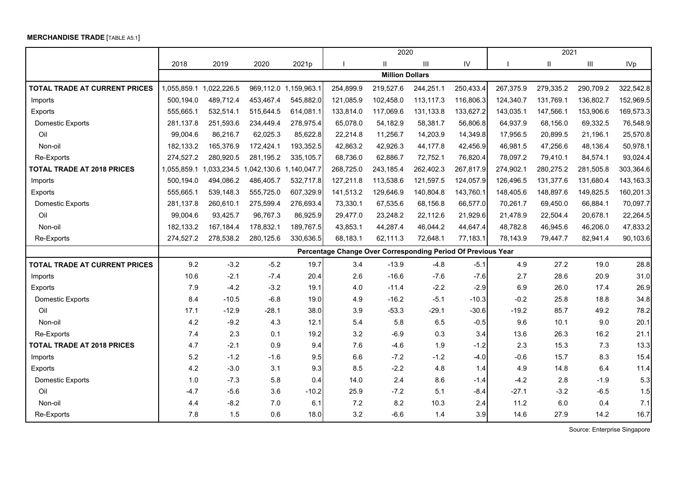## **MERCHANDISE TRADE** [TABLE A5.1]

|                                   |             |             |                         |                       |                                                              | 2020                   |           |           |           | 2021      |           |                 |
|-----------------------------------|-------------|-------------|-------------------------|-----------------------|--------------------------------------------------------------|------------------------|-----------|-----------|-----------|-----------|-----------|-----------------|
|                                   | 2018        | 2019        | 2020                    | 2021 <sub>p</sub>     |                                                              | Ш.                     | Ш         | IV        |           | Ш         | Ш         | IV <sub>p</sub> |
|                                   |             |             |                         |                       |                                                              | <b>Million Dollars</b> |           |           |           |           |           |                 |
| TOTAL TRADE AT CURRENT PRICES     | 1,055,859.1 | 1,022,226.5 |                         | 969,112.0 1,159,963.1 | 254,899.9                                                    | 219,527.6              | 244,251.1 | 250,433.4 | 267,375.9 | 279,335.2 | 290,709.2 | 322,542.8       |
| Imports                           | 500,194.0   | 489,712.4   | 453,467.4               | 545,882.0             | 121,085.9                                                    | 102,458.0              | 113,117.3 | 116,806.3 | 124,340.7 | 131,769.1 | 136,802.7 | 152,969.5       |
| Exports                           | 555,665.1   | 532,514.1   | 515,644.5               | 614,081.1             | 133,814.0                                                    | 117,069.6              | 131,133.8 | 133,627.2 | 143,035.1 | 147,566.1 | 153,906.6 | 169,573.3       |
| <b>Domestic Exports</b>           | 281,137.8   | 251,593.6   | 234,449.4               | 278,975.4             | 65,078.0                                                     | 54,182.9               | 58,381.7  | 56,806.8  | 64,937.9  | 68,156.0  | 69,332.5  | 76,548.9        |
| Oil                               | 99,004.6    | 86,216.7    | 62,025.3                | 85,622.8              | 22,214.8                                                     | 11,256.7               | 14,203.9  | 14,349.8  | 17,956.5  | 20,899.5  | 21,196.1  | 25,570.8        |
| Non-oil                           | 182,133.2   | 165,376.9   | 172,424.1               | 193,352.5             | 42,863.2                                                     | 42,926.3               | 44,177.8  | 42,456.9  | 46,981.5  | 47,256.6  | 48,136.4  | 50,978.1        |
| Re-Exports                        | 274,527.2   | 280,920.5   | 281,195.2               | 335,105.7             | 68,736.0                                                     | 62,886.7               | 72,752.1  | 76,820.4  | 78,097.2  | 79,410.1  | 84,574.1  | 93,024.4        |
| <b>TOTAL TRADE AT 2018 PRICES</b> | 1,055,859.1 | 1,033,234.5 | 1,042,130.6 1,140,047.7 |                       | 268,725.0                                                    | 243,185.4              | 262,402.3 | 267,817.9 | 274,902.1 | 280,275.2 | 281,505.8 | 303,364.6       |
| Imports                           | 500,194.0   | 494,086.2   | 486,405.7               | 532,717.8             | 127,211.8                                                    | 113,538.6              | 121,597.5 | 124,057.9 | 126,496.5 | 131,377.6 | 131,680.4 | 143,163.3       |
| Exports                           | 555.665.1   | 539,148.3   | 555,725.0               | 607,329.9             | 141,513.2                                                    | 129,646.9              | 140,804.8 | 143,760.1 | 148.405.6 | 148,897.6 | 149,825.5 | 160,201.3       |
| Domestic Exports                  | 281,137.8   | 260,610.1   | 275,599.4               | 276,693.4             | 73,330.1                                                     | 67,535.6               | 68,156.8  | 66,577.0  | 70,261.7  | 69,450.0  | 66,884.1  | 70,097.7        |
| Oil                               | 99.004.6    | 93.425.7    | 96,767.3                | 86,925.9              | 29,477.0                                                     | 23,248.2               | 22,112.6  | 21,929.6  | 21,478.9  | 22,504.4  | 20.678.1  | 22,264.5        |
| Non-oil                           | 182,133.2   | 167,184.4   | 178,832.1               | 189,767.5             | 43,853.1                                                     | 44,287.4               | 46,044.2  | 44,647.4  | 48,782.8  | 46,945.6  | 46,206.0  | 47,833.2        |
| Re-Exports                        | 274,527.2   | 278,538.2   | 280,125.6               | 330,636.5             | 68,183.1                                                     | 62,111.3               | 72,648.1  | 77,183.1  | 78.143.9  | 79,447.7  | 82,941.4  | 90,103.6        |
|                                   |             |             |                         |                       | Percentage Change Over Corresponding Period Of Previous Year |                        |           |           |           |           |           |                 |
| TOTAL TRADE AT CURRENT PRICES     | 9.2         | $-3.2$      | $-5.2$                  | 19.7                  | 3.4                                                          | $-13.9$                | $-4.8$    | $-5.1$    | 4.9       | 27.2      | 19.0      | 28.8            |
| Imports                           | 10.6        | $-2.1$      | $-7.4$                  | 20.4                  | 2.6                                                          | $-16.6$                | $-7.6$    | $-7.6$    | 2.7       | 28.6      | 20.9      | 31.0            |
| Exports                           | 7.9         | $-4.2$      | $-3.2$                  | 19.1                  | 4.0                                                          | $-11.4$                | $-2.2$    | $-2.9$    | 6.9       | 26.0      | 17.4      | 26.9            |
| Domestic Exports                  | 8.4         | $-10.5$     | $-6.8$                  | 19.0                  | 4.9                                                          | $-16.2$                | $-5.1$    | $-10.3$   | $-0.2$    | 25.8      | 18.8      | 34.8            |
| Oil                               | 17.1        | $-12.9$     | $-28.1$                 | 38.0                  | 3.9                                                          | $-53.3$                | $-29.1$   | $-30.6$   | $-19.2$   | 85.7      | 49.2      | 78.2            |
| Non-oil                           | 4.2         | $-9.2$      | 4.3                     | 12.1                  | 5.4                                                          | 5.8                    | 6.5       | $-0.5$    | 9.6       | 10.1      | 9.0       | 20.1            |
| Re-Exports                        | 7.4         | 2.3         | 0.1                     | 19.2                  | 3.2                                                          | $-6.9$                 | 0.3       | 3.4       | 13.6      | 26.3      | 16.2      | 21.1            |
| <b>TOTAL TRADE AT 2018 PRICES</b> | 4.7         | $-2.1$      | 0.9                     | 9.4                   | 7.6                                                          | $-4.6$                 | 1.9       | $-1.2$    | 2.3       | 15.3      | 7.3       | 13.3            |
| Imports                           | 5.2         | $-1.2$      | $-1.6$                  | 9.5                   | 6.6                                                          | $-7.2$                 | $-1.2$    | $-4.0$    | $-0.6$    | 15.7      | 8.3       | 15.4            |
| Exports                           | 4.2         | $-3.0$      | 3.1                     | 9.3                   | 8.5                                                          | $-2.2$                 | 4.8       | 1.4       | 4.9       | 14.8      | 6.4       | 11.4            |
| <b>Domestic Exports</b>           | 1.0         | $-7.3$      | 5.8                     | 0.4                   | 14.0                                                         | 2.4                    | 8.6       | $-1.4$    | $-4.2$    | 2.8       | $-1.9$    | 5.3             |
| Oil                               | $-4.7$      | $-5.6$      | 3.6                     | $-10.2$               | 25.9                                                         | $-7.2$                 | 5.1       | $-8.4$    | $-27.1$   | $-3.2$    | $-6.5$    | 1.5             |
| Non-oil                           | 4.4         | $-8.2$      | 7.0                     | 6.1                   | 7.2                                                          | 8.2                    | 10.3      | 2.4       | 11.2      | 6.0       | 0.4       | 7.1             |
| Re-Exports                        | 7.8         | 1.5         | 0.6                     | 18.0                  | 3.2                                                          | $-6.6$                 | 1.4       | 3.9       | 14.6      | 27.9      | 14.2      | 16.7            |

Source: Enterprise Singapore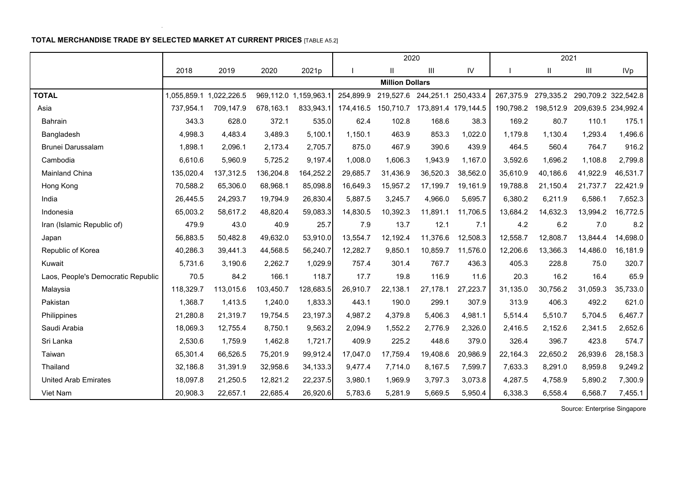# **TOTAL MERCHANDISE TRADE BY SELECTED MARKET AT CURRENT PRICES** [TABLE A5.2]

i.

|                                    |           |                         |           |                       |              | 2020                                    |                               |          |           | 2021                                    |          |                     |
|------------------------------------|-----------|-------------------------|-----------|-----------------------|--------------|-----------------------------------------|-------------------------------|----------|-----------|-----------------------------------------|----------|---------------------|
|                                    | 2018      | 2019                    | 2020      | 2021p                 | $\mathbf{I}$ | $\mathbf{H}$                            | III                           | IV       |           | Ш.                                      | Ш        | <b>IVp</b>          |
|                                    |           |                         |           |                       |              | <b>Million Dollars</b>                  |                               |          |           |                                         |          |                     |
| <b>TOTAL</b>                       |           | 1,055,859.1 1,022,226.5 |           | 969,112.0 1,159,963.1 |              | 254,899.9 219,527.6 244,251.1 250,433.4 |                               |          |           | 267,375.9 279,335.2 290,709.2 322,542.8 |          |                     |
| Asia                               | 737,954.1 | 709,147.9               | 678,163.1 | 833,943.1             | 174,416.5    |                                         | 150,710.7 173,891.4 179,144.5 |          | 190,798.2 | 198,512.9                               |          | 209,639.5 234,992.4 |
| Bahrain                            | 343.3     | 628.0                   | 372.1     | 535.0                 | 62.4         | 102.8                                   | 168.6                         | 38.3     | 169.2     | 80.7                                    | 110.1    | 175.1               |
| Bangladesh                         | 4,998.3   | 4,483.4                 | 3,489.3   | 5,100.1               | 1,150.1      | 463.9                                   | 853.3                         | 1,022.0  | 1,179.8   | 1,130.4                                 | 1,293.4  | 1,496.6             |
| Brunei Darussalam                  | 1,898.1   | 2,096.1                 | 2,173.4   | 2,705.7               | 875.0        | 467.9                                   | 390.6                         | 439.9    | 464.5     | 560.4                                   | 764.7    | 916.2               |
| Cambodia                           | 6,610.6   | 5,960.9                 | 5,725.2   | 9,197.4               | 1,008.0      | 1,606.3                                 | 1,943.9                       | 1,167.0  | 3,592.6   | 1,696.2                                 | 1,108.8  | 2,799.8             |
| Mainland China                     | 135,020.4 | 137,312.5               | 136,204.8 | 164,252.2             | 29,685.7     | 31,436.9                                | 36,520.3                      | 38,562.0 | 35,610.9  | 40,186.6                                | 41,922.9 | 46,531.7            |
| Hong Kong                          | 70,588.2  | 65,306.0                | 68,968.1  | 85,098.8              | 16,649.3     | 15,957.2                                | 17,199.7                      | 19,161.9 | 19,788.8  | 21,150.4                                | 21,737.7 | 22,421.9            |
| India                              | 26,445.5  | 24,293.7                | 19,794.9  | 26,830.4              | 5,887.5      | 3,245.7                                 | 4,966.0                       | 5,695.7  | 6,380.2   | 6,211.9                                 | 6,586.1  | 7,652.3             |
| Indonesia                          | 65,003.2  | 58,617.2                | 48,820.4  | 59,083.3              | 14,830.5     | 10,392.3                                | 11,891.1                      | 11,706.5 | 13,684.2  | 14,632.3                                | 13,994.2 | 16,772.5            |
| Iran (Islamic Republic of)         | 479.9     | 43.0                    | 40.9      | 25.7                  | 7.9          | 13.7                                    | 12.1                          | 7.1      | 4.2       | 6.2                                     | 7.0      | 8.2                 |
| Japan                              | 56,883.5  | 50,482.8                | 49,632.0  | 53,910.0              | 13,554.7     | 12,192.4                                | 11,376.6                      | 12,508.3 | 12,558.7  | 12,808.7                                | 13,844.4 | 14,698.0            |
| Republic of Korea                  | 40,286.3  | 39,441.3                | 44,568.5  | 56,240.7              | 12,282.7     | 9,850.1                                 | 10,859.7                      | 11,576.0 | 12,206.6  | 13,366.3                                | 14,486.0 | 16,181.9            |
| Kuwait                             | 5,731.6   | 3,190.6                 | 2,262.7   | 1,029.9               | 757.4        | 301.4                                   | 767.7                         | 436.3    | 405.3     | 228.8                                   | 75.0     | 320.7               |
| Laos, People's Democratic Republic | 70.5      | 84.2                    | 166.1     | 118.7                 | 17.7         | 19.8                                    | 116.9                         | 11.6     | 20.3      | 16.2                                    | 16.4     | 65.9                |
| Malaysia                           | 118,329.7 | 113,015.6               | 103,450.7 | 128,683.5             | 26,910.7     | 22,138.1                                | 27,178.1                      | 27,223.7 | 31,135.0  | 30,756.2                                | 31,059.3 | 35,733.0            |
| Pakistan                           | 1,368.7   | 1,413.5                 | 1,240.0   | 1,833.3               | 443.1        | 190.0                                   | 299.1                         | 307.9    | 313.9     | 406.3                                   | 492.2    | 621.0               |
| Philippines                        | 21,280.8  | 21,319.7                | 19,754.5  | 23,197.3              | 4,987.2      | 4,379.8                                 | 5,406.3                       | 4,981.1  | 5,514.4   | 5,510.7                                 | 5,704.5  | 6,467.7             |
| Saudi Arabia                       | 18,069.3  | 12,755.4                | 8,750.1   | 9,563.2               | 2,094.9      | 1,552.2                                 | 2,776.9                       | 2,326.0  | 2,416.5   | 2,152.6                                 | 2,341.5  | 2,652.6             |
| Sri Lanka                          | 2,530.6   | 1,759.9                 | 1,462.8   | 1,721.7               | 409.9        | 225.2                                   | 448.6                         | 379.0    | 326.4     | 396.7                                   | 423.8    | 574.7               |
| Taiwan                             | 65,301.4  | 66,526.5                | 75,201.9  | 99,912.4              | 17,047.0     | 17,759.4                                | 19,408.6                      | 20,986.9 | 22,164.3  | 22,650.2                                | 26,939.6 | 28,158.3            |
| Thailand                           | 32,186.8  | 31,391.9                | 32,958.6  | 34, 133.3             | 9,477.4      | 7,714.0                                 | 8,167.5                       | 7,599.7  | 7,633.3   | 8,291.0                                 | 8,959.8  | 9,249.2             |
| <b>United Arab Emirates</b>        | 18,097.8  | 21,250.5                | 12,821.2  | 22,237.5              | 3,980.1      | 1,969.9                                 | 3,797.3                       | 3,073.8  | 4,287.5   | 4,758.9                                 | 5,890.2  | 7,300.9             |
| Viet Nam                           | 20,908.3  | 22,657.1                | 22,685.4  | 26,920.6              | 5,783.6      | 5,281.9                                 | 5,669.5                       | 5,950.4  | 6,338.3   | 6,558.4                                 | 6,568.7  | 7,455.1             |

Source: Enterprise Singapore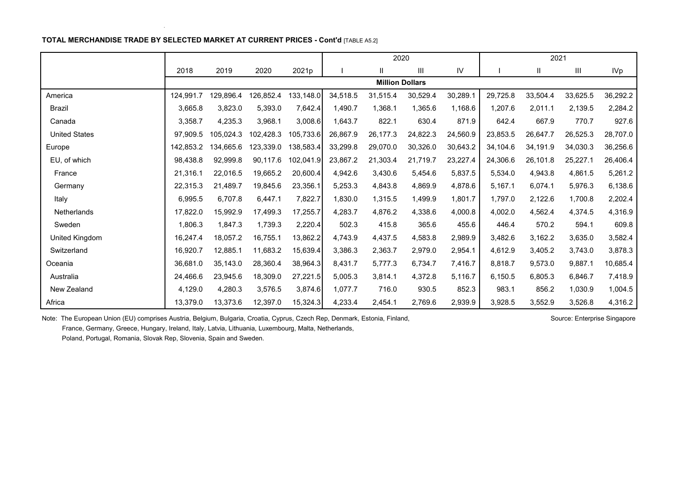## **TOTAL MERCHANDISE TRADE BY SELECTED MARKET AT CURRENT PRICES - Cont'd** [TABLE A5.2]

|                      |           |           |           |           |          | 2020                   |          |            |          | 2021     |          |            |
|----------------------|-----------|-----------|-----------|-----------|----------|------------------------|----------|------------|----------|----------|----------|------------|
|                      | 2018      | 2019      | 2020      | 2021p     |          | $\mathbf{H}$           | Ш        | ${\sf IV}$ |          | Ш        | Ш        | <b>IVp</b> |
|                      |           |           |           |           |          | <b>Million Dollars</b> |          |            |          |          |          |            |
| America              | 124,991.7 | 129,896.4 | 126,852.4 | 133,148.0 | 34,518.5 | 31,515.4               | 30,529.4 | 30,289.1   | 29,725.8 | 33,504.4 | 33,625.5 | 36,292.2   |
| <b>Brazil</b>        | 3,665.8   | 3,823.0   | 5,393.0   | 7,642.4   | 1,490.7  | 1,368.1                | 1,365.6  | 1,168.6    | 1,207.6  | 2,011.1  | 2,139.5  | 2,284.2    |
| Canada               | 3,358.7   | 4,235.3   | 3,968.1   | 3,008.6   | 1,643.7  | 822.1                  | 630.4    | 871.9      | 642.4    | 667.9    | 770.7    | 927.6      |
| <b>United States</b> | 97,909.5  | 105,024.3 | 102,428.3 | 105,733.6 | 26,867.9 | 26,177.3               | 24,822.3 | 24,560.9   | 23,853.5 | 26,647.7 | 26,525.3 | 28,707.0   |
| Europe               | 142,853.2 | 134,665.6 | 123,339.0 | 138,583.4 | 33,299.8 | 29,070.0               | 30,326.0 | 30,643.2   | 34,104.6 | 34,191.9 | 34,030.3 | 36,256.6   |
| EU, of which         | 98,438.8  | 92,999.8  | 90,117.6  | 102,041.9 | 23,867.2 | 21,303.4               | 21,719.7 | 23,227.4   | 24,306.6 | 26,101.8 | 25,227.1 | 26,406.4   |
| France               | 21,316.1  | 22,016.5  | 19,665.2  | 20,600.4  | 4,942.6  | 3,430.6                | 5,454.6  | 5,837.5    | 5,534.0  | 4,943.8  | 4,861.5  | 5,261.2    |
| Germany              | 22,315.3  | 21,489.7  | 19,845.6  | 23,356.1  | 5,253.3  | 4,843.8                | 4,869.9  | 4,878.6    | 5,167.1  | 6,074.1  | 5,976.3  | 6,138.6    |
| Italy                | 6,995.5   | 6,707.8   | 6,447.1   | 7,822.7   | 1,830.0  | 1,315.5                | 1,499.9  | 1,801.7    | 1,797.0  | 2,122.6  | 1,700.8  | 2,202.4    |
| <b>Netherlands</b>   | 17,822.0  | 15,992.9  | 17,499.3  | 17,255.7  | 4,283.7  | 4,876.2                | 4,338.6  | 4,000.8    | 4,002.0  | 4,562.4  | 4,374.5  | 4,316.9    |
| Sweden               | 1,806.3   | 1,847.3   | 1,739.3   | 2,220.4   | 502.3    | 415.8                  | 365.6    | 455.6      | 446.4    | 570.2    | 594.1    | 609.8      |
| United Kingdom       | 16,247.4  | 18,057.2  | 16,755.1  | 13,862.2  | 4,743.9  | 4,437.5                | 4,583.8  | 2,989.9    | 3,482.6  | 3,162.2  | 3,635.0  | 3,582.4    |
| Switzerland          | 16,920.7  | 12,885.1  | 11,683.2  | 15,639.4  | 3,386.3  | 2,363.7                | 2,979.0  | 2,954.1    | 4,612.9  | 3,405.2  | 3,743.0  | 3,878.3    |
| Oceania              | 36,681.0  | 35,143.0  | 28,360.4  | 38,964.3  | 8,431.7  | 5,777.3                | 6,734.7  | 7,416.7    | 8,818.7  | 9,573.0  | 9,887.1  | 10,685.4   |
| Australia            | 24,466.6  | 23,945.6  | 18,309.0  | 27,221.5  | 5,005.3  | 3,814.1                | 4,372.8  | 5,116.7    | 6,150.5  | 6,805.3  | 6,846.7  | 7,418.9    |
| New Zealand          | 4,129.0   | 4,280.3   | 3,576.5   | 3,874.6   | 1,077.7  | 716.0                  | 930.5    | 852.3      | 983.1    | 856.2    | 1,030.9  | 1,004.5    |
| Africa               | 13,379.0  | 13,373.6  | 12,397.0  | 15,324.3  | 4,233.4  | 2,454.1                | 2,769.6  | 2,939.9    | 3,928.5  | 3,552.9  | 3,526.8  | 4,316.2    |

Note: The European Union (EU) comprises Austria, Belgium, Bulgaria, Croatia, Cyprus, Czech Rep, Denmark, Estonia, Finland, Source: Enterprise Singapore Singapore France, Germany, Greece, Hungary, Ireland, Italy, Latvia, Lithuania, Luxembourg, Malta, Netherlands,

Poland, Portugal, Romania, Slovak Rep, Slovenia, Spain and Sweden.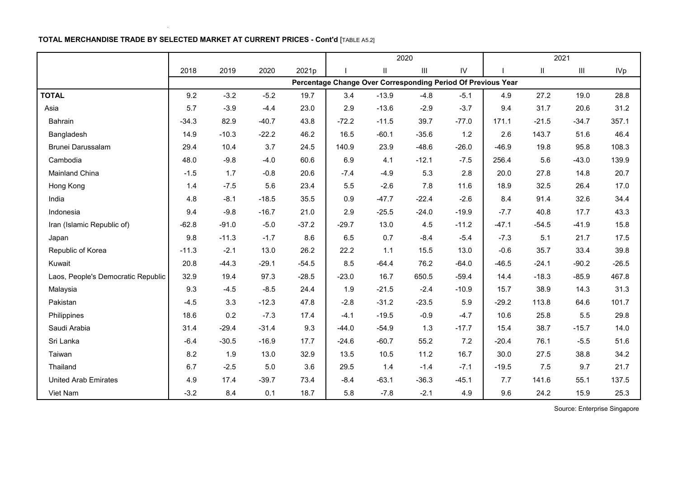## **TOTAL MERCHANDISE TRADE BY SELECTED MARKET AT CURRENT PRICES - Cont'd** [TABLE A5.2]

l,

|                                    |         |         |         |         |         |               | 2020                                                         |            |         |          | 2021                               |            |
|------------------------------------|---------|---------|---------|---------|---------|---------------|--------------------------------------------------------------|------------|---------|----------|------------------------------------|------------|
|                                    | 2018    | 2019    | 2020    | 2021p   |         | $\mathsf{II}$ | $\ensuremath{\mathsf{III}}\xspace$                           | ${\sf IV}$ |         | $\sf II$ | $\ensuremath{\mathsf{III}}\xspace$ | <b>IVp</b> |
|                                    |         |         |         |         |         |               | Percentage Change Over Corresponding Period Of Previous Year |            |         |          |                                    |            |
| <b>TOTAL</b>                       | 9.2     | $-3.2$  | $-5.2$  | 19.7    | 3.4     | $-13.9$       | $-4.8$                                                       | $-5.1$     | 4.9     | 27.2     | 19.0                               | 28.8       |
| Asia                               | 5.7     | $-3.9$  | $-4.4$  | 23.0    | 2.9     | $-13.6$       | $-2.9$                                                       | $-3.7$     | 9.4     | 31.7     | 20.6                               | 31.2       |
| Bahrain                            | $-34.3$ | 82.9    | $-40.7$ | 43.8    | $-72.2$ | $-11.5$       | 39.7                                                         | $-77.0$    | 171.1   | $-21.5$  | $-34.7$                            | 357.1      |
| Bangladesh                         | 14.9    | $-10.3$ | $-22.2$ | 46.2    | 16.5    | $-60.1$       | $-35.6$                                                      | 1.2        | 2.6     | 143.7    | 51.6                               | 46.4       |
| Brunei Darussalam                  | 29.4    | 10.4    | 3.7     | 24.5    | 140.9   | 23.9          | $-48.6$                                                      | $-26.0$    | $-46.9$ | 19.8     | 95.8                               | 108.3      |
| Cambodia                           | 48.0    | $-9.8$  | $-4.0$  | 60.6    | 6.9     | 4.1           | $-12.1$                                                      | $-7.5$     | 256.4   | 5.6      | $-43.0$                            | 139.9      |
| Mainland China                     | $-1.5$  | 1.7     | $-0.8$  | 20.6    | $-7.4$  | $-4.9$        | 5.3                                                          | 2.8        | 20.0    | 27.8     | 14.8                               | 20.7       |
| Hong Kong                          | 1.4     | $-7.5$  | 5.6     | 23.4    | 5.5     | $-2.6$        | 7.8                                                          | 11.6       | 18.9    | 32.5     | 26.4                               | 17.0       |
| India                              | 4.8     | $-8.1$  | $-18.5$ | 35.5    | 0.9     | $-47.7$       | $-22.4$                                                      | $-2.6$     | 8.4     | 91.4     | 32.6                               | 34.4       |
| Indonesia                          | 9.4     | $-9.8$  | $-16.7$ | 21.0    | 2.9     | $-25.5$       | $-24.0$                                                      | $-19.9$    | $-7.7$  | 40.8     | 17.7                               | 43.3       |
| Iran (Islamic Republic of)         | $-62.8$ | $-91.0$ | $-5.0$  | $-37.2$ | $-29.7$ | 13.0          | 4.5                                                          | $-11.2$    | $-47.1$ | $-54.5$  | $-41.9$                            | 15.8       |
| Japan                              | 9.8     | $-11.3$ | $-1.7$  | 8.6     | 6.5     | 0.7           | $-8.4$                                                       | $-5.4$     | $-7.3$  | 5.1      | 21.7                               | 17.5       |
| Republic of Korea                  | $-11.3$ | $-2.1$  | 13.0    | 26.2    | 22.2    | 1.1           | 15.5                                                         | 13.0       | $-0.6$  | 35.7     | 33.4                               | 39.8       |
| Kuwait                             | 20.8    | $-44.3$ | $-29.1$ | $-54.5$ | 8.5     | $-64.4$       | 76.2                                                         | $-64.0$    | $-46.5$ | $-24.1$  | $-90.2$                            | $-26.5$    |
| Laos, People's Democratic Republic | 32.9    | 19.4    | 97.3    | $-28.5$ | $-23.0$ | 16.7          | 650.5                                                        | $-59.4$    | 14.4    | $-18.3$  | $-85.9$                            | 467.8      |
| Malaysia                           | 9.3     | $-4.5$  | $-8.5$  | 24.4    | 1.9     | $-21.5$       | $-2.4$                                                       | $-10.9$    | 15.7    | 38.9     | 14.3                               | 31.3       |
| Pakistan                           | $-4.5$  | 3.3     | $-12.3$ | 47.8    | $-2.8$  | $-31.2$       | $-23.5$                                                      | 5.9        | $-29.2$ | 113.8    | 64.6                               | 101.7      |
| Philippines                        | 18.6    | 0.2     | $-7.3$  | 17.4    | $-4.1$  | $-19.5$       | $-0.9$                                                       | $-4.7$     | 10.6    | 25.8     | 5.5                                | 29.8       |
| Saudi Arabia                       | 31.4    | $-29.4$ | $-31.4$ | 9.3     | $-44.0$ | $-54.9$       | 1.3                                                          | $-17.7$    | 15.4    | 38.7     | $-15.7$                            | 14.0       |
| Sri Lanka                          | $-6.4$  | $-30.5$ | $-16.9$ | 17.7    | $-24.6$ | $-60.7$       | 55.2                                                         | 7.2        | $-20.4$ | 76.1     | $-5.5$                             | 51.6       |
| Taiwan                             | 8.2     | 1.9     | 13.0    | 32.9    | 13.5    | 10.5          | 11.2                                                         | 16.7       | 30.0    | 27.5     | 38.8                               | 34.2       |
| Thailand                           | 6.7     | $-2.5$  | 5.0     | 3.6     | 29.5    | 1.4           | $-1.4$                                                       | $-7.1$     | $-19.5$ | 7.5      | 9.7                                | 21.7       |
| <b>United Arab Emirates</b>        | 4.9     | 17.4    | $-39.7$ | 73.4    | $-8.4$  | $-63.1$       | $-36.3$                                                      | $-45.1$    | 7.7     | 141.6    | 55.1                               | 137.5      |
| Viet Nam                           | $-3.2$  | 8.4     | 0.1     | 18.7    | 5.8     | $-7.8$        | $-2.1$                                                       | 4.9        | 9.6     | 24.2     | 15.9                               | 25.3       |

Source: Enterprise Singapore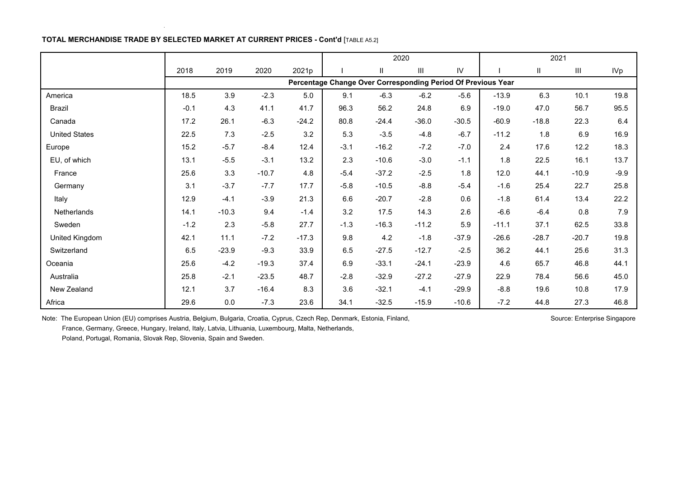## **TOTAL MERCHANDISE TRADE BY SELECTED MARKET AT CURRENT PRICES - Cont'd** [TABLE A5.2]

|                      |        |         |         |         | 2020                                                         |         |         |               |         | 2021    |                                    |        |
|----------------------|--------|---------|---------|---------|--------------------------------------------------------------|---------|---------|---------------|---------|---------|------------------------------------|--------|
|                      | 2018   | 2019    | 2020    | 2021p   |                                                              | Ш       | Ш       | $\mathsf{IV}$ |         | Ш       | $\ensuremath{\mathsf{III}}\xspace$ | IVp    |
|                      |        |         |         |         | Percentage Change Over Corresponding Period Of Previous Year |         |         |               |         |         |                                    |        |
| America              | 18.5   | 3.9     | $-2.3$  | 5.0     | 9.1                                                          | $-6.3$  | $-6.2$  | $-5.6$        | $-13.9$ | 6.3     | 10.1                               | 19.8   |
| Brazil               | $-0.1$ | 4.3     | 41.1    | 41.7    | 96.3                                                         | 56.2    | 24.8    | 6.9           | $-19.0$ | 47.0    | 56.7                               | 95.5   |
| Canada               | 17.2   | 26.1    | $-6.3$  | $-24.2$ | 80.8                                                         | $-24.4$ | $-36.0$ | $-30.5$       | $-60.9$ | $-18.8$ | 22.3                               | 6.4    |
| <b>United States</b> | 22.5   | 7.3     | $-2.5$  | 3.2     | 5.3                                                          | $-3.5$  | $-4.8$  | $-6.7$        | $-11.2$ | 1.8     | 6.9                                | 16.9   |
| Europe               | 15.2   | $-5.7$  | $-8.4$  | 12.4    | $-3.1$                                                       | $-16.2$ | $-7.2$  | $-7.0$        | 2.4     | 17.6    | 12.2                               | 18.3   |
| EU, of which         | 13.1   | $-5.5$  | $-3.1$  | 13.2    | 2.3                                                          | $-10.6$ | $-3.0$  | $-1.1$        | 1.8     | 22.5    | 16.1                               | 13.7   |
| France               | 25.6   | 3.3     | $-10.7$ | 4.8     | $-5.4$                                                       | $-37.2$ | $-2.5$  | 1.8           | 12.0    | 44.1    | $-10.9$                            | $-9.9$ |
| Germany              | 3.1    | $-3.7$  | $-7.7$  | 17.7    | $-5.8$                                                       | $-10.5$ | $-8.8$  | $-5.4$        | $-1.6$  | 25.4    | 22.7                               | 25.8   |
| Italy                | 12.9   | $-4.1$  | $-3.9$  | 21.3    | 6.6                                                          | $-20.7$ | $-2.8$  | 0.6           | $-1.8$  | 61.4    | 13.4                               | 22.2   |
| <b>Netherlands</b>   | 14.1   | $-10.3$ | 9.4     | $-1.4$  | 3.2                                                          | 17.5    | 14.3    | 2.6           | $-6.6$  | $-6.4$  | 0.8                                | 7.9    |
| Sweden               | $-1.2$ | 2.3     | $-5.8$  | 27.7    | $-1.3$                                                       | $-16.3$ | $-11.2$ | 5.9           | $-11.1$ | 37.1    | 62.5                               | 33.8   |
| United Kingdom       | 42.1   | 11.1    | $-7.2$  | $-17.3$ | 9.8                                                          | 4.2     | $-1.8$  | $-37.9$       | $-26.6$ | $-28.7$ | $-20.7$                            | 19.8   |
| Switzerland          | 6.5    | $-23.9$ | $-9.3$  | 33.9    | 6.5                                                          | $-27.5$ | $-12.7$ | $-2.5$        | 36.2    | 44.1    | 25.6                               | 31.3   |
| Oceania              | 25.6   | $-4.2$  | $-19.3$ | 37.4    | 6.9                                                          | $-33.1$ | $-24.1$ | $-23.9$       | 4.6     | 65.7    | 46.8                               | 44.1   |
| Australia            | 25.8   | $-2.1$  | $-23.5$ | 48.7    | $-2.8$                                                       | $-32.9$ | $-27.2$ | $-27.9$       | 22.9    | 78.4    | 56.6                               | 45.0   |
| New Zealand          | 12.1   | 3.7     | $-16.4$ | 8.3     | 3.6                                                          | $-32.1$ | $-4.1$  | $-29.9$       | $-8.8$  | 19.6    | 10.8                               | 17.9   |
| Africa               | 29.6   | $0.0\,$ | $-7.3$  | 23.6    | 34.1                                                         | $-32.5$ | $-15.9$ | $-10.6$       | $-7.2$  | 44.8    | 27.3                               | 46.8   |

Note: The European Union (EU) comprises Austria, Belgium, Bulgaria, Croatia, Cyprus, Czech Rep, Denmark, Estonia, Finland, Source: Enterprise Singapore Singapore France, Germany, Greece, Hungary, Ireland, Italy, Latvia, Lithuania, Luxembourg, Malta, Netherlands,

Poland, Portugal, Romania, Slovak Rep, Slovenia, Spain and Sweden.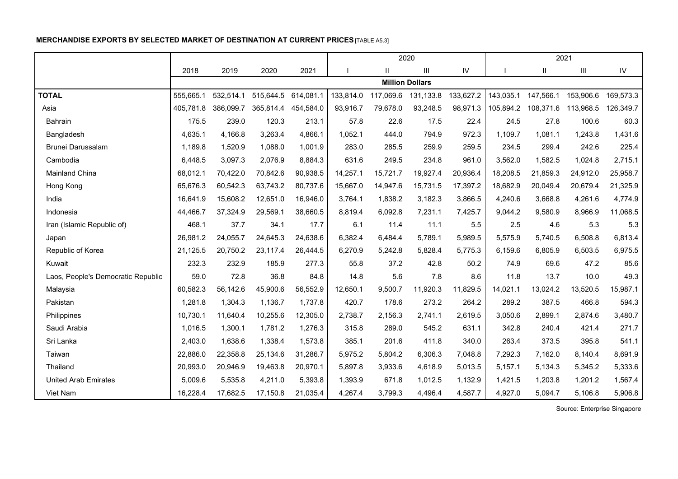# **MERCHANDISE EXPORTS BY SELECTED MARKET OF DESTINATION AT CURRENT PRICES**[TABLE A5.3]

|                                    |           |           |                     |           |           |               | 2020                   |           |           |              | 2021           |               |
|------------------------------------|-----------|-----------|---------------------|-----------|-----------|---------------|------------------------|-----------|-----------|--------------|----------------|---------------|
|                                    | 2018      | 2019      | 2020                | 2021      |           | $\mathbf{II}$ | Ш                      | IV        |           | $\mathbf{H}$ | $\mathbf{III}$ | $\mathsf{IV}$ |
|                                    |           |           |                     |           |           |               | <b>Million Dollars</b> |           |           |              |                |               |
| <b>TOTAL</b>                       | 555,665.1 | 532,514.1 | 515,644.5 614,081.1 |           | 133,814.0 | 117,069.6     | 131,133.8              | 133,627.2 | 143,035.1 | 147,566.1    | 153,906.6      | 169,573.3     |
| Asia                               | 405,781.8 | 386,099.7 | 365,814.4           | 454,584.0 | 93,916.7  | 79,678.0      | 93,248.5               | 98,971.3  | 105,894.2 | 108,371.6    | 113,968.5      | 126,349.7     |
| Bahrain                            | 175.5     | 239.0     | 120.3               | 213.1     | 57.8      | 22.6          | 17.5                   | 22.4      | 24.5      | 27.8         | 100.6          | 60.3          |
| Bangladesh                         | 4,635.1   | 4,166.8   | 3,263.4             | 4,866.1   | 1,052.1   | 444.0         | 794.9                  | 972.3     | 1,109.7   | 1,081.1      | 1,243.8        | 1,431.6       |
| <b>Brunei Darussalam</b>           | 1,189.8   | 1,520.9   | 1,088.0             | 1,001.9   | 283.0     | 285.5         | 259.9                  | 259.5     | 234.5     | 299.4        | 242.6          | 225.4         |
| Cambodia                           | 6,448.5   | 3,097.3   | 2,076.9             | 8,884.3   | 631.6     | 249.5         | 234.8                  | 961.0     | 3,562.0   | 1,582.5      | 1,024.8        | 2,715.1       |
| Mainland China                     | 68,012.1  | 70,422.0  | 70,842.6            | 90,938.5  | 14,257.1  | 15,721.7      | 19,927.4               | 20,936.4  | 18,208.5  | 21,859.3     | 24,912.0       | 25,958.7      |
| Hong Kong                          | 65,676.3  | 60,542.3  | 63,743.2            | 80,737.6  | 15,667.0  | 14,947.6      | 15,731.5               | 17,397.2  | 18,682.9  | 20,049.4     | 20,679.4       | 21,325.9      |
| India                              | 16.641.9  | 15,608.2  | 12,651.0            | 16,946.0  | 3,764.1   | 1,838.2       | 3,182.3                | 3,866.5   | 4,240.6   | 3,668.8      | 4,261.6        | 4,774.9       |
| Indonesia                          | 44,466.7  | 37,324.9  | 29,569.1            | 38,660.5  | 8,819.4   | 6,092.8       | 7,231.1                | 7,425.7   | 9,044.2   | 9,580.9      | 8,966.9        | 11,068.5      |
| Iran (Islamic Republic of)         | 468.1     | 37.7      | 34.1                | 17.7      | 6.1       | 11.4          | 11.1                   | 5.5       | 2.5       | 4.6          | 5.3            | 5.3           |
| Japan                              | 26,981.2  | 24,055.7  | 24,645.3            | 24,638.6  | 6,382.4   | 6,484.4       | 5,789.1                | 5,989.5   | 5,575.9   | 5,740.5      | 6,508.8        | 6,813.4       |
| Republic of Korea                  | 21,125.5  | 20,750.2  | 23,117.4            | 26,444.5  | 6,270.9   | 5,242.8       | 5,828.4                | 5,775.3   | 6,159.6   | 6,805.9      | 6,503.5        | 6,975.5       |
| Kuwait                             | 232.3     | 232.9     | 185.9               | 277.3     | 55.8      | 37.2          | 42.8                   | 50.2      | 74.9      | 69.6         | 47.2           | 85.6          |
| Laos, People's Democratic Republic | 59.0      | 72.8      | 36.8                | 84.8      | 14.8      | 5.6           | 7.8                    | 8.6       | 11.8      | 13.7         | 10.0           | 49.3          |
| Malaysia                           | 60,582.3  | 56,142.6  | 45,900.6            | 56,552.9  | 12,650.1  | 9,500.7       | 11,920.3               | 11,829.5  | 14,021.1  | 13,024.2     | 13,520.5       | 15,987.1      |
| Pakistan                           | 1,281.8   | 1,304.3   | 1,136.7             | 1,737.8   | 420.7     | 178.6         | 273.2                  | 264.2     | 289.2     | 387.5        | 466.8          | 594.3         |
| Philippines                        | 10,730.1  | 11,640.4  | 10,255.6            | 12,305.0  | 2,738.7   | 2,156.3       | 2,741.1                | 2,619.5   | 3,050.6   | 2,899.1      | 2,874.6        | 3,480.7       |
| Saudi Arabia                       | 1,016.5   | 1,300.1   | 1,781.2             | 1,276.3   | 315.8     | 289.0         | 545.2                  | 631.1     | 342.8     | 240.4        | 421.4          | 271.7         |
| Sri Lanka                          | 2,403.0   | 1,638.6   | 1,338.4             | 1,573.8   | 385.1     | 201.6         | 411.8                  | 340.0     | 263.4     | 373.5        | 395.8          | 541.1         |
| Taiwan                             | 22,886.0  | 22,358.8  | 25,134.6            | 31,286.7  | 5,975.2   | 5,804.2       | 6,306.3                | 7,048.8   | 7,292.3   | 7,162.0      | 8,140.4        | 8,691.9       |
| Thailand                           | 20,993.0  | 20,946.9  | 19,463.8            | 20,970.1  | 5,897.8   | 3,933.6       | 4,618.9                | 5,013.5   | 5,157.1   | 5,134.3      | 5,345.2        | 5,333.6       |
| <b>United Arab Emirates</b>        | 5,009.6   | 5,535.8   | 4,211.0             | 5,393.8   | 1,393.9   | 671.8         | 1,012.5                | 1,132.9   | 1,421.5   | 1,203.8      | 1,201.2        | 1,567.4       |
| Viet Nam                           | 16,228.4  | 17,682.5  | 17,150.8            | 21,035.4  | 4,267.4   | 3,799.3       | 4,496.4                | 4,587.7   | 4,927.0   | 5,094.7      | 5,106.8        | 5,906.8       |

Source: Enterprise Singapore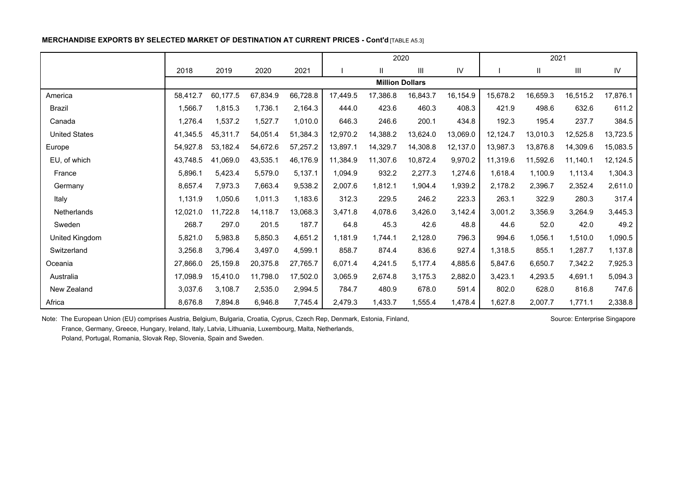## **MERCHANDISE EXPORTS BY SELECTED MARKET OF DESTINATION AT CURRENT PRICES - Cont'd** [TABLE A5.3]

|                      |          |          |          |          | 2020     |                        |                                    |          |          | 2021                   |                                    |            |
|----------------------|----------|----------|----------|----------|----------|------------------------|------------------------------------|----------|----------|------------------------|------------------------------------|------------|
|                      | 2018     | 2019     | 2020     | 2021     |          | $\mathbf{H}$           | $\ensuremath{\mathsf{III}}\xspace$ | IV       |          | $\mathsf{I}\mathsf{I}$ | $\ensuremath{\mathsf{III}}\xspace$ | ${\sf IV}$ |
|                      |          |          |          |          |          | <b>Million Dollars</b> |                                    |          |          |                        |                                    |            |
| America              | 58,412.7 | 60,177.5 | 67,834.9 | 66,728.8 | 17,449.5 | 17,386.8               | 16,843.7                           | 16,154.9 | 15,678.2 | 16,659.3               | 16,515.2                           | 17,876.1   |
| Brazil               | 1,566.7  | 1,815.3  | 1,736.1  | 2,164.3  | 444.0    | 423.6                  | 460.3                              | 408.3    | 421.9    | 498.6                  | 632.6                              | 611.2      |
| Canada               | 1,276.4  | 1,537.2  | 1,527.7  | 1,010.0  | 646.3    | 246.6                  | 200.1                              | 434.8    | 192.3    | 195.4                  | 237.7                              | 384.5      |
| <b>United States</b> | 41,345.5 | 45,311.7 | 54,051.4 | 51,384.3 | 12,970.2 | 14,388.2               | 13,624.0                           | 13,069.0 | 12,124.7 | 13,010.3               | 12,525.8                           | 13,723.5   |
| Europe               | 54,927.8 | 53,182.4 | 54,672.6 | 57,257.2 | 13,897.1 | 14,329.7               | 14,308.8                           | 12,137.0 | 13,987.3 | 13,876.8               | 14,309.6                           | 15,083.5   |
| EU, of which         | 43,748.5 | 41,069.0 | 43,535.1 | 46,176.9 | 11,384.9 | 11,307.6               | 10,872.4                           | 9,970.2  | 11,319.6 | 11,592.6               | 11,140.1                           | 12,124.5   |
| France               | 5,896.1  | 5,423.4  | 5,579.0  | 5,137.1  | 1,094.9  | 932.2                  | 2,277.3                            | 1,274.6  | 1,618.4  | 1,100.9                | 1,113.4                            | 1,304.3    |
| Germany              | 8,657.4  | 7,973.3  | 7,663.4  | 9,538.2  | 2,007.6  | 1,812.1                | 1,904.4                            | 1,939.2  | 2,178.2  | 2,396.7                | 2,352.4                            | 2,611.0    |
| Italy                | 1,131.9  | 1,050.6  | 1,011.3  | 1,183.6  | 312.3    | 229.5                  | 246.2                              | 223.3    | 263.1    | 322.9                  | 280.3                              | 317.4      |
| Netherlands          | 12,021.0 | 11,722.8 | 14,118.7 | 13,068.3 | 3,471.8  | 4,078.6                | 3,426.0                            | 3,142.4  | 3,001.2  | 3,356.9                | 3,264.9                            | 3,445.3    |
| Sweden               | 268.7    | 297.0    | 201.5    | 187.7    | 64.8     | 45.3                   | 42.6                               | 48.8     | 44.6     | 52.0                   | 42.0                               | 49.2       |
| United Kingdom       | 5,821.0  | 5,983.8  | 5,850.3  | 4,651.2  | 1,181.9  | 1,744.1                | 2,128.0                            | 796.3    | 994.6    | 1,056.1                | 1,510.0                            | 1,090.5    |
| Switzerland          | 3,256.8  | 3,796.4  | 3,497.0  | 4,599.1  | 858.7    | 874.4                  | 836.6                              | 927.4    | 1,318.5  | 855.1                  | 1,287.7                            | 1,137.8    |
| Oceania              | 27,866.0 | 25,159.8 | 20,375.8 | 27,765.7 | 6,071.4  | 4,241.5                | 5,177.4                            | 4,885.6  | 5,847.6  | 6,650.7                | 7,342.2                            | 7,925.3    |
| Australia            | 17,098.9 | 15,410.0 | 11,798.0 | 17,502.0 | 3,065.9  | 2,674.8                | 3,175.3                            | 2,882.0  | 3,423.1  | 4,293.5                | 4,691.1                            | 5,094.3    |
| New Zealand          | 3,037.6  | 3,108.7  | 2,535.0  | 2,994.5  | 784.7    | 480.9                  | 678.0                              | 591.4    | 802.0    | 628.0                  | 816.8                              | 747.6      |
| Africa               | 8,676.8  | 7,894.8  | 6,946.8  | 7,745.4  | 2,479.3  | 1,433.7                | 1,555.4                            | 1,478.4  | 1,627.8  | 2,007.7                | 1,771.1                            | 2,338.8    |

Note: The European Union (EU) comprises Austria, Belgium, Bulgaria, Croatia, Cyprus, Czech Rep, Denmark, Estonia, Finland, Source: Enterprise Singapore France, Germany, Greece, Hungary, Ireland, Italy, Latvia, Lithuania, Luxembourg, Malta, Netherlands,

Poland, Portugal, Romania, Slovak Rep, Slovenia, Spain and Sweden.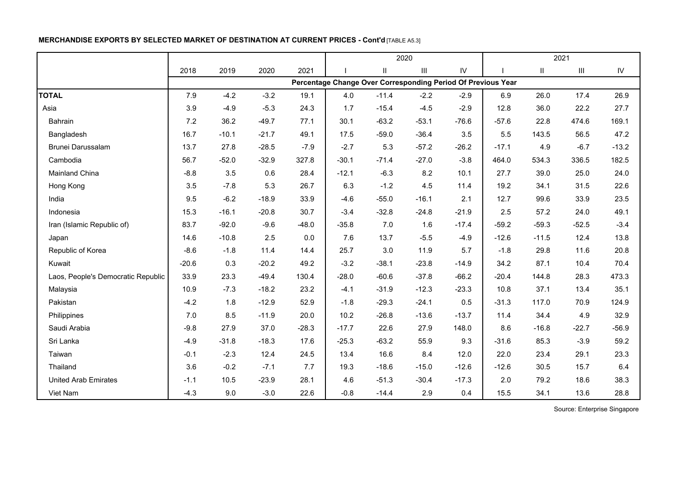# **MERCHANDISE EXPORTS BY SELECTED MARKET OF DESTINATION AT CURRENT PRICES - Cont'd** [TABLE A5.3]

|                                    |         |         |         |         | 2020    |         |                                                              |               |         |               | 2021                               |               |
|------------------------------------|---------|---------|---------|---------|---------|---------|--------------------------------------------------------------|---------------|---------|---------------|------------------------------------|---------------|
|                                    | 2018    | 2019    | 2020    | 2021    |         | Ш       | $\ensuremath{\mathsf{III}}\xspace$                           | $\mathsf{IV}$ |         | $\mathsf{II}$ | $\ensuremath{\mathsf{III}}\xspace$ | $\mathsf{IV}$ |
|                                    |         |         |         |         |         |         | Percentage Change Over Corresponding Period Of Previous Year |               |         |               |                                    |               |
| <b>TOTAL</b>                       | 7.9     | $-4.2$  | $-3.2$  | 19.1    | 4.0     | $-11.4$ | $-2.2$                                                       | $-2.9$        | 6.9     | 26.0          | 17.4                               | 26.9          |
| Asia                               | 3.9     | $-4.9$  | $-5.3$  | 24.3    | 1.7     | $-15.4$ | $-4.5$                                                       | $-2.9$        | 12.8    | 36.0          | 22.2                               | 27.7          |
| Bahrain                            | 7.2     | 36.2    | $-49.7$ | 77.1    | 30.1    | $-63.2$ | $-53.1$                                                      | $-76.6$       | $-57.6$ | 22.8          | 474.6                              | 169.1         |
| Bangladesh                         | 16.7    | $-10.1$ | $-21.7$ | 49.1    | 17.5    | $-59.0$ | $-36.4$                                                      | 3.5           | 5.5     | 143.5         | 56.5                               | 47.2          |
| Brunei Darussalam                  | 13.7    | 27.8    | $-28.5$ | $-7.9$  | $-2.7$  | 5.3     | $-57.2$                                                      | $-26.2$       | $-17.1$ | 4.9           | $-6.7$                             | $-13.2$       |
| Cambodia                           | 56.7    | $-52.0$ | $-32.9$ | 327.8   | $-30.1$ | $-71.4$ | $-27.0$                                                      | $-3.8$        | 464.0   | 534.3         | 336.5                              | 182.5         |
| Mainland China                     | $-8.8$  | 3.5     | 0.6     | 28.4    | $-12.1$ | $-6.3$  | 8.2                                                          | 10.1          | 27.7    | 39.0          | 25.0                               | 24.0          |
| Hong Kong                          | 3.5     | $-7.8$  | 5.3     | 26.7    | 6.3     | $-1.2$  | 4.5                                                          | 11.4          | 19.2    | 34.1          | 31.5                               | 22.6          |
| India                              | 9.5     | $-6.2$  | $-18.9$ | 33.9    | $-4.6$  | $-55.0$ | $-16.1$                                                      | 2.1           | 12.7    | 99.6          | 33.9                               | 23.5          |
| Indonesia                          | 15.3    | $-16.1$ | $-20.8$ | 30.7    | $-3.4$  | $-32.8$ | $-24.8$                                                      | $-21.9$       | 2.5     | 57.2          | 24.0                               | 49.1          |
| Iran (Islamic Republic of)         | 83.7    | $-92.0$ | $-9.6$  | $-48.0$ | $-35.8$ | 7.0     | 1.6                                                          | $-17.4$       | $-59.2$ | $-59.3$       | $-52.5$                            | $-3.4$        |
| Japan                              | 14.6    | $-10.8$ | 2.5     | 0.0     | 7.6     | 13.7    | $-5.5$                                                       | $-4.9$        | $-12.6$ | $-11.5$       | 12.4                               | 13.8          |
| Republic of Korea                  | $-8.6$  | $-1.8$  | 11.4    | 14.4    | 25.7    | 3.0     | 11.9                                                         | 5.7           | $-1.8$  | 29.8          | 11.6                               | 20.8          |
| Kuwait                             | $-20.6$ | 0.3     | $-20.2$ | 49.2    | $-3.2$  | $-38.1$ | $-23.8$                                                      | $-14.9$       | 34.2    | 87.1          | 10.4                               | 70.4          |
| Laos, People's Democratic Republic | 33.9    | 23.3    | $-49.4$ | 130.4   | $-28.0$ | $-60.6$ | $-37.8$                                                      | $-66.2$       | $-20.4$ | 144.8         | 28.3                               | 473.3         |
| Malaysia                           | 10.9    | $-7.3$  | $-18.2$ | 23.2    | $-4.1$  | $-31.9$ | $-12.3$                                                      | $-23.3$       | 10.8    | 37.1          | 13.4                               | 35.1          |
| Pakistan                           | $-4.2$  | 1.8     | $-12.9$ | 52.9    | $-1.8$  | $-29.3$ | $-24.1$                                                      | 0.5           | $-31.3$ | 117.0         | 70.9                               | 124.9         |
| Philippines                        | 7.0     | 8.5     | $-11.9$ | 20.0    | 10.2    | $-26.8$ | $-13.6$                                                      | $-13.7$       | 11.4    | 34.4          | 4.9                                | 32.9          |
| Saudi Arabia                       | $-9.8$  | 27.9    | 37.0    | $-28.3$ | $-17.7$ | 22.6    | 27.9                                                         | 148.0         | 8.6     | $-16.8$       | $-22.7$                            | $-56.9$       |
| Sri Lanka                          | $-4.9$  | $-31.8$ | $-18.3$ | 17.6    | $-25.3$ | $-63.2$ | 55.9                                                         | 9.3           | $-31.6$ | 85.3          | $-3.9$                             | 59.2          |
| Taiwan                             | $-0.1$  | $-2.3$  | 12.4    | 24.5    | 13.4    | 16.6    | 8.4                                                          | 12.0          | 22.0    | 23.4          | 29.1                               | 23.3          |
| Thailand                           | 3.6     | $-0.2$  | $-7.1$  | 7.7     | 19.3    | $-18.6$ | $-15.0$                                                      | $-12.6$       | $-12.6$ | 30.5          | 15.7                               | 6.4           |
| <b>United Arab Emirates</b>        | $-1.1$  | 10.5    | $-23.9$ | 28.1    | 4.6     | $-51.3$ | $-30.4$                                                      | $-17.3$       | 2.0     | 79.2          | 18.6                               | 38.3          |
| Viet Nam                           | $-4.3$  | 9.0     | $-3.0$  | 22.6    | $-0.8$  | $-14.4$ | 2.9                                                          | 0.4           | 15.5    | 34.1          | 13.6                               | 28.8          |

Source: Enterprise Singapore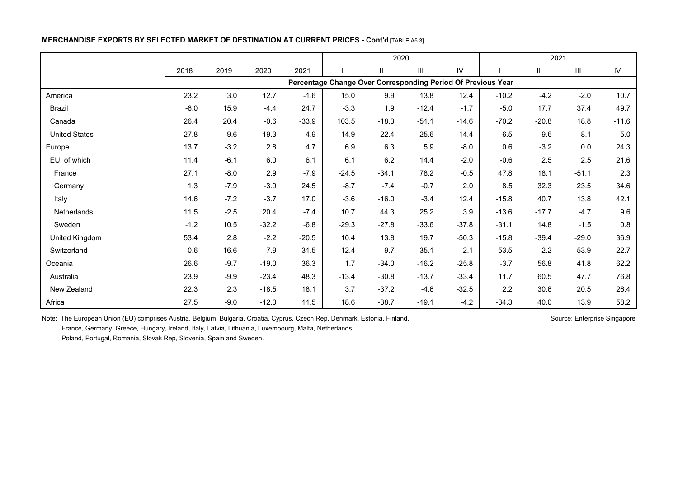## **MERCHANDISE EXPORTS BY SELECTED MARKET OF DESTINATION AT CURRENT PRICES - Cont'd** [TABLE A5.3]

|                      |        |         |         |         | 2020                                                         |         |         |               |         | 2021          |                                    |            |
|----------------------|--------|---------|---------|---------|--------------------------------------------------------------|---------|---------|---------------|---------|---------------|------------------------------------|------------|
|                      | 2018   | 2019    | 2020    | 2021    |                                                              | Ш       | Ш       | $\mathsf{IV}$ |         | $\mathbf{II}$ | $\ensuremath{\mathsf{III}}\xspace$ | ${\sf IV}$ |
|                      |        |         |         |         | Percentage Change Over Corresponding Period Of Previous Year |         |         |               |         |               |                                    |            |
| America              | 23.2   | $3.0\,$ | 12.7    | $-1.6$  | 15.0                                                         | 9.9     | 13.8    | 12.4          | $-10.2$ | $-4.2$        | $-2.0$                             | 10.7       |
| Brazil               | $-6.0$ | 15.9    | $-4.4$  | 24.7    | $-3.3$                                                       | 1.9     | $-12.4$ | $-1.7$        | $-5.0$  | 17.7          | 37.4                               | 49.7       |
| Canada               | 26.4   | 20.4    | $-0.6$  | $-33.9$ | 103.5                                                        | $-18.3$ | $-51.1$ | $-14.6$       | $-70.2$ | $-20.8$       | 18.8                               | $-11.6$    |
| <b>United States</b> | 27.8   | 9.6     | 19.3    | $-4.9$  | 14.9                                                         | 22.4    | 25.6    | 14.4          | $-6.5$  | $-9.6$        | $-8.1$                             | $5.0\,$    |
| Europe               | 13.7   | $-3.2$  | 2.8     | 4.7     | 6.9                                                          | 6.3     | 5.9     | $-8.0$        | 0.6     | $-3.2$        | 0.0                                | 24.3       |
| EU, of which         | 11.4   | $-6.1$  | 6.0     | 6.1     | 6.1                                                          | 6.2     | 14.4    | $-2.0$        | $-0.6$  | 2.5           | 2.5                                | 21.6       |
| France               | 27.1   | $-8.0$  | 2.9     | $-7.9$  | $-24.5$                                                      | $-34.1$ | 78.2    | $-0.5$        | 47.8    | 18.1          | $-51.1$                            | 2.3        |
| Germany              | 1.3    | $-7.9$  | $-3.9$  | 24.5    | $-8.7$                                                       | $-7.4$  | $-0.7$  | 2.0           | 8.5     | 32.3          | 23.5                               | 34.6       |
| Italy                | 14.6   | $-7.2$  | $-3.7$  | 17.0    | $-3.6$                                                       | $-16.0$ | $-3.4$  | 12.4          | $-15.8$ | 40.7          | 13.8                               | 42.1       |
| <b>Netherlands</b>   | 11.5   | $-2.5$  | 20.4    | $-7.4$  | 10.7                                                         | 44.3    | 25.2    | 3.9           | $-13.6$ | $-17.7$       | $-4.7$                             | 9.6        |
| Sweden               | $-1.2$ | 10.5    | $-32.2$ | $-6.8$  | $-29.3$                                                      | $-27.8$ | $-33.6$ | $-37.8$       | $-31.1$ | 14.8          | $-1.5$                             | 0.8        |
| United Kingdom       | 53.4   | 2.8     | $-2.2$  | $-20.5$ | 10.4                                                         | 13.8    | 19.7    | $-50.3$       | $-15.8$ | $-39.4$       | $-29.0$                            | 36.9       |
| Switzerland          | $-0.6$ | 16.6    | $-7.9$  | 31.5    | 12.4                                                         | 9.7     | $-35.1$ | $-2.1$        | 53.5    | $-2.2$        | 53.9                               | 22.7       |
| Oceania              | 26.6   | $-9.7$  | $-19.0$ | 36.3    | 1.7                                                          | $-34.0$ | $-16.2$ | $-25.8$       | $-3.7$  | 56.8          | 41.8                               | 62.2       |
| Australia            | 23.9   | $-9.9$  | $-23.4$ | 48.3    | $-13.4$                                                      | $-30.8$ | $-13.7$ | $-33.4$       | 11.7    | 60.5          | 47.7                               | 76.8       |
| New Zealand          | 22.3   | 2.3     | $-18.5$ | 18.1    | 3.7                                                          | $-37.2$ | $-4.6$  | $-32.5$       | 2.2     | 30.6          | 20.5                               | 26.4       |
| Africa               | 27.5   | $-9.0$  | $-12.0$ | 11.5    | 18.6                                                         | $-38.7$ | $-19.1$ | $-4.2$        | $-34.3$ | 40.0          | 13.9                               | 58.2       |

Note: The European Union (EU) comprises Austria, Belgium, Bulgaria, Croatia, Cyprus, Czech Rep, Denmark, Estonia, Finland, Subsection Schurce: Enterprise Singapore France, Germany, Greece, Hungary, Ireland, Italy, Latvia, Lithuania, Luxembourg, Malta, Netherlands,

Poland, Portugal, Romania, Slovak Rep, Slovenia, Spain and Sweden.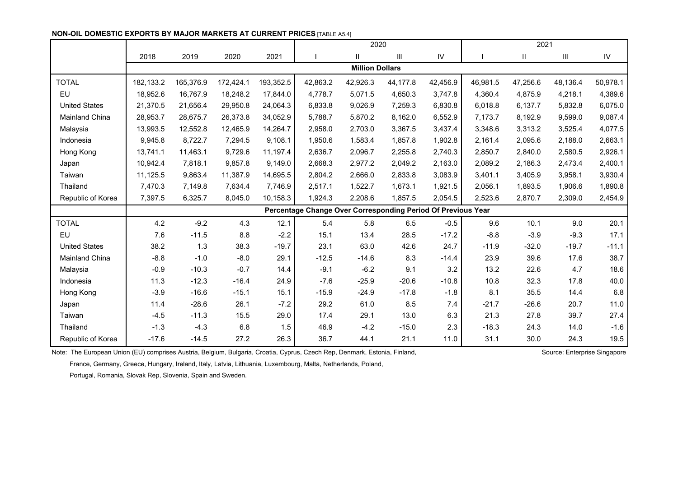| <b>NON-OIL DOMESTIC EXPORTS BY MAJOR MARKETS AT CURRENT PRICES [TABLE A5.41]</b> |  |
|----------------------------------------------------------------------------------|--|
|----------------------------------------------------------------------------------|--|

|                       |           |           |           |           | 2020                                                         |                        |          |          |          | 2021                   |          |            |
|-----------------------|-----------|-----------|-----------|-----------|--------------------------------------------------------------|------------------------|----------|----------|----------|------------------------|----------|------------|
|                       | 2018      | 2019      | 2020      | 2021      |                                                              | $\mathbf{H}$           | Ш        | IV       |          | $\mathsf{I}\mathsf{I}$ | Ш        | ${\sf IV}$ |
|                       |           |           |           |           |                                                              | <b>Million Dollars</b> |          |          |          |                        |          |            |
| <b>TOTAL</b>          | 182,133.2 | 165,376.9 | 172,424.1 | 193,352.5 | 42,863.2                                                     | 42,926.3               | 44,177.8 | 42,456.9 | 46,981.5 | 47,256.6               | 48,136.4 | 50,978.1   |
| EU                    | 18,952.6  | 16,767.9  | 18,248.2  | 17,844.0  | 4,778.7                                                      | 5,071.5                | 4,650.3  | 3,747.8  | 4,360.4  | 4,875.9                | 4,218.1  | 4,389.6    |
| <b>United States</b>  | 21,370.5  | 21,656.4  | 29,950.8  | 24,064.3  | 6,833.8                                                      | 9,026.9                | 7,259.3  | 6,830.8  | 6,018.8  | 6,137.7                | 5,832.8  | 6,075.0    |
| <b>Mainland China</b> | 28,953.7  | 28,675.7  | 26,373.8  | 34,052.9  | 5,788.7                                                      | 5,870.2                | 8,162.0  | 6,552.9  | 7,173.7  | 8,192.9                | 9,599.0  | 9,087.4    |
| Malaysia              | 13,993.5  | 12,552.8  | 12,465.9  | 14,264.7  | 2,958.0                                                      | 2,703.0                | 3,367.5  | 3,437.4  | 3,348.6  | 3,313.2                | 3,525.4  | 4,077.5    |
| Indonesia             | 9,945.8   | 8,722.7   | 7,294.5   | 9,108.1   | 1,950.6                                                      | 1,583.4                | 1,857.8  | 1,902.8  | 2,161.4  | 2,095.6                | 2,188.0  | 2,663.1    |
| Hong Kong             | 13,741.1  | 11,463.1  | 9,729.6   | 11,197.4  | 2,636.7                                                      | 2,096.7                | 2,255.8  | 2,740.3  | 2,850.7  | 2,840.0                | 2,580.5  | 2,926.1    |
| Japan                 | 10,942.4  | 7,818.1   | 9,857.8   | 9,149.0   | 2,668.3                                                      | 2,977.2                | 2,049.2  | 2,163.0  | 2,089.2  | 2,186.3                | 2,473.4  | 2,400.1    |
| Taiwan                | 11,125.5  | 9,863.4   | 11,387.9  | 14,695.5  | 2,804.2                                                      | 2,666.0                | 2,833.8  | 3,083.9  | 3,401.1  | 3,405.9                | 3,958.1  | 3,930.4    |
| Thailand              | 7,470.3   | 7,149.8   | 7,634.4   | 7,746.9   | 2,517.1                                                      | 1,522.7                | 1,673.1  | 1,921.5  | 2,056.1  | 1,893.5                | 1,906.6  | 1,890.8    |
| Republic of Korea     | 7,397.5   | 6,325.7   | 8,045.0   | 10,158.3  | 1,924.3                                                      | 2,208.6                | 1,857.5  | 2,054.5  | 2,523.6  | 2,870.7                | 2,309.0  | 2,454.9    |
|                       |           |           |           |           | Percentage Change Over Corresponding Period Of Previous Year |                        |          |          |          |                        |          |            |
| <b>TOTAL</b>          | 4.2       | $-9.2$    | 4.3       | 12.1      | 5.4                                                          | 5.8                    | 6.5      | $-0.5$   | 9.6      | 10.1                   | 9.0      | 20.1       |
| EU                    | 7.6       | $-11.5$   | 8.8       | $-2.2$    | 15.1                                                         | 13.4                   | 28.5     | $-17.2$  | $-8.8$   | $-3.9$                 | $-9.3$   | 17.1       |
| <b>United States</b>  | 38.2      | 1.3       | 38.3      | $-19.7$   | 23.1                                                         | 63.0                   | 42.6     | 24.7     | $-11.9$  | $-32.0$                | $-19.7$  | $-11.1$    |
| Mainland China        | $-8.8$    | $-1.0$    | $-8.0$    | 29.1      | $-12.5$                                                      | $-14.6$                | 8.3      | $-14.4$  | 23.9     | 39.6                   | 17.6     | 38.7       |
| Malaysia              | $-0.9$    | $-10.3$   | $-0.7$    | 14.4      | $-9.1$                                                       | $-6.2$                 | 9.1      | 3.2      | 13.2     | 22.6                   | 4.7      | 18.6       |
| Indonesia             | 11.3      | $-12.3$   | $-16.4$   | 24.9      | $-7.6$                                                       | $-25.9$                | $-20.6$  | $-10.8$  | 10.8     | 32.3                   | 17.8     | 40.0       |
| Hong Kong             | $-3.9$    | $-16.6$   | $-15.1$   | 15.1      | $-15.9$                                                      | $-24.9$                | $-17.8$  | $-1.8$   | 8.1      | 35.5                   | 14.4     | 6.8        |
| Japan                 | 11.4      | $-28.6$   | 26.1      | $-7.2$    | 29.2                                                         | 61.0                   | 8.5      | 7.4      | $-21.7$  | $-26.6$                | 20.7     | 11.0       |
| Taiwan                | $-4.5$    | $-11.3$   | 15.5      | 29.0      | 17.4                                                         | 29.1                   | 13.0     | 6.3      | 21.3     | 27.8                   | 39.7     | 27.4       |
| Thailand              | $-1.3$    | $-4.3$    | 6.8       | 1.5       | 46.9                                                         | $-4.2$                 | $-15.0$  | 2.3      | $-18.3$  | 24.3                   | 14.0     | $-1.6$     |
| Republic of Korea     | $-17.6$   | $-14.5$   | 27.2      | 26.3      | 36.7                                                         | 44.1                   | 21.1     | 11.0     | 31.1     | 30.0                   | 24.3     | 19.5       |

Note: The European Union (EU) comprises Austria, Belgium, Bulgaria, Croatia, Cyprus, Czech Rep, Denmark, Estonia, Finland, Source: Enterprise Singapore

France, Germany, Greece, Hungary, Ireland, Italy, Latvia, Lithuania, Luxembourg, Malta, Netherlands, Poland,

Portugal, Romania, Slovak Rep, Slovenia, Spain and Sweden.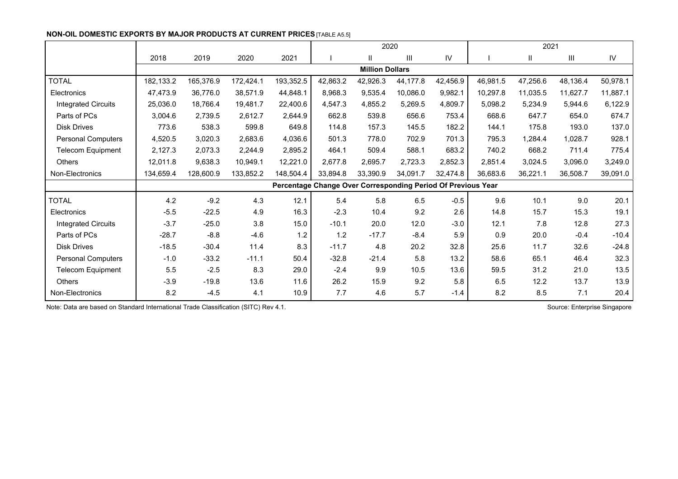|                            |           |           |           |           | 2020                                                         |                        |                |          |          | 2021         |          |          |
|----------------------------|-----------|-----------|-----------|-----------|--------------------------------------------------------------|------------------------|----------------|----------|----------|--------------|----------|----------|
|                            | 2018      | 2019      | 2020      | 2021      |                                                              | $\mathbf{I}$           | $\mathbf{III}$ | IV       |          | $\mathbf{H}$ | Ш        | IV       |
|                            |           |           |           |           |                                                              | <b>Million Dollars</b> |                |          |          |              |          |          |
| <b>TOTAL</b>               | 182,133.2 | 165,376.9 | 172,424.1 | 193,352.5 | 42,863.2                                                     | 42,926.3               | 44.177.8       | 42,456.9 | 46,981.5 | 47,256.6     | 48,136.4 | 50,978.1 |
| Electronics                | 47,473.9  | 36,776.0  | 38,571.9  | 44,848.1  | 8,968.3                                                      | 9,535.4                | 10,086.0       | 9,982.1  | 10,297.8 | 11,035.5     | 11,627.7 | 11,887.1 |
| <b>Integrated Circuits</b> | 25,036.0  | 18,766.4  | 19.481.7  | 22,400.6  | 4,547.3                                                      | 4,855.2                | 5,269.5        | 4,809.7  | 5,098.2  | 5,234.9      | 5,944.6  | 6,122.9  |
| Parts of PCs               | 3,004.6   | 2,739.5   | 2,612.7   | 2,644.9   | 662.8                                                        | 539.8                  | 656.6          | 753.4    | 668.6    | 647.7        | 654.0    | 674.7    |
| <b>Disk Drives</b>         | 773.6     | 538.3     | 599.8     | 649.8     | 114.8                                                        | 157.3                  | 145.5          | 182.2    | 144.1    | 175.8        | 193.0    | 137.0    |
| <b>Personal Computers</b>  | 4,520.5   | 3,020.3   | 2,683.6   | 4,036.6   | 501.3                                                        | 778.0                  | 702.9          | 701.3    | 795.3    | 1,284.4      | 1,028.7  | 928.1    |
| Telecom Equipment          | 2,127.3   | 2,073.3   | 2,244.9   | 2,895.2   | 464.1                                                        | 509.4                  | 588.1          | 683.2    | 740.2    | 668.2        | 711.4    | 775.4    |
| Others                     | 12,011.8  | 9,638.3   | 10,949.1  | 12,221.0  | 2,677.8                                                      | 2,695.7                | 2,723.3        | 2,852.3  | 2,851.4  | 3,024.5      | 3,096.0  | 3,249.0  |
| Non-Electronics            | 134,659.4 | 128,600.9 | 133,852.2 | 148,504.4 | 33,894.8                                                     | 33,390.9               | 34,091.7       | 32,474.8 | 36,683.6 | 36.221.1     | 36,508.7 | 39,091.0 |
|                            |           |           |           |           | Percentage Change Over Corresponding Period Of Previous Year |                        |                |          |          |              |          |          |
| <b>TOTAL</b>               | 4.2       | $-9.2$    | 4.3       | 12.1      | 5.4                                                          | 5.8                    | 6.5            | $-0.5$   | 9.6      | 10.1         | 9.0      | 20.1     |
| Electronics                | $-5.5$    | $-22.5$   | 4.9       | 16.3      | $-2.3$                                                       | 10.4                   | 9.2            | 2.6      | 14.8     | 15.7         | 15.3     | 19.1     |
| <b>Integrated Circuits</b> | $-3.7$    | $-25.0$   | 3.8       | 15.0      | $-10.1$                                                      | 20.0                   | 12.0           | $-3.0$   | 12.1     | 7.8          | 12.8     | 27.3     |
| Parts of PCs               | $-28.7$   | $-8.8$    | $-4.6$    | 1.2       | 1.2                                                          | $-17.7$                | $-8.4$         | 5.9      | 0.9      | 20.0         | $-0.4$   | $-10.4$  |
| <b>Disk Drives</b>         | $-18.5$   | $-30.4$   | 11.4      | 8.3       | $-11.7$                                                      | 4.8                    | 20.2           | 32.8     | 25.6     | 11.7         | 32.6     | $-24.8$  |
| <b>Personal Computers</b>  | $-1.0$    | $-33.2$   | $-11.1$   | 50.4      | $-32.8$                                                      | $-21.4$                | 5.8            | 13.2     | 58.6     | 65.1         | 46.4     | 32.3     |
| Telecom Equipment          | 5.5       | $-2.5$    | 8.3       | 29.0      | $-2.4$                                                       | 9.9                    | 10.5           | 13.6     | 59.5     | 31.2         | 21.0     | 13.5     |
| Others                     | $-3.9$    | $-19.8$   | 13.6      | 11.6      | 26.2                                                         | 15.9                   | 9.2            | 5.8      | 6.5      | 12.2         | 13.7     | 13.9     |
| Non-Electronics            | 8.2       | $-4.5$    | 4.1       | 10.9      | 7.7                                                          | 4.6                    | 5.7            | $-1.4$   | 8.2      | 8.5          | 7.1      | 20.4     |

#### **NON-OIL DOMESTIC EXPORTS BY MAJOR PRODUCTS AT CURRENT PRICES** [TABLE A5.5]

Note: Data are based on Standard International Trade Classification (SITC) Rev 4.1. Source: Enterprise Singapore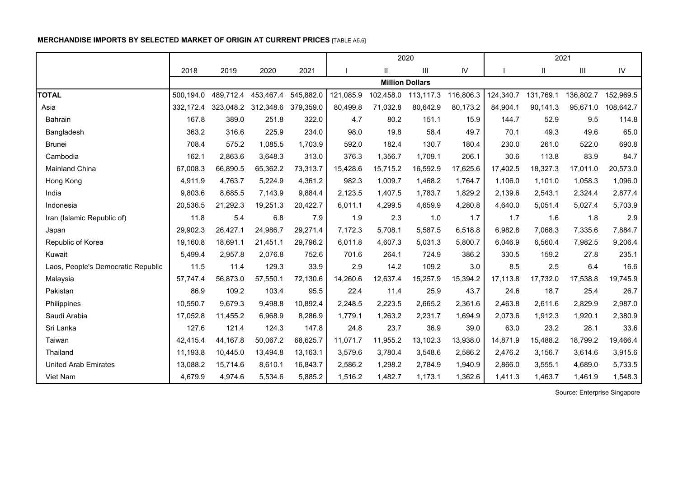# **MERCHANDISE IMPORTS BY SELECTED MARKET OF ORIGIN AT CURRENT PRICES** [TABLE A5.6]

|                                    |           |           |                     |           |           |          | 2020                   |           |           |           | 2021      |           |
|------------------------------------|-----------|-----------|---------------------|-----------|-----------|----------|------------------------|-----------|-----------|-----------|-----------|-----------|
|                                    | 2018      | 2019      | 2020                | 2021      |           | Ш        | III                    | IV        |           | Ш         | III       | IV        |
|                                    |           |           |                     |           |           |          | <b>Million Dollars</b> |           |           |           |           |           |
| <b>TOTAL</b>                       | 500,194.0 | 489,712.4 | 453,467.4           | 545,882.0 | 121,085.9 |          | 102,458.0 113,117.3    | 116,806.3 | 124,340.7 | 131,769.1 | 136,802.7 | 152,969.5 |
| Asia                               | 332,172.4 |           | 323,048.2 312,348.6 | 379,359.0 | 80,499.8  | 71,032.8 | 80,642.9               | 80,173.2  | 84,904.1  | 90,141.3  | 95,671.0  | 108,642.7 |
| Bahrain                            | 167.8     | 389.0     | 251.8               | 322.0     | 4.7       | 80.2     | 151.1                  | 15.9      | 144.7     | 52.9      | 9.5       | 114.8     |
| Bangladesh                         | 363.2     | 316.6     | 225.9               | 234.0     | 98.0      | 19.8     | 58.4                   | 49.7      | 70.1      | 49.3      | 49.6      | 65.0      |
| <b>Brunei</b>                      | 708.4     | 575.2     | 1,085.5             | 1,703.9   | 592.0     | 182.4    | 130.7                  | 180.4     | 230.0     | 261.0     | 522.0     | 690.8     |
| Cambodia                           | 162.1     | 2,863.6   | 3,648.3             | 313.0     | 376.3     | 1,356.7  | 1,709.1                | 206.1     | 30.6      | 113.8     | 83.9      | 84.7      |
| Mainland China                     | 67,008.3  | 66,890.5  | 65,362.2            | 73,313.7  | 15,428.6  | 15,715.2 | 16,592.9               | 17,625.6  | 17,402.5  | 18,327.3  | 17,011.0  | 20,573.0  |
| Hong Kong                          | 4,911.9   | 4,763.7   | 5,224.9             | 4,361.2   | 982.3     | 1,009.7  | 1,468.2                | 1,764.7   | 1,106.0   | 1,101.0   | 1,058.3   | 1,096.0   |
| India                              | 9,803.6   | 8,685.5   | 7,143.9             | 9,884.4   | 2,123.5   | 1,407.5  | 1,783.7                | 1,829.2   | 2,139.6   | 2,543.1   | 2,324.4   | 2,877.4   |
| Indonesia                          | 20,536.5  | 21,292.3  | 19,251.3            | 20,422.7  | 6,011.1   | 4,299.5  | 4,659.9                | 4,280.8   | 4,640.0   | 5,051.4   | 5,027.4   | 5,703.9   |
| Iran (Islamic Republic of)         | 11.8      | 5.4       | 6.8                 | 7.9       | 1.9       | 2.3      | 1.0                    | 1.7       | 1.7       | 1.6       | 1.8       | 2.9       |
| Japan                              | 29,902.3  | 26,427.1  | 24,986.7            | 29,271.4  | 7,172.3   | 5,708.1  | 5,587.5                | 6,518.8   | 6,982.8   | 7,068.3   | 7,335.6   | 7,884.7   |
| Republic of Korea                  | 19,160.8  | 18,691.1  | 21,451.1            | 29,796.2  | 6,011.8   | 4,607.3  | 5,031.3                | 5,800.7   | 6,046.9   | 6,560.4   | 7,982.5   | 9,206.4   |
| Kuwait                             | 5,499.4   | 2,957.8   | 2,076.8             | 752.6     | 701.6     | 264.1    | 724.9                  | 386.2     | 330.5     | 159.2     | 27.8      | 235.1     |
| Laos, People's Democratic Republic | 11.5      | 11.4      | 129.3               | 33.9      | 2.9       | 14.2     | 109.2                  | 3.0       | 8.5       | 2.5       | 6.4       | 16.6      |
| Malaysia                           | 57,747.4  | 56,873.0  | 57,550.1            | 72,130.6  | 14,260.6  | 12,637.4 | 15,257.9               | 15,394.2  | 17,113.8  | 17,732.0  | 17,538.8  | 19,745.9  |
| Pakistan                           | 86.9      | 109.2     | 103.4               | 95.5      | 22.4      | 11.4     | 25.9                   | 43.7      | 24.6      | 18.7      | 25.4      | 26.7      |
| Philippines                        | 10,550.7  | 9,679.3   | 9,498.8             | 10,892.4  | 2,248.5   | 2,223.5  | 2,665.2                | 2,361.6   | 2,463.8   | 2,611.6   | 2,829.9   | 2,987.0   |
| Saudi Arabia                       | 17,052.8  | 11,455.2  | 6,968.9             | 8,286.9   | 1,779.1   | 1,263.2  | 2,231.7                | 1,694.9   | 2,073.6   | 1,912.3   | 1,920.1   | 2,380.9   |
| Sri Lanka                          | 127.6     | 121.4     | 124.3               | 147.8     | 24.8      | 23.7     | 36.9                   | 39.0      | 63.0      | 23.2      | 28.1      | 33.6      |
| Taiwan                             | 42,415.4  | 44.167.8  | 50,067.2            | 68,625.7  | 11,071.7  | 11,955.2 | 13,102.3               | 13,938.0  | 14,871.9  | 15,488.2  | 18,799.2  | 19,466.4  |
| Thailand                           | 11,193.8  | 10,445.0  | 13,494.8            | 13,163.1  | 3,579.6   | 3,780.4  | 3,548.6                | 2,586.2   | 2,476.2   | 3,156.7   | 3,614.6   | 3,915.6   |
| <b>United Arab Emirates</b>        | 13,088.2  | 15,714.6  | 8,610.1             | 16,843.7  | 2,586.2   | 1,298.2  | 2,784.9                | 1,940.9   | 2,866.0   | 3,555.1   | 4,689.0   | 5,733.5   |
| Viet Nam                           | 4,679.9   | 4,974.6   | 5,534.6             | 5,885.2   | 1,516.2   | 1,482.7  | 1,173.1                | 1,362.6   | 1,411.3   | 1,463.7   | 1,461.9   | 1,548.3   |

Source: Enterprise Singapore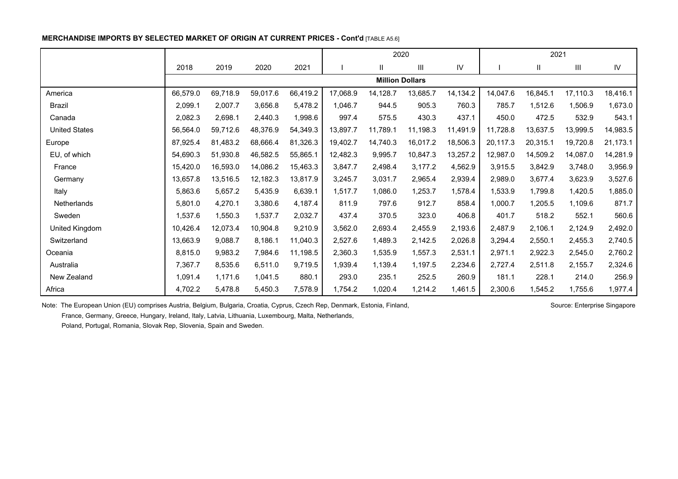### **MERCHANDISE IMPORTS BY SELECTED MARKET OF ORIGIN AT CURRENT PRICES - Cont'd [TABLE A5.6]**

|                      |          |          |          |          | 2020     |                        |                    |          |          | 2021                   |          |          |
|----------------------|----------|----------|----------|----------|----------|------------------------|--------------------|----------|----------|------------------------|----------|----------|
|                      | 2018     | 2019     | 2020     | 2021     |          | Ш                      | $\mathop{\rm III}$ | IV       |          | $\mathsf{I}\mathsf{I}$ | Ш        | IV       |
|                      |          |          |          |          |          | <b>Million Dollars</b> |                    |          |          |                        |          |          |
| America              | 66,579.0 | 69,718.9 | 59,017.6 | 66,419.2 | 17,068.9 | 14,128.7               | 13,685.7           | 14,134.2 | 14,047.6 | 16,845.1               | 17,110.3 | 18,416.1 |
| Brazil               | 2,099.1  | 2,007.7  | 3,656.8  | 5,478.2  | 1,046.7  | 944.5                  | 905.3              | 760.3    | 785.7    | 1,512.6                | 1,506.9  | 1,673.0  |
| Canada               | 2,082.3  | 2,698.1  | 2,440.3  | 1,998.6  | 997.4    | 575.5                  | 430.3              | 437.1    | 450.0    | 472.5                  | 532.9    | 543.1    |
| <b>United States</b> | 56,564.0 | 59,712.6 | 48,376.9 | 54,349.3 | 13,897.7 | 11,789.1               | 11,198.3           | 11,491.9 | 11,728.8 | 13,637.5               | 13,999.5 | 14,983.5 |
| Europe               | 87,925.4 | 81,483.2 | 68,666.4 | 81,326.3 | 19,402.7 | 14,740.3               | 16,017.2           | 18,506.3 | 20,117.3 | 20,315.1               | 19,720.8 | 21,173.1 |
| EU, of which         | 54,690.3 | 51,930.8 | 46,582.5 | 55,865.1 | 12,482.3 | 9,995.7                | 10,847.3           | 13,257.2 | 12,987.0 | 14,509.2               | 14,087.0 | 14,281.9 |
| France               | 15,420.0 | 16,593.0 | 14,086.2 | 15,463.3 | 3,847.7  | 2,498.4                | 3,177.2            | 4,562.9  | 3,915.5  | 3,842.9                | 3,748.0  | 3,956.9  |
| Germany              | 13,657.8 | 13,516.5 | 12,182.3 | 13,817.9 | 3,245.7  | 3,031.7                | 2,965.4            | 2,939.4  | 2,989.0  | 3,677.4                | 3,623.9  | 3,527.6  |
| Italy                | 5,863.6  | 5,657.2  | 5,435.9  | 6,639.1  | 1,517.7  | 1,086.0                | 1,253.7            | 1,578.4  | 1,533.9  | 1,799.8                | 1,420.5  | 1,885.0  |
| Netherlands          | 5,801.0  | 4,270.1  | 3,380.6  | 4,187.4  | 811.9    | 797.6                  | 912.7              | 858.4    | 1,000.7  | 1,205.5                | 1,109.6  | 871.7    |
| Sweden               | 1,537.6  | 1,550.3  | 1,537.7  | 2,032.7  | 437.4    | 370.5                  | 323.0              | 406.8    | 401.7    | 518.2                  | 552.1    | 560.6    |
| United Kingdom       | 10,426.4 | 12,073.4 | 10,904.8 | 9,210.9  | 3,562.0  | 2,693.4                | 2,455.9            | 2,193.6  | 2,487.9  | 2,106.1                | 2,124.9  | 2,492.0  |
| Switzerland          | 13,663.9 | 9,088.7  | 8,186.1  | 11,040.3 | 2,527.6  | 1,489.3                | 2,142.5            | 2,026.8  | 3,294.4  | 2,550.1                | 2,455.3  | 2,740.5  |
| Oceania              | 8,815.0  | 9,983.2  | 7,984.6  | 11,198.5 | 2,360.3  | 1,535.9                | 1,557.3            | 2,531.1  | 2,971.1  | 2,922.3                | 2,545.0  | 2,760.2  |
| Australia            | 7,367.7  | 8,535.6  | 6,511.0  | 9,719.5  | 1,939.4  | 1,139.4                | 1,197.5            | 2,234.6  | 2,727.4  | 2,511.8                | 2,155.7  | 2,324.6  |
| New Zealand          | 1,091.4  | 1,171.6  | 1,041.5  | 880.1    | 293.0    | 235.1                  | 252.5              | 260.9    | 181.1    | 228.1                  | 214.0    | 256.9    |
| Africa               | 4,702.2  | 5,478.8  | 5,450.3  | 7,578.9  | 1,754.2  | 1,020.4                | 1,214.2            | 1,461.5  | 2,300.6  | 1,545.2                | 1,755.6  | 1,977.4  |

Note: The European Union (EU) comprises Austria, Belgium, Bulgaria, Croatia, Cyprus, Czech Rep, Denmark, Estonia, Finland, Subsection Schurce: Enterprise Singapore France, Germany, Greece, Hungary, Ireland, Italy, Latvia, Lithuania, Luxembourg, Malta, Netherlands,

Poland, Portugal, Romania, Slovak Rep, Slovenia, Spain and Sweden.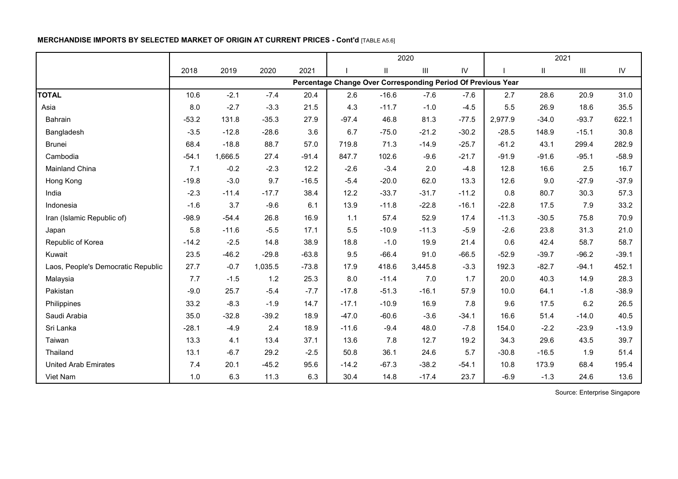# **MERCHANDISE IMPORTS BY SELECTED MARKET OF ORIGIN AT CURRENT PRICES - Cont'd** [TABLE A5.6]

|                                    |         |         |         |         |         |          | 2020                                                         |            |         | 2021                       |                    |            |
|------------------------------------|---------|---------|---------|---------|---------|----------|--------------------------------------------------------------|------------|---------|----------------------------|--------------------|------------|
|                                    | 2018    | 2019    | 2020    | 2021    |         | $\sf II$ | Ш                                                            | ${\sf IV}$ |         | $\ensuremath{\mathsf{II}}$ | $\mathop{\rm III}$ | ${\sf IV}$ |
|                                    |         |         |         |         |         |          | Percentage Change Over Corresponding Period Of Previous Year |            |         |                            |                    |            |
| <b>TOTAL</b>                       | 10.6    | $-2.1$  | $-7.4$  | 20.4    | 2.6     | $-16.6$  | $-7.6$                                                       | $-7.6$     | 2.7     | 28.6                       | 20.9               | 31.0       |
| Asia                               | 8.0     | $-2.7$  | $-3.3$  | 21.5    | 4.3     | $-11.7$  | $-1.0$                                                       | $-4.5$     | 5.5     | 26.9                       | 18.6               | 35.5       |
| Bahrain                            | $-53.2$ | 131.8   | $-35.3$ | 27.9    | $-97.4$ | 46.8     | 81.3                                                         | $-77.5$    | 2,977.9 | $-34.0$                    | $-93.7$            | 622.1      |
| Bangladesh                         | $-3.5$  | $-12.8$ | $-28.6$ | 3.6     | 6.7     | $-75.0$  | $-21.2$                                                      | $-30.2$    | $-28.5$ | 148.9                      | $-15.1$            | 30.8       |
| <b>Brunei</b>                      | 68.4    | $-18.8$ | 88.7    | 57.0    | 719.8   | 71.3     | $-14.9$                                                      | $-25.7$    | $-61.2$ | 43.1                       | 299.4              | 282.9      |
| Cambodia                           | $-54.1$ | 1,666.5 | 27.4    | $-91.4$ | 847.7   | 102.6    | $-9.6$                                                       | $-21.7$    | $-91.9$ | $-91.6$                    | $-95.1$            | $-58.9$    |
| Mainland China                     | 7.1     | $-0.2$  | $-2.3$  | 12.2    | $-2.6$  | $-3.4$   | 2.0                                                          | $-4.8$     | 12.8    | 16.6                       | 2.5                | 16.7       |
| Hong Kong                          | $-19.8$ | $-3.0$  | 9.7     | $-16.5$ | $-5.4$  | $-20.0$  | 62.0                                                         | 13.3       | 12.6    | 9.0                        | $-27.9$            | $-37.9$    |
| India                              | $-2.3$  | $-11.4$ | $-17.7$ | 38.4    | 12.2    | $-33.7$  | $-31.7$                                                      | $-11.2$    | 0.8     | 80.7                       | 30.3               | 57.3       |
| Indonesia                          | $-1.6$  | 3.7     | $-9.6$  | 6.1     | 13.9    | $-11.8$  | $-22.8$                                                      | $-16.1$    | $-22.8$ | 17.5                       | 7.9                | 33.2       |
| Iran (Islamic Republic of)         | $-98.9$ | $-54.4$ | 26.8    | 16.9    | 1.1     | 57.4     | 52.9                                                         | 17.4       | $-11.3$ | $-30.5$                    | 75.8               | 70.9       |
| Japan                              | 5.8     | $-11.6$ | $-5.5$  | 17.1    | 5.5     | $-10.9$  | $-11.3$                                                      | $-5.9$     | $-2.6$  | 23.8                       | 31.3               | 21.0       |
| Republic of Korea                  | $-14.2$ | $-2.5$  | 14.8    | 38.9    | 18.8    | $-1.0$   | 19.9                                                         | 21.4       | 0.6     | 42.4                       | 58.7               | 58.7       |
| Kuwait                             | 23.5    | $-46.2$ | $-29.8$ | $-63.8$ | 9.5     | $-66.4$  | 91.0                                                         | $-66.5$    | $-52.9$ | $-39.7$                    | $-96.2$            | $-39.1$    |
| Laos, People's Democratic Republic | 27.7    | $-0.7$  | 1,035.5 | $-73.8$ | 17.9    | 418.6    | 3,445.8                                                      | $-3.3$     | 192.3   | $-82.7$                    | $-94.1$            | 452.1      |
| Malaysia                           | 7.7     | $-1.5$  | 1.2     | 25.3    | 8.0     | $-11.4$  | 7.0                                                          | 1.7        | 20.0    | 40.3                       | 14.9               | 28.3       |
| Pakistan                           | $-9.0$  | 25.7    | $-5.4$  | $-7.7$  | $-17.8$ | $-51.3$  | $-16.1$                                                      | 57.9       | 10.0    | 64.1                       | $-1.8$             | $-38.9$    |
| Philippines                        | 33.2    | $-8.3$  | $-1.9$  | 14.7    | $-17.1$ | $-10.9$  | 16.9                                                         | 7.8        | 9.6     | 17.5                       | 6.2                | 26.5       |
| Saudi Arabia                       | 35.0    | $-32.8$ | $-39.2$ | 18.9    | $-47.0$ | $-60.6$  | $-3.6$                                                       | $-34.1$    | 16.6    | 51.4                       | $-14.0$            | 40.5       |
| Sri Lanka                          | $-28.1$ | $-4.9$  | 2.4     | 18.9    | $-11.6$ | $-9.4$   | 48.0                                                         | $-7.8$     | 154.0   | $-2.2$                     | $-23.9$            | $-13.9$    |
| Taiwan                             | 13.3    | 4.1     | 13.4    | 37.1    | 13.6    | $7.8$    | 12.7                                                         | 19.2       | 34.3    | 29.6                       | 43.5               | 39.7       |
| Thailand                           | 13.1    | $-6.7$  | 29.2    | $-2.5$  | 50.8    | 36.1     | 24.6                                                         | 5.7        | $-30.8$ | $-16.5$                    | 1.9                | 51.4       |
| <b>United Arab Emirates</b>        | 7.4     | 20.1    | $-45.2$ | 95.6    | $-14.2$ | $-67.3$  | $-38.2$                                                      | $-54.1$    | 10.8    | 173.9                      | 68.4               | 195.4      |
| Viet Nam                           | 1.0     | 6.3     | 11.3    | 6.3     | 30.4    | 14.8     | $-17.4$                                                      | 23.7       | $-6.9$  | $-1.3$                     | 24.6               | 13.6       |

Source: Enterprise Singapore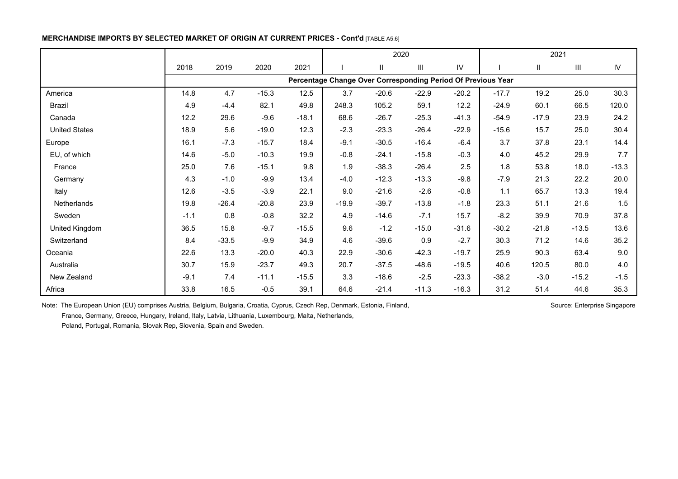### **MERCHANDISE IMPORTS BY SELECTED MARKET OF ORIGIN AT CURRENT PRICES - Cont'd [TABLE A5.6]**

|                      |        |         |         |         | 2020    |              |                                                              |         | 2021    |         |         |            |
|----------------------|--------|---------|---------|---------|---------|--------------|--------------------------------------------------------------|---------|---------|---------|---------|------------|
|                      | 2018   | 2019    | 2020    | 2021    |         | $\mathbf{H}$ | Ш                                                            | IV      |         | Ш       | Ш       | ${\sf IV}$ |
|                      |        |         |         |         |         |              | Percentage Change Over Corresponding Period Of Previous Year |         |         |         |         |            |
| America              | 14.8   | 4.7     | $-15.3$ | 12.5    | 3.7     | $-20.6$      | $-22.9$                                                      | $-20.2$ | $-17.7$ | 19.2    | 25.0    | 30.3       |
| Brazil               | 4.9    | $-4.4$  | 82.1    | 49.8    | 248.3   | 105.2        | 59.1                                                         | 12.2    | $-24.9$ | 60.1    | 66.5    | 120.0      |
| Canada               | 12.2   | 29.6    | $-9.6$  | $-18.1$ | 68.6    | $-26.7$      | $-25.3$                                                      | $-41.3$ | $-54.9$ | $-17.9$ | 23.9    | 24.2       |
| <b>United States</b> | 18.9   | 5.6     | $-19.0$ | 12.3    | $-2.3$  | $-23.3$      | $-26.4$                                                      | $-22.9$ | $-15.6$ | 15.7    | 25.0    | 30.4       |
| Europe               | 16.1   | $-7.3$  | $-15.7$ | 18.4    | $-9.1$  | $-30.5$      | $-16.4$                                                      | $-6.4$  | 3.7     | 37.8    | 23.1    | 14.4       |
| EU, of which         | 14.6   | $-5.0$  | $-10.3$ | 19.9    | $-0.8$  | $-24.1$      | $-15.8$                                                      | $-0.3$  | 4.0     | 45.2    | 29.9    | 7.7        |
| France               | 25.0   | 7.6     | $-15.1$ | 9.8     | 1.9     | $-38.3$      | $-26.4$                                                      | 2.5     | 1.8     | 53.8    | 18.0    | $-13.3$    |
| Germany              | 4.3    | $-1.0$  | $-9.9$  | 13.4    | $-4.0$  | $-12.3$      | $-13.3$                                                      | $-9.8$  | $-7.9$  | 21.3    | 22.2    | 20.0       |
| Italy                | 12.6   | $-3.5$  | $-3.9$  | 22.1    | 9.0     | $-21.6$      | $-2.6$                                                       | $-0.8$  | 1.1     | 65.7    | 13.3    | 19.4       |
| Netherlands          | 19.8   | $-26.4$ | $-20.8$ | 23.9    | $-19.9$ | $-39.7$      | $-13.8$                                                      | $-1.8$  | 23.3    | 51.1    | 21.6    | 1.5        |
| Sweden               | $-1.1$ | 0.8     | $-0.8$  | 32.2    | 4.9     | $-14.6$      | $-7.1$                                                       | 15.7    | $-8.2$  | 39.9    | 70.9    | 37.8       |
| United Kingdom       | 36.5   | 15.8    | $-9.7$  | $-15.5$ | 9.6     | $-1.2$       | $-15.0$                                                      | $-31.6$ | $-30.2$ | $-21.8$ | $-13.5$ | 13.6       |
| Switzerland          | 8.4    | $-33.5$ | $-9.9$  | 34.9    | 4.6     | $-39.6$      | 0.9                                                          | $-2.7$  | 30.3    | 71.2    | 14.6    | 35.2       |
| Oceania              | 22.6   | 13.3    | $-20.0$ | 40.3    | 22.9    | $-30.6$      | $-42.3$                                                      | $-19.7$ | 25.9    | 90.3    | 63.4    | 9.0        |
| Australia            | 30.7   | 15.9    | $-23.7$ | 49.3    | 20.7    | $-37.5$      | $-48.6$                                                      | $-19.5$ | 40.6    | 120.5   | 80.0    | 4.0        |
| New Zealand          | $-9.1$ | 7.4     | $-11.1$ | $-15.5$ | 3.3     | $-18.6$      | $-2.5$                                                       | $-23.3$ | $-38.2$ | $-3.0$  | $-15.2$ | $-1.5$     |
| Africa               | 33.8   | 16.5    | $-0.5$  | 39.1    | 64.6    | $-21.4$      | $-11.3$                                                      | $-16.3$ | 31.2    | 51.4    | 44.6    | 35.3       |

Note: The European Union (EU) comprises Austria, Belgium, Bulgaria, Croatia, Cyprus, Czech Rep, Denmark, Estonia, Finland, Subsection Schurce: Enterprise Singapore France, Germany, Greece, Hungary, Ireland, Italy, Latvia, Lithuania, Luxembourg, Malta, Netherlands,

Poland, Portugal, Romania, Slovak Rep, Slovenia, Spain and Sweden.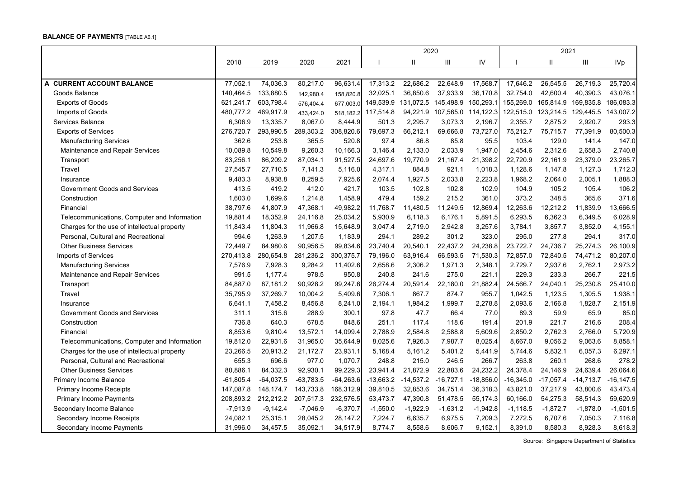#### **BALANCE OF PAYMENTS** [TABLE A6.1]

|                                              |             |             |             |             |             | 2020        |             |             |             | 2021         |                     |              |
|----------------------------------------------|-------------|-------------|-------------|-------------|-------------|-------------|-------------|-------------|-------------|--------------|---------------------|--------------|
|                                              | 2018        | 2019        | 2020        | 2021        |             | H           | Ш           | IV          |             | $\mathbf{I}$ | Ш                   | <b>IVp</b>   |
|                                              |             |             |             |             |             |             |             |             |             |              |                     |              |
| A CURRENT ACCOUNT BALANCE                    | 77,052.1    | 74,036.3    | 80,217.0    | 96,631.4    | 17,313.2    | 22,686.2    | 22,648.9    | 17,568.7    | 17,646.2    | 26,545.5     | 26,719.3            | 25,720.4     |
| Goods Balance                                | 140,464.5   | 133,880.5   | 142,980.4   | 158,820.8   | 32,025.1    | 36,850.6    | 37,933.9    | 36,170.8    | 32,754.0    | 42,600.4     | 40,390.3            | 43,076.1     |
| <b>Exports of Goods</b>                      | 621,241.7   | 603,798.4   | 576,404.4   | 677,003.0   | 149,539.9   | 131.072.5   | 145,498.9   | 150,293.1   | 155,269.0   | 165,814.9    | 169,835.8           | 186,083.3    |
| Imports of Goods                             | 480,777.2   | 469,917.9   | 433.424.0   | 518.182.2   | 117,514.8   | 94,221.9    | 107.565.0   | 114,122.3   | 122,515.0   | 123,214.5    | 129,445.5 143,007.2 |              |
| Services Balance                             | 6,306.9     | 13,335.7    | 8,067.0     | 8,444.9     | 501.3       | 2,295.7     | 3.073.3     | 2,196.7     | 2,355.7     | 2,875.2      | 2,920.7             | 293.3        |
| <b>Exports of Services</b>                   | 276,720.7   | 293,990.5   | 289,303.2   | 308,820.6   | 79,697.3    | 66,212.1    | 69,666.8    | 73,727.0    | 75,212.7    | 75,715.7     | 77,391.9            | 80,500.3     |
| <b>Manufacturing Services</b>                | 362.6       | 253.8       | 365.5       | 520.8       | 97.4        | 86.8        | 85.8        | 95.5        | 103.4       | 129.0        | 141.4               | 147.0        |
| Maintenance and Repair Services              | 10,089.8    | 10,549.8    | 9,260.3     | 10,166.3    | 3,146.4     | 2,133.0     | 2,033.9     | 1,947.0     | 2,454.6     | 2,312.6      | 2,658.3             | 2,740.8      |
| Transport                                    | 83,256.1    | 86,209.2    | 87,034.1    | 91,527.5    | 24,697.6    | 19,770.9    | 21,167.4    | 21,398.2    | 22,720.9    | 22,161.9     | 23,379.0            | 23,265.7     |
| Travel                                       | 27,545.7    | 27,710.5    | 7,141.3     | 5,116.0     | 4,317.1     | 884.8       | 921.1       | 1,018.3     | 1,128.6     | 1,147.8      | 1,127.3             | 1,712.3      |
| Insurance                                    | 9,483.3     | 8.938.8     | 8,259.5     | 7,925.6     | 2,074.4     | 1,927.5     | 2.033.8     | 2,223.8     | 1.968.2     | 2.064.0      | 2,005.1             | 1,888.3      |
| Government Goods and Services                | 413.5       | 419.2       | 412.0       | 421.7       | 103.5       | 102.8       | 102.8       | 102.9       | 104.9       | 105.2        | 105.4               | 106.2        |
| Construction                                 | 1,603.0     | 1,699.6     | 1,214.8     | 1,458.9     | 479.4       | 159.2       | 215.2       | 361.0       | 373.2       | 348.5        | 365.6               | 371.6        |
| Financial                                    | 38,797.6    | 41,807.9    | 47,368.1    | 49,982.2    | 11,768.7    | 11,480.5    | 11,249.5    | 12,869.4    | 12,263.6    | 12,212.2     | 11,839.9            | 13,666.5     |
| Telecommunications, Computer and Information | 19,881.4    | 18,352.9    | 24,116.8    | 25,034.2    | 5,930.9     | 6,118.3     | 6,176.1     | 5,891.5     | 6,293.5     | 6,362.3      | 6,349.5             | 6,028.9      |
| Charges for the use of intellectual property | 11,843.4    | 11,804.3    | 11,966.8    | 15,648.9    | 3,047.4     | 2,719.0     | 2,942.8     | 3,257.6     | 3,784.1     | 3,857.7      | 3,852.0             | 4,155.1      |
| Personal, Cultural and Recreational          | 994.6       | 1,263.9     | 1,207.5     | 1,183.9     | 294.1       | 289.2       | 301.2       | 323.0       | 295.0       | 277.8        | 294.1               | 317.0        |
| <b>Other Business Services</b>               | 72,449.7    | 84,980.6    | 90,956.5    | 99,834.6    | 23,740.4    | 20,540.1    | 22,437.2    | 24,238.8    | 23,722.7    | 24,736.7     | 25,274.3            | 26,100.9     |
| <b>Imports of Services</b>                   | 270,413.8   | 280,654.8   | 281,236.2   | 300,375.7   | 79,196.0    | 63,916.4    | 66,593.5    | 71,530.3    | 72,857.0    | 72,840.5     | 74,471.2            | 80,207.0     |
| <b>Manufacturing Services</b>                | 7,576.9     | 7,928.3     | 9,284.2     | 11,402.6    | 2,658.6     | 2,306.2     | 1,971.3     | 2,348.1     | 2,729.7     | 2,937.6      | 2,762.1             | 2,973.2      |
| Maintenance and Repair Services              | 991.5       | 1,177.4     | 978.5       | 950.8       | 240.8       | 241.6       | 275.0       | 221.1       | 229.3       | 233.3        | 266.7               | 221.5        |
| Transport                                    | 84,887.0    | 87,181.2    | 90,928.2    | 99,247.6    | 26,274.4    | 20,591.4    | 22,180.0    | 21,882.4    | 24,566.7    | 24,040.1     | 25,230.8            | 25,410.0     |
| Travel                                       | 35,795.9    | 37,269.7    | 10,004.2    | 5,409.6     | 7,306.1     | 867.7       | 874.7       | 955.7       | 1,042.5     | 1,123.5      | 1,305.5             | 1,938.1      |
| Insurance                                    | 6,641.1     | 7,458.2     | 8,456.8     | 8,241.0     | 2,194.1     | 1,984.2     | 1,999.7     | 2,278.8     | 2,093.6     | 2,166.8      | 1,828.7             | 2,151.9      |
| <b>Government Goods and Services</b>         | 311.1       | 315.6       | 288.9       | 300.1       | 97.8        | 47.7        | 66.4        | 77.0        | 89.3        | 59.9         | 65.9                | 85.0         |
| Construction                                 | 736.8       | 640.3       | 678.5       | 848.6       | 251.1       | 117.4       | 118.6       | 191.4       | 201.9       | 221.7        | 216.6               | 208.4        |
| Financial                                    | 8,853.6     | 9,810.4     | 13,572.1    | 14,099.4    | 2,788.9     | 2,584.8     | 2,588.8     | 5,609.6     | 2,850.2     | 2,762.3      | 2,766.0             | 5,720.9      |
| Telecommunications, Computer and Information | 19,812.0    | 22,931.6    | 31,965.0    | 35,644.9    | 8,025.6     | 7,926.3     | 7,987.7     | 8,025.4     | 8,667.0     | 9,056.2      | 9,063.6             | 8,858.1      |
| Charges for the use of intellectual property | 23,266.5    | 20,913.2    | 21,172.7    | 23,931.1    | 5,168.4     | 5,161.2     | 5,401.2     | 5,441.9     | 5,744.6     | 5,832.1      | 6,057.3             | 6,297.1      |
| Personal, Cultural and Recreational          | 655.3       | 696.6       | 977.0       | 1,070.7     | 248.8       | 215.0       | 246.5       | 266.7       | 263.8       | 260.1        | 268.6               | 278.2        |
| <b>Other Business Services</b>               | 80,886.1    | 84,332.3    | 92,930.1    | 99,229.3    | 23,941.4    | 21,872.9    | 22,883.6    | 24,232.2    | 24,378.4    | 24,146.9     | 24,639.4            | 26,064.6     |
| Primary Income Balance                       | $-61,805.4$ | $-64,037.5$ | $-63,783.5$ | $-64,263.6$ | $-13,663.2$ | $-14,537.2$ | $-16,727.1$ | $-18,856.0$ | $-16,345.0$ | $-17,057.4$  | $-14,713.7$         | $-16, 147.5$ |
| <b>Primary Income Receipts</b>               | 147,087.8   | 148,174.7   | 143,733.8   | 168,312.9   | 39,810.5    | 32,853.6    | 34,751.4    | 36,318.3    | 43,821.0    | 37,217.9     | 43,800.6            | 43,473.4     |
| <b>Primary Income Payments</b>               | 208,893.2   | 212,212.2   | 207,517.3   | 232,576.5   | 53,473.7    | 47,390.8    | 51,478.5    | 55,174.3    | 60,166.0    | 54,275.3     | 58,514.3            | 59,620.9     |
| Secondary Income Balance                     | $-7,913.9$  | $-9,142.4$  | $-7,046.9$  | $-6,370.7$  | $-1,550.0$  | $-1,922.9$  | $-1,631.2$  | $-1,942.8$  | $-1,118.5$  | $-1,872.7$   | $-1,878.0$          | $-1,501.5$   |
| Secondary Income Receipts                    | 24,082.1    | 25,315.1    | 28,045.2    | 28,147.2    | 7,224.7     | 6,635.7     | 6,975.5     | 7,209.3     | 7,272.5     | 6,707.6      | 7,050.3             | 7,116.8      |
| Secondary Income Payments                    | 31,996.0    | 34,457.5    | 35,092.1    | 34,517.9    | 8,774.7     | 8,558.6     | 8,606.7     | 9,152.1     | 8,391.0     | 8,580.3      | 8,928.3             | 8,618.3      |

Source: Singapore Department of Statistics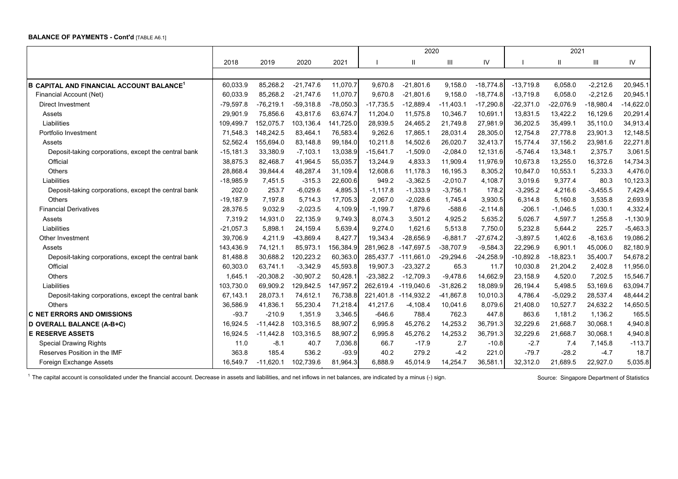#### **BALANCE OF PAYMENTS - Cont'd** [TABLE A6.1]

|                                                      |             |             |             |             |             | 2020         |             |             |             | 2021        |             |             |
|------------------------------------------------------|-------------|-------------|-------------|-------------|-------------|--------------|-------------|-------------|-------------|-------------|-------------|-------------|
|                                                      | 2018        | 2019        | 2020        | 2021        |             |              | Ш           | IV          |             | Ш           | Ш           | IV          |
|                                                      |             |             |             |             |             |              |             |             |             |             |             |             |
| <b>B CAPITAL AND FINANCIAL ACCOUNT BALANCE</b>       | 60,033.9    | 85,268.2    | $-21,747.6$ | 11,070.7    | 9,670.8     | $-21,801.6$  | 9,158.0     | $-18,774.8$ | $-13,719.8$ | 6,058.0     | $-2,212.6$  | 20,945.1    |
| Financial Account (Net)                              | 60,033.9    | 85,268.2    | $-21,747.6$ | 11,070.7    | 9,670.8     | $-21,801.6$  | 9,158.0     | $-18,774.8$ | $-13,719.8$ | 6,058.0     | $-2,212.6$  | 20,945.1    |
| Direct Investment                                    | $-79,597.8$ | $-76,219.1$ | $-59,318.8$ | $-78,050.3$ | $-17,735.5$ | $-12,889.4$  | $-11,403.1$ | $-17,290.8$ | $-22.371.0$ | $-22.076.9$ | $-18,980.4$ | $-14,622.0$ |
| Assets                                               | 29,901.9    | 75,856.6    | 43,817.6    | 63,674.7    | 11,204.0    | 11,575.8     | 10,346.7    | 10,691.1    | 13,831.5    | 13,422.2    | 16,129.6    | 20,291.4    |
| Liabilities                                          | 109,499.7   | 152,075.7   | 103,136.4   | 141,725.0   | 28,939.5    | 24,465.2     | 21,749.8    | 27,981.9    | 36,202.5    | 35,499.1    | 35,110.0    | 34,913.4    |
| Portfolio Investment                                 | 71,548.3    | 148,242.5   | 83,464.1    | 76,583.4    | 9,262.6     | 17,865.1     | 28,031.4    | 28,305.0    | 12,754.8    | 27,778.8    | 23,901.3    | 12,148.5    |
| Assets                                               | 52,562.4    | 155,694.0   | 83,148.8    | 99,184.0    | 10,211.8    | 14,502.6     | 26,020.7    | 32,413.7    | 15,774.4    | 37,156.2    | 23,981.6    | 22,271.8    |
| Deposit-taking corporations, except the central bank | $-15,181.3$ | 33,380.9    | $-7,103.1$  | 13,038.9    | $-15,641.7$ | $-1,509.0$   | $-2,084.0$  | 12,131.6    | $-5,746.4$  | 13,348.1    | 2,375.7     | 3,061.5     |
| Official                                             | 38,875.3    | 82,468.7    | 41,964.5    | 55,035.7    | 13,244.9    | 4,833.3      | 11,909.4    | 11,976.9    | 10,673.8    | 13,255.0    | 16,372.6    | 14,734.3    |
| Others                                               | 28,868.4    | 39,844.4    | 48,287.4    | 31,109.4    | 12,608.6    | 11,178.3     | 16,195.3    | 8,305.2     | 10,847.0    | 10,553.1    | 5,233.3     | 4,476.0     |
| Liabilities                                          | $-18,985.9$ | 7,451.5     | $-315.3$    | 22,600.6    | 949.2       | $-3,362.5$   | $-2,010.7$  | 4,108.7     | 3,019.6     | 9,377.4     | 80.3        | 10, 123.3   |
| Deposit-taking corporations, except the central bank | 202.0       | 253.7       | $-6,029.6$  | 4,895.3     | $-1,117.8$  | $-1,333.9$   | $-3,756.1$  | 178.2       | $-3.295.2$  | 4,216.6     | $-3,455.5$  | 7,429.4     |
| Others                                               | $-19,187.9$ | 7,197.8     | 5,714.3     | 17,705.3    | 2,067.0     | $-2,028.6$   | 1,745.4     | 3,930.5     | 6,314.8     | 5,160.8     | 3,535.8     | 2,693.9     |
| <b>Financial Derivatives</b>                         | 28,376.5    | 9,032.9     | $-2,023.5$  | 4,109.9     | $-1,199.7$  | 1,879.6      | $-588.6$    | $-2,114.8$  | $-206.1$    | $-1,046.5$  | 1,030.1     | 4,332.4     |
| Assets                                               | 7,319.2     | 14,931.0    | 22,135.9    | 9,749.3     | 8,074.3     | 3,501.2      | 4,925.2     | 5,635.2     | 5,026.7     | 4,597.7     | 1,255.8     | $-1,130.9$  |
| Liabilities                                          | $-21,057.3$ | 5,898.1     | 24,159.4    | 5,639.4     | 9,274.0     | 1,621.6      | 5,513.8     | 7,750.0     | 5,232.8     | 5,644.2     | 225.7       | $-5,463.3$  |
| Other Investment                                     | 39,706.9    | 4,211.9     | -43,869.4   | 8,427.7     | 19,343.4    | $-28,656.9$  | $-6,881.7$  | $-27,674.2$ | $-3,897.5$  | 1,402.6     | $-8,163.6$  | 19,086.2    |
| Assets                                               | 143,436.9   | 74,121.1    | 85,973.1    | 156,384.9   | 281,962.8   | $-147,697.5$ | $-38,707.9$ | $-9,584.3$  | 22,296.9    | 6,901.1     | 45,006.0    | 82,180.9    |
| Deposit-taking corporations, except the central bank | 81,488.8    | 30,688.2    | 120,223.2   | 60,363.0    | 285,437.7   | $-111,661.0$ | $-29,294.6$ | $-24,258.9$ | $-10,892.8$ | $-18,823.1$ | 35,400.7    | 54,678.2    |
| Official                                             | 60,303.0    | 63,741.1    | $-3,342.9$  | 45,593.8    | 19,907.3    | $-23,327.2$  | 65.3        | 11.7        | 10,030.8    | 21,204.2    | 2,402.8     | 11,956.0    |
| Others                                               | 1,645.1     | $-20,308.2$ | $-30,907.2$ | 50,428.     | $-23,382.2$ | $-12,709.3$  | $-9,478.6$  | 14,662.9    | 23,158.9    | 4,520.0     | 7,202.5     | 15,546.7    |
| Liabilities                                          | 103,730.0   | 69,909.2    | 129,842.5   | 147,957.2   | 262,619.4   | $-119,040.6$ | $-31,826.2$ | 18,089.9    | 26,194.4    | 5,498.5     | 53,169.6    | 63,094.7    |
| Deposit-taking corporations, except the central bank | 67,143.1    | 28,073.1    | 74,612.1    | 76,738.8    | 221,401.8   | $-114,932.2$ | $-41,867.8$ | 10,010.3    | 4.786.4     | $-5,029.2$  | 28,537.4    | 48,444.2    |
| <b>Others</b>                                        | 36,586.9    | 41,836.1    | 55,230.4    | 71,218.4    | 41,217.6    | $-4,108.4$   | 10,041.6    | 8,079.6     | 21,408.0    | 10,527.7    | 24,632.2    | 14,650.5    |
| <b>C NET ERRORS AND OMISSIONS</b>                    | $-93.7$     | $-210.9$    | 1,351.9     | 3,346.5     | $-646.6$    | 788.4        | 762.3       | 447.8       | 863.6       | 1,181.2     | 1,136.2     | 165.5       |
| D OVERALL BALANCE (A-B+C)                            | 16,924.5    | $-11,442.8$ | 103,316.5   | 88,907.2    | 6,995.8     | 45,276.2     | 14,253.2    | 36,791.3    | 32,229.6    | 21,668.7    | 30,068.1    | 4,940.8     |
| <b>E RESERVE ASSETS</b>                              | 16,924.5    | $-11,442.8$ | 103,316.5   | 88,907.2    | 6,995.8     | 45,276.2     | 14,253.2    | 36,791.3    | 32,229.6    | 21,668.7    | 30,068.1    | 4,940.8     |
| <b>Special Drawing Rights</b>                        | 11.0        | $-8.1$      | 40.7        | 7,036.8     | 66.7        | $-17.9$      | 2.7         | $-10.8$     | $-2.7$      | 7.4         | 7,145.8     | $-113.7$    |
| Reserves Position in the IMF                         | 363.8       | 185.4       | 536.2       | $-93.9$     | 40.2        | 279.2        | $-4.2$      | 221.0       | $-79.7$     | $-28.2$     | $-4.7$      | 18.7        |
| Foreign Exchange Assets                              | 16.549.7    | $-11,620.1$ | 102,739.6   | 81,964.3    | 6,888.9     | 45,014.9     | 14,254.7    | 36,581.1    | 32,312.0    | 21,689.5    | 22,927.0    | 5,035.8     |

<sup>1</sup> The capital account is consolidated under the financial account. Decrease in assets and liabilities, and net inflows in net balances, are indicated by a minus (-) sign. Source: Singapore Department of Statistics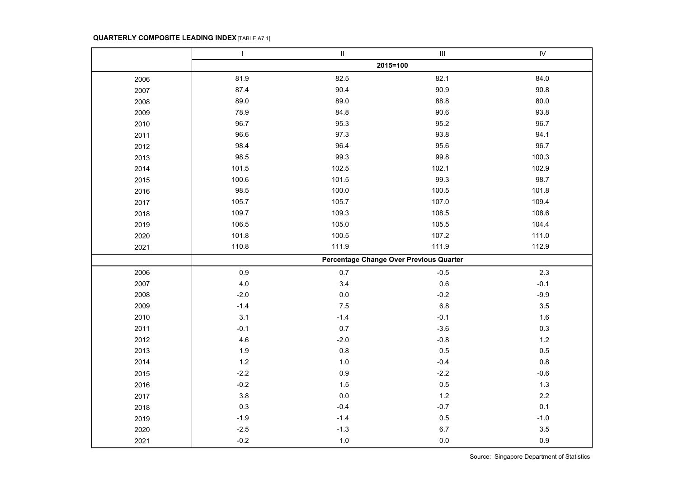## **QUARTERLY COMPOSITE LEADING INDEX** [TABLE A7.1]

|      | $\mathbf{I}$ | $\rm H$ | $\ensuremath{\mathsf{III}}\xspace$      | ${\sf IV}$ |
|------|--------------|---------|-----------------------------------------|------------|
|      |              |         | 2015=100                                |            |
| 2006 | 81.9         | 82.5    | 82.1                                    | 84.0       |
| 2007 | 87.4         | 90.4    | 90.9                                    | 90.8       |
| 2008 | 89.0         | 89.0    | 88.8                                    | 80.0       |
| 2009 | 78.9         | 84.8    | 90.6                                    | 93.8       |
| 2010 | 96.7         | 95.3    | 95.2                                    | 96.7       |
| 2011 | 96.6         | 97.3    | 93.8                                    | 94.1       |
| 2012 | 98.4         | 96.4    | 95.6                                    | 96.7       |
| 2013 | 98.5         | 99.3    | 99.8                                    | 100.3      |
| 2014 | 101.5        | 102.5   | 102.1                                   | 102.9      |
| 2015 | 100.6        | 101.5   | 99.3                                    | 98.7       |
| 2016 | 98.5         | 100.0   | 100.5                                   | 101.8      |
| 2017 | 105.7        | 105.7   | 107.0                                   | 109.4      |
| 2018 | 109.7        | 109.3   | 108.5                                   | 108.6      |
| 2019 | 106.5        | 105.0   | 105.5                                   | 104.4      |
| 2020 | 101.8        | 100.5   | 107.2                                   | 111.0      |
| 2021 | 110.8        | 111.9   | 111.9                                   | 112.9      |
|      |              |         | Percentage Change Over Previous Quarter |            |
| 2006 | 0.9          | 0.7     | $-0.5$                                  | 2.3        |
| 2007 | $4.0\,$      | 3.4     | $0.6\,$                                 | $-0.1$     |
| 2008 | $-2.0$       | $0.0\,$ | $-0.2$                                  | $-9.9$     |
| 2009 | $-1.4$       | 7.5     | $6.8\,$                                 | 3.5        |
| 2010 | 3.1          | $-1.4$  | $-0.1$                                  | 1.6        |
| 2011 | $-0.1$       | 0.7     | $-3.6$                                  | 0.3        |
| 2012 | 4.6          | $-2.0$  | $-0.8$                                  | $1.2$      |
| 2013 | 1.9          | $0.8\,$ | 0.5                                     | $0.5\,$    |
| 2014 | $1.2$        | $1.0\,$ | $-0.4$                                  | $0.8\,$    |
| 2015 | $-2.2$       | $0.9\,$ | $-2.2$                                  | $-0.6$     |
| 2016 | $-0.2$       | 1.5     | $0.5\,$                                 | $1.3$      |
| 2017 | 3.8          | $0.0\,$ | $1.2$                                   | $2.2\,$    |
| 2018 | 0.3          | $-0.4$  | $-0.7$                                  | 0.1        |
| 2019 | $-1.9$       | $-1.4$  | $0.5\,$                                 | $-1.0$     |
| 2020 | $-2.5$       | $-1.3$  | $6.7\,$                                 | $3.5\,$    |
| 2021 | $-0.2$       | $1.0$   | $0.0\,$                                 | $0.9\,$    |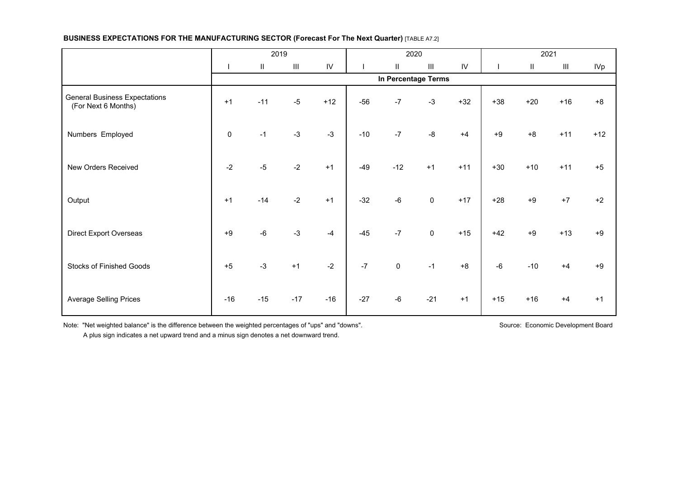|                                                             |             | 2019          |                                    |               |       |           | 2020                               |               |       |          | 2021                               |            |
|-------------------------------------------------------------|-------------|---------------|------------------------------------|---------------|-------|-----------|------------------------------------|---------------|-------|----------|------------------------------------|------------|
|                                                             |             | $\mathsf{II}$ | $\ensuremath{\mathsf{III}}\xspace$ | $\mathsf{IV}$ |       | $\rm H$   | $\ensuremath{\mathsf{III}}\xspace$ | $\mathsf{IV}$ |       | $\sf II$ | $\ensuremath{\mathsf{III}}\xspace$ | <b>IVp</b> |
|                                                             |             |               |                                    |               |       |           | In Percentage Terms                |               |       |          |                                    |            |
| <b>General Business Expectations</b><br>(For Next 6 Months) | $+1$        | $-11$         | $-5$                               | $+12$         | $-56$ | $-7$      | $-3$                               | $+32$         | $+38$ | $+20$    | $+16$                              | $+8$       |
| Numbers Employed                                            | $\mathbf 0$ | $-1$          | $-3$                               | $-3$          | $-10$ | $-7$      | $-8$                               | $+4$          | $+9$  | $+8$     | $+11$                              | $+12$      |
| New Orders Received                                         | $-2$        | $-5$          | $-2$                               | $+1$          | $-49$ | $-12$     | $+1$                               | $+11$         | $+30$ | $+10$    | $+11$                              | $+5$       |
| Output                                                      | $+1$        | $-14$         | $-2$                               | $+1$          | $-32$ | $-6$      | $\mathbf 0$                        | $+17$         | $+28$ | $+9$     | $+7$                               | $+2$       |
| <b>Direct Export Overseas</b>                               | $+9$        | $-6$          | $-3$                               | $-4$          | $-45$ | $-7$      | $\mathsf 0$                        | $+15$         | $+42$ | $+9$     | $+13$                              | $+9$       |
| <b>Stocks of Finished Goods</b>                             | $+5$        | $-3$          | $+1$                               | $-2$          | $-7$  | $\pmb{0}$ | $-1$                               | $+8$          | $-6$  | $-10$    | $+4$                               | $+9$       |
| <b>Average Selling Prices</b>                               | $-16$       | $-15$         | $-17$                              | $-16$         | $-27$ | $-6$      | $-21$                              | $+1$          | $+15$ | $+16$    | $+4$                               | $+1$       |

Note: "Net weighted balance" is the difference between the weighted percentages of "ups" and "downs". Source: Source: Economic Development Board

A plus sign indicates a net upward trend and a minus sign denotes a net downward trend.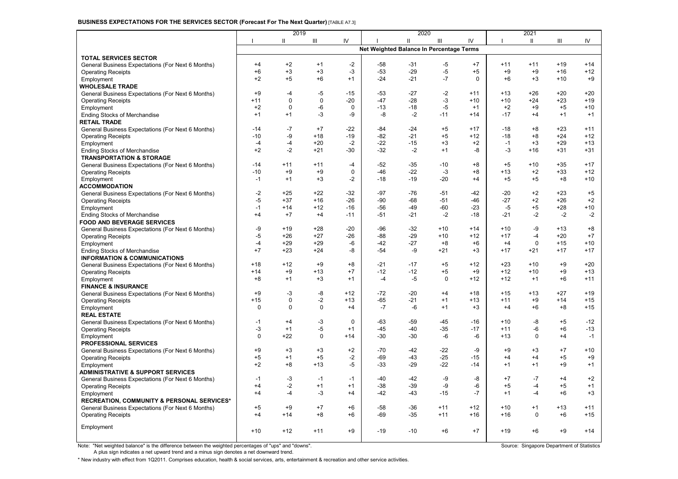#### **BUSINESS EXPECTATIONS FOR THE SERVICES SECTOR (Forecast For The Next Quarter)** [TABLE A7.3]

|                                                                            |                | 2019        |                    |               |                                          | 2020          |              |             |               | 2021          |                |                |
|----------------------------------------------------------------------------|----------------|-------------|--------------------|---------------|------------------------------------------|---------------|--------------|-------------|---------------|---------------|----------------|----------------|
|                                                                            |                | Ш           | $\mathop{\rm III}$ | IV            |                                          | Ш             | Ш            | IV          | т             | Ш             | Ш              | IV             |
|                                                                            |                |             |                    |               | Net Weighted Balance In Percentage Terms |               |              |             |               |               |                |                |
| <b>TOTAL SERVICES SECTOR</b>                                               |                |             |                    |               |                                          |               |              |             |               |               |                |                |
| General Business Expectations (For Next 6 Months)                          | $+4$           | $+2$        | $+1$               | $-2$          | $-58$                                    | $-31$         | $-5$         | $+7$        | $+11$         | $+11$         | $+19$          | $+14$          |
| <b>Operating Receipts</b>                                                  | $+6$           | $+3$        | $+3$               | -3            | $-53$                                    | $-29$         | -5           | $+5$        | $+9$          | $+9$          | $+16$          | $+12$          |
| Employment                                                                 | $+2$           | $+5$        | $+6$               | $+1$          | $-24$                                    | $-21$         | $-7$         | $\mathbf 0$ | $+6$          | $+3$          | $+10$          | $+9$           |
| <b>WHOLESALE TRADE</b>                                                     |                |             |                    |               |                                          |               |              |             |               |               |                |                |
| General Business Expectations (For Next 6 Months)                          | $+9$           | $-4$        | $-5$               | $-15$         | -53                                      | -27           | $-2$         | $+11$       | $+13$         | +26           | $+20$          | $+20$          |
| <b>Operating Receipts</b>                                                  | $+11$          | 0           | $\mathbf 0$        | $-20$         | $-47$                                    | $-28$         | $-3$         | $+10$       | $+10$         | $+24$         | +23            | $+19$          |
| Employment                                                                 | $+2$           | 0           | -6                 | 0             | $-13$                                    | $-18$         | -5           | $+1$        | $+2$          | $+9$          | $+5$           | $+10$          |
| <b>Ending Stocks of Merchandise</b>                                        | $+1$           | $+1$        | $-3$               | -9            | -8                                       | $-2$          | $-11$        | $+14$       | $-17$         | $+4$          | $+1$           | $+1$           |
| <b>RETAIL TRADE</b>                                                        |                |             |                    |               |                                          |               |              |             |               |               |                |                |
| General Business Expectations (For Next 6 Months)                          | $-14$<br>$-10$ | $-7$<br>-9  | $+7$               | $-22$         | -84                                      | $-24$         | $+5$         | $+17$       | $-18$         | $+8$          | $+23$          | $+11$          |
| <b>Operating Receipts</b>                                                  |                | $-4$        | $+18$              | $-19$         | $-82$                                    | $-21$         | $+5$         | $+12$       | $-18$<br>$-1$ | $+8$          | $+24$<br>$+29$ | $+12$<br>$+13$ |
| Employment                                                                 | $-4$<br>$+2$   | $-2$        | $+20$<br>$+21$     | $-2$<br>$-30$ | $-22$<br>$-32$                           | $-15$<br>$-2$ | $+3$<br>$+1$ | $+2$<br>-8  | $-3$          | $+3$<br>$+16$ | $+31$          | $+31$          |
| <b>Ending Stocks of Merchandise</b><br><b>TRANSPORTATION &amp; STORAGE</b> |                |             |                    |               |                                          |               |              |             |               |               |                |                |
| General Business Expectations (For Next 6 Months)                          | $-14$          | $+11$       | $+11$              | $-4$          | $-52$                                    | $-35$         | $-10$        | $+8$        | $+5$          | $+10$         | $+35$          | $+17$          |
| <b>Operating Receipts</b>                                                  | $-10$          | $+9$        | $+9$               | $\Omega$      | -46                                      | $-22$         | $-3$         | $+8$        | $+13$         | $+2$          | $+33$          | $+12$          |
| Employment                                                                 | $-1$           | $+1$        | $+3$               | $-2$          | $-18$                                    | $-19$         | $-20$        | $+4$        | $+5$          | $+5$          | $+8$           | $+10$          |
| <b>ACCOMMODATION</b>                                                       |                |             |                    |               |                                          |               |              |             |               |               |                |                |
| General Business Expectations (For Next 6 Months)                          | $-2$           | $+25$       | $+22$              | $-32$         | $-97$                                    | $-76$         | $-51$        | $-42$       | $-20$         | $+2$          | $+23$          | $+5$           |
| <b>Operating Receipts</b>                                                  | -5             | $+37$       | $+16$              | $-26$         | -90                                      | $-68$         | $-51$        | $-46$       | $-27$         | $+2$          | $+26$          | $+2$           |
| Employment                                                                 | $-1$           | $+14$       | $+12$              | $-16$         | -56                                      | -49           | $-60$        | $-23$       | $-5$          | $+5$          | $+28$          | $+10$          |
| <b>Ending Stocks of Merchandise</b>                                        | $+4$           | $+7$        | $+4$               | $-11$         | $-51$                                    | $-21$         | $-2$         | $-18$       | $-21$         | $-2$          | $-2$           | $-2$           |
| <b>FOOD AND BEVERAGE SERVICES</b>                                          |                |             |                    |               |                                          |               |              |             |               |               |                |                |
| General Business Expectations (For Next 6 Months)                          | -9             | $+19$       | $+28$              | $-20$         | -96                                      | -32           | $+10$        | $+14$       | $+10$         | -9            | $+13$          | $+8$           |
| <b>Operating Receipts</b>                                                  | -5             | $+26$       | $+27$              | $-26$         | $-88$                                    | $-29$         | $+10$        | $+12$       | $+17$         | $-4$          | $+20$          | $+7$           |
| Employment                                                                 | $-4$           | $+29$       | $+29$              | $-6$          | $-42$                                    | $-27$         | $+8$         | $+6$        | $+4$          | $\mathbf 0$   | $+15$          | $+10$          |
| <b>Ending Stocks of Merchandise</b>                                        | $+7$           | $+23$       | $+24$              | -8            | $-54$                                    | $-9$          | $+21$        | $+3$        | $+17$         | $+21$         | $+17$          | $+17$          |
| <b>INFORMATION &amp; COMMUNICATIONS</b>                                    |                |             |                    |               |                                          |               |              |             |               |               |                |                |
| General Business Expectations (For Next 6 Months)                          | $+18$          | $+12$       | $+9$               | $+8$          | $-21$                                    | $-17$         | $+5$         | $+12$       | $+23$         | $+10$         | $+9$           | $+20$          |
| <b>Operating Receipts</b>                                                  | $+14$          | $+9$        | $+13$              | $+7$          | $-12$                                    | $-12$         | $+5$         | $+9$        | $+12$         | $+10$         | $+9$           | $+13$          |
| Employment                                                                 | $+8$           | $+1$        | $+3$               | $+1$          | $-4$                                     | $-5$          | $\mathbf 0$  | $+12$       | $+12$         | $+1$          | $+6$           | $+11$          |
| <b>FINANCE &amp; INSURANCE</b>                                             |                |             |                    |               |                                          |               |              |             |               |               |                |                |
| General Business Expectations (For Next 6 Months)                          | $+9$           | $-3$        | -8                 | $+12$         | $-72$                                    | $-20$         | $+4$         | $+18$       | $+15$         | $+13$         | $+27$          | $+19$          |
| <b>Operating Receipts</b>                                                  | $+15$          | 0           | $-2$               | $+13$         | -65                                      | -21           | $+1$         | $+13$       | $+11$         | $+9$          | $+14$          | $+15$          |
| Employment                                                                 | 0              | $\mathbf 0$ | $\mathbf 0$        | $+4$          | $-7$                                     | -6            | $+1$         | $+3$        | $+4$          | $+6$          | $+8$           | $+15$          |
| <b>REAL ESTATE</b>                                                         | $-1$           | $+4$        | $-3$               | $\mathbf{0}$  | -63                                      | -59           | $-45$        | $-16$       | $+10$         | $-8$          | $+5$           | $-12$          |
| General Business Expectations (For Next 6 Months)                          | $-3$           | $+1$        | $-5$               | $+1$          | $-45$                                    | $-40$         | $-35$        | $-17$       | $+11$         | $-6$          | $+6$           | $-13$          |
| <b>Operating Receipts</b><br>Employment                                    | $\mathbf 0$    | $+22$       | $\mathbf 0$        | $+14$         | $-30$                                    | $-30$         | $-6$         | $-6$        | $+13$         | $\mathbf 0$   | $+4$           | $-1$           |
| PROFESSIONAL SERVICES                                                      |                |             |                    |               |                                          |               |              |             |               |               |                |                |
| General Business Expectations (For Next 6 Months)                          | $+9$           | $+3$        | $+3$               | $+2$          | $-70$                                    | $-42$         | $-22$        | $-9$        | $+9$          | $+3$          | $+7$           | $+10$          |
| <b>Operating Receipts</b>                                                  | $+5$           | $+1$        | $+5$               | $-2$          | $-69$                                    | $-43$         | $-25$        | $-15$       | $+4$          | $+4$          | $+5$           | $+9$           |
| Employment                                                                 | $+2$           | $+8$        | $+13$              | $-5$          | $-33$                                    | $-29$         | $-22$        | $-14$       | $+1$          | $+1$          | $+9$           | $+1$           |
| <b>ADMINISTRATIVE &amp; SUPPORT SERVICES</b>                               |                |             |                    |               |                                          |               |              |             |               |               |                |                |
| General Business Expectations (For Next 6 Months)                          | $-1$           | $-3$        | $-1$               | $-1$          | $-40$                                    | $-42$         | -9           | -8          | $+7$          | $-7$          | $+4$           | $+2$           |
| <b>Operating Receipts</b>                                                  | $+4$           | $-2$        | $+1$               | $+1$          | $-38$                                    | $-39$         | -9           | $-6$        | $+5$          | $-4$          | $+5$           | $+1$           |
| Employment                                                                 | $+4$           | $-4$        | $-3$               | $+4$          | -42                                      | -43           | $-15$        | $-7$        | $+1$          | $-4$          | $+6$           | $+3$           |
| <b>RECREATION, COMMUNITY &amp; PERSONAL SERVICES*</b>                      |                |             |                    |               |                                          |               |              |             |               |               |                |                |
| General Business Expectations (For Next 6 Months)                          | $+5$           | $+9$        | $+7$               | $+6$          | -58                                      | -36           | $+11$        | $+12$       | $+10$         | $+1$          | $+13$          | $+11$          |
| <b>Operating Receipts</b>                                                  | $+4$           | $+14$       | $+8$               | $+6$          | -69                                      | -35           | $+11$        | $+16$       | $+16$         | 0             | $+6$           | $+15$          |
|                                                                            |                |             |                    |               |                                          |               |              |             |               |               |                |                |
| Employment                                                                 | $+10$          | $+12$       | $+11$              | $+9$          | $-19$                                    | $-10$         | $+6$         | $+7$        | $+19$         | $+6$          | $+9$           | $+14$          |
|                                                                            |                |             |                    |               |                                          |               |              |             |               |               |                |                |

Note: "Net weighted balance" is the difference between the weighted percentages of "ups" and "downs". Source: Singapore Department of Statistics

A plus sign indicates a net upward trend and a minus sign denotes a net downward trend.

\* New industry with effect from 1Q2011. Comprises education, health & social services, arts, entertainment & recreation and other service activities.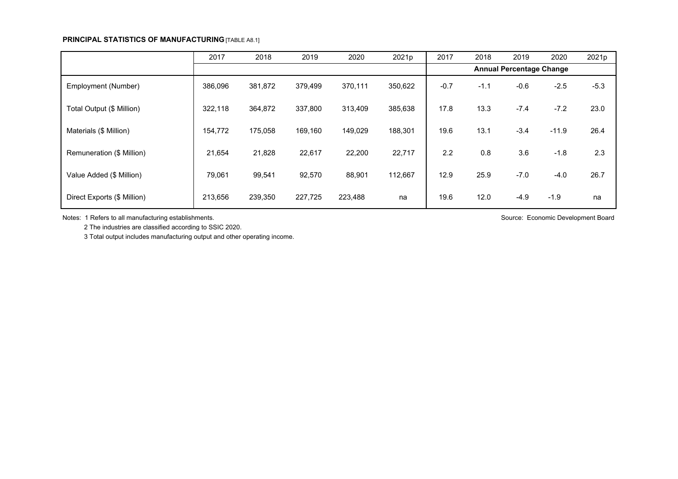### **PRINCIPAL STATISTICS OF MANUFACTURING** [TABLE A8.1]

|                             | 2017    | 2018    | 2019    | 2020    | 2021p   | 2017   | 2018   | 2019                            | 2020    | 2021p  |
|-----------------------------|---------|---------|---------|---------|---------|--------|--------|---------------------------------|---------|--------|
|                             |         |         |         |         |         |        |        | <b>Annual Percentage Change</b> |         |        |
| Employment (Number)         | 386,096 | 381,872 | 379,499 | 370,111 | 350,622 | $-0.7$ | $-1.1$ | $-0.6$                          | $-2.5$  | $-5.3$ |
| Total Output (\$ Million)   | 322,118 | 364,872 | 337,800 | 313,409 | 385,638 | 17.8   | 13.3   | $-7.4$                          | $-7.2$  | 23.0   |
| Materials (\$ Million)      | 154,772 | 175,058 | 169,160 | 149,029 | 188,301 | 19.6   | 13.1   | $-3.4$                          | $-11.9$ | 26.4   |
| Remuneration (\$ Million)   | 21,654  | 21,828  | 22,617  | 22,200  | 22,717  | 2.2    | 0.8    | 3.6                             | $-1.8$  | 2.3    |
| Value Added (\$ Million)    | 79,061  | 99,541  | 92,570  | 88,901  | 112,667 | 12.9   | 25.9   | $-7.0$                          | $-4.0$  | 26.7   |
| Direct Exports (\$ Million) | 213,656 | 239,350 | 227,725 | 223,488 | na      | 19.6   | 12.0   | $-4.9$                          | $-1.9$  | na     |

Notes: 1 Refers to all manufacturing establishments. The state of the state of the state of the state of the state of the state of the state of the state of the state of the state of the state of the state of the state of

2 The industries are classified according to SSIC 2020.

3 Total output includes manufacturing output and other operating income.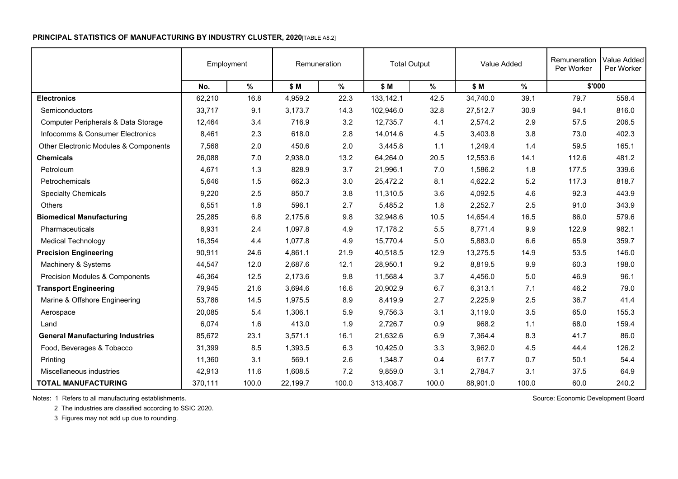## **PRINCIPAL STATISTICS OF MANUFACTURING BY INDUSTRY CLUSTER, 2020**[TABLE A8.2]

|                                         | Employment |       |          | Remuneration | <b>Total Output</b> |         |          | Value Added | Remuneration<br>Per Worker | Value Added<br>Per Worker |
|-----------------------------------------|------------|-------|----------|--------------|---------------------|---------|----------|-------------|----------------------------|---------------------------|
|                                         | No.        | $\%$  | \$ M     | %            | \$ M                | $\%$    | \$ M     | $\%$        | \$'000                     |                           |
| <b>Electronics</b>                      | 62,210     | 16.8  | 4,959.2  | 22.3         | 133,142.1           | 42.5    | 34,740.0 | 39.1        | 79.7                       | 558.4                     |
| Semiconductors                          | 33,717     | 9.1   | 3,173.7  | 14.3         | 102,946.0           | 32.8    | 27,512.7 | 30.9        | 94.1                       | 816.0                     |
| Computer Peripherals & Data Storage     | 12,464     | 3.4   | 716.9    | 3.2          | 12,735.7            | 4.1     | 2,574.2  | 2.9         | 57.5                       | 206.5                     |
| Infocomms & Consumer Electronics        | 8,461      | 2.3   | 618.0    | 2.8          | 14,014.6            | 4.5     | 3,403.8  | 3.8         | 73.0                       | 402.3                     |
| Other Electronic Modules & Components   | 7,568      | 2.0   | 450.6    | 2.0          | 3,445.8             | 1.1     | 1,249.4  | 1.4         | 59.5                       | 165.1                     |
| <b>Chemicals</b>                        | 26,088     | 7.0   | 2,938.0  | 13.2         | 64,264.0            | 20.5    | 12,553.6 | 14.1        | 112.6                      | 481.2                     |
| Petroleum                               | 4,671      | 1.3   | 828.9    | 3.7          | 21,996.1            | 7.0     | 1,586.2  | 1.8         | 177.5                      | 339.6                     |
| Petrochemicals                          | 5,646      | 1.5   | 662.3    | 3.0          | 25,472.2            | 8.1     | 4,622.2  | 5.2         | 117.3                      | 818.7                     |
| <b>Specialty Chemicals</b>              | 9,220      | 2.5   | 850.7    | 3.8          | 11,310.5            | 3.6     | 4,092.5  | 4.6         | 92.3                       | 443.9                     |
| Others                                  | 6,551      | 1.8   | 596.1    | 2.7          | 5,485.2             | 1.8     | 2,252.7  | 2.5         | 91.0                       | 343.9                     |
| <b>Biomedical Manufacturing</b>         | 25,285     | 6.8   | 2,175.6  | 9.8          | 32,948.6            | 10.5    | 14,654.4 | 16.5        | 86.0                       | 579.6                     |
| Pharmaceuticals                         | 8,931      | 2.4   | 1,097.8  | 4.9          | 17,178.2            | 5.5     | 8,771.4  | 9.9         | 122.9                      | 982.1                     |
| <b>Medical Technology</b>               | 16,354     | 4.4   | 1,077.8  | 4.9          | 15,770.4            | $5.0\,$ | 5,883.0  | 6.6         | 65.9                       | 359.7                     |
| <b>Precision Engineering</b>            | 90,911     | 24.6  | 4,861.1  | 21.9         | 40,518.5            | 12.9    | 13,275.5 | 14.9        | 53.5                       | 146.0                     |
| Machinery & Systems                     | 44,547     | 12.0  | 2,687.6  | 12.1         | 28,950.1            | 9.2     | 8,819.5  | 9.9         | 60.3                       | 198.0                     |
| Precision Modules & Components          | 46,364     | 12.5  | 2,173.6  | 9.8          | 11,568.4            | 3.7     | 4,456.0  | 5.0         | 46.9                       | 96.1                      |
| <b>Transport Engineering</b>            | 79,945     | 21.6  | 3,694.6  | 16.6         | 20,902.9            | 6.7     | 6,313.1  | 7.1         | 46.2                       | 79.0                      |
| Marine & Offshore Engineering           | 53,786     | 14.5  | 1,975.5  | 8.9          | 8,419.9             | 2.7     | 2,225.9  | 2.5         | 36.7                       | 41.4                      |
| Aerospace                               | 20,085     | 5.4   | 1,306.1  | 5.9          | 9,756.3             | 3.1     | 3,119.0  | 3.5         | 65.0                       | 155.3                     |
| Land                                    | 6,074      | 1.6   | 413.0    | 1.9          | 2,726.7             | 0.9     | 968.2    | 1.1         | 68.0                       | 159.4                     |
| <b>General Manufacturing Industries</b> | 85,672     | 23.1  | 3,571.1  | 16.1         | 21,632.6            | 6.9     | 7,364.4  | 8.3         | 41.7                       | 86.0                      |
| Food, Beverages & Tobacco               | 31,399     | 8.5   | 1,393.5  | 6.3          | 10,425.0            | 3.3     | 3,962.0  | 4.5         | 44.4                       | 126.2                     |
| Printing                                | 11,360     | 3.1   | 569.1    | 2.6          | 1,348.7             | 0.4     | 617.7    | 0.7         | 50.1                       | 54.4                      |
| Miscellaneous industries                | 42,913     | 11.6  | 1,608.5  | 7.2          | 9,859.0             | 3.1     | 2,784.7  | 3.1         | 37.5                       | 64.9                      |
| <b>TOTAL MANUFACTURING</b>              | 370,111    | 100.0 | 22,199.7 | 100.0        | 313,408.7           | 100.0   | 88,901.0 | 100.0       | 60.0                       | 240.2                     |

Notes: 1 Refers to all manufacturing establishments. The state of the state of the state of the state of the state of the state of the state of the state of the state of the state of the state of the state of the state of

2 The industries are classified according to SSIC 2020.

3 Figures may not add up due to rounding.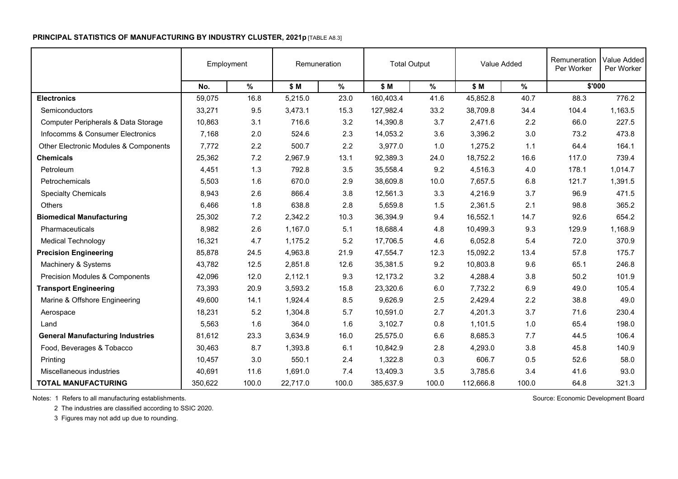#### **PRINCIPAL STATISTICS OF MANUFACTURING BY INDUSTRY CLUSTER, 2021 p** [TABLE A8.3]

|                                         | Employment |       |          | Remuneration | <b>Total Output</b> |       |           | Value Added | Remuneration<br>Per Worker | Value Added<br>Per Worker |
|-----------------------------------------|------------|-------|----------|--------------|---------------------|-------|-----------|-------------|----------------------------|---------------------------|
|                                         | No.        | $\%$  | \$ M     | %            | \$ M                | $\%$  | \$ M      | $\%$        | \$'000                     |                           |
| <b>Electronics</b>                      | 59,075     | 16.8  | 5,215.0  | 23.0         | 160,403.4           | 41.6  | 45,852.8  | 40.7        | 88.3                       | 776.2                     |
| Semiconductors                          | 33,271     | 9.5   | 3,473.1  | 15.3         | 127,982.4           | 33.2  | 38,709.8  | 34.4        | 104.4                      | 1,163.5                   |
| Computer Peripherals & Data Storage     | 10,863     | 3.1   | 716.6    | 3.2          | 14,390.8            | 3.7   | 2,471.6   | 2.2         | 66.0                       | 227.5                     |
| Infocomms & Consumer Electronics        | 7,168      | 2.0   | 524.6    | 2.3          | 14,053.2            | 3.6   | 3,396.2   | 3.0         | 73.2                       | 473.8                     |
| Other Electronic Modules & Components   | 7,772      | 2.2   | 500.7    | 2.2          | 3,977.0             | 1.0   | 1,275.2   | 1.1         | 64.4                       | 164.1                     |
| <b>Chemicals</b>                        | 25,362     | 7.2   | 2,967.9  | 13.1         | 92,389.3            | 24.0  | 18,752.2  | 16.6        | 117.0                      | 739.4                     |
| Petroleum                               | 4,451      | 1.3   | 792.8    | 3.5          | 35,558.4            | 9.2   | 4,516.3   | 4.0         | 178.1                      | 1,014.7                   |
| Petrochemicals                          | 5,503      | 1.6   | 670.0    | 2.9          | 38,609.8            | 10.0  | 7,657.5   | 6.8         | 121.7                      | 1,391.5                   |
| <b>Specialty Chemicals</b>              | 8,943      | 2.6   | 866.4    | 3.8          | 12,561.3            | 3.3   | 4,216.9   | 3.7         | 96.9                       | 471.5                     |
| <b>Others</b>                           | 6,466      | 1.8   | 638.8    | 2.8          | 5,659.8             | 1.5   | 2,361.5   | 2.1         | 98.8                       | 365.2                     |
| <b>Biomedical Manufacturing</b>         | 25,302     | 7.2   | 2,342.2  | 10.3         | 36,394.9            | 9.4   | 16,552.1  | 14.7        | 92.6                       | 654.2                     |
| Pharmaceuticals                         | 8,982      | 2.6   | 1,167.0  | 5.1          | 18,688.4            | 4.8   | 10,499.3  | 9.3         | 129.9                      | 1,168.9                   |
| <b>Medical Technology</b>               | 16,321     | 4.7   | 1,175.2  | 5.2          | 17.706.5            | 4.6   | 6,052.8   | 5.4         | 72.0                       | 370.9                     |
| <b>Precision Engineering</b>            | 85,878     | 24.5  | 4,963.8  | 21.9         | 47,554.7            | 12.3  | 15,092.2  | 13.4        | 57.8                       | 175.7                     |
| Machinery & Systems                     | 43,782     | 12.5  | 2,851.8  | 12.6         | 35,381.5            | 9.2   | 10,803.8  | 9.6         | 65.1                       | 246.8                     |
| Precision Modules & Components          | 42,096     | 12.0  | 2,112.1  | 9.3          | 12,173.2            | 3.2   | 4,288.4   | 3.8         | 50.2                       | 101.9                     |
| <b>Transport Engineering</b>            | 73,393     | 20.9  | 3,593.2  | 15.8         | 23,320.6            | 6.0   | 7,732.2   | 6.9         | 49.0                       | 105.4                     |
| Marine & Offshore Engineering           | 49,600     | 14.1  | 1,924.4  | 8.5          | 9,626.9             | 2.5   | 2,429.4   | 2.2         | 38.8                       | 49.0                      |
| Aerospace                               | 18,231     | 5.2   | 1,304.8  | 5.7          | 10,591.0            | 2.7   | 4,201.3   | 3.7         | 71.6                       | 230.4                     |
| Land                                    | 5,563      | 1.6   | 364.0    | 1.6          | 3,102.7             | 0.8   | 1,101.5   | 1.0         | 65.4                       | 198.0                     |
| <b>General Manufacturing Industries</b> | 81,612     | 23.3  | 3,634.9  | 16.0         | 25,575.0            | 6.6   | 8,685.3   | 7.7         | 44.5                       | 106.4                     |
| Food, Beverages & Tobacco               | 30,463     | 8.7   | 1,393.8  | 6.1          | 10,842.9            | 2.8   | 4,293.0   | 3.8         | 45.8                       | 140.9                     |
| Printing                                | 10,457     | 3.0   | 550.1    | 2.4          | 1,322.8             | 0.3   | 606.7     | 0.5         | 52.6                       | 58.0                      |
| Miscellaneous industries                | 40,691     | 11.6  | 1,691.0  | 7.4          | 13,409.3            | 3.5   | 3,785.6   | 3.4         | 41.6                       | 93.0                      |
| <b>TOTAL MANUFACTURING</b>              | 350,622    | 100.0 | 22,717.0 | 100.0        | 385,637.9           | 100.0 | 112,666.8 | 100.0       | 64.8                       | 321.3                     |

Notes: 1 Refers to all manufacturing establishments. The state of the state of the state of the state of the state of the state of the state of the state of the state of the state of the state of the state of the state of

2 The industries are classified according to SSIC 2020.

3 Figures may not add up due to rounding.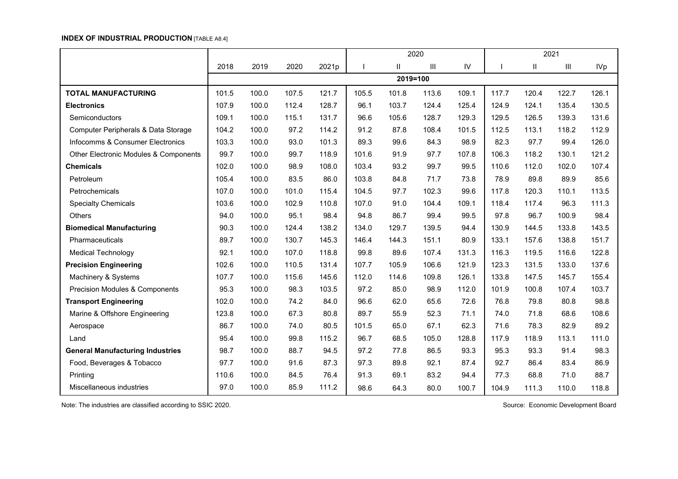## **INDEX OF INDUSTRIAL PRODUCTION** [TABLE A8.4]

|                                                  |       |       |       |       |       |          | 2020               |            | 2021  |       |                                    |            |
|--------------------------------------------------|-------|-------|-------|-------|-------|----------|--------------------|------------|-------|-------|------------------------------------|------------|
|                                                  | 2018  | 2019  | 2020  | 2021p |       | Ш        | $\mathop{\rm III}$ | ${\sf IV}$ |       | Ш     | $\ensuremath{\mathsf{III}}\xspace$ | <b>IVp</b> |
|                                                  |       |       |       |       |       | 2019=100 |                    |            |       |       |                                    |            |
| <b>TOTAL MANUFACTURING</b>                       | 101.5 | 100.0 | 107.5 | 121.7 | 105.5 | 101.8    | 113.6              | 109.1      | 117.7 | 120.4 | 122.7                              | 126.1      |
| <b>Electronics</b>                               | 107.9 | 100.0 | 112.4 | 128.7 | 96.1  | 103.7    | 124.4              | 125.4      | 124.9 | 124.1 | 135.4                              | 130.5      |
| Semiconductors                                   | 109.1 | 100.0 | 115.1 | 131.7 | 96.6  | 105.6    | 128.7              | 129.3      | 129.5 | 126.5 | 139.3                              | 131.6      |
| Computer Peripherals & Data Storage              | 104.2 | 100.0 | 97.2  | 114.2 | 91.2  | 87.8     | 108.4              | 101.5      | 112.5 | 113.1 | 118.2                              | 112.9      |
| Infocomms & Consumer Electronics                 | 103.3 | 100.0 | 93.0  | 101.3 | 89.3  | 99.6     | 84.3               | 98.9       | 82.3  | 97.7  | 99.4                               | 126.0      |
| <b>Other Electronic Modules &amp; Components</b> | 99.7  | 100.0 | 99.7  | 118.9 | 101.6 | 91.9     | 97.7               | 107.8      | 106.3 | 118.2 | 130.1                              | 121.2      |
| <b>Chemicals</b>                                 | 102.0 | 100.0 | 98.9  | 108.0 | 103.4 | 93.2     | 99.7               | 99.5       | 110.6 | 112.0 | 102.0                              | 107.4      |
| Petroleum                                        | 105.4 | 100.0 | 83.5  | 86.0  | 103.8 | 84.8     | 71.7               | 73.8       | 78.9  | 89.8  | 89.9                               | 85.6       |
| Petrochemicals                                   | 107.0 | 100.0 | 101.0 | 115.4 | 104.5 | 97.7     | 102.3              | 99.6       | 117.8 | 120.3 | 110.1                              | 113.5      |
| <b>Specialty Chemicals</b>                       | 103.6 | 100.0 | 102.9 | 110.8 | 107.0 | 91.0     | 104.4              | 109.1      | 118.4 | 117.4 | 96.3                               | 111.3      |
| Others                                           | 94.0  | 100.0 | 95.1  | 98.4  | 94.8  | 86.7     | 99.4               | 99.5       | 97.8  | 96.7  | 100.9                              | 98.4       |
| <b>Biomedical Manufacturing</b>                  | 90.3  | 100.0 | 124.4 | 138.2 | 134.0 | 129.7    | 139.5              | 94.4       | 130.9 | 144.5 | 133.8                              | 143.5      |
| Pharmaceuticals                                  | 89.7  | 100.0 | 130.7 | 145.3 | 146.4 | 144.3    | 151.1              | 80.9       | 133.1 | 157.6 | 138.8                              | 151.7      |
| <b>Medical Technology</b>                        | 92.1  | 100.0 | 107.0 | 118.8 | 99.8  | 89.6     | 107.4              | 131.3      | 116.3 | 119.5 | 116.6                              | 122.8      |
| <b>Precision Engineering</b>                     | 102.6 | 100.0 | 110.5 | 131.4 | 107.7 | 105.9    | 106.6              | 121.9      | 123.3 | 131.5 | 133.0                              | 137.6      |
| Machinery & Systems                              | 107.7 | 100.0 | 115.6 | 145.6 | 112.0 | 114.6    | 109.8              | 126.1      | 133.8 | 147.5 | 145.7                              | 155.4      |
| Precision Modules & Components                   | 95.3  | 100.0 | 98.3  | 103.5 | 97.2  | 85.0     | 98.9               | 112.0      | 101.9 | 100.8 | 107.4                              | 103.7      |
| <b>Transport Engineering</b>                     | 102.0 | 100.0 | 74.2  | 84.0  | 96.6  | 62.0     | 65.6               | 72.6       | 76.8  | 79.8  | 80.8                               | 98.8       |
| Marine & Offshore Engineering                    | 123.8 | 100.0 | 67.3  | 80.8  | 89.7  | 55.9     | 52.3               | 71.1       | 74.0  | 71.8  | 68.6                               | 108.6      |
| Aerospace                                        | 86.7  | 100.0 | 74.0  | 80.5  | 101.5 | 65.0     | 67.1               | 62.3       | 71.6  | 78.3  | 82.9                               | 89.2       |
| Land                                             | 95.4  | 100.0 | 99.8  | 115.2 | 96.7  | 68.5     | 105.0              | 128.8      | 117.9 | 118.9 | 113.1                              | 111.0      |
| <b>General Manufacturing Industries</b>          | 98.7  | 100.0 | 88.7  | 94.5  | 97.2  | 77.8     | 86.5               | 93.3       | 95.3  | 93.3  | 91.4                               | 98.3       |
| Food, Beverages & Tobacco                        | 97.7  | 100.0 | 91.6  | 87.3  | 97.3  | 89.8     | 92.1               | 87.4       | 92.7  | 86.4  | 83.4                               | 86.9       |
| Printing                                         | 110.6 | 100.0 | 84.5  | 76.4  | 91.3  | 69.1     | 83.2               | 94.4       | 77.3  | 68.8  | 71.0                               | 88.7       |
| Miscellaneous industries                         | 97.0  | 100.0 | 85.9  | 111.2 | 98.6  | 64.3     | 80.0               | 100.7      | 104.9 | 111.3 | 110.0                              | 118.8      |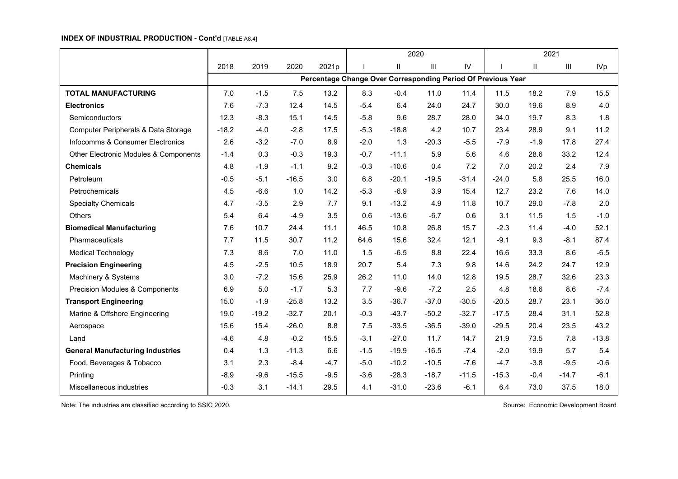#### **INDEX OF INDUSTRIAL PRODUCTION - Cont'd** [TABLE A8.4]

|                                         |         |         |         |                                                              |        |          | 2020    |         |         |               | 2021                               |            |
|-----------------------------------------|---------|---------|---------|--------------------------------------------------------------|--------|----------|---------|---------|---------|---------------|------------------------------------|------------|
|                                         | 2018    | 2019    | 2020    | 2021p                                                        |        | $\sf II$ | III     | IV      |         | $\mathsf{II}$ | $\ensuremath{\mathsf{III}}\xspace$ | <b>IVp</b> |
|                                         |         |         |         | Percentage Change Over Corresponding Period Of Previous Year |        |          |         |         |         |               |                                    |            |
| <b>TOTAL MANUFACTURING</b>              | 7.0     | $-1.5$  | 7.5     | 13.2                                                         | 8.3    | $-0.4$   | 11.0    | 11.4    | 11.5    | 18.2          | 7.9                                | 15.5       |
| <b>Electronics</b>                      | 7.6     | $-7.3$  | 12.4    | 14.5                                                         | $-5.4$ | 6.4      | 24.0    | 24.7    | 30.0    | 19.6          | 8.9                                | 4.0        |
| Semiconductors                          | 12.3    | $-8.3$  | 15.1    | 14.5                                                         | $-5.8$ | 9.6      | 28.7    | 28.0    | 34.0    | 19.7          | 8.3                                | 1.8        |
| Computer Peripherals & Data Storage     | $-18.2$ | $-4.0$  | $-2.8$  | 17.5                                                         | $-5.3$ | $-18.8$  | 4.2     | 10.7    | 23.4    | 28.9          | 9.1                                | 11.2       |
| Infocomms & Consumer Electronics        | 2.6     | $-3.2$  | $-7.0$  | 8.9                                                          | $-2.0$ | 1.3      | $-20.3$ | $-5.5$  | $-7.9$  | $-1.9$        | 17.8                               | 27.4       |
| Other Electronic Modules & Components   | $-1.4$  | 0.3     | $-0.3$  | 19.3                                                         | $-0.7$ | $-11.1$  | 5.9     | 5.6     | 4.6     | 28.6          | 33.2                               | 12.4       |
| <b>Chemicals</b>                        | 4.8     | $-1.9$  | $-1.1$  | 9.2                                                          | $-0.3$ | $-10.6$  | 0.4     | 7.2     | 7.0     | 20.2          | 2.4                                | 7.9        |
| Petroleum                               | $-0.5$  | $-5.1$  | $-16.5$ | 3.0                                                          | 6.8    | $-20.1$  | $-19.5$ | $-31.4$ | $-24.0$ | 5.8           | 25.5                               | 16.0       |
| Petrochemicals                          | 4.5     | $-6.6$  | 1.0     | 14.2                                                         | $-5.3$ | $-6.9$   | 3.9     | 15.4    | 12.7    | 23.2          | 7.6                                | 14.0       |
| <b>Specialty Chemicals</b>              | 4.7     | $-3.5$  | 2.9     | 7.7                                                          | 9.1    | $-13.2$  | 4.9     | 11.8    | 10.7    | 29.0          | $-7.8$                             | 2.0        |
| Others                                  | 5.4     | 6.4     | $-4.9$  | 3.5                                                          | 0.6    | $-13.6$  | $-6.7$  | 0.6     | 3.1     | 11.5          | 1.5                                | $-1.0$     |
| <b>Biomedical Manufacturing</b>         | 7.6     | 10.7    | 24.4    | 11.1                                                         | 46.5   | 10.8     | 26.8    | 15.7    | $-2.3$  | 11.4          | $-4.0$                             | 52.1       |
| Pharmaceuticals                         | 7.7     | 11.5    | 30.7    | 11.2                                                         | 64.6   | 15.6     | 32.4    | 12.1    | $-9.1$  | 9.3           | $-8.1$                             | 87.4       |
| <b>Medical Technology</b>               | 7.3     | 8.6     | 7.0     | 11.0                                                         | 1.5    | $-6.5$   | 8.8     | 22.4    | 16.6    | 33.3          | 8.6                                | $-6.5$     |
| <b>Precision Engineering</b>            | 4.5     | $-2.5$  | 10.5    | 18.9                                                         | 20.7   | 5.4      | 7.3     | 9.8     | 14.6    | 24.2          | 24.7                               | 12.9       |
| Machinery & Systems                     | 3.0     | $-7.2$  | 15.6    | 25.9                                                         | 26.2   | 11.0     | 14.0    | 12.8    | 19.5    | 28.7          | 32.6                               | 23.3       |
| Precision Modules & Components          | 6.9     | 5.0     | $-1.7$  | 5.3                                                          | 7.7    | $-9.6$   | $-7.2$  | 2.5     | 4.8     | 18.6          | 8.6                                | $-7.4$     |
| <b>Transport Engineering</b>            | 15.0    | $-1.9$  | $-25.8$ | 13.2                                                         | 3.5    | $-36.7$  | $-37.0$ | $-30.5$ | $-20.5$ | 28.7          | 23.1                               | 36.0       |
| Marine & Offshore Engineering           | 19.0    | $-19.2$ | $-32.7$ | 20.1                                                         | $-0.3$ | $-43.7$  | $-50.2$ | $-32.7$ | $-17.5$ | 28.4          | 31.1                               | 52.8       |
| Aerospace                               | 15.6    | 15.4    | $-26.0$ | 8.8                                                          | 7.5    | $-33.5$  | $-36.5$ | $-39.0$ | $-29.5$ | 20.4          | 23.5                               | 43.2       |
| Land                                    | $-4.6$  | 4.8     | $-0.2$  | 15.5                                                         | $-3.1$ | $-27.0$  | 11.7    | 14.7    | 21.9    | 73.5          | 7.8                                | $-13.8$    |
| <b>General Manufacturing Industries</b> | 0.4     | 1.3     | $-11.3$ | 6.6                                                          | $-1.5$ | $-19.9$  | $-16.5$ | $-7.4$  | $-2.0$  | 19.9          | 5.7                                | 5.4        |
| Food, Beverages & Tobacco               | 3.1     | 2.3     | $-8.4$  | $-4.7$                                                       | $-5.0$ | $-10.2$  | $-10.5$ | $-7.6$  | $-4.7$  | $-3.8$        | $-9.5$                             | $-0.6$     |
| Printing                                | $-8.9$  | $-9.6$  | $-15.5$ | $-9.5$                                                       | $-3.6$ | $-28.3$  | $-18.7$ | $-11.5$ | $-15.3$ | $-0.4$        | $-14.7$                            | $-6.1$     |
| Miscellaneous industries                | $-0.3$  | 3.1     | $-14.1$ | 29.5                                                         | 4.1    | $-31.0$  | $-23.6$ | $-6.1$  | 6.4     | 73.0          | 37.5                               | 18.0       |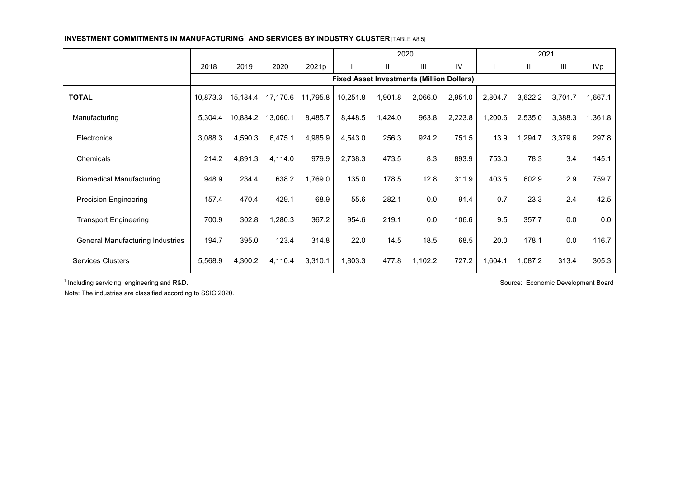#### **INVESTMENT COMMITMENTS IN MANUFACTURING**<sup>1</sup> **AND SERVICES BY INDUSTRY CLUSTER** [TABLE A8.5]

|                                         |          |          |          |          |                                                  | 2020    |                |         |         | 2021    |         |            |
|-----------------------------------------|----------|----------|----------|----------|--------------------------------------------------|---------|----------------|---------|---------|---------|---------|------------|
|                                         | 2018     | 2019     | 2020     | 2021p    |                                                  | Ш       | $\mathbf{III}$ | IV      |         | Ш       | Ш       | <b>IVp</b> |
|                                         |          |          |          |          | <b>Fixed Asset Investments (Million Dollars)</b> |         |                |         |         |         |         |            |
| <b>TOTAL</b>                            | 10,873.3 | 15,184.4 | 17,170.6 | 11,795.8 | 10,251.8                                         | 1,901.8 | 2,066.0        | 2,951.0 | 2,804.7 | 3,622.2 | 3,701.7 | 1,667.1    |
| Manufacturing                           | 5,304.4  | 10,884.2 | 13,060.1 | 8,485.7  | 8,448.5                                          | 1,424.0 | 963.8          | 2,223.8 | 1,200.6 | 2,535.0 | 3,388.3 | 1,361.8    |
| Electronics                             | 3,088.3  | 4,590.3  | 6,475.1  | 4,985.9  | 4,543.0                                          | 256.3   | 924.2          | 751.5   | 13.9    | 1,294.7 | 3,379.6 | 297.8      |
| Chemicals                               | 214.2    | 4,891.3  | 4,114.0  | 979.9    | 2,738.3                                          | 473.5   | 8.3            | 893.9   | 753.0   | 78.3    | 3.4     | 145.1      |
| <b>Biomedical Manufacturing</b>         | 948.9    | 234.4    | 638.2    | 1,769.0  | 135.0                                            | 178.5   | 12.8           | 311.9   | 403.5   | 602.9   | 2.9     | 759.7      |
| <b>Precision Engineering</b>            | 157.4    | 470.4    | 429.1    | 68.9     | 55.6                                             | 282.1   | 0.0            | 91.4    | 0.7     | 23.3    | 2.4     | 42.5       |
| <b>Transport Engineering</b>            | 700.9    | 302.8    | 1,280.3  | 367.2    | 954.6                                            | 219.1   | 0.0            | 106.6   | 9.5     | 357.7   | 0.0     | 0.0        |
| <b>General Manufacturing Industries</b> | 194.7    | 395.0    | 123.4    | 314.8    | 22.0                                             | 14.5    | 18.5           | 68.5    | 20.0    | 178.1   | 0.0     | 116.7      |
| <b>Services Clusters</b>                | 5,568.9  | 4,300.2  | 4,110.4  | 3,310.1  | 1,803.3                                          | 477.8   | 1,102.2        | 727.2   | 1,604.1 | 1,087.2 | 313.4   | 305.3      |

<sup>1</sup> Including servicing, engineering and R&D. Source: Economic Development Board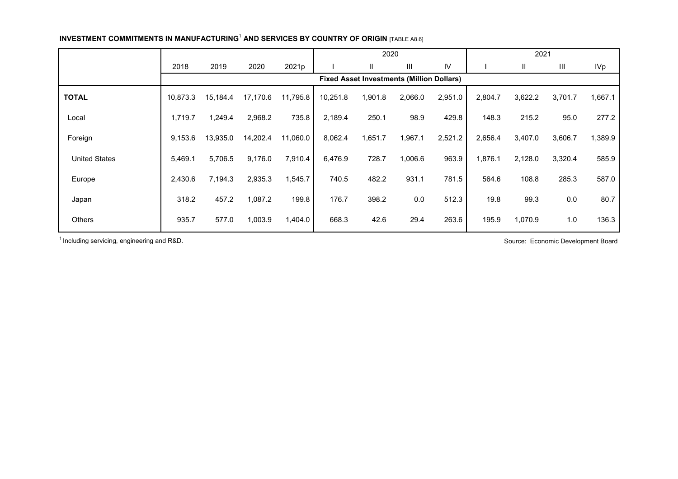|                      |          |          |          |          |          | 2020                                             |         |         |         | 2021    |         |            |
|----------------------|----------|----------|----------|----------|----------|--------------------------------------------------|---------|---------|---------|---------|---------|------------|
|                      | 2018     | 2019     | 2020     | 2021p    |          | $\mathbf{H}$                                     | Ш       | IV      |         | Ш       | Ш       | <b>IVp</b> |
|                      |          |          |          |          |          | <b>Fixed Asset Investments (Million Dollars)</b> |         |         |         |         |         |            |
| <b>TOTAL</b>         | 10,873.3 | 15,184.4 | 17,170.6 | 11,795.8 | 10,251.8 | 1,901.8                                          | 2,066.0 | 2,951.0 | 2,804.7 | 3,622.2 | 3,701.7 | 1.667.1    |
| Local                | 1,719.7  | 1,249.4  | 2,968.2  | 735.8    | 2,189.4  | 250.1                                            | 98.9    | 429.8   | 148.3   | 215.2   | 95.0    | 277.2      |
| Foreign              | 9,153.6  | 13,935.0 | 14,202.4 | 11,060.0 | 8,062.4  | 1,651.7                                          | 1,967.1 | 2,521.2 | 2,656.4 | 3,407.0 | 3,606.7 | 1,389.9    |
| <b>United States</b> | 5,469.1  | 5,706.5  | 9,176.0  | 7,910.4  | 6,476.9  | 728.7                                            | 1,006.6 | 963.9   | 1,876.1 | 2,128.0 | 3,320.4 | 585.9      |
| Europe               | 2,430.6  | 7,194.3  | 2,935.3  | 1,545.7  | 740.5    | 482.2                                            | 931.1   | 781.5   | 564.6   | 108.8   | 285.3   | 587.0      |
| Japan                | 318.2    | 457.2    | 1,087.2  | 199.8    | 176.7    | 398.2                                            | 0.0     | 512.3   | 19.8    | 99.3    | 0.0     | 80.7       |
| Others               | 935.7    | 577.0    | 1,003.9  | 1,404.0  | 668.3    | 42.6                                             | 29.4    | 263.6   | 195.9   | 1,070.9 | 1.0     | 136.3      |

**INVESTMENT COMMITMENTS IN MANUFACTURING<sup>1</sup> AND SERVICES BY COUNTRY OF ORIGIN [TABLE A8.6]** 

<sup>1</sup> Including servicing, engineering and R&D. Source: Economic Development Board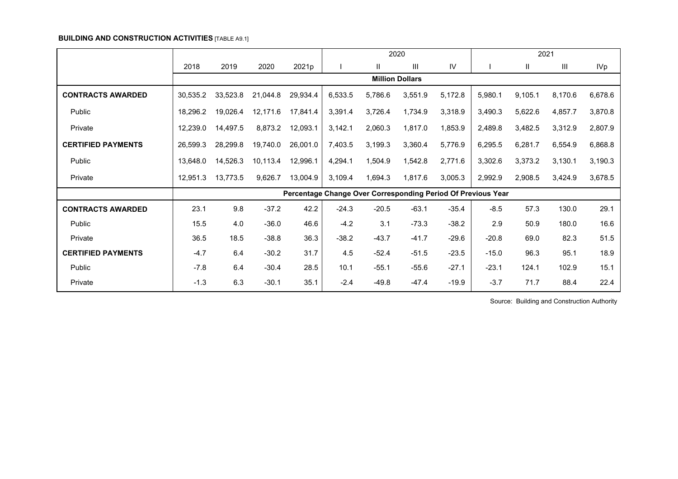#### **BUILDING AND CONSTRUCTION ACTIVITIES** [TABLE A9.1]

|                           |          |          |          |          |         |              | 2020                                                         |         |         |         | 2021    |         |
|---------------------------|----------|----------|----------|----------|---------|--------------|--------------------------------------------------------------|---------|---------|---------|---------|---------|
|                           | 2018     | 2019     | 2020     | 2021p    |         | $\mathbf{H}$ | Ш                                                            | IV      |         | Ш       | Ш       | IVp     |
|                           |          |          |          |          |         |              | <b>Million Dollars</b>                                       |         |         |         |         |         |
| <b>CONTRACTS AWARDED</b>  | 30,535.2 | 33,523.8 | 21,044.8 | 29,934.4 | 6,533.5 | 5,786.6      | 3,551.9                                                      | 5,172.8 | 5,980.1 | 9,105.1 | 8,170.6 | 6,678.6 |
| Public                    | 18,296.2 | 19,026.4 | 12,171.6 | 17,841.4 | 3,391.4 | 3,726.4      | 1,734.9                                                      | 3,318.9 | 3,490.3 | 5,622.6 | 4,857.7 | 3,870.8 |
| Private                   | 12,239.0 | 14,497.5 | 8,873.2  | 12,093.1 | 3,142.1 | 2,060.3      | 1,817.0                                                      | 1,853.9 | 2,489.8 | 3,482.5 | 3,312.9 | 2,807.9 |
| <b>CERTIFIED PAYMENTS</b> | 26,599.3 | 28,299.8 | 19,740.0 | 26,001.0 | 7,403.5 | 3,199.3      | 3,360.4                                                      | 5,776.9 | 6,295.5 | 6,281.7 | 6,554.9 | 6,868.8 |
| Public                    | 13,648.0 | 14,526.3 | 10,113.4 | 12,996.1 | 4,294.1 | 1,504.9      | 1,542.8                                                      | 2,771.6 | 3,302.6 | 3,373.2 | 3,130.1 | 3,190.3 |
| Private                   | 12,951.3 | 13,773.5 | 9,626.7  | 13,004.9 | 3,109.4 | 1,694.3      | 1,817.6                                                      | 3,005.3 | 2,992.9 | 2,908.5 | 3,424.9 | 3,678.5 |
|                           |          |          |          |          |         |              | Percentage Change Over Corresponding Period Of Previous Year |         |         |         |         |         |
| <b>CONTRACTS AWARDED</b>  | 23.1     | 9.8      | $-37.2$  | 42.2     | $-24.3$ | $-20.5$      | $-63.1$                                                      | $-35.4$ | $-8.5$  | 57.3    | 130.0   | 29.1    |
| Public                    | 15.5     | 4.0      | $-36.0$  | 46.6     | $-4.2$  | 3.1          | $-73.3$                                                      | $-38.2$ | 2.9     | 50.9    | 180.0   | 16.6    |
| Private                   | 36.5     | 18.5     | $-38.8$  | 36.3     | $-38.2$ | $-43.7$      | $-41.7$                                                      | $-29.6$ | $-20.8$ | 69.0    | 82.3    | 51.5    |
| <b>CERTIFIED PAYMENTS</b> | $-4.7$   | 6.4      | $-30.2$  | 31.7     | 4.5     | $-52.4$      | $-51.5$                                                      | $-23.5$ | $-15.0$ | 96.3    | 95.1    | 18.9    |
| Public                    | $-7.8$   | 6.4      | $-30.4$  | 28.5     | 10.1    | $-55.1$      | $-55.6$                                                      | $-27.1$ | $-23.1$ | 124.1   | 102.9   | 15.1    |
| Private                   | $-1.3$   | 6.3      | $-30.1$  | 35.1     | $-2.4$  | $-49.8$      | $-47.4$                                                      | $-19.9$ | $-3.7$  | 71.7    | 88.4    | 22.4    |

Source: Building and Construction Authority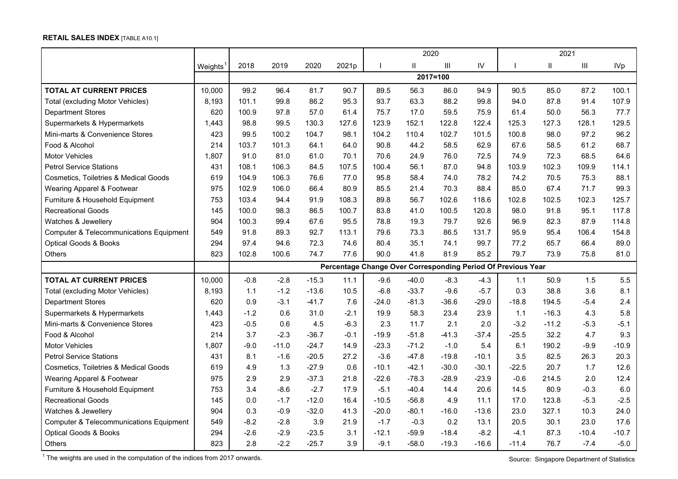# **RETAIL SALES INDEX** [TABLE A10.1]

|                                                    |         |        |         |         |        |         | 2020         |                |         |                                                              | 2021    |         |            |
|----------------------------------------------------|---------|--------|---------|---------|--------|---------|--------------|----------------|---------|--------------------------------------------------------------|---------|---------|------------|
|                                                    | Weights | 2018   | 2019    | 2020    | 2021p  |         | $\mathbf{H}$ | $\mathbf{III}$ | IV      |                                                              | Ш       | Ш       | <b>IVp</b> |
|                                                    |         |        |         |         |        |         |              | 2017=100       |         |                                                              |         |         |            |
| <b>TOTAL AT CURRENT PRICES</b>                     | 10,000  | 99.2   | 96.4    | 81.7    | 90.7   | 89.5    | 56.3         | 86.0           | 94.9    | 90.5                                                         | 85.0    | 87.2    | 100.1      |
| <b>Total (excluding Motor Vehicles)</b>            | 8.193   | 101.1  | 99.8    | 86.2    | 95.3   | 93.7    | 63.3         | 88.2           | 99.8    | 94.0                                                         | 87.8    | 91.4    | 107.9      |
| <b>Department Stores</b>                           | 620     | 100.9  | 97.8    | 57.0    | 61.4   | 75.7    | 17.0         | 59.5           | 75.9    | 61.4                                                         | 50.0    | 56.3    | 77.7       |
| Supermarkets & Hypermarkets                        | 1,443   | 98.8   | 99.5    | 130.3   | 127.6  | 123.9   | 152.1        | 122.8          | 122.4   | 125.3                                                        | 127.3   | 128.1   | 129.5      |
| Mini-marts & Convenience Stores                    | 423     | 99.5   | 100.2   | 104.7   | 98.1   | 104.2   | 110.4        | 102.7          | 101.5   | 100.8                                                        | 98.0    | 97.2    | 96.2       |
| Food & Alcohol                                     | 214     | 103.7  | 101.3   | 64.1    | 64.0   | 90.8    | 44.2         | 58.5           | 62.9    | 67.6                                                         | 58.5    | 61.2    | 68.7       |
| <b>Motor Vehicles</b>                              | 1,807   | 91.0   | 81.0    | 61.0    | 70.1   | 70.6    | 24.9         | 76.0           | 72.5    | 74.9                                                         | 72.3    | 68.5    | 64.6       |
| <b>Petrol Service Stations</b>                     | 431     | 108.1  | 106.3   | 84.5    | 107.5  | 100.4   | 56.1         | 87.0           | 94.8    | 103.9                                                        | 102.3   | 109.9   | 114.1      |
| <b>Cosmetics, Toiletries &amp; Medical Goods</b>   | 619     | 104.9  | 106.3   | 76.6    | 77.0   | 95.8    | 58.4         | 74.0           | 78.2    | 74.2                                                         | 70.5    | 75.3    | 88.1       |
| Wearing Apparel & Footwear                         | 975     | 102.9  | 106.0   | 66.4    | 80.9   | 85.5    | 21.4         | 70.3           | 88.4    | 85.0                                                         | 67.4    | 71.7    | 99.3       |
| Furniture & Household Equipment                    | 753     | 103.4  | 94.4    | 91.9    | 108.3  | 89.8    | 56.7         | 102.6          | 118.6   | 102.8                                                        | 102.5   | 102.3   | 125.7      |
| <b>Recreational Goods</b>                          | 145     | 100.0  | 98.3    | 86.5    | 100.7  | 83.8    | 41.0         | 100.5          | 120.8   | 98.0                                                         | 91.8    | 95.1    | 117.8      |
| Watches & Jewellery                                | 904     | 100.3  | 99.4    | 67.6    | 95.5   | 78.8    | 19.3         | 79.7           | 92.6    | 96.9                                                         | 82.3    | 87.9    | 114.8      |
| <b>Computer &amp; Telecommunications Equipment</b> | 549     | 91.8   | 89.3    | 92.7    | 113.1  | 79.6    | 73.3         | 86.5           | 131.7   | 95.9                                                         | 95.4    | 106.4   | 154.8      |
| <b>Optical Goods &amp; Books</b>                   | 294     | 97.4   | 94.6    | 72.3    | 74.6   | 80.4    | 35.1         | 74.1           | 99.7    | 77.2                                                         | 65.7    | 66.4    | 89.0       |
| <b>Others</b>                                      | 823     | 102.8  | 100.6   | 74.7    | 77.6   | 90.0    | 41.8         | 81.9           | 85.2    | 79.7                                                         | 73.9    | 75.8    | 81.0       |
|                                                    |         |        |         |         |        |         |              |                |         | Percentage Change Over Corresponding Period Of Previous Year |         |         |            |
| <b>TOTAL AT CURRENT PRICES</b>                     | 10,000  | $-0.8$ | $-2.8$  | $-15.3$ | 11.1   | $-9.6$  | $-40.0$      | $-8.3$         | $-4.3$  | 1.1                                                          | 50.9    | 1.5     | 5.5        |
| <b>Total (excluding Motor Vehicles)</b>            | 8,193   | 1.1    | $-1.2$  | $-13.6$ | 10.5   | $-6.8$  | $-33.7$      | $-9.6$         | $-5.7$  | 0.3                                                          | 38.8    | 3.6     | 8.1        |
| <b>Department Stores</b>                           | 620     | 0.9    | $-3.1$  | $-41.7$ | 7.6    | $-24.0$ | $-81.3$      | $-36.6$        | $-29.0$ | $-18.8$                                                      | 194.5   | $-5.4$  | 2.4        |
| Supermarkets & Hypermarkets                        | 1,443   | $-1.2$ | 0.6     | 31.0    | $-2.1$ | 19.9    | 58.3         | 23.4           | 23.9    | 1.1                                                          | $-16.3$ | 4.3     | 5.8        |
| Mini-marts & Convenience Stores                    | 423     | $-0.5$ | 0.6     | 4.5     | $-6.3$ | 2.3     | 11.7         | 2.1            | 2.0     | $-3.2$                                                       | $-11.2$ | $-5.3$  | $-5.1$     |
| Food & Alcohol                                     | 214     | 3.7    | $-2.3$  | $-36.7$ | $-0.1$ | $-19.9$ | $-51.8$      | $-41.3$        | $-37.4$ | $-25.5$                                                      | 32.2    | 4.7     | 9.3        |
| <b>Motor Vehicles</b>                              | 1,807   | $-9.0$ | $-11.0$ | $-24.7$ | 14.9   | $-23.3$ | $-71.2$      | $-1.0$         | 5.4     | 6.1                                                          | 190.2   | $-9.9$  | $-10.9$    |
| <b>Petrol Service Stations</b>                     | 431     | 8.1    | $-1.6$  | $-20.5$ | 27.2   | $-3.6$  | $-47.8$      | $-19.8$        | $-10.1$ | 3.5                                                          | 82.5    | 26.3    | 20.3       |
| Cosmetics, Toiletries & Medical Goods              | 619     | 4.9    | 1.3     | $-27.9$ | 0.6    | $-10.1$ | $-42.1$      | $-30.0$        | $-30.1$ | $-22.5$                                                      | 20.7    | 1.7     | 12.6       |
| Wearing Apparel & Footwear                         | 975     | 2.9    | 2.9     | $-37.3$ | 21.8   | $-22.6$ | $-78.3$      | $-28.9$        | $-23.9$ | $-0.6$                                                       | 214.5   | 2.0     | 12.4       |
| Furniture & Household Equipment                    | 753     | 3.4    | $-8.6$  | $-2.7$  | 17.9   | $-5.1$  | $-40.4$      | 14.4           | 20.6    | 14.5                                                         | 80.9    | $-0.3$  | 6.0        |
| <b>Recreational Goods</b>                          | 145     | 0.0    | $-1.7$  | $-12.0$ | 16.4   | $-10.5$ | $-56.8$      | 4.9            | 11.1    | 17.0                                                         | 123.8   | $-5.3$  | $-2.5$     |
| Watches & Jewellery                                | 904     | 0.3    | $-0.9$  | $-32.0$ | 41.3   | $-20.0$ | $-80.1$      | $-16.0$        | $-13.6$ | 23.0                                                         | 327.1   | 10.3    | 24.0       |
| <b>Computer &amp; Telecommunications Equipment</b> | 549     | $-8.2$ | $-2.8$  | 3.9     | 21.9   | $-1.7$  | $-0.3$       | 0.2            | 13.1    | 20.5                                                         | 30.1    | 23.0    | 17.6       |
| <b>Optical Goods &amp; Books</b>                   | 294     | $-2.6$ | $-2.9$  | $-23.5$ | 3.1    | $-12.1$ | $-59.9$      | $-18.4$        | $-8.2$  | $-4.1$                                                       | 87.3    | $-10.4$ | $-10.7$    |
| <b>Others</b>                                      | 823     | 2.8    | $-2.2$  | $-25.7$ | 3.9    | $-9.1$  | $-58.0$      | $-19.3$        | $-16.6$ | $-11.4$                                                      | 76.7    | $-7.4$  | $-5.0$     |

The weights are used in the computation of the indices from 2017 onwards.<br>
<sup>1</sup> The weights are used in the computation of the indices from 2017 onwards.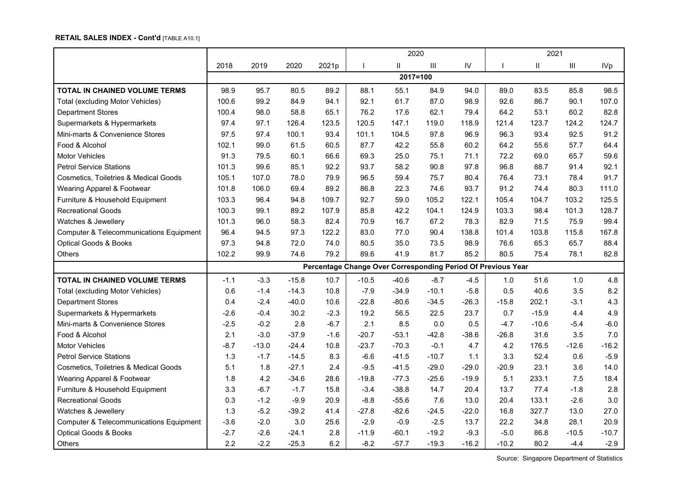## **RETAIL SALES INDEX - Cont'd** [TABLE A10.1]

|                                                    |        |         |         |        | 2020                                                         |          |         |         |         | 2021          |         |         |
|----------------------------------------------------|--------|---------|---------|--------|--------------------------------------------------------------|----------|---------|---------|---------|---------------|---------|---------|
|                                                    | 2018   | 2019    | 2020    | 2021p  | $\mathbf{I}$                                                 | Ш        | Ш       | IV      |         | $\mathbf{II}$ | III     | IVp     |
|                                                    |        |         |         |        |                                                              | 2017=100 |         |         |         |               |         |         |
| TOTAL IN CHAINED VOLUME TERMS                      | 98.9   | 95.7    | 80.5    | 89.2   | 88.1                                                         | 55.1     | 84.9    | 94.0    | 89.0    | 83.5          | 85.8    | 98.5    |
| <b>Total (excluding Motor Vehicles)</b>            | 100.6  | 99.2    | 84.9    | 94.1   | 92.1                                                         | 61.7     | 87.0    | 98.9    | 92.6    | 86.7          | 90.1    | 107.0   |
| <b>Department Stores</b>                           | 100.4  | 98.0    | 58.8    | 65.1   | 76.2                                                         | 17.6     | 62.1    | 79.4    | 64.2    | 53.1          | 60.2    | 82.8    |
| Supermarkets & Hypermarkets                        | 97.4   | 97.1    | 126.4   | 123.5  | 120.5                                                        | 147.1    | 119.0   | 118.9   | 121.4   | 123.7         | 124.2   | 124.7   |
| Mini-marts & Convenience Stores                    | 97.5   | 97.4    | 100.1   | 93.4   | 101.1                                                        | 104.5    | 97.8    | 96.9    | 96.3    | 93.4          | 92.5    | 91.2    |
| Food & Alcohol                                     | 102.1  | 99.0    | 61.5    | 60.5   | 87.7                                                         | 42.2     | 55.8    | 60.2    | 64.2    | 55.6          | 57.7    | 64.4    |
| <b>Motor Vehicles</b>                              | 91.3   | 79.5    | 60.1    | 66.6   | 69.3                                                         | 25.0     | 75.1    | 71.1    | 72.2    | 69.0          | 65.7    | 59.6    |
| <b>Petrol Service Stations</b>                     | 101.3  | 99.6    | 85.1    | 92.2   | 93.7                                                         | 58.2     | 90.8    | 97.8    | 96.8    | 88.7          | 91.4    | 92.1    |
| Cosmetics, Toiletries & Medical Goods              | 105.1  | 107.0   | 78.0    | 79.9   | 96.5                                                         | 59.4     | 75.7    | 80.4    | 76.4    | 73.1          | 78.4    | 91.7    |
| Wearing Apparel & Footwear                         | 101.8  | 106.0   | 69.4    | 89.2   | 86.8                                                         | 22.3     | 74.6    | 93.7    | 91.2    | 74.4          | 80.3    | 111.0   |
| Furniture & Household Equipment                    | 103.3  | 96.4    | 94.8    | 109.7  | 92.7                                                         | 59.0     | 105.2   | 122.1   | 105.4   | 104.7         | 103.2   | 125.5   |
| <b>Recreational Goods</b>                          | 100.3  | 99.1    | 89.2    | 107.9  | 85.8                                                         | 42.2     | 104.1   | 124.9   | 103.3   | 98.4          | 101.3   | 128.7   |
| Watches & Jewellery                                | 101.3  | 96.0    | 58.3    | 82.4   | 70.9                                                         | 16.7     | 67.2    | 78.3    | 82.9    | 71.5          | 75.9    | 99.4    |
| <b>Computer &amp; Telecommunications Equipment</b> | 96.4   | 94.5    | 97.3    | 122.2  | 83.0                                                         | 77.0     | 90.4    | 138.8   | 101.4   | 103.8         | 115.8   | 167.8   |
| <b>Optical Goods &amp; Books</b>                   | 97.3   | 94.8    | 72.0    | 74.0   | 80.5                                                         | 35.0     | 73.5    | 98.9    | 76.6    | 65.3          | 65.7    | 88.4    |
| <b>Others</b>                                      | 102.2  | 99.9    | 74.6    | 79.2   | 89.6                                                         | 41.9     | 81.7    | 85.2    | 80.5    | 75.4          | 78.1    | 82.8    |
|                                                    |        |         |         |        | Percentage Change Over Corresponding Period Of Previous Year |          |         |         |         |               |         |         |
| <b>TOTAL IN CHAINED VOLUME TERMS</b>               | $-1.1$ | $-3.3$  | $-15.8$ | 10.7   | $-10.5$                                                      | $-40.6$  | $-8.7$  | $-4.5$  | 1.0     | 51.6          | 1.0     | 4.8     |
| <b>Total (excluding Motor Vehicles)</b>            | 0.6    | $-1.4$  | $-14.3$ | 10.8   | $-7.9$                                                       | $-34.9$  | $-10.1$ | $-5.8$  | 0.5     | 40.6          | 3.5     | 8.2     |
| <b>Department Stores</b>                           | 0.4    | $-2.4$  | $-40.0$ | 10.6   | $-22.8$                                                      | $-80.6$  | $-34.5$ | $-26.3$ | $-15.8$ | 202.1         | $-3.1$  | 4.3     |
| Supermarkets & Hypermarkets                        | $-2.6$ | $-0.4$  | 30.2    | $-2.3$ | 19.2                                                         | 56.5     | 22.5    | 23.7    | 0.7     | $-15.9$       | 4.4     | 4.9     |
| Mini-marts & Convenience Stores                    | $-2.5$ | $-0.2$  | 2.8     | $-6.7$ | 2.1                                                          | 8.5      | 0.0     | 0.5     | $-4.7$  | $-10.6$       | $-5.4$  | $-6.0$  |
| Food & Alcohol                                     | 2.1    | $-3.0$  | $-37.9$ | $-1.6$ | $-20.7$                                                      | $-53.1$  | $-42.8$ | $-38.6$ | $-26.8$ | 31.6          | 3.5     | 7.0     |
| Motor Vehicles                                     | $-8.7$ | $-13.0$ | $-24.4$ | 10.8   | $-23.7$                                                      | $-70.3$  | $-0.1$  | 4.7     | 4.2     | 176.5         | $-12.6$ | $-16.2$ |
| <b>Petrol Service Stations</b>                     | 1.3    | $-1.7$  | $-14.5$ | 8.3    | $-6.6$                                                       | $-41.5$  | $-10.7$ | 1.1     | 3.3     | 52.4          | 0.6     | $-5.9$  |
| <b>Cosmetics, Toiletries &amp; Medical Goods</b>   | 5.1    | 1.8     | $-27.1$ | 2.4    | $-9.5$                                                       | $-41.5$  | $-29.0$ | $-29.0$ | $-20.9$ | 23.1          | 3.6     | 14.0    |
| Wearing Apparel & Footwear                         | 1.8    | 4.2     | $-34.6$ | 28.6   | $-19.8$                                                      | $-77.3$  | $-25.6$ | $-19.9$ | 5.1     | 233.1         | 7.5     | 18.4    |
| Furniture & Household Equipment                    | 3.3    | $-6.7$  | $-1.7$  | 15.8   | $-3.4$                                                       | $-38.8$  | 14.7    | 20.4    | 13.7    | 77.4          | $-1.8$  | 2.8     |
| <b>Recreational Goods</b>                          | 0.3    | $-1.2$  | $-9.9$  | 20.9   | $-8.8$                                                       | $-55.6$  | 7.6     | 13.0    | 20.4    | 133.1         | $-2.6$  | 3.0     |
| Watches & Jewellery                                | 1.3    | $-5.2$  | $-39.2$ | 41.4   | $-27.8$                                                      | $-82.6$  | $-24.5$ | $-22.0$ | 16.8    | 327.7         | 13.0    | 27.0    |
| <b>Computer &amp; Telecommunications Equipment</b> | $-3.6$ | $-2.0$  | 3.0     | 25.6   | $-2.9$                                                       | $-0.9$   | $-2.5$  | 13.7    | 22.2    | 34.8          | 28.1    | 20.9    |
| <b>Optical Goods &amp; Books</b>                   | $-2.7$ | $-2.6$  | $-24.1$ | 2.8    | $-11.9$                                                      | $-60.1$  | $-19.2$ | $-9.3$  | $-5.0$  | 86.8          | $-10.5$ | $-10.7$ |
| <b>Others</b>                                      | 2.2    | $-2.2$  | $-25.3$ | 6.2    | $-8.2$                                                       | $-57.7$  | $-19.3$ | $-16.2$ | $-10.2$ | 80.2          | $-4.4$  | $-2.9$  |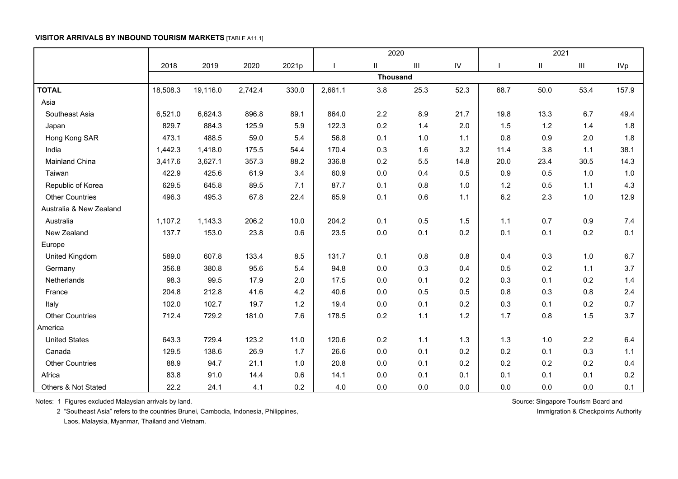### **VISITOR ARRIVALS BY INBOUND TOURISM MARKETS** [TABLE A11.1]

|                         |          |          |         |       |         | 2020            |                                    |               | 2021 |               |       |            |  |
|-------------------------|----------|----------|---------|-------|---------|-----------------|------------------------------------|---------------|------|---------------|-------|------------|--|
|                         | 2018     | 2019     | 2020    | 2021p |         | Ш.              | $\ensuremath{\mathsf{III}}\xspace$ | $\mathsf{IV}$ |      | $\mathbf{II}$ | Ш     | <b>IVp</b> |  |
|                         |          |          |         |       |         | <b>Thousand</b> |                                    |               |      |               |       |            |  |
| <b>TOTAL</b>            | 18,508.3 | 19,116.0 | 2,742.4 | 330.0 | 2,661.1 | 3.8             | 25.3                               | 52.3          | 68.7 | 50.0          | 53.4  | 157.9      |  |
| Asia                    |          |          |         |       |         |                 |                                    |               |      |               |       |            |  |
| Southeast Asia          | 6,521.0  | 6,624.3  | 896.8   | 89.1  | 864.0   | 2.2             | 8.9                                | 21.7          | 19.8 | 13.3          | 6.7   | 49.4       |  |
| Japan                   | 829.7    | 884.3    | 125.9   | 5.9   | 122.3   | 0.2             | 1.4                                | 2.0           | 1.5  | 1.2           | 1.4   | 1.8        |  |
| Hong Kong SAR           | 473.1    | 488.5    | 59.0    | 5.4   | 56.8    | 0.1             | 1.0                                | 1.1           | 0.8  | 0.9           | 2.0   | 1.8        |  |
| India                   | 1,442.3  | 1,418.0  | 175.5   | 54.4  | 170.4   | 0.3             | 1.6                                | 3.2           | 11.4 | 3.8           | 1.1   | 38.1       |  |
| <b>Mainland China</b>   | 3,417.6  | 3,627.1  | 357.3   | 88.2  | 336.8   | 0.2             | 5.5                                | 14.8          | 20.0 | 23.4          | 30.5  | 14.3       |  |
| Taiwan                  | 422.9    | 425.6    | 61.9    | 3.4   | 60.9    | 0.0             | 0.4                                | 0.5           | 0.9  | 0.5           | 1.0   | 1.0        |  |
| Republic of Korea       | 629.5    | 645.8    | 89.5    | 7.1   | 87.7    | 0.1             | 0.8                                | 1.0           | 1.2  | 0.5           | 1.1   | 4.3        |  |
| <b>Other Countries</b>  | 496.3    | 495.3    | 67.8    | 22.4  | 65.9    | 0.1             | 0.6                                | 1.1           | 6.2  | 2.3           | 1.0   | 12.9       |  |
| Australia & New Zealand |          |          |         |       |         |                 |                                    |               |      |               |       |            |  |
| Australia               | 1,107.2  | 1,143.3  | 206.2   | 10.0  | 204.2   | 0.1             | 0.5                                | 1.5           | 1.1  | 0.7           | 0.9   | 7.4        |  |
| New Zealand             | 137.7    | 153.0    | 23.8    | 0.6   | 23.5    | 0.0             | 0.1                                | 0.2           | 0.1  | 0.1           | 0.2   | 0.1        |  |
| Europe                  |          |          |         |       |         |                 |                                    |               |      |               |       |            |  |
| United Kingdom          | 589.0    | 607.8    | 133.4   | 8.5   | 131.7   | 0.1             | 0.8                                | 0.8           | 0.4  | 0.3           | $1.0$ | 6.7        |  |
| Germany                 | 356.8    | 380.8    | 95.6    | 5.4   | 94.8    | 0.0             | 0.3                                | 0.4           | 0.5  | 0.2           | 1.1   | 3.7        |  |
| Netherlands             | 98.3     | 99.5     | 17.9    | 2.0   | 17.5    | 0.0             | 0.1                                | 0.2           | 0.3  | 0.1           | 0.2   | 1.4        |  |
| France                  | 204.8    | 212.8    | 41.6    | 4.2   | 40.6    | 0.0             | 0.5                                | 0.5           | 0.8  | 0.3           | 0.8   | 2.4        |  |
| Italy                   | 102.0    | 102.7    | 19.7    | 1.2   | 19.4    | 0.0             | 0.1                                | 0.2           | 0.3  | 0.1           | 0.2   | 0.7        |  |
| <b>Other Countries</b>  | 712.4    | 729.2    | 181.0   | 7.6   | 178.5   | 0.2             | 1.1                                | 1.2           | 1.7  | 0.8           | 1.5   | 3.7        |  |
| America                 |          |          |         |       |         |                 |                                    |               |      |               |       |            |  |
| <b>United States</b>    | 643.3    | 729.4    | 123.2   | 11.0  | 120.6   | 0.2             | 1.1                                | 1.3           | 1.3  | 1.0           | 2.2   | 6.4        |  |
| Canada                  | 129.5    | 138.6    | 26.9    | 1.7   | 26.6    | 0.0             | 0.1                                | 0.2           | 0.2  | 0.1           | 0.3   | 1.1        |  |
| <b>Other Countries</b>  | 88.9     | 94.7     | 21.1    | 1.0   | 20.8    | 0.0             | 0.1                                | 0.2           | 0.2  | 0.2           | 0.2   | 0.4        |  |
| Africa                  | 83.8     | 91.0     | 14.4    | 0.6   | 14.1    | 0.0             | 0.1                                | 0.1           | 0.1  | 0.1           | 0.1   | 0.2        |  |
| Others & Not Stated     | 22.2     | 24.1     | 4.1     | 0.2   | 4.0     | 0.0             | 0.0                                | 0.0           | 0.0  | 0.0           | 0.0   | 0.1        |  |

Notes: 1 Figures excluded Malaysian arrivals by land. Source: Singapore Tourism Board and Source: Singapore Tourism Board and

2 "Southeast Asia" refers to the countries Brunei, Cambodia, Indonesia, Philippines, Immigration & Checkpoints Authority

Laos, Malaysia, Myanmar, Thailand and Vietnam.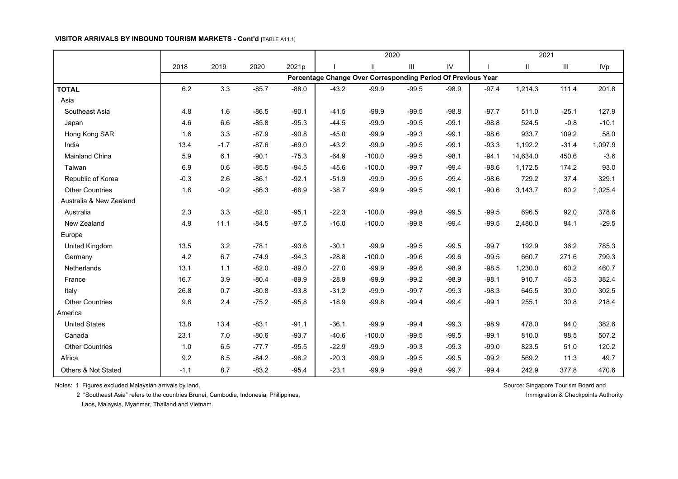#### **VISITOR ARRIVALS BY INBOUND TOURISM MARKETS - Cont'd** [TABLE A11.1]

|                         |        |        |         |         |         | 2020                                                         |         |         | 2021    |               |                |            |  |  |
|-------------------------|--------|--------|---------|---------|---------|--------------------------------------------------------------|---------|---------|---------|---------------|----------------|------------|--|--|
|                         | 2018   | 2019   | 2020    | 2021p   |         | $\mathbf{II}$                                                | Ш       | IV      |         | $\mathbf{II}$ | $\mathbf{III}$ | <b>IVp</b> |  |  |
|                         |        |        |         |         |         | Percentage Change Over Corresponding Period Of Previous Year |         |         |         |               |                |            |  |  |
| <b>TOTAL</b>            | 6.2    | 3.3    | $-85.7$ | $-88.0$ | $-43.2$ | $-99.9$                                                      | $-99.5$ | $-98.9$ | $-97.4$ | 1,214.3       | 111.4          | 201.8      |  |  |
| Asia                    |        |        |         |         |         |                                                              |         |         |         |               |                |            |  |  |
| Southeast Asia          | 4.8    | 1.6    | $-86.5$ | $-90.1$ | $-41.5$ | $-99.9$                                                      | $-99.5$ | $-98.8$ | $-97.7$ | 511.0         | $-25.1$        | 127.9      |  |  |
| Japan                   | 4.6    | 6.6    | $-85.8$ | $-95.3$ | $-44.5$ | $-99.9$                                                      | $-99.5$ | $-99.1$ | $-98.8$ | 524.5         | $-0.8$         | $-10.1$    |  |  |
| Hong Kong SAR           | 1.6    | 3.3    | $-87.9$ | $-90.8$ | $-45.0$ | $-99.9$                                                      | $-99.3$ | $-99.1$ | $-98.6$ | 933.7         | 109.2          | 58.0       |  |  |
| India                   | 13.4   | $-1.7$ | $-87.6$ | $-69.0$ | $-43.2$ | $-99.9$                                                      | $-99.5$ | $-99.1$ | $-93.3$ | 1,192.2       | $-31.4$        | 1,097.9    |  |  |
| Mainland China          | 5.9    | 6.1    | $-90.1$ | $-75.3$ | $-64.9$ | $-100.0$                                                     | $-99.5$ | $-98.1$ | $-94.1$ | 14,634.0      | 450.6          | $-3.6$     |  |  |
| Taiwan                  | 6.9    | 0.6    | $-85.5$ | $-94.5$ | $-45.6$ | $-100.0$                                                     | $-99.7$ | $-99.4$ | $-98.6$ | 1,172.5       | 174.2          | 93.0       |  |  |
| Republic of Korea       | $-0.3$ | 2.6    | $-86.1$ | $-92.1$ | $-51.9$ | $-99.9$                                                      | $-99.5$ | $-99.4$ | $-98.6$ | 729.2         | 37.4           | 329.1      |  |  |
| <b>Other Countries</b>  | 1.6    | $-0.2$ | $-86.3$ | $-66.9$ | $-38.7$ | $-99.9$                                                      | $-99.5$ | $-99.1$ | $-90.6$ | 3,143.7       | 60.2           | 1,025.4    |  |  |
| Australia & New Zealand |        |        |         |         |         |                                                              |         |         |         |               |                |            |  |  |
| Australia               | 2.3    | 3.3    | $-82.0$ | $-95.1$ | $-22.3$ | $-100.0$                                                     | $-99.8$ | $-99.5$ | $-99.5$ | 696.5         | 92.0           | 378.6      |  |  |
| New Zealand             | 4.9    | 11.1   | $-84.5$ | $-97.5$ | $-16.0$ | $-100.0$                                                     | $-99.8$ | $-99.4$ | $-99.5$ | 2,480.0       | 94.1           | $-29.5$    |  |  |
| Europe                  |        |        |         |         |         |                                                              |         |         |         |               |                |            |  |  |
| United Kingdom          | 13.5   | 3.2    | $-78.1$ | $-93.6$ | $-30.1$ | $-99.9$                                                      | $-99.5$ | $-99.5$ | $-99.7$ | 192.9         | 36.2           | 785.3      |  |  |
| Germany                 | 4.2    | 6.7    | $-74.9$ | $-94.3$ | $-28.8$ | $-100.0$                                                     | $-99.6$ | $-99.6$ | $-99.5$ | 660.7         | 271.6          | 799.3      |  |  |
| Netherlands             | 13.1   | $1.1$  | $-82.0$ | $-89.0$ | $-27.0$ | $-99.9$                                                      | $-99.6$ | $-98.9$ | $-98.5$ | 1,230.0       | 60.2           | 460.7      |  |  |
| France                  | 16.7   | 3.9    | $-80.4$ | $-89.9$ | $-28.9$ | $-99.9$                                                      | $-99.2$ | $-98.9$ | $-98.1$ | 910.7         | 46.3           | 382.4      |  |  |
| Italy                   | 26.8   | 0.7    | $-80.8$ | $-93.8$ | $-31.2$ | $-99.9$                                                      | $-99.7$ | $-99.3$ | $-98.3$ | 645.5         | 30.0           | 302.5      |  |  |
| <b>Other Countries</b>  | 9.6    | 2.4    | $-75.2$ | $-95.8$ | $-18.9$ | $-99.8$                                                      | $-99.4$ | $-99.4$ | $-99.1$ | 255.1         | 30.8           | 218.4      |  |  |
| America                 |        |        |         |         |         |                                                              |         |         |         |               |                |            |  |  |
| <b>United States</b>    | 13.8   | 13.4   | $-83.1$ | $-91.1$ | $-36.1$ | $-99.9$                                                      | $-99.4$ | $-99.3$ | $-98.9$ | 478.0         | 94.0           | 382.6      |  |  |
| Canada                  | 23.1   | 7.0    | $-80.6$ | $-93.7$ | $-40.6$ | $-100.0$                                                     | $-99.5$ | $-99.5$ | $-99.1$ | 810.0         | 98.5           | 507.2      |  |  |
| <b>Other Countries</b>  | 1.0    | 6.5    | $-77.7$ | $-95.5$ | $-22.9$ | $-99.9$                                                      | $-99.3$ | $-99.3$ | $-99.0$ | 823.5         | 51.0           | 120.2      |  |  |
| Africa                  | 9.2    | 8.5    | $-84.2$ | $-96.2$ | $-20.3$ | $-99.9$                                                      | $-99.5$ | $-99.5$ | $-99.2$ | 569.2         | 11.3           | 49.7       |  |  |
| Others & Not Stated     | $-1.1$ | 8.7    | $-83.2$ | $-95.4$ | $-23.1$ | $-99.9$                                                      | $-99.8$ | $-99.7$ | $-99.4$ | 242.9         | 377.8          | 470.6      |  |  |

Notes: 1 Figures excluded Malaysian arrivals by land. Source: Singapore Tourism Board and Source: Singapore Tourism Board and

2 "Southeast Asia" refers to the countries Brunei, Cambodia, Indonesia, Philippines, Immigration & Checkpoints Authority and The Checkpoints Authority

Laos, Malaysia, Myanmar, Thailand and Vietnam.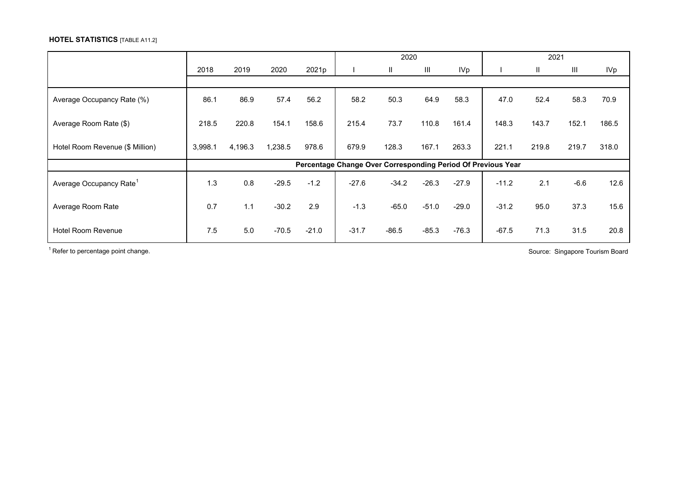## **HOTEL STATISTICS** [TABLE A11.2]

|                                     |         |         |         |         |         | 2020    |                    |         | 2021                                                         |       |        |            |  |
|-------------------------------------|---------|---------|---------|---------|---------|---------|--------------------|---------|--------------------------------------------------------------|-------|--------|------------|--|
|                                     | 2018    | 2019    | 2020    | 2021p   |         | Ш.      | $\mathop{\rm III}$ | IVp     |                                                              | Ш.    | Ш      | <b>IVp</b> |  |
|                                     |         |         |         |         |         |         |                    |         |                                                              |       |        |            |  |
| Average Occupancy Rate (%)          | 86.1    | 86.9    | 57.4    | 56.2    | 58.2    | 50.3    | 64.9               | 58.3    | 47.0                                                         | 52.4  | 58.3   | 70.9       |  |
| Average Room Rate (\$)              | 218.5   | 220.8   | 154.1   | 158.6   | 215.4   | 73.7    | 110.8              | 161.4   | 148.3                                                        | 143.7 | 152.1  | 186.5      |  |
| Hotel Room Revenue (\$ Million)     | 3,998.1 | 4,196.3 | 1,238.5 | 978.6   | 679.9   | 128.3   | 167.1              | 263.3   | 221.1                                                        | 219.8 | 219.7  | 318.0      |  |
|                                     |         |         |         |         |         |         |                    |         | Percentage Change Over Corresponding Period Of Previous Year |       |        |            |  |
| Average Occupancy Rate <sup>1</sup> | 1.3     | 0.8     | $-29.5$ | $-1.2$  | $-27.6$ | $-34.2$ | $-26.3$            | $-27.9$ | $-11.2$                                                      | 2.1   | $-6.6$ | 12.6       |  |
| Average Room Rate                   | 0.7     | 1.1     | $-30.2$ | 2.9     | $-1.3$  | $-65.0$ | $-51.0$            | $-29.0$ | $-31.2$                                                      | 95.0  | 37.3   | 15.6       |  |
| <b>Hotel Room Revenue</b>           | 7.5     | 5.0     | $-70.5$ | $-21.0$ | $-31.7$ | $-86.5$ | $-85.3$            | $-76.3$ | $-67.5$                                                      | 71.3  | 31.5   | 20.8       |  |

 $1$  Refer to percentage point change.  $\blacksquare$  Source: Singapore Tourism Board